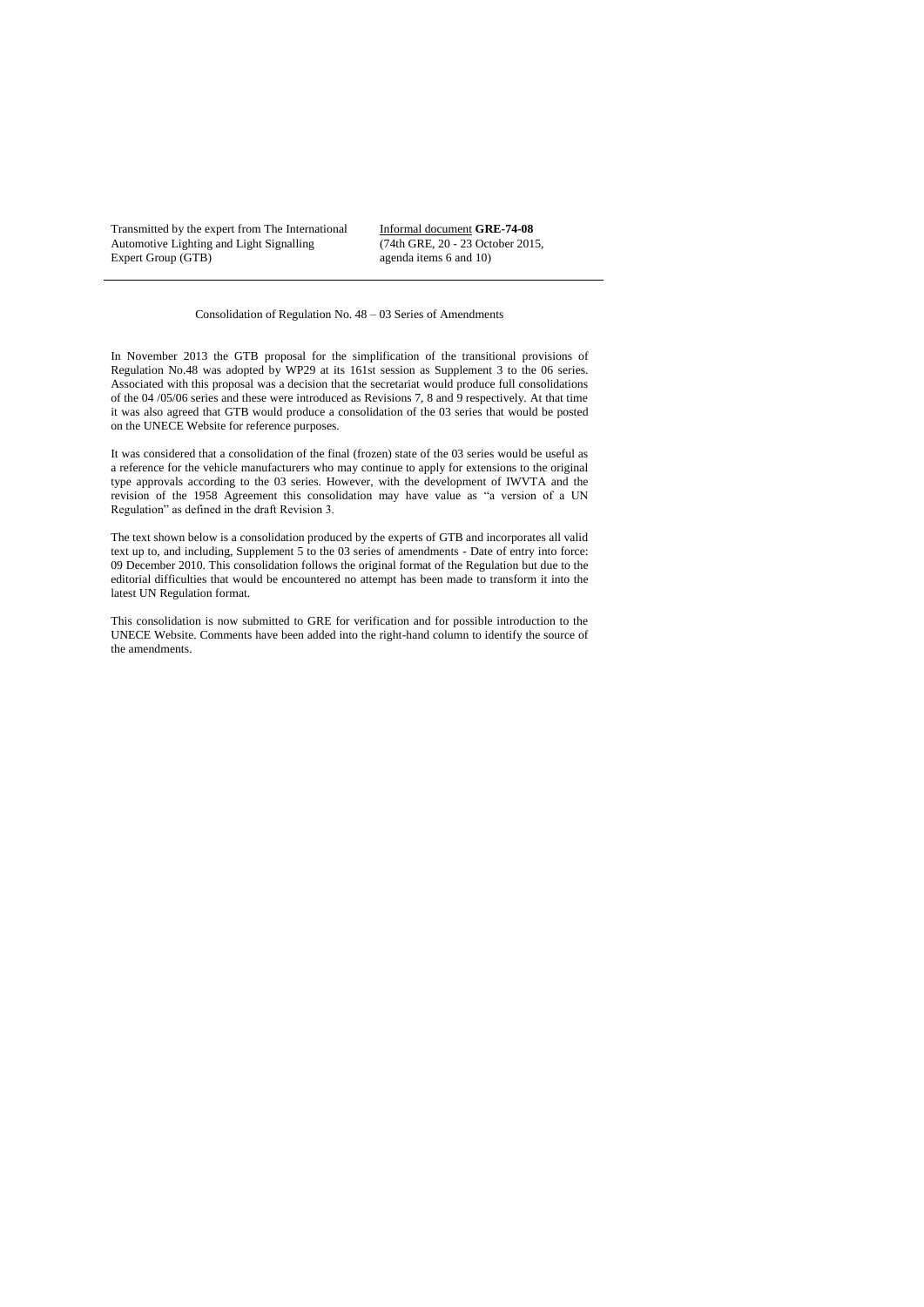Transmitted by the expert from The International Automotive Lighting and Light Signalling Expert Group (GTB)

Informal document **GRE-74-08** (74th GRE, 20 - 23 October 2015, agenda items 6 and 10)

#### Consolidation of Regulation No. 48 – 03 Series of Amendments

In November 2013 the GTB proposal for the simplification of the transitional provisions of Regulation No.48 was adopted by WP29 at its 161st session as Supplement 3 to the 06 series. Associated with this proposal was a decision that the secretariat would produce full consolidations of the 04 /05/06 series and these were introduced as Revisions 7, 8 and 9 respectively. At that time it was also agreed that GTB would produce a consolidation of the 03 series that would be posted on the UNECE Website for reference purposes.

It was considered that a consolidation of the final (frozen) state of the 03 series would be useful as a reference for the vehicle manufacturers who may continue to apply for extensions to the original type approvals according to the 03 series. However, with the development of IWVTA and the revision of the 1958 Agreement this consolidation may have value as "a version of a UN Regulation" as defined in the draft Revision 3.

The text shown below is a consolidation produced by the experts of GTB and incorporates all valid text up to, and including, Supplement 5 to the 03 series of amendments - Date of entry into force: 09 December 2010. This consolidation follows the original format of the Regulation but due to the editorial difficulties that would be encountered no attempt has been made to transform it into the latest UN Regulation format.

This consolidation is now submitted to GRE for verification and for possible introduction to the UNECE Website. Comments have been added into the right-hand column to identify the source of the amendments.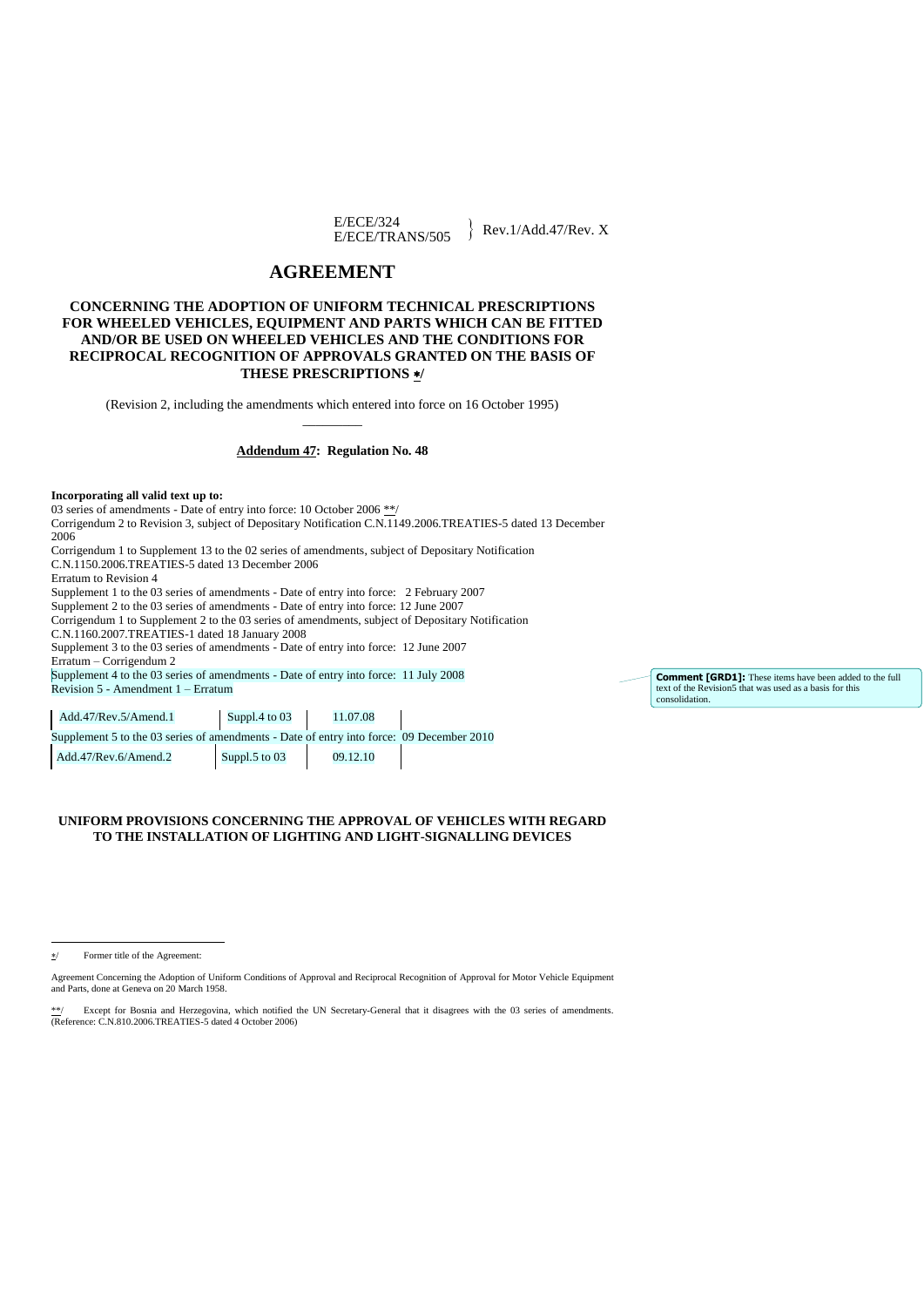E/ECE/324 E/ECE/TRANS/505  $\}$  Rev.1/Add.47/Rev. X

# **AGREEMENT**

### **CONCERNING THE ADOPTION OF UNIFORM TECHNICAL PRESCRIPTIONS FOR WHEELED VEHICLES, EQUIPMENT AND PARTS WHICH CAN BE FITTED AND/OR BE USED ON WHEELED VEHICLES AND THE CONDITIONS FOR RECIPROCAL RECOGNITION OF APPROVALS GRANTED ON THE BASIS OF THESE PRESCRIPTIONS /**

(Revision 2, including the amendments which entered into force on 16 October 1995)  $\overline{\phantom{a}}$  . The contract of  $\overline{\phantom{a}}$ 

### **Addendum 47: Regulation No. 48**

#### **Incorporating all valid text up to:**

03 series of amendments - Date of entry into force: 10 October 2006 \*\*/ Corrigendum 2 to Revision 3, subject of Depositary Notification C.N.1149.2006.TREATIES-5 dated 13 December 2006 Corrigendum 1 to Supplement 13 to the 02 series of amendments, subject of Depositary Notification C.N.1150.2006.TREATIES-5 dated 13 December 2006 Erratum to Revision 4 Supplement 1 to the 03 series of amendments - Date of entry into force: 2 February 2007 Supplement 2 to the 03 series of amendments - Date of entry into force: 12 June 2007 Corrigendum 1 to Supplement 2 to the 03 series of amendments, subject of Depositary Notification C.N.1160.2007.TREATIES-1 dated 18 January 2008 Supplement 3 to the 03 series of amendments - Date of entry into force: 12 June 2007 Erratum – Corrigendum 2 Supplement 4 to the 03 series of amendments - Date of entry into force: 11 July 2008 Revision 5 - Amendment 1 – Erratum  $\frac{1}{4}$  A dd.47/Rev. 5/Amond 1 Suppl.4 to 03 11.07.08  $\sim$  1

| $\parallel$ Add.4/Kev.3/Amend.1                                                          | $\mathbf{Supp1.4}$ to 05 | 11.07.08 |  |
|------------------------------------------------------------------------------------------|--------------------------|----------|--|
| Supplement 5 to the 03 series of amendments - Date of entry into force: 09 December 2010 |                          |          |  |
| Add.47/Rev.6/Amend.2                                                                     | Suppl.5 to $03$          | 09.12.10 |  |

#### **UNIFORM PROVISIONS CONCERNING THE APPROVAL OF VEHICLES WITH REGARD TO THE INSTALLATION OF LIGHTING AND LIGHT-SIGNALLING DEVICES**

-

**Comment [GRD1]:** These items have been added to the full text of the Revision5 that was used as a basis for this consolidation.

<sup>/</sup> Former title of the Agreement:

Agreement Concerning the Adoption of Uniform Conditions of Approval and Reciprocal Recognition of Approval for Motor Vehicle Equipment and Parts, done at Geneva on 20 March 1958.

Except for Bosnia and Herzegovina, which notified the UN Secretary-General that it disagrees with the 03 series of amendments. (Reference: C.N.810.2006.TREATIES-5 dated 4 October 2006)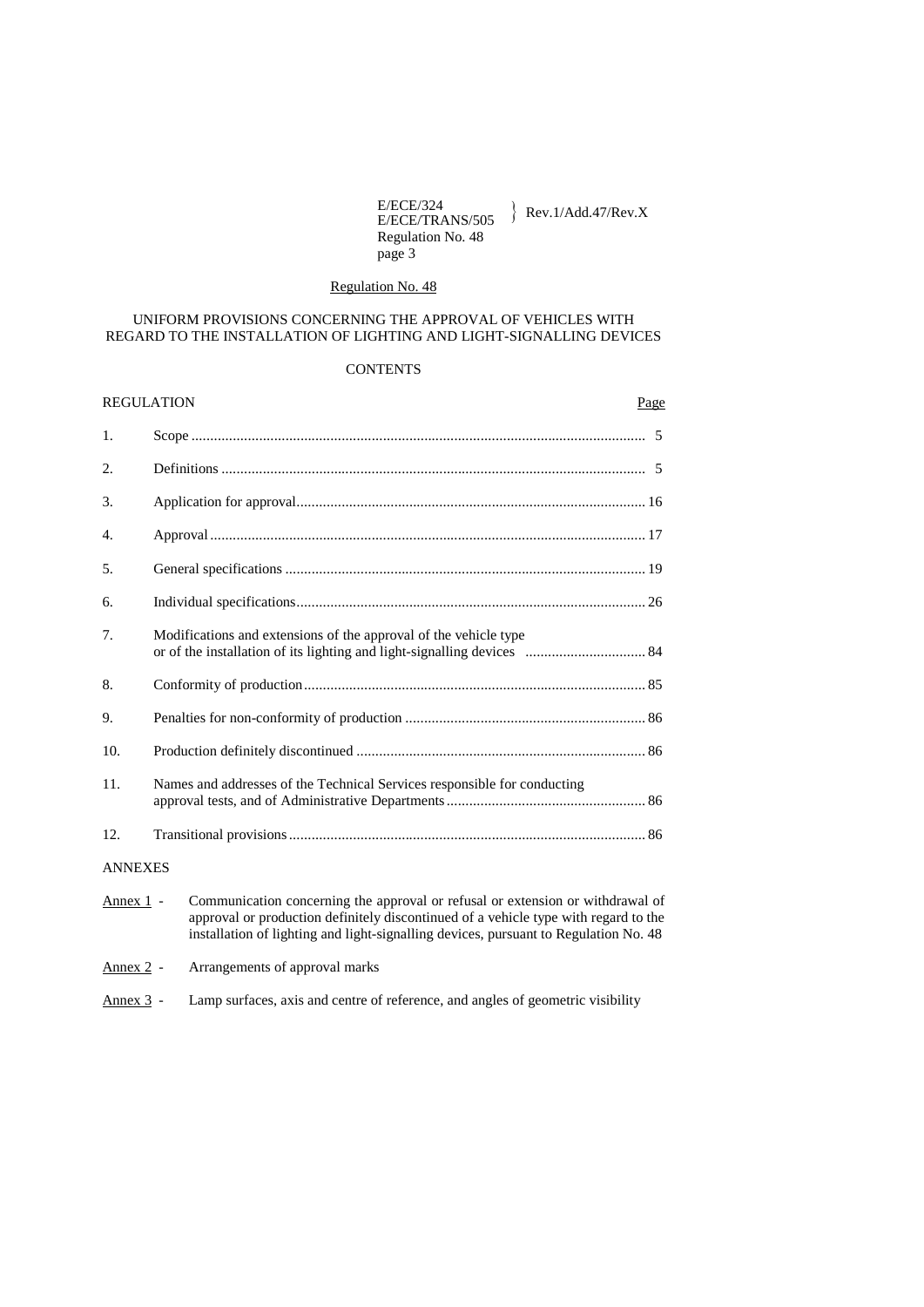# Regulation No. 48

## UNIFORM PROVISIONS CONCERNING THE APPROVAL OF VEHICLES WITH REGARD TO THE INSTALLATION OF LIGHTING AND LIGHT-SIGNALLING DEVICES

## **CONTENTS**

|                | <b>REGULATION</b><br>Page                                                                                                                                                                                                                                     |
|----------------|---------------------------------------------------------------------------------------------------------------------------------------------------------------------------------------------------------------------------------------------------------------|
| 1.             |                                                                                                                                                                                                                                                               |
| 2.             |                                                                                                                                                                                                                                                               |
| 3.             |                                                                                                                                                                                                                                                               |
| 4.             |                                                                                                                                                                                                                                                               |
| 5.             |                                                                                                                                                                                                                                                               |
| 6.             |                                                                                                                                                                                                                                                               |
| 7.             | Modifications and extensions of the approval of the vehicle type                                                                                                                                                                                              |
| 8.             |                                                                                                                                                                                                                                                               |
| 9.             |                                                                                                                                                                                                                                                               |
| 10.            |                                                                                                                                                                                                                                                               |
| 11.            | Names and addresses of the Technical Services responsible for conducting                                                                                                                                                                                      |
| 12.            |                                                                                                                                                                                                                                                               |
| <b>ANNEXES</b> |                                                                                                                                                                                                                                                               |
| Annex 1 -      | Communication concerning the approval or refusal or extension or withdrawal of<br>approval or production definitely discontinued of a vehicle type with regard to the<br>installation of lighting and light-signalling devices, pursuant to Regulation No. 48 |

Annex 2 - Arrangements of approval marks

Annex 3 - Lamp surfaces, axis and centre of reference, and angles of geometric visibility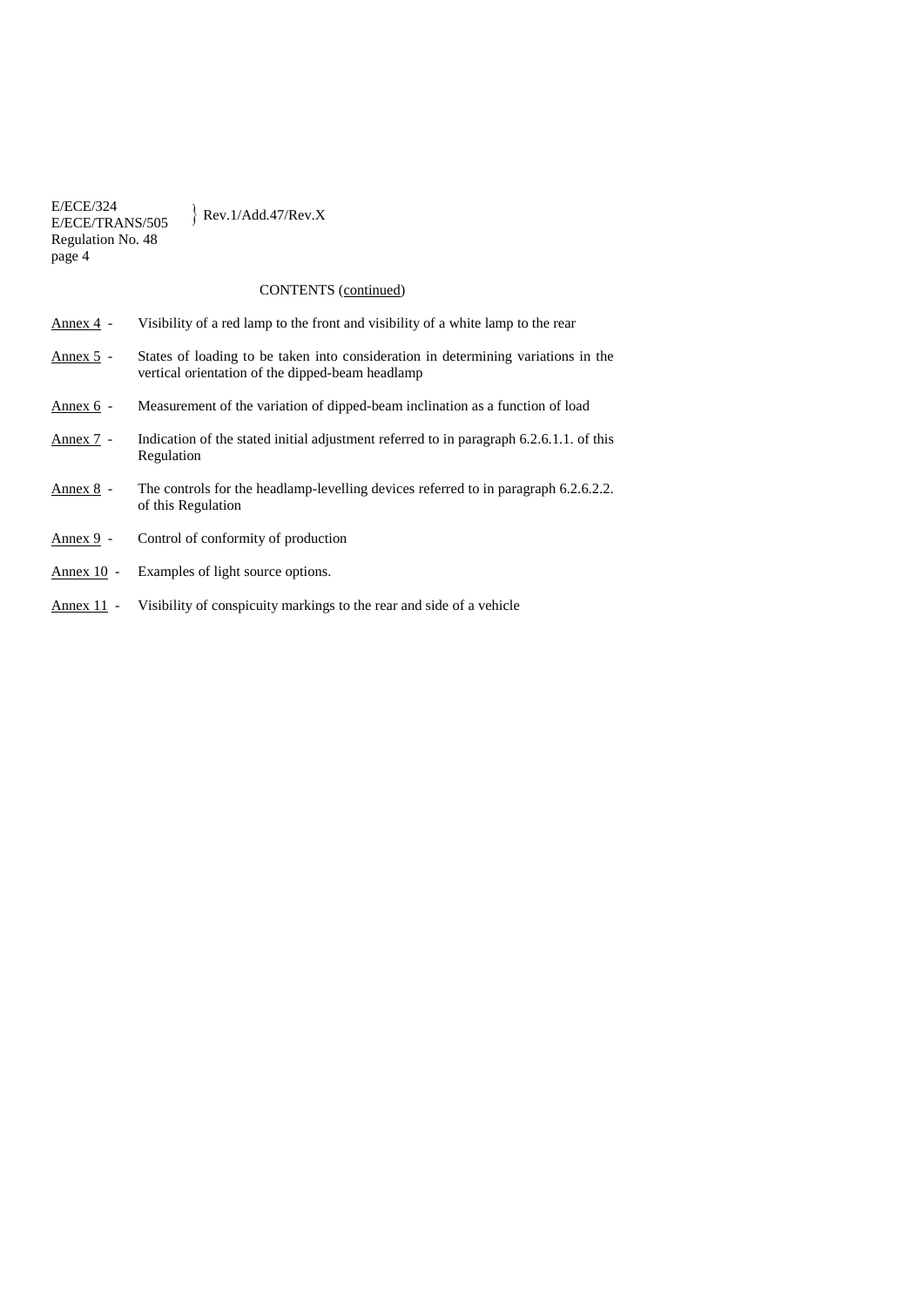#### CONTENTS (continued)

- Annex 4 Visibility of a red lamp to the front and visibility of a white lamp to the rear
- Annex 5 States of loading to be taken into consideration in determining variations in the vertical orientation of the dipped-beam headlamp
- Annex 6 Measurement of the variation of dipped-beam inclination as a function of load
- Annex 7 Indication of the stated initial adjustment referred to in paragraph 6.2.6.1.1. of this Regulation
- Annex 8 The controls for the headlamp-levelling devices referred to in paragraph 6.2.6.2.2. of this Regulation
- Annex 9 Control of conformity of production
- Annex 10 Examples of light source options.
- Annex 11 Visibility of conspicuity markings to the rear and side of a vehicle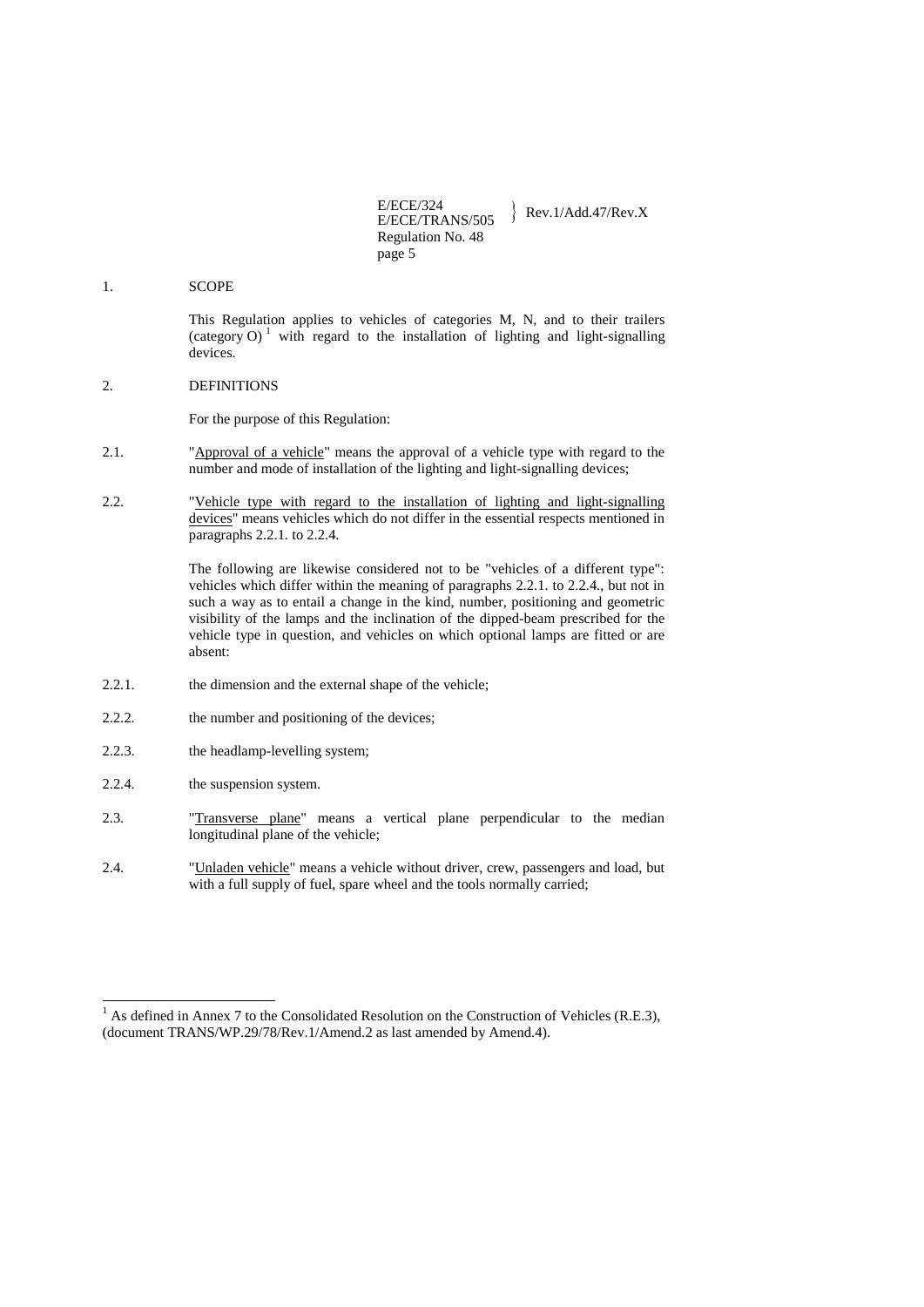## 1. SCOPE

This Regulation applies to vehicles of categories M, N, and to their trailers (category O)<sup>1</sup> with regard to the installation of lighting and light-signalling devices.

### 2. DEFINITIONS

For the purpose of this Regulation:

- 2.1. "Approval of a vehicle" means the approval of a vehicle type with regard to the number and mode of installation of the lighting and light-signalling devices;
- 2.2. "Vehicle type with regard to the installation of lighting and light-signalling devices" means vehicles which do not differ in the essential respects mentioned in paragraphs 2.2.1. to 2.2.4.

The following are likewise considered not to be "vehicles of a different type": vehicles which differ within the meaning of paragraphs 2.2.1. to 2.2.4., but not in such a way as to entail a change in the kind, number, positioning and geometric visibility of the lamps and the inclination of the dipped-beam prescribed for the vehicle type in question, and vehicles on which optional lamps are fitted or are absent:

- 2.2.1. the dimension and the external shape of the vehicle;
- 2.2.2. the number and positioning of the devices;
- 2.2.3. the headlamp-levelling system;
- 2.2.4. the suspension system.

1

- 2.3. "Transverse plane" means a vertical plane perpendicular to the median longitudinal plane of the vehicle;
- 2.4. "Unladen vehicle" means a vehicle without driver, crew, passengers and load, but with a full supply of fuel, spare wheel and the tools normally carried;

As defined in Annex 7 to the Consolidated Resolution on the Construction of Vehicles (R.E.3), (document TRANS/WP.29/78/Rev.1/Amend.2 as last amended by Amend.4).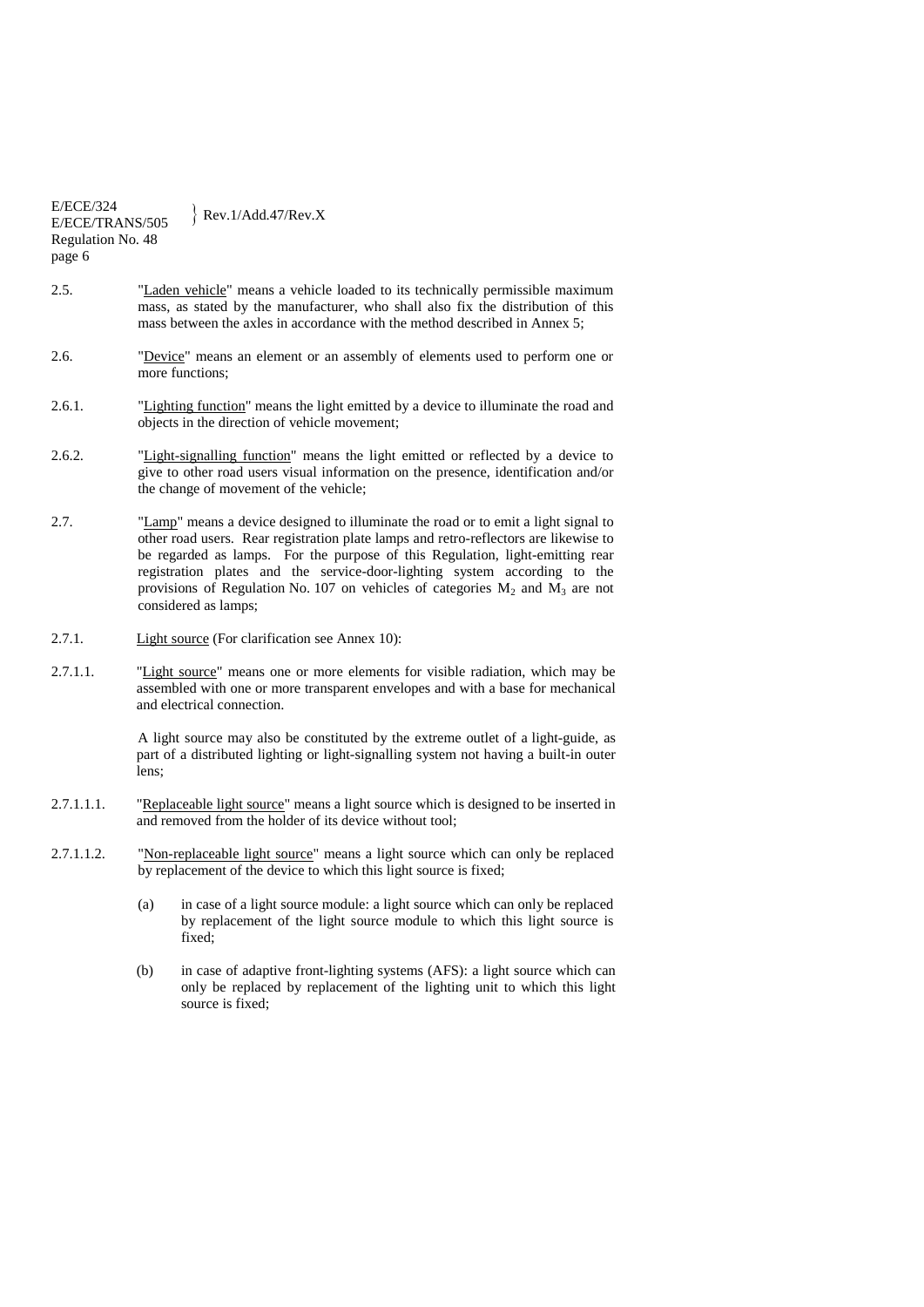- 2.5. "Laden vehicle" means a vehicle loaded to its technically permissible maximum mass, as stated by the manufacturer, who shall also fix the distribution of this mass between the axles in accordance with the method described in Annex 5;
- 2.6. "Device" means an element or an assembly of elements used to perform one or more functions;
- 2.6.1. "Lighting function" means the light emitted by a device to illuminate the road and objects in the direction of vehicle movement;
- 2.6.2. "Light-signalling function" means the light emitted or reflected by a device to give to other road users visual information on the presence, identification and/or the change of movement of the vehicle;
- 2.7. "Lamp" means a device designed to illuminate the road or to emit a light signal to other road users. Rear registration plate lamps and retro-reflectors are likewise to be regarded as lamps. For the purpose of this Regulation, light-emitting rear registration plates and the service-door-lighting system according to the provisions of Regulation No. 107 on vehicles of categories  $M_2$  and  $M_3$  are not considered as lamps;
- 2.7.1. Light source (For clarification see Annex 10):
- 2.7.1.1. "Light source" means one or more elements for visible radiation, which may be assembled with one or more transparent envelopes and with a base for mechanical and electrical connection.

A light source may also be constituted by the extreme outlet of a light-guide, as part of a distributed lighting or light-signalling system not having a built-in outer lens;

- 2.7.1.1.1. "Replaceable light source" means a light source which is designed to be inserted in and removed from the holder of its device without tool;
- 2.7.1.1.2. "Non-replaceable light source" means a light source which can only be replaced by replacement of the device to which this light source is fixed;
	- (a) in case of a light source module: a light source which can only be replaced by replacement of the light source module to which this light source is fixed;
	- (b) in case of adaptive front-lighting systems (AFS): a light source which can only be replaced by replacement of the lighting unit to which this light source is fixed;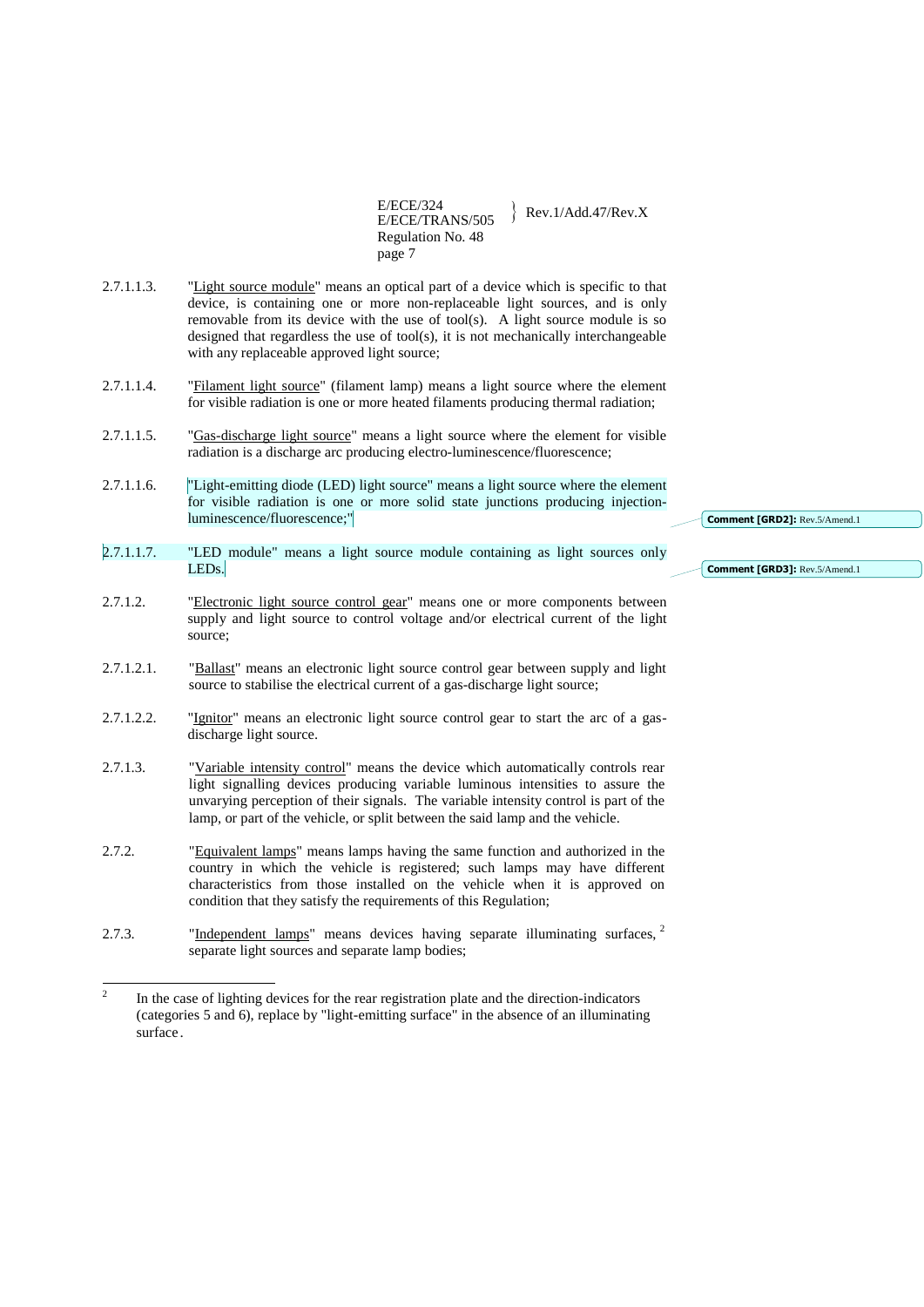- 2.7.1.1.3. "Light source module" means an optical part of a device which is specific to that device, is containing one or more non-replaceable light sources, and is only removable from its device with the use of tool(s). A light source module is so designed that regardless the use of tool(s), it is not mechanically interchangeable with any replaceable approved light source;
- 2.7.1.1.4. "Filament light source" (filament lamp) means a light source where the element for visible radiation is one or more heated filaments producing thermal radiation;
- 2.7.1.1.5. "Gas-discharge light source" means a light source where the element for visible radiation is a discharge arc producing electro-luminescence/fluorescence;
- 2.7.1.1.6. "Light-emitting diode (LED) light source" means a light source where the element for visible radiation is one or more solid state junctions producing injectionluminescence/fluorescence;"
- 2.7.1.1.7. "LED module" means a light source module containing as light sources only LEDs.
- 2.7.1.2. "Electronic light source control gear" means one or more components between supply and light source to control voltage and/or electrical current of the light source;
- 2.7.1.2.1. "Ballast" means an electronic light source control gear between supply and light source to stabilise the electrical current of a gas-discharge light source;
- 2.7.1.2.2. "Ignitor" means an electronic light source control gear to start the arc of a gasdischarge light source.
- 2.7.1.3. "Variable intensity control" means the device which automatically controls rear light signalling devices producing variable luminous intensities to assure the unvarying perception of their signals. The variable intensity control is part of the lamp, or part of the vehicle, or split between the said lamp and the vehicle.
- 2.7.2. "Equivalent lamps" means lamps having the same function and authorized in the country in which the vehicle is registered; such lamps may have different characteristics from those installed on the vehicle when it is approved on condition that they satisfy the requirements of this Regulation;
- 2.7.3. "Independent lamps" means devices having separate illuminating surfaces, <sup>2</sup> separate light sources and separate lamp bodies;

**Comment [GRD2]:** Rev.5/Amend.1

**Comment [GRD3]:** Rev.5/Amend.1

 $\frac{1}{2}$ In the case of lighting devices for the rear registration plate and the direction-indicators (categories 5 and 6), replace by "light-emitting surface" in the absence of an illuminating surface.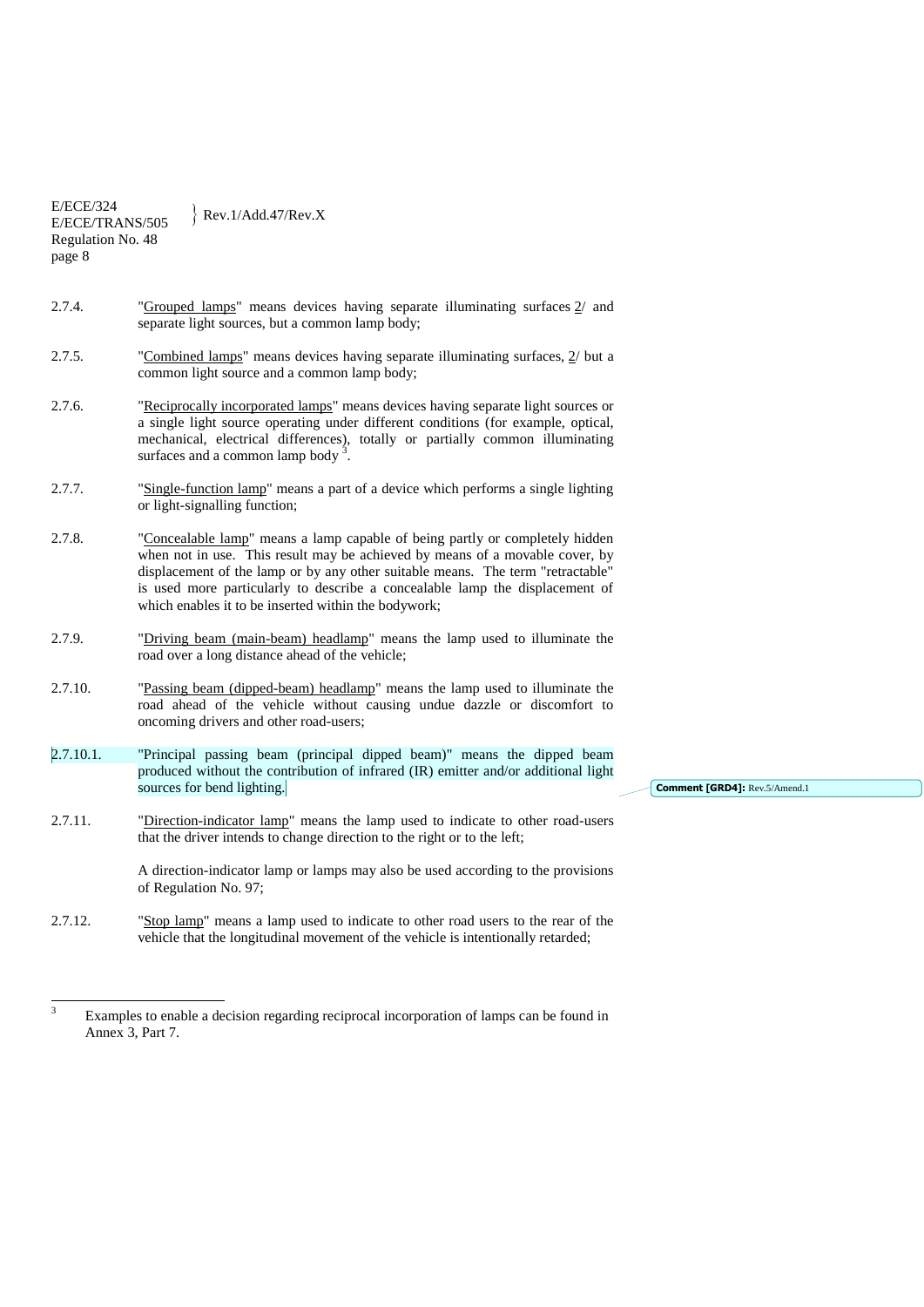- 2.7.4. "Grouped lamps" means devices having separate illuminating surfaces 2/ and separate light sources, but a common lamp body;
- 2.7.5. "Combined lamps" means devices having separate illuminating surfaces, 2/ but a common light source and a common lamp body;
- 2.7.6. "Reciprocally incorporated lamps" means devices having separate light sources or a single light source operating under different conditions (for example, optical, mechanical, electrical differences), totally or partially common illuminating surfaces and a common lamp body  $3$ .
- 2.7.7. "Single-function lamp" means a part of a device which performs a single lighting or light-signalling function;
- 2.7.8. "Concealable lamp" means a lamp capable of being partly or completely hidden when not in use. This result may be achieved by means of a movable cover, by displacement of the lamp or by any other suitable means. The term "retractable" is used more particularly to describe a concealable lamp the displacement of which enables it to be inserted within the bodywork;
- 2.7.9. "Driving beam (main-beam) headlamp" means the lamp used to illuminate the road over a long distance ahead of the vehicle;
- 2.7.10. "Passing beam (dipped-beam) headlamp" means the lamp used to illuminate the road ahead of the vehicle without causing undue dazzle or discomfort to oncoming drivers and other road-users;
- 2.7.10.1. "Principal passing beam (principal dipped beam)" means the dipped beam produced without the contribution of infrared (IR) emitter and/or additional light sources for bend lighting.
- 2.7.11. "Direction-indicator lamp" means the lamp used to indicate to other road-users that the driver intends to change direction to the right or to the left;

A direction-indicator lamp or lamps may also be used according to the provisions of Regulation No. 97;

2.7.12. "Stop lamp" means a lamp used to indicate to other road users to the rear of the vehicle that the longitudinal movement of the vehicle is intentionally retarded;

**Comment [GRD4]:** Rev.5/Amend.1

<sup>-&</sup>lt;br>3 Examples to enable a decision regarding reciprocal incorporation of lamps can be found in Annex 3, Part 7.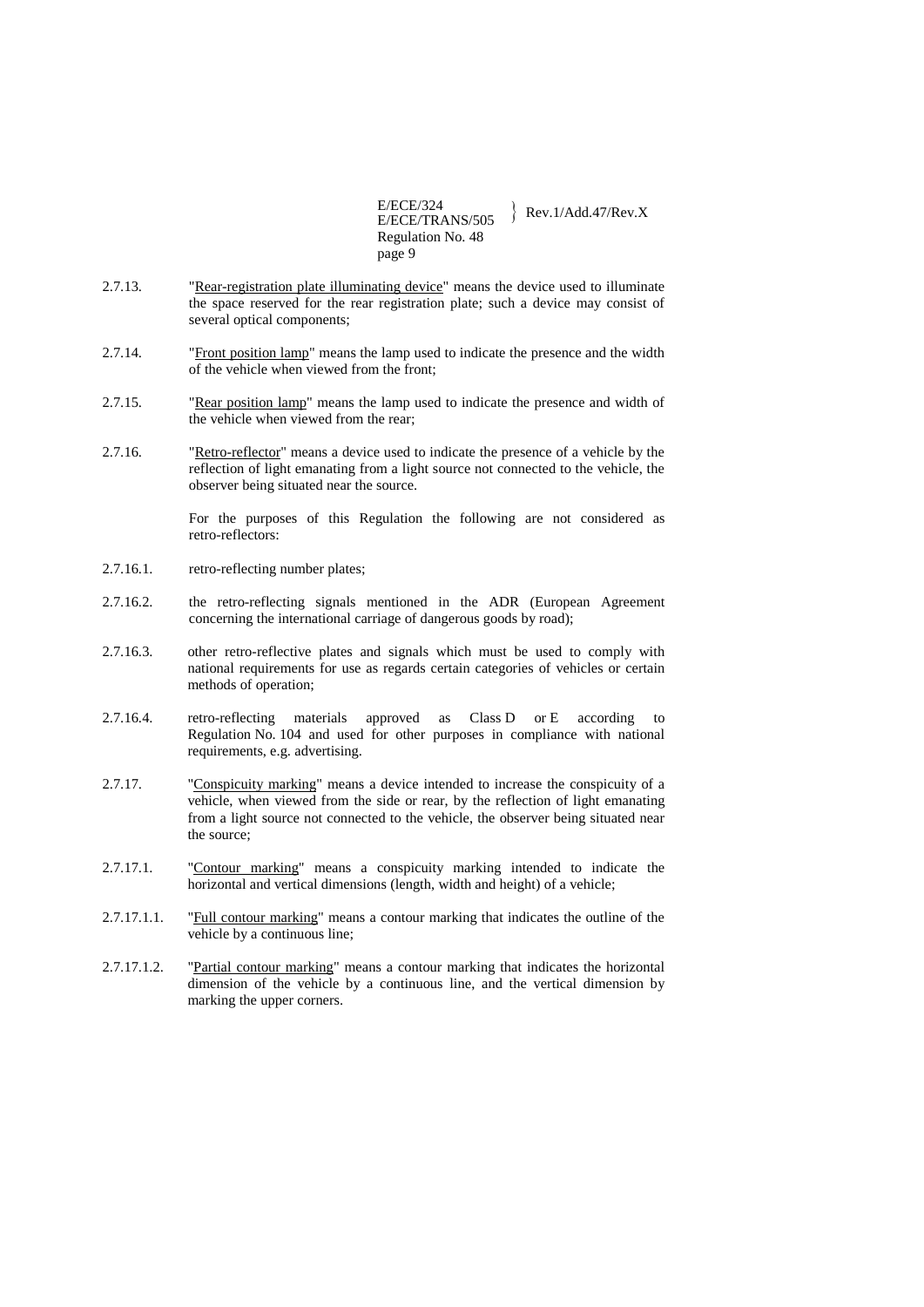- 2.7.13. "Rear-registration plate illuminating device" means the device used to illuminate the space reserved for the rear registration plate; such a device may consist of several optical components;
- 2.7.14. "Front position lamp" means the lamp used to indicate the presence and the width of the vehicle when viewed from the front;
- 2.7.15. "Rear position lamp" means the lamp used to indicate the presence and width of the vehicle when viewed from the rear;
- 2.7.16. "Retro-reflector" means a device used to indicate the presence of a vehicle by the reflection of light emanating from a light source not connected to the vehicle, the observer being situated near the source.

For the purposes of this Regulation the following are not considered as retro-reflectors:

- 2.7.16.1. retro-reflecting number plates;
- 2.7.16.2. the retro-reflecting signals mentioned in the ADR (European Agreement concerning the international carriage of dangerous goods by road);
- 2.7.16.3. other retro-reflective plates and signals which must be used to comply with national requirements for use as regards certain categories of vehicles or certain methods of operation;
- 2.7.16.4. retro-reflecting materials approved as Class D or E according to Regulation No. 104 and used for other purposes in compliance with national requirements, e.g. advertising.
- 2.7.17. "Conspicuity marking" means a device intended to increase the conspicuity of a vehicle, when viewed from the side or rear, by the reflection of light emanating from a light source not connected to the vehicle, the observer being situated near the source;
- 2.7.17.1. "Contour marking" means a conspicuity marking intended to indicate the horizontal and vertical dimensions (length, width and height) of a vehicle;
- 2.7.17.1.1. "Full contour marking" means a contour marking that indicates the outline of the vehicle by a continuous line;
- 2.7.17.1.2. "Partial contour marking" means a contour marking that indicates the horizontal dimension of the vehicle by a continuous line, and the vertical dimension by marking the upper corners.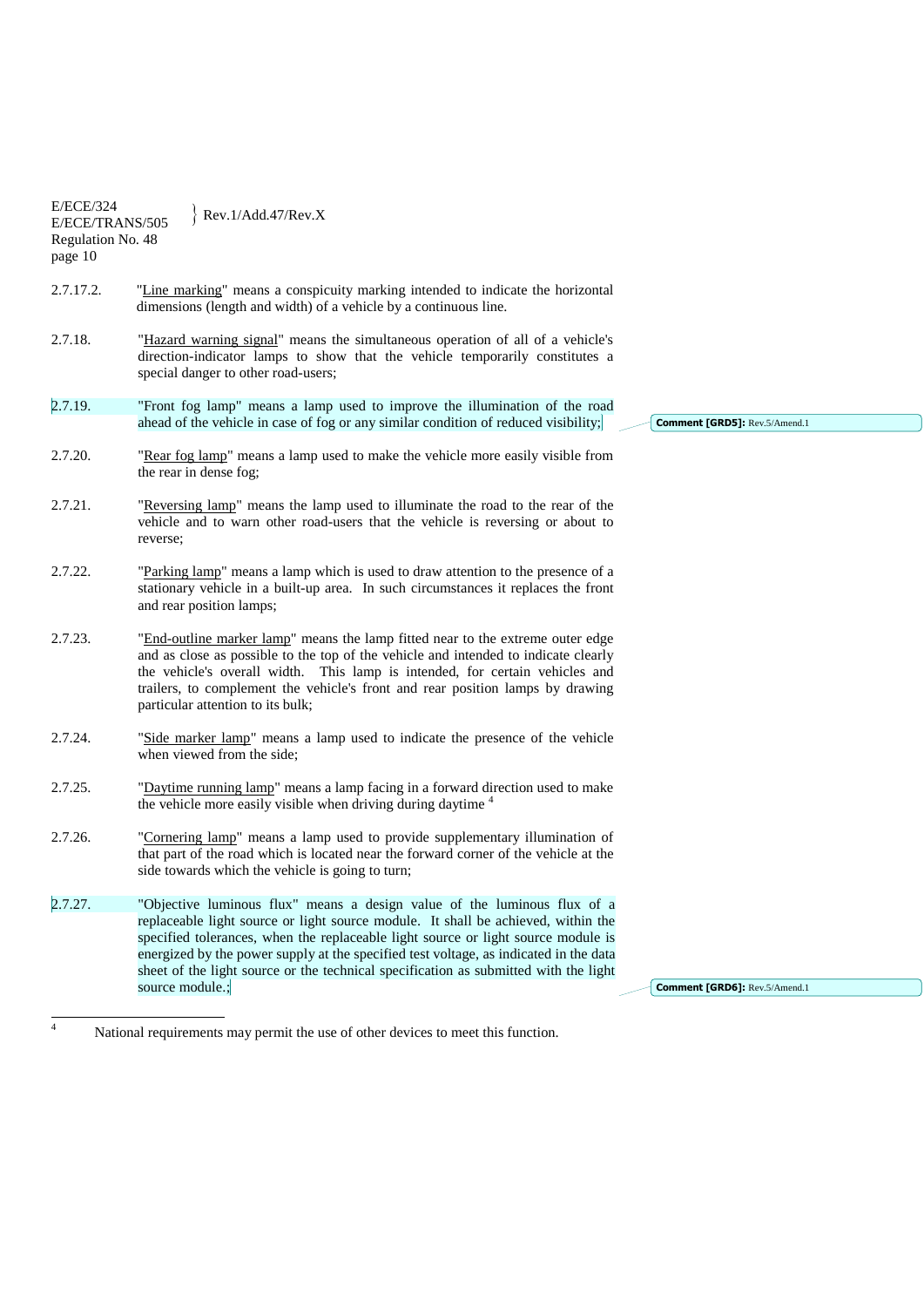- 2.7.17.2. "Line marking" means a conspicuity marking intended to indicate the horizontal dimensions (length and width) of a vehicle by a continuous line.
- 2.7.18. "Hazard warning signal" means the simultaneous operation of all of a vehicle's direction-indicator lamps to show that the vehicle temporarily constitutes a special danger to other road-users;
- 2.7.19. "Front fog lamp" means a lamp used to improve the illumination of the road ahead of the vehicle in case of fog or any similar condition of reduced visibility;
- 2.7.20. "Rear fog lamp" means a lamp used to make the vehicle more easily visible from the rear in dense fog;
- 2.7.21. "Reversing lamp" means the lamp used to illuminate the road to the rear of the vehicle and to warn other road-users that the vehicle is reversing or about to reverse;
- 2.7.22. "Parking lamp" means a lamp which is used to draw attention to the presence of a stationary vehicle in a built-up area. In such circumstances it replaces the front and rear position lamps;
- 2.7.23. "End-outline marker lamp" means the lamp fitted near to the extreme outer edge and as close as possible to the top of the vehicle and intended to indicate clearly the vehicle's overall width. This lamp is intended, for certain vehicles and trailers, to complement the vehicle's front and rear position lamps by drawing particular attention to its bulk;
- 2.7.24. "Side marker lamp" means a lamp used to indicate the presence of the vehicle when viewed from the side;
- 2.7.25. "Daytime running lamp" means a lamp facing in a forward direction used to make the vehicle more easily visible when driving during daytime<sup>4</sup>
- 2.7.26. "Cornering lamp" means a lamp used to provide supplementary illumination of that part of the road which is located near the forward corner of the vehicle at the side towards which the vehicle is going to turn;
- 2.7.27. "Objective luminous flux" means a design value of the luminous flux of a replaceable light source or light source module. It shall be achieved, within the specified tolerances, when the replaceable light source or light source module is energized by the power supply at the specified test voltage, as indicated in the data sheet of the light source or the technical specification as submitted with the light source module.;

**Comment [GRD6]:** Rev.5/Amend.1

 $\overline{4}$ National requirements may permit the use of other devices to meet this function. **Comment [GRD5]:** Rev.5/Amend.1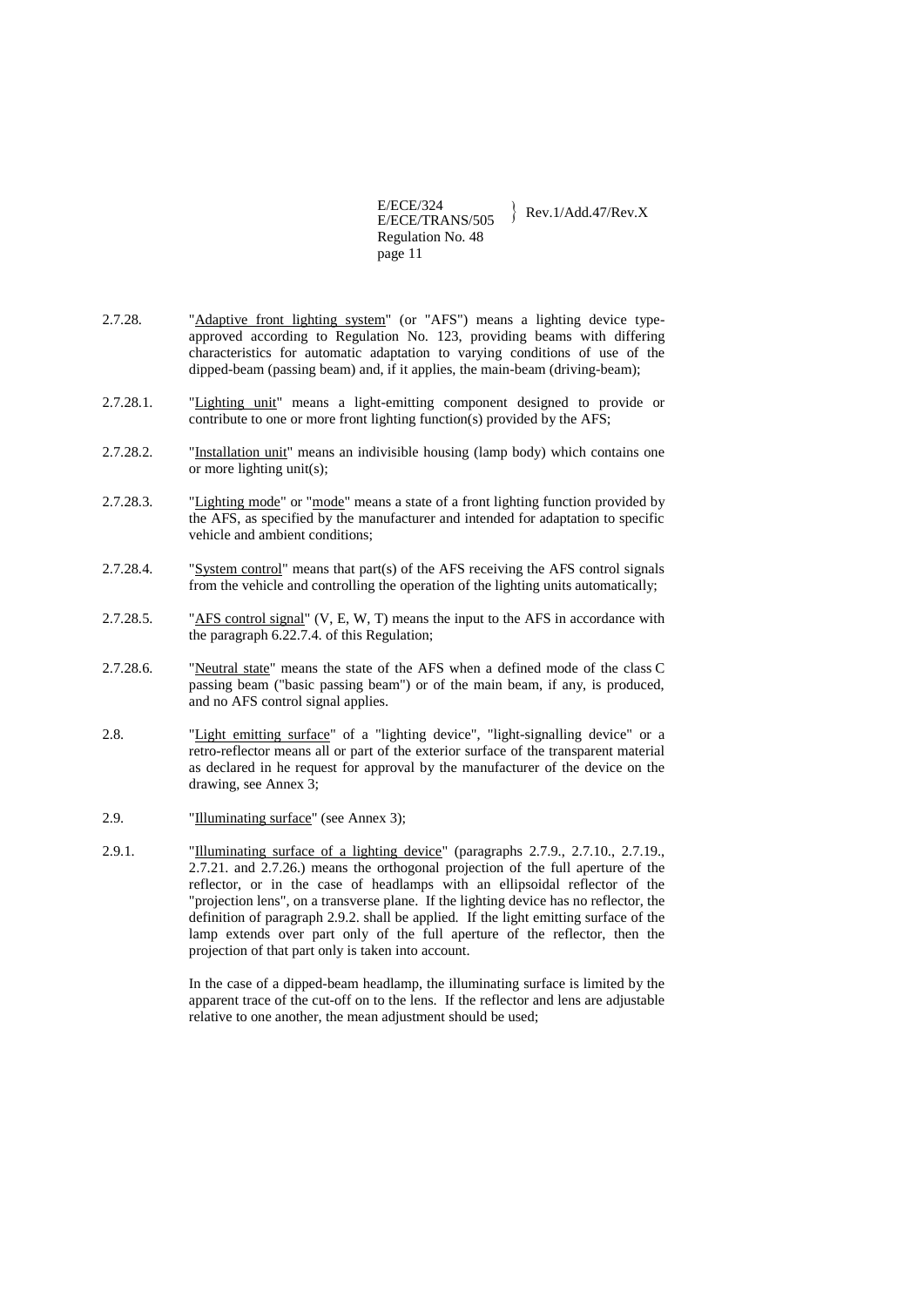- 2.7.28. "Adaptive front lighting system" (or "AFS") means a lighting device typeapproved according to Regulation No. 123, providing beams with differing characteristics for automatic adaptation to varying conditions of use of the dipped-beam (passing beam) and, if it applies, the main-beam (driving-beam);
- 2.7.28.1. "Lighting unit" means a light-emitting component designed to provide or contribute to one or more front lighting function(s) provided by the AFS;
- 2.7.28.2. "Installation unit" means an indivisible housing (lamp body) which contains one or more lighting unit(s);
- 2.7.28.3. "Lighting mode" or "mode" means a state of a front lighting function provided by the AFS, as specified by the manufacturer and intended for adaptation to specific vehicle and ambient conditions;
- 2.7.28.4. "System control" means that part(s) of the AFS receiving the AFS control signals from the vehicle and controlling the operation of the lighting units automatically;
- 2.7.28.5. "AFS control signal" (V, E, W, T) means the input to the AFS in accordance with the paragraph 6.22.7.4. of this Regulation;
- 2.7.28.6. "Neutral state" means the state of the AFS when a defined mode of the class C passing beam ("basic passing beam") or of the main beam, if any, is produced, and no AFS control signal applies.
- 2.8. "Light emitting surface" of a "lighting device", "light-signalling device" or a retro-reflector means all or part of the exterior surface of the transparent material as declared in he request for approval by the manufacturer of the device on the drawing, see Annex 3;
- 2.9. "Illuminating surface" (see Annex 3);
- 2.9.1. "Illuminating surface of a lighting device" (paragraphs 2.7.9., 2.7.10., 2.7.19., 2.7.21. and 2.7.26.) means the orthogonal projection of the full aperture of the reflector, or in the case of headlamps with an ellipsoidal reflector of the "projection lens", on a transverse plane. If the lighting device has no reflector, the definition of paragraph 2.9.2. shall be applied. If the light emitting surface of the lamp extends over part only of the full aperture of the reflector, then the projection of that part only is taken into account.

In the case of a dipped-beam headlamp, the illuminating surface is limited by the apparent trace of the cut-off on to the lens. If the reflector and lens are adjustable relative to one another, the mean adjustment should be used;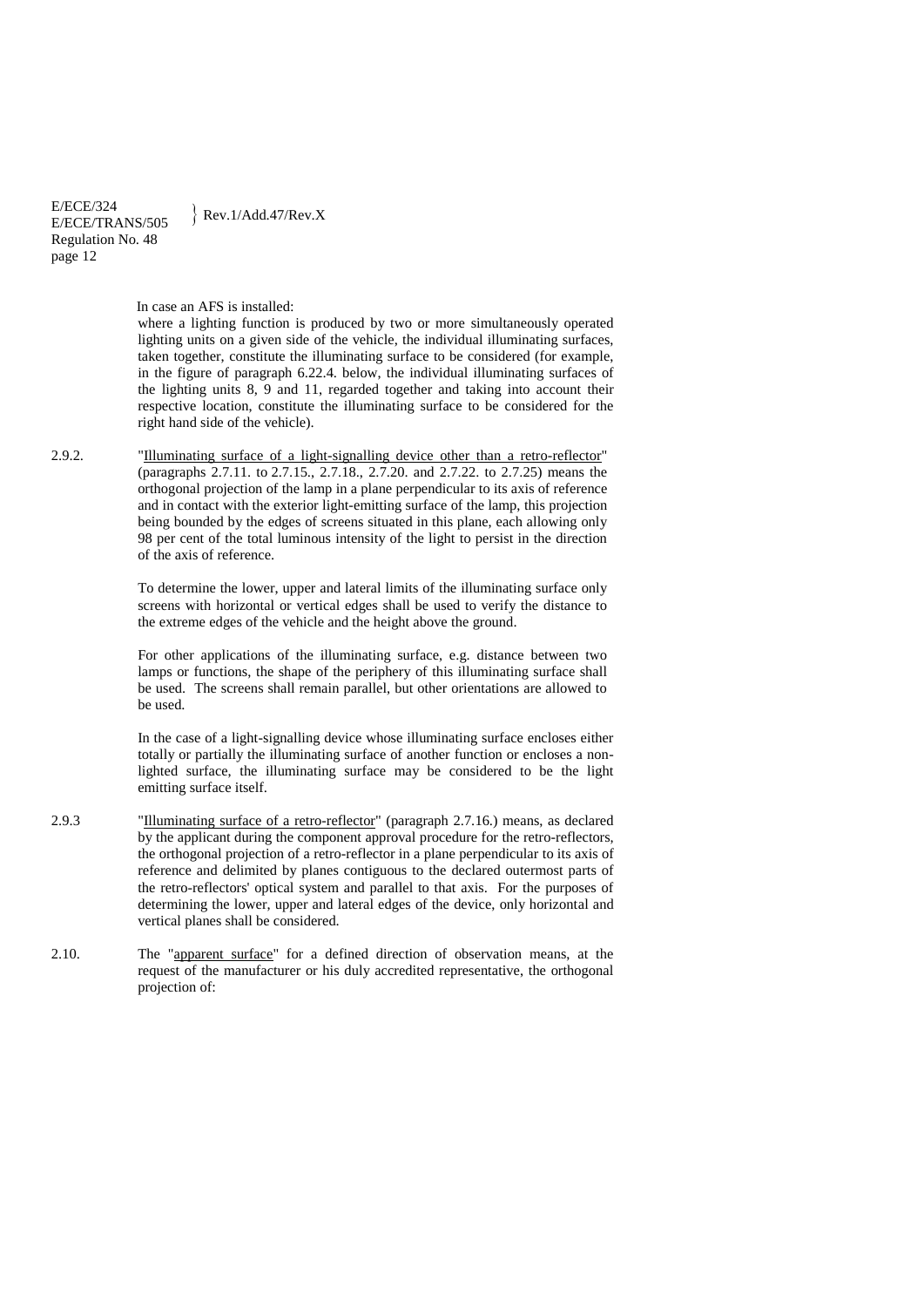In case an AFS is installed:

where a lighting function is produced by two or more simultaneously operated lighting units on a given side of the vehicle, the individual illuminating surfaces, taken together, constitute the illuminating surface to be considered (for example, in the figure of paragraph 6.22.4. below, the individual illuminating surfaces of the lighting units 8, 9 and 11, regarded together and taking into account their respective location, constitute the illuminating surface to be considered for the right hand side of the vehicle).

2.9.2. "Illuminating surface of a light-signalling device other than a retro-reflector" (paragraphs 2.7.11. to 2.7.15., 2.7.18., 2.7.20. and 2.7.22. to 2.7.25) means the orthogonal projection of the lamp in a plane perpendicular to its axis of reference and in contact with the exterior light-emitting surface of the lamp, this projection being bounded by the edges of screens situated in this plane, each allowing only 98 per cent of the total luminous intensity of the light to persist in the direction of the axis of reference.

> To determine the lower, upper and lateral limits of the illuminating surface only screens with horizontal or vertical edges shall be used to verify the distance to the extreme edges of the vehicle and the height above the ground.

> For other applications of the illuminating surface, e.g. distance between two lamps or functions, the shape of the periphery of this illuminating surface shall be used. The screens shall remain parallel, but other orientations are allowed to be used.

In the case of a light-signalling device whose illuminating surface encloses either totally or partially the illuminating surface of another function or encloses a nonlighted surface, the illuminating surface may be considered to be the light emitting surface itself.

- 2.9.3 "Illuminating surface of a retro-reflector" (paragraph 2.7.16.) means, as declared by the applicant during the component approval procedure for the retro-reflectors, the orthogonal projection of a retro-reflector in a plane perpendicular to its axis of reference and delimited by planes contiguous to the declared outermost parts of the retro-reflectors' optical system and parallel to that axis. For the purposes of determining the lower, upper and lateral edges of the device, only horizontal and vertical planes shall be considered.
- 2.10. The "apparent surface" for a defined direction of observation means, at the request of the manufacturer or his duly accredited representative, the orthogonal projection of: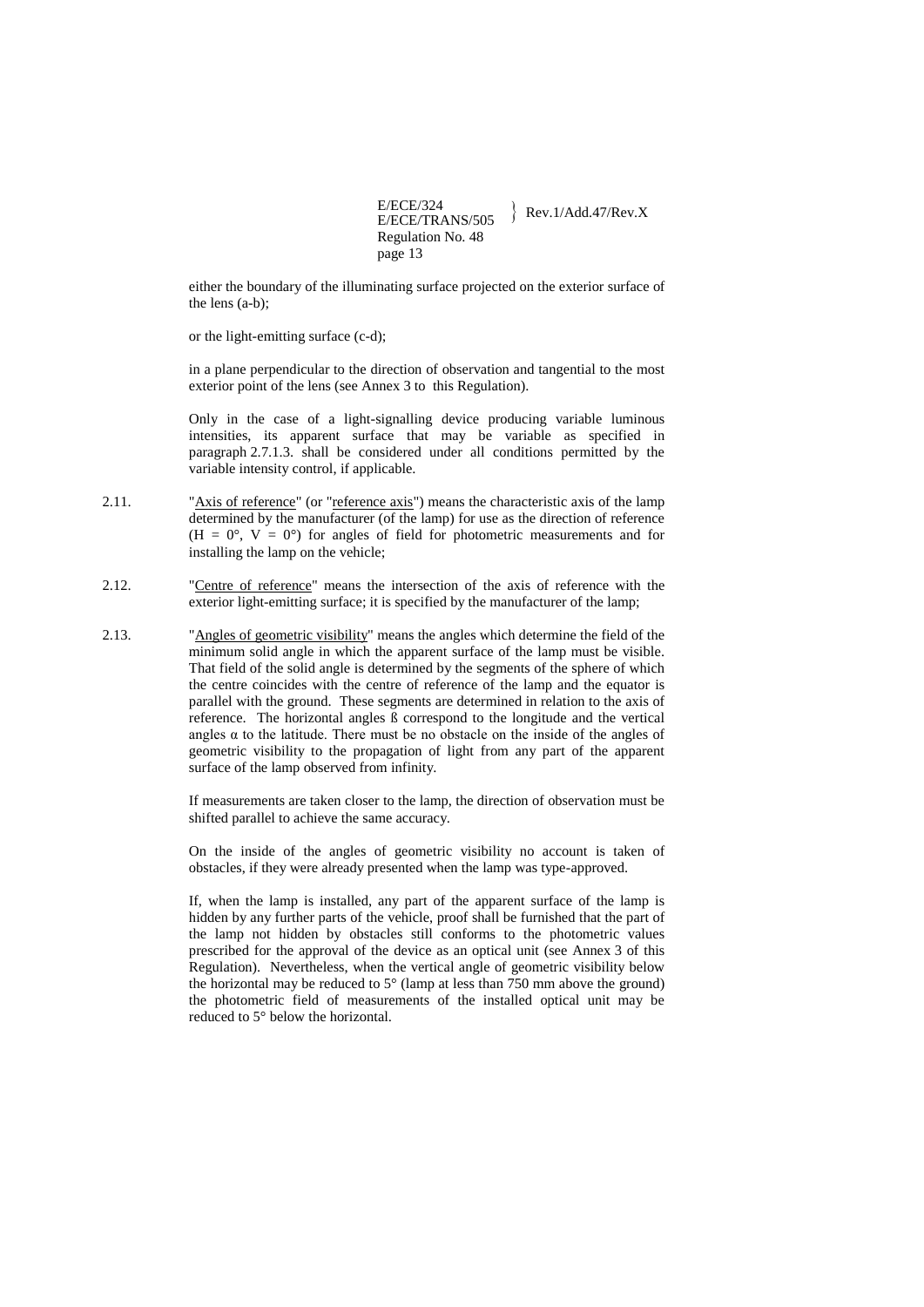```
E/ECE/324
E/ECE/TRANS/505
                    \} Rev.1/Add.47/Rev.X
Regulation No. 48
page 13
```
either the boundary of the illuminating surface projected on the exterior surface of the lens (a-b);

or the light-emitting surface (c-d);

in a plane perpendicular to the direction of observation and tangential to the most exterior point of the lens (see Annex 3 to this Regulation).

Only in the case of a light-signalling device producing variable luminous intensities, its apparent surface that may be variable as specified in paragraph 2.7.1.3. shall be considered under all conditions permitted by the variable intensity control, if applicable.

- 2.11. "Axis of reference" (or "reference axis") means the characteristic axis of the lamp determined by the manufacturer (of the lamp) for use as the direction of reference  $(H = 0^{\circ}, V = 0^{\circ})$  for angles of field for photometric measurements and for installing the lamp on the vehicle;
- 2.12. "Centre of reference" means the intersection of the axis of reference with the exterior light-emitting surface; it is specified by the manufacturer of the lamp;
- 2.13. "Angles of geometric visibility" means the angles which determine the field of the minimum solid angle in which the apparent surface of the lamp must be visible. That field of the solid angle is determined by the segments of the sphere of which the centre coincides with the centre of reference of the lamp and the equator is parallel with the ground. These segments are determined in relation to the axis of reference. The horizontal angles ß correspond to the longitude and the vertical angles  $\alpha$  to the latitude. There must be no obstacle on the inside of the angles of geometric visibility to the propagation of light from any part of the apparent surface of the lamp observed from infinity.

If measurements are taken closer to the lamp, the direction of observation must be shifted parallel to achieve the same accuracy.

On the inside of the angles of geometric visibility no account is taken of obstacles, if they were already presented when the lamp was type-approved.

If, when the lamp is installed, any part of the apparent surface of the lamp is hidden by any further parts of the vehicle, proof shall be furnished that the part of the lamp not hidden by obstacles still conforms to the photometric values prescribed for the approval of the device as an optical unit (see Annex 3 of this Regulation). Nevertheless, when the vertical angle of geometric visibility below the horizontal may be reduced to 5° (lamp at less than 750 mm above the ground) the photometric field of measurements of the installed optical unit may be reduced to 5° below the horizontal.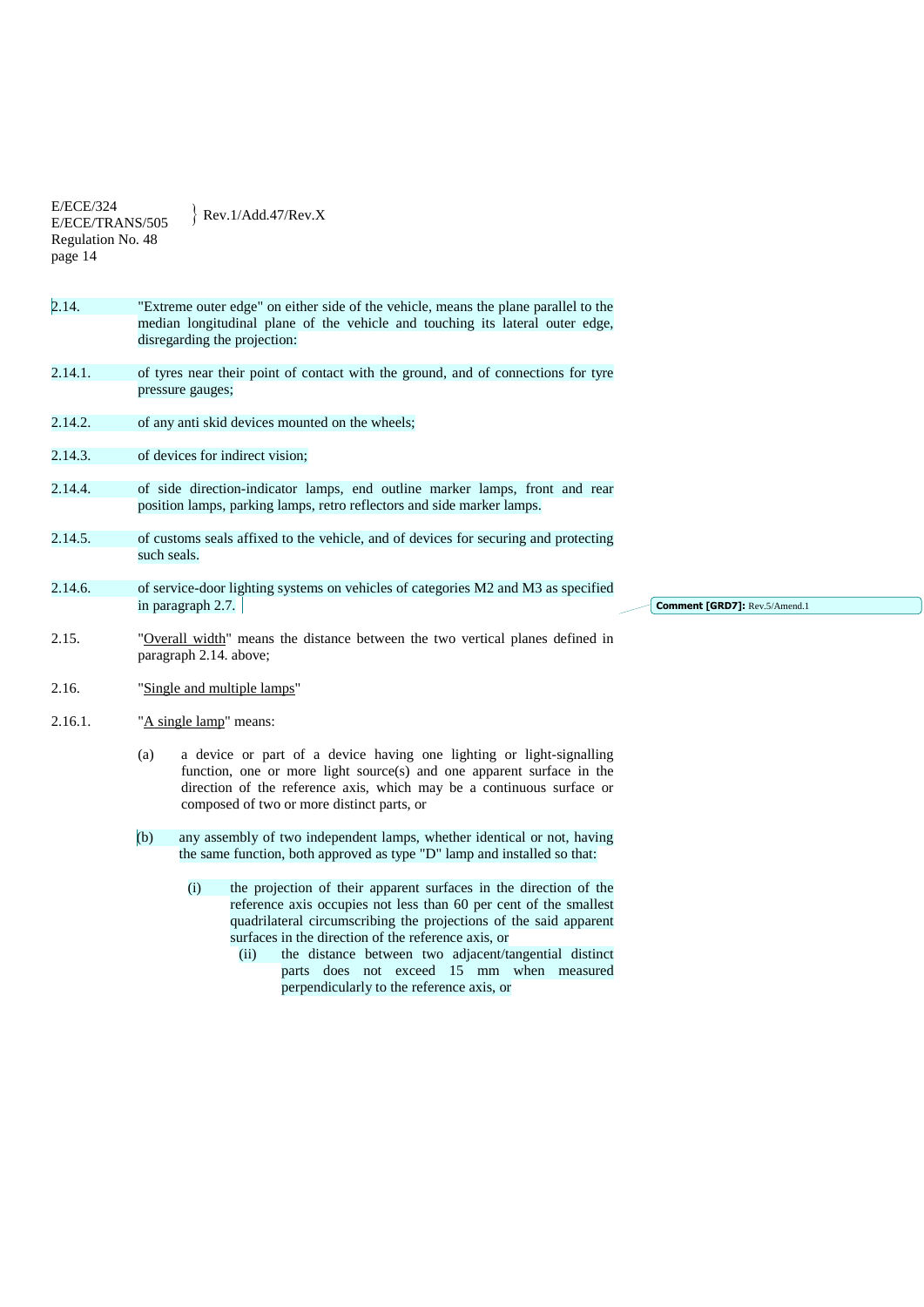- 2.14. "Extreme outer edge" on either side of the vehicle, means the plane parallel to the median longitudinal plane of the vehicle and touching its lateral outer edge, disregarding the projection:
- 2.14.1. of tyres near their point of contact with the ground, and of connections for tyre pressure gauges;
- 2.14.2. of any anti skid devices mounted on the wheels;
- 2.14.3. of devices for indirect vision;
- 2.14.4. of side direction-indicator lamps, end outline marker lamps, front and rear position lamps, parking lamps, retro reflectors and side marker lamps.
- 2.14.5. of customs seals affixed to the vehicle, and of devices for securing and protecting such seals.
- 2.14.6. of service-door lighting systems on vehicles of categories M2 and M3 as specified in paragraph 2.7.
- 2.15. "Overall width" means the distance between the two vertical planes defined in paragraph 2.14. above;
- 2.16. "Single and multiple lamps"
- 2.16.1. "A single lamp" means:
	- (a) a device or part of a device having one lighting or light-signalling function, one or more light source(s) and one apparent surface in the direction of the reference axis, which may be a continuous surface or composed of two or more distinct parts, or
	- (b) any assembly of two independent lamps, whether identical or not, having the same function, both approved as type "D" lamp and installed so that:
		- (i) the projection of their apparent surfaces in the direction of the reference axis occupies not less than 60 per cent of the smallest quadrilateral circumscribing the projections of the said apparent surfaces in the direction of the reference axis, or
			- (ii) the distance between two adjacent/tangential distinct parts does not exceed 15 mm when measured perpendicularly to the reference axis, or

**Comment [GRD7]:** Rev.5/Amend.1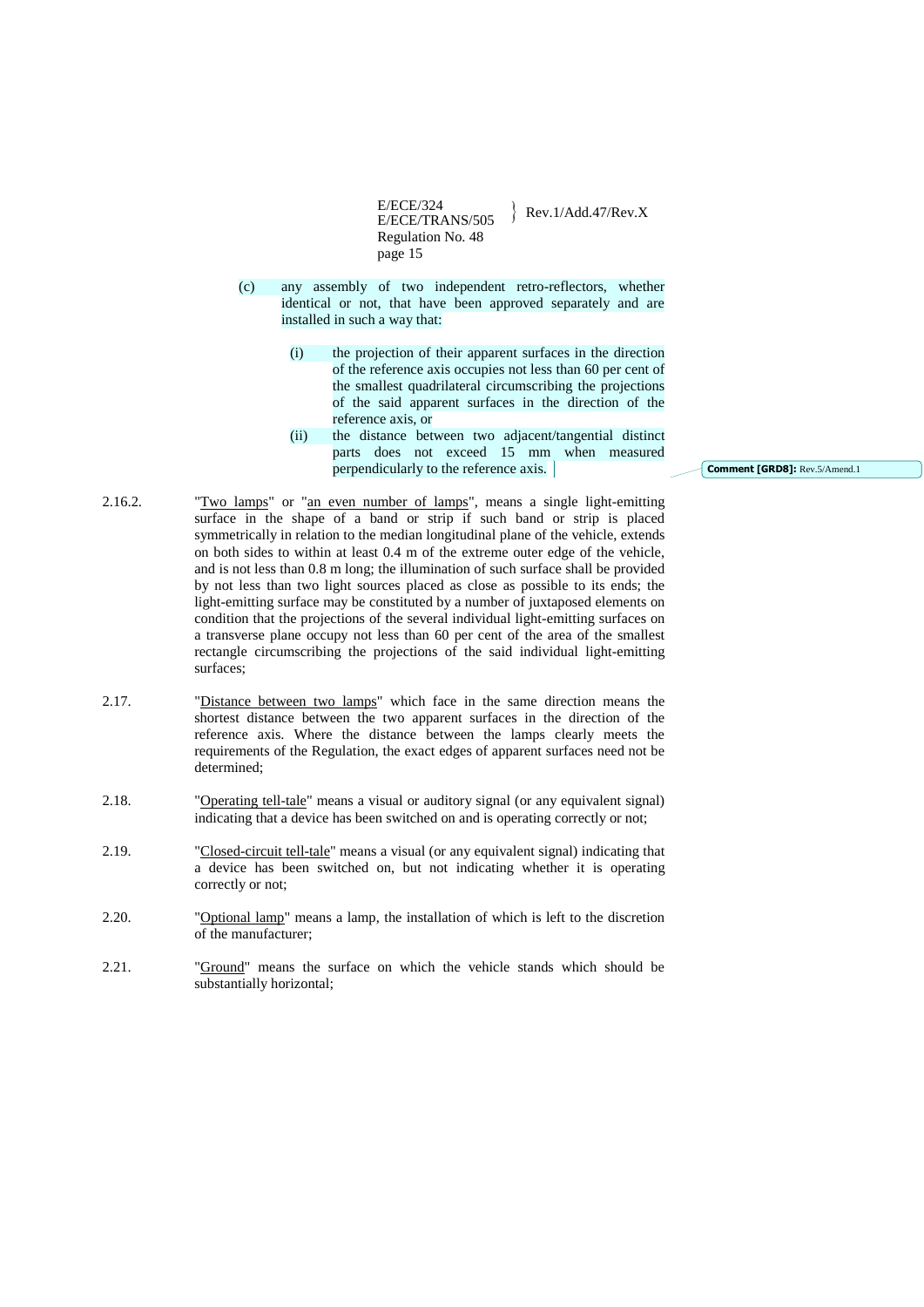- (c) any assembly of two independent retro-reflectors, whether identical or not, that have been approved separately and are installed in such a way that:
	- (i) the projection of their apparent surfaces in the direction of the reference axis occupies not less than 60 per cent of the smallest quadrilateral circumscribing the projections of the said apparent surfaces in the direction of the reference axis, or
	- (ii) the distance between two adjacent/tangential distinct parts does not exceed 15 mm when measured perpendicularly to the reference axis.
- 2.16.2. "Two lamps" or "an even number of lamps", means a single light-emitting surface in the shape of a band or strip if such band or strip is placed symmetrically in relation to the median longitudinal plane of the vehicle, extends on both sides to within at least 0.4 m of the extreme outer edge of the vehicle, and is not less than 0.8 m long; the illumination of such surface shall be provided by not less than two light sources placed as close as possible to its ends; the light-emitting surface may be constituted by a number of juxtaposed elements on condition that the projections of the several individual light-emitting surfaces on a transverse plane occupy not less than 60 per cent of the area of the smallest rectangle circumscribing the projections of the said individual light-emitting surfaces;
- 2.17. "Distance between two lamps" which face in the same direction means the shortest distance between the two apparent surfaces in the direction of the reference axis. Where the distance between the lamps clearly meets the requirements of the Regulation, the exact edges of apparent surfaces need not be determined;
- 2.18. "Operating tell-tale" means a visual or auditory signal (or any equivalent signal) indicating that a device has been switched on and is operating correctly or not;
- 2.19. "Closed-circuit tell-tale" means a visual (or any equivalent signal) indicating that a device has been switched on, but not indicating whether it is operating correctly or not;
- 2.20. "Optional lamp" means a lamp, the installation of which is left to the discretion of the manufacturer;
- 2.21. "Ground" means the surface on which the vehicle stands which should be substantially horizontal;

**Comment [GRD8]:** Rev.5/Amend.1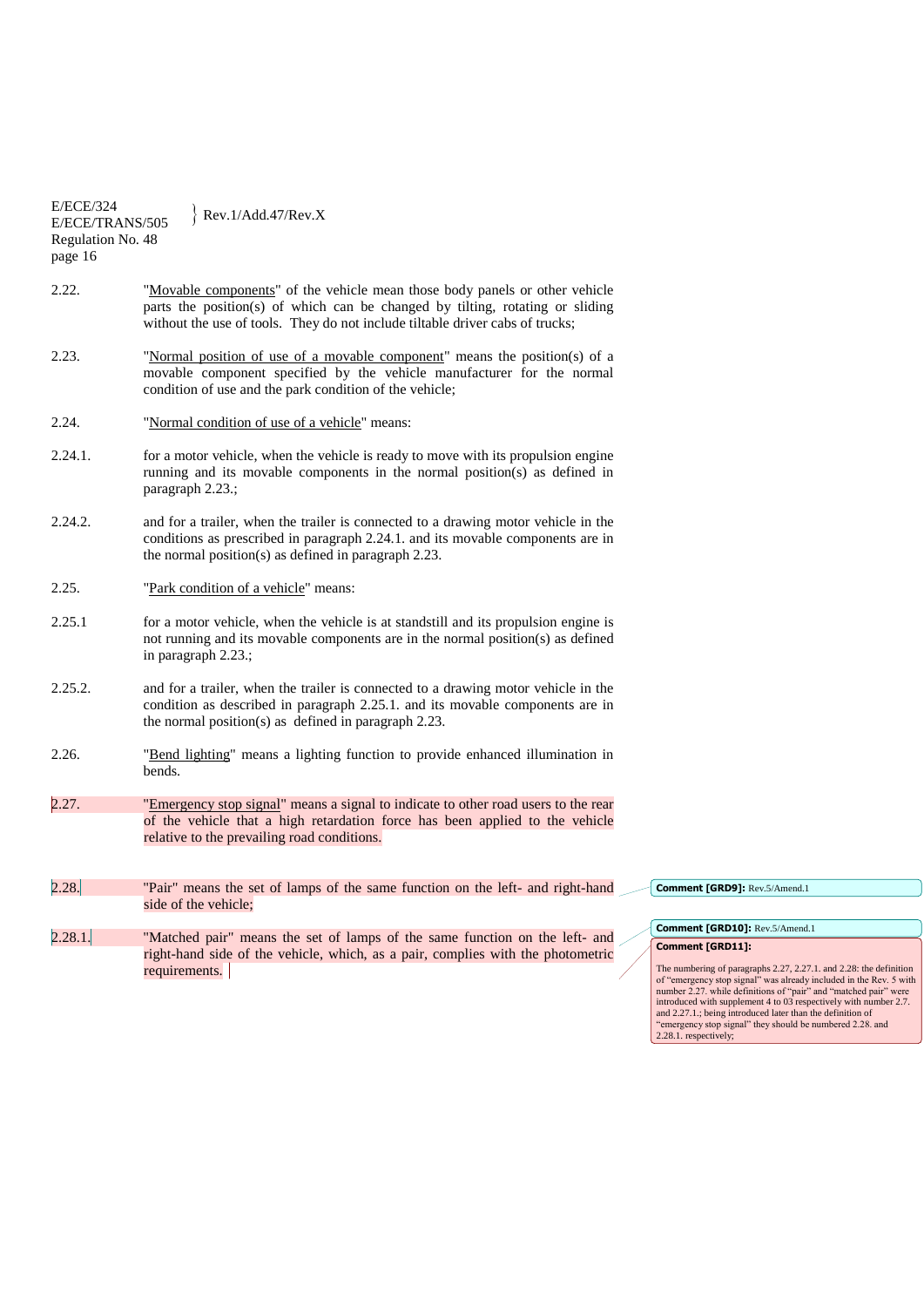page 16

- 2.22. "Movable components" of the vehicle mean those body panels or other vehicle parts the position(s) of which can be changed by tilting, rotating or sliding without the use of tools. They do not include tiltable driver cabs of trucks;
- 2.23. "Normal position of use of a movable component" means the position(s) of a movable component specified by the vehicle manufacturer for the normal condition of use and the park condition of the vehicle;
- 2.24. "Normal condition of use of a vehicle" means:
- 2.24.1. for a motor vehicle, when the vehicle is ready to move with its propulsion engine running and its movable components in the normal position(s) as defined in paragraph 2.23.;
- 2.24.2. and for a trailer, when the trailer is connected to a drawing motor vehicle in the conditions as prescribed in paragraph 2.24.1. and its movable components are in the normal position(s) as defined in paragraph 2.23.
- 2.25. "Park condition of a vehicle" means:
- 2.25.1 for a motor vehicle, when the vehicle is at standstill and its propulsion engine is not running and its movable components are in the normal position(s) as defined in paragraph 2.23.;
- 2.25.2. and for a trailer, when the trailer is connected to a drawing motor vehicle in the condition as described in paragraph 2.25.1. and its movable components are in the normal position(s) as defined in paragraph 2.23.
- 2.26. "Bend lighting" means a lighting function to provide enhanced illumination in bends.
- 2.27. "Emergency stop signal" means a signal to indicate to other road users to the rear of the vehicle that a high retardation force has been applied to the vehicle relative to the prevailing road conditions.
- 2.28. "Pair" means the set of lamps of the same function on the left- and right-hand side of the vehicle;
- 2.28.1. "Matched pair" means the set of lamps of the same function on the left- and right-hand side of the vehicle, which, as a pair, complies with the photometric requirements.

**Comment [GRD9]:** Rev.5/Amend.1

#### **Comment [GRD10]:** Rev.5/Amend.1 **Comment [GRD11]:**

The numbering of paragraphs 2.27, 2.27.1. and 2.28: the definition of "emergency stop signal" was already included in the Rev. 5 with number 2.27. while definitions of "pair" and "matched pair" were introduced with supplement 4 to 03 respectively with number 2.7. and 2.27.1.; being introduced later than the definition of "emergency stop signal" they should be numbered 2.28. and 2.28.1. respectively;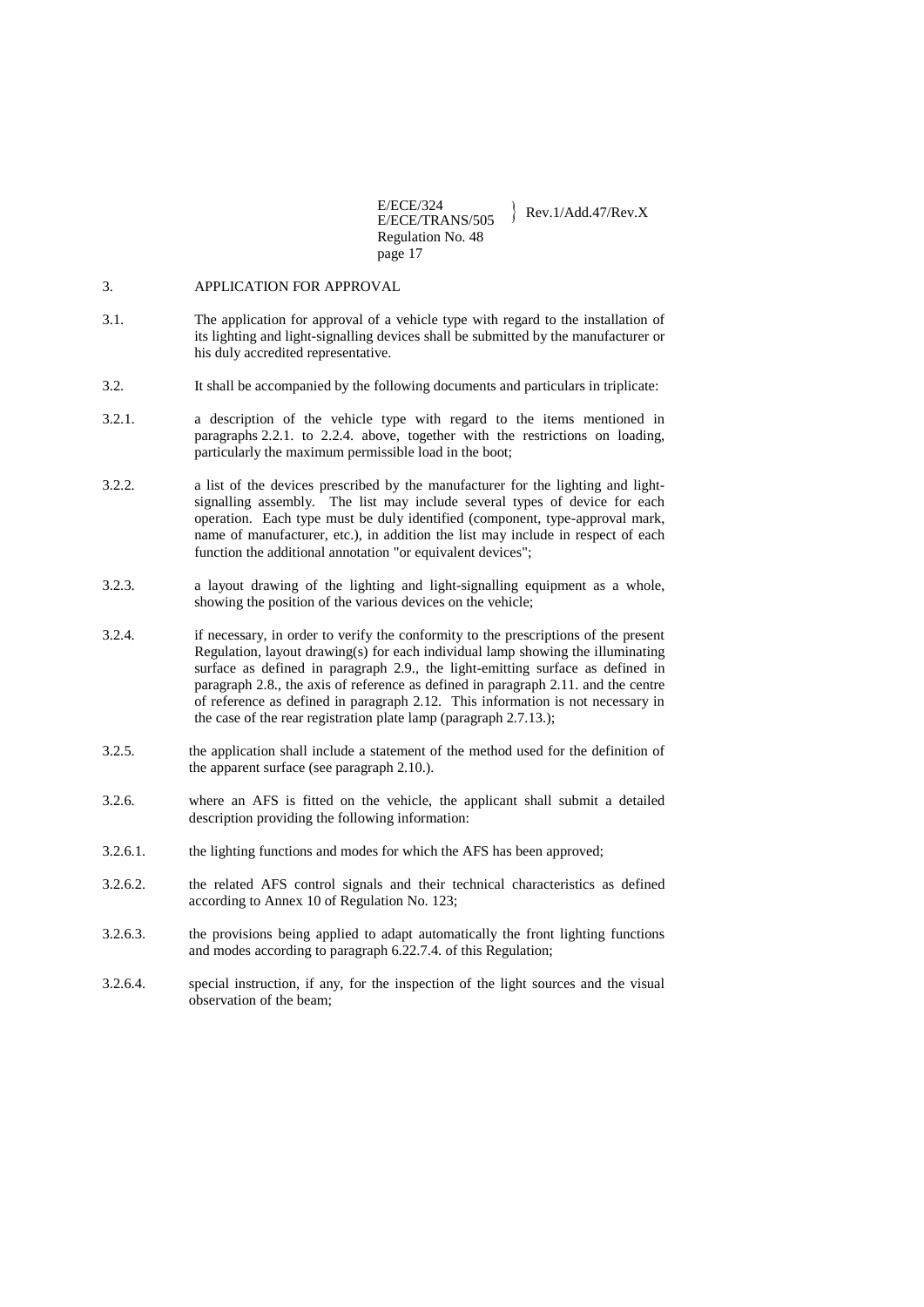# 3. APPLICATION FOR APPROVAL

- 3.1. The application for approval of a vehicle type with regard to the installation of its lighting and light-signalling devices shall be submitted by the manufacturer or his duly accredited representative.
- 3.2. It shall be accompanied by the following documents and particulars in triplicate:
- 3.2.1. a description of the vehicle type with regard to the items mentioned in paragraphs 2.2.1. to 2.2.4. above, together with the restrictions on loading, particularly the maximum permissible load in the boot;
- 3.2.2. a list of the devices prescribed by the manufacturer for the lighting and lightsignalling assembly. The list may include several types of device for each operation. Each type must be duly identified (component, type-approval mark, name of manufacturer, etc.), in addition the list may include in respect of each function the additional annotation "or equivalent devices";
- 3.2.3. a layout drawing of the lighting and light-signalling equipment as a whole, showing the position of the various devices on the vehicle;
- 3.2.4. if necessary, in order to verify the conformity to the prescriptions of the present Regulation, layout drawing(s) for each individual lamp showing the illuminating surface as defined in paragraph 2.9., the light-emitting surface as defined in paragraph 2.8., the axis of reference as defined in paragraph 2.11. and the centre of reference as defined in paragraph 2.12. This information is not necessary in the case of the rear registration plate lamp (paragraph 2.7.13.);
- 3.2.5. the application shall include a statement of the method used for the definition of the apparent surface (see paragraph 2.10.).
- 3.2.6. where an AFS is fitted on the vehicle, the applicant shall submit a detailed description providing the following information:
- 3.2.6.1. the lighting functions and modes for which the AFS has been approved;
- 3.2.6.2. the related AFS control signals and their technical characteristics as defined according to Annex 10 of Regulation No. 123;
- 3.2.6.3. the provisions being applied to adapt automatically the front lighting functions and modes according to paragraph 6.22.7.4. of this Regulation;
- 3.2.6.4. special instruction, if any, for the inspection of the light sources and the visual observation of the beam;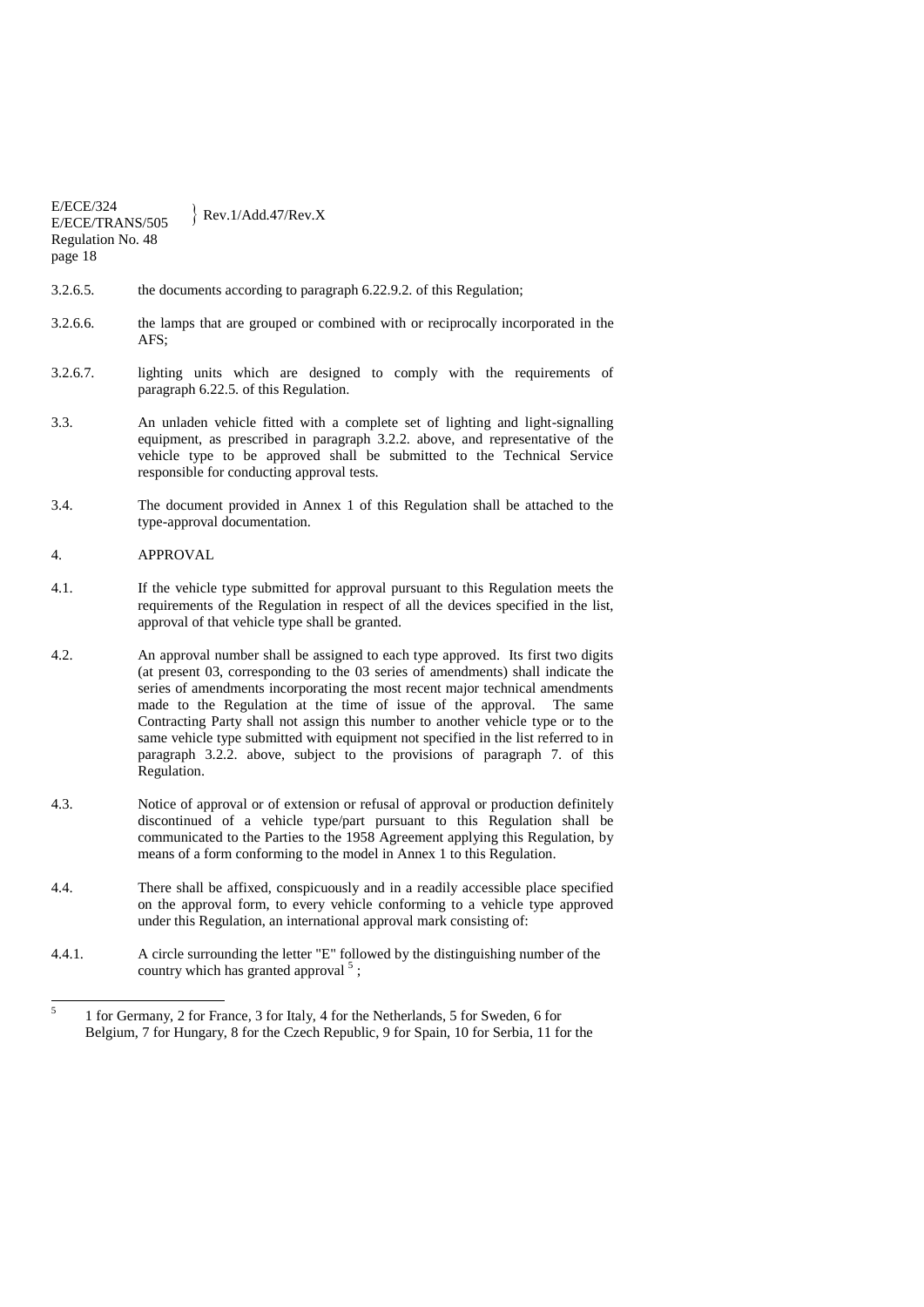- 3.2.6.5. the documents according to paragraph 6.22.9.2. of this Regulation;
- 3.2.6.6. the lamps that are grouped or combined with or reciprocally incorporated in the AFS;
- 3.2.6.7. lighting units which are designed to comply with the requirements of paragraph 6.22.5. of this Regulation.
- 3.3. An unladen vehicle fitted with a complete set of lighting and light-signalling equipment, as prescribed in paragraph 3.2.2. above, and representative of the vehicle type to be approved shall be submitted to the Technical Service responsible for conducting approval tests.
- 3.4. The document provided in Annex 1 of this Regulation shall be attached to the type-approval documentation.

#### 4. APPROVAL

- 4.1. If the vehicle type submitted for approval pursuant to this Regulation meets the requirements of the Regulation in respect of all the devices specified in the list, approval of that vehicle type shall be granted.
- 4.2. An approval number shall be assigned to each type approved. Its first two digits (at present 03, corresponding to the 03 series of amendments) shall indicate the series of amendments incorporating the most recent major technical amendments made to the Regulation at the time of issue of the approval. The same Contracting Party shall not assign this number to another vehicle type or to the same vehicle type submitted with equipment not specified in the list referred to in paragraph 3.2.2. above, subject to the provisions of paragraph 7. of this Regulation.
- 4.3. Notice of approval or of extension or refusal of approval or production definitely discontinued of a vehicle type/part pursuant to this Regulation shall be communicated to the Parties to the 1958 Agreement applying this Regulation, by means of a form conforming to the model in Annex 1 to this Regulation.
- 4.4. There shall be affixed, conspicuously and in a readily accessible place specified on the approval form, to every vehicle conforming to a vehicle type approved under this Regulation, an international approval mark consisting of:
- 4.4.1. A circle surrounding the letter "E" followed by the distinguishing number of the country which has granted approval  $5$ ;

 5 1 for Germany, 2 for France, 3 for Italy, 4 for the Netherlands, 5 for Sweden, 6 for Belgium, 7 for Hungary, 8 for the Czech Republic, 9 for Spain, 10 for Serbia, 11 for the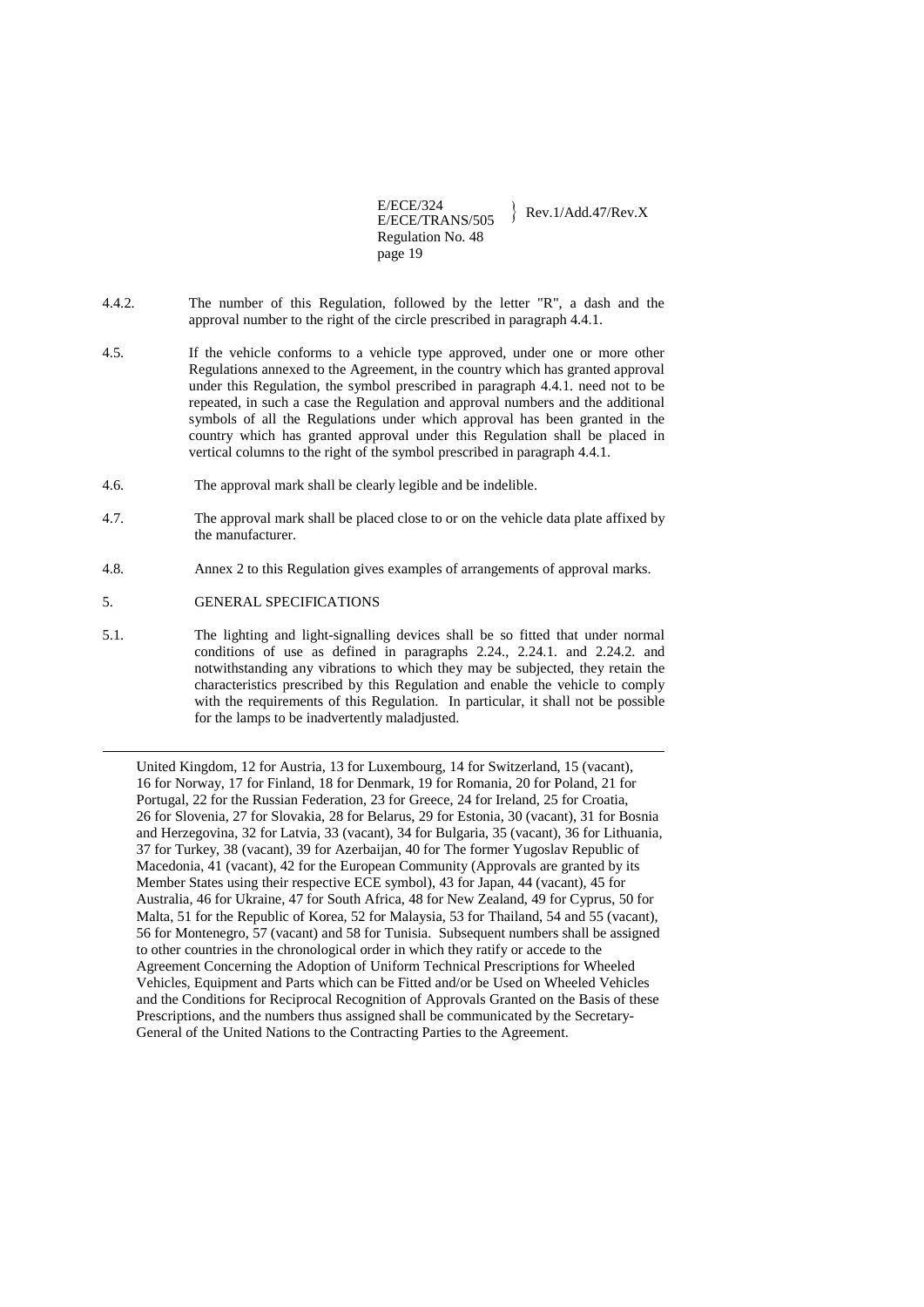- 4.4.2. The number of this Regulation, followed by the letter "R", a dash and the approval number to the right of the circle prescribed in paragraph 4.4.1.
- 4.5. If the vehicle conforms to a vehicle type approved, under one or more other Regulations annexed to the Agreement, in the country which has granted approval under this Regulation, the symbol prescribed in paragraph 4.4.1. need not to be repeated, in such a case the Regulation and approval numbers and the additional symbols of all the Regulations under which approval has been granted in the country which has granted approval under this Regulation shall be placed in vertical columns to the right of the symbol prescribed in paragraph 4.4.1.
- 4.6. The approval mark shall be clearly legible and be indelible.
- 4.7. The approval mark shall be placed close to or on the vehicle data plate affixed by the manufacturer.
- 4.8. Annex 2 to this Regulation gives examples of arrangements of approval marks.
- 5. GENERAL SPECIFICATIONS

<u>.</u>

5.1. The lighting and light-signalling devices shall be so fitted that under normal conditions of use as defined in paragraphs 2.24., 2.24.1. and 2.24.2. and notwithstanding any vibrations to which they may be subjected, they retain the characteristics prescribed by this Regulation and enable the vehicle to comply with the requirements of this Regulation. In particular, it shall not be possible for the lamps to be inadvertently maladjusted.

United Kingdom, 12 for Austria, 13 for Luxembourg, 14 for Switzerland, 15 (vacant), 16 for Norway, 17 for Finland, 18 for Denmark, 19 for Romania, 20 for Poland, 21 for Portugal, 22 for the Russian Federation, 23 for Greece, 24 for Ireland, 25 for Croatia, 26 for Slovenia, 27 for Slovakia, 28 for Belarus, 29 for Estonia, 30 (vacant), 31 for Bosnia and Herzegovina, 32 for Latvia, 33 (vacant), 34 for Bulgaria, 35 (vacant), 36 for Lithuania, 37 for Turkey, 38 (vacant), 39 for Azerbaijan, 40 for The former Yugoslav Republic of Macedonia, 41 (vacant), 42 for the European Community (Approvals are granted by its Member States using their respective ECE symbol), 43 for Japan, 44 (vacant), 45 for Australia, 46 for Ukraine, 47 for South Africa, 48 for New Zealand, 49 for Cyprus, 50 for Malta, 51 for the Republic of Korea, 52 for Malaysia, 53 for Thailand, 54 and 55 (vacant), 56 for Montenegro, 57 (vacant) and 58 for Tunisia. Subsequent numbers shall be assigned to other countries in the chronological order in which they ratify or accede to the Agreement Concerning the Adoption of Uniform Technical Prescriptions for Wheeled Vehicles, Equipment and Parts which can be Fitted and/or be Used on Wheeled Vehicles and the Conditions for Reciprocal Recognition of Approvals Granted on the Basis of these Prescriptions, and the numbers thus assigned shall be communicated by the Secretary-General of the United Nations to the Contracting Parties to the Agreement.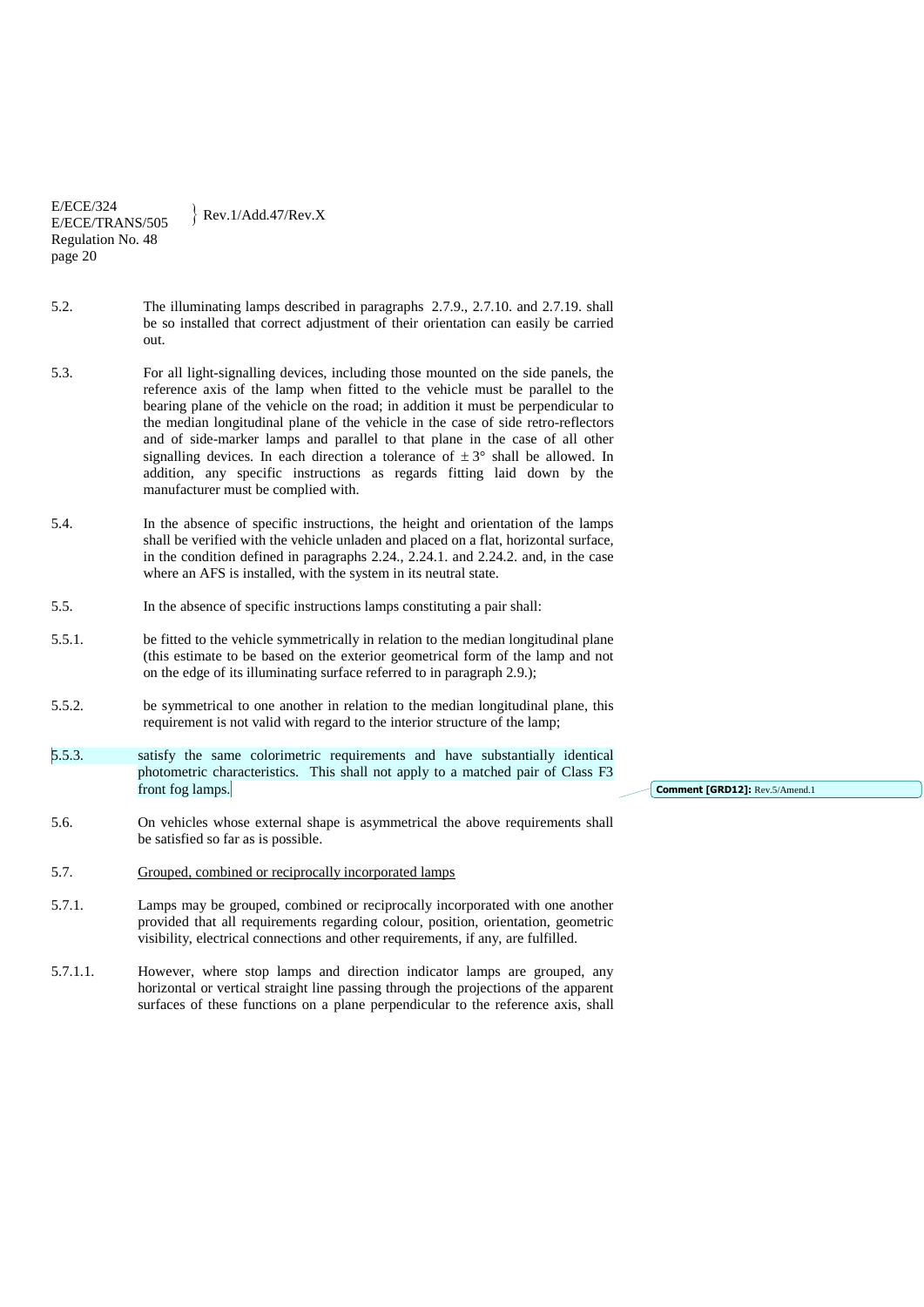- 5.2. The illuminating lamps described in paragraphs 2.7.9., 2.7.10. and 2.7.19. shall be so installed that correct adjustment of their orientation can easily be carried out.
- 5.3. For all light-signalling devices, including those mounted on the side panels, the reference axis of the lamp when fitted to the vehicle must be parallel to the bearing plane of the vehicle on the road; in addition it must be perpendicular to the median longitudinal plane of the vehicle in the case of side retro-reflectors and of side-marker lamps and parallel to that plane in the case of all other signalling devices. In each direction a tolerance of  $\pm 3^{\circ}$  shall be allowed. In addition, any specific instructions as regards fitting laid down by the manufacturer must be complied with.
- 5.4. In the absence of specific instructions, the height and orientation of the lamps shall be verified with the vehicle unladen and placed on a flat, horizontal surface, in the condition defined in paragraphs 2.24., 2.24.1. and 2.24.2. and, in the case where an AFS is installed, with the system in its neutral state.
- 5.5. In the absence of specific instructions lamps constituting a pair shall:
- 5.5.1. be fitted to the vehicle symmetrically in relation to the median longitudinal plane (this estimate to be based on the exterior geometrical form of the lamp and not on the edge of its illuminating surface referred to in paragraph 2.9.);
- 5.5.2. be symmetrical to one another in relation to the median longitudinal plane, this requirement is not valid with regard to the interior structure of the lamp;
- 5.5.3. satisfy the same colorimetric requirements and have substantially identical photometric characteristics. This shall not apply to a matched pair of Class F3 front fog lamps.
- 5.6. On vehicles whose external shape is asymmetrical the above requirements shall be satisfied so far as is possible.
- 5.7. Grouped, combined or reciprocally incorporated lamps
- 5.7.1. Lamps may be grouped, combined or reciprocally incorporated with one another provided that all requirements regarding colour, position, orientation, geometric visibility, electrical connections and other requirements, if any, are fulfilled.
- 5.7.1.1. However, where stop lamps and direction indicator lamps are grouped, any horizontal or vertical straight line passing through the projections of the apparent surfaces of these functions on a plane perpendicular to the reference axis, shall

**Comment [GRD12]:** Rev.5/Amend.1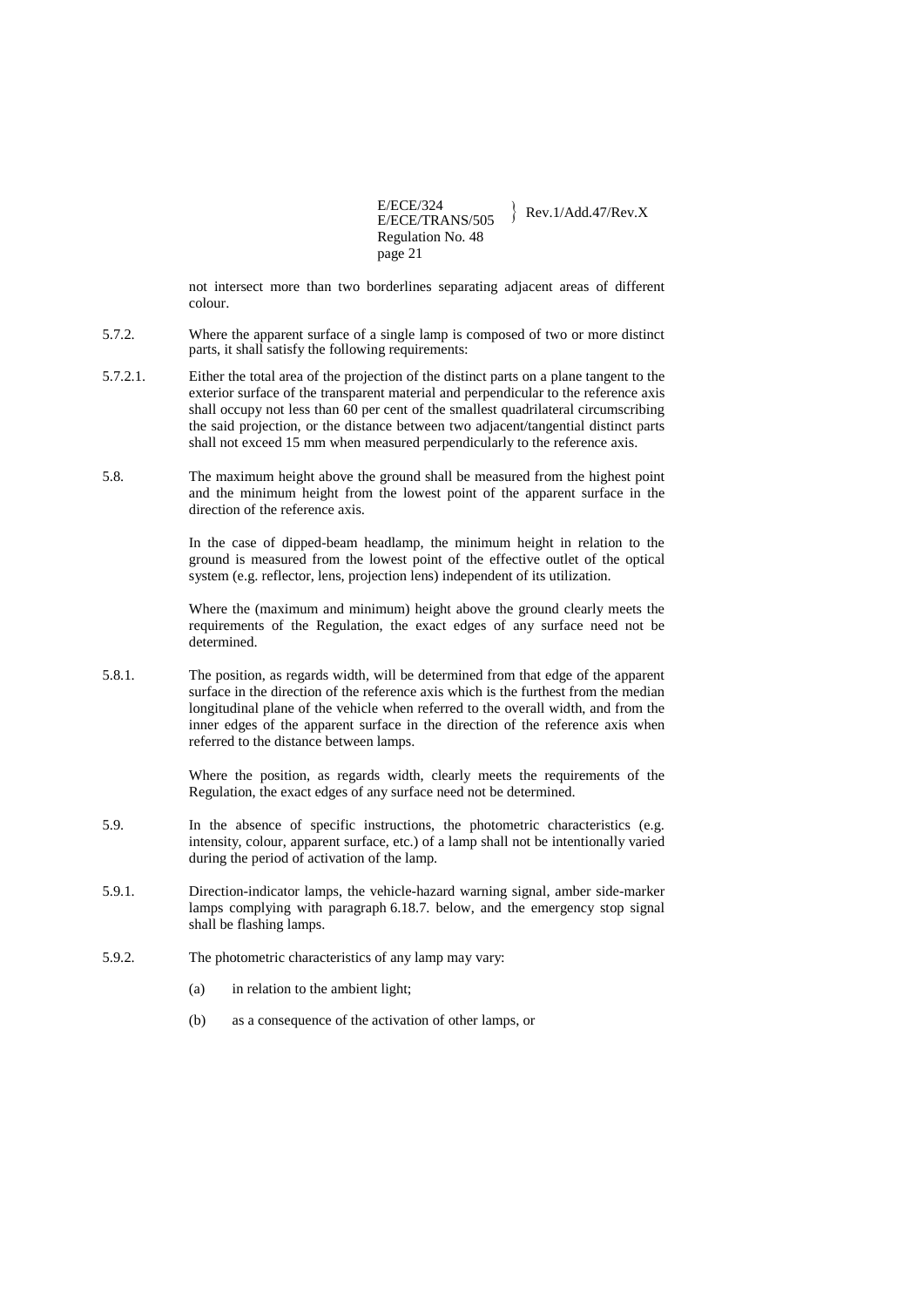not intersect more than two borderlines separating adjacent areas of different colour.

- 5.7.2. Where the apparent surface of a single lamp is composed of two or more distinct parts, it shall satisfy the following requirements:
- 5.7.2.1. Either the total area of the projection of the distinct parts on a plane tangent to the exterior surface of the transparent material and perpendicular to the reference axis shall occupy not less than 60 per cent of the smallest quadrilateral circumscribing the said projection, or the distance between two adjacent/tangential distinct parts shall not exceed 15 mm when measured perpendicularly to the reference axis.
- 5.8. The maximum height above the ground shall be measured from the highest point and the minimum height from the lowest point of the apparent surface in the direction of the reference axis.

In the case of dipped-beam headlamp, the minimum height in relation to the ground is measured from the lowest point of the effective outlet of the optical system (e.g. reflector, lens, projection lens) independent of its utilization.

Where the (maximum and minimum) height above the ground clearly meets the requirements of the Regulation, the exact edges of any surface need not be determined.

5.8.1. The position, as regards width, will be determined from that edge of the apparent surface in the direction of the reference axis which is the furthest from the median longitudinal plane of the vehicle when referred to the overall width, and from the inner edges of the apparent surface in the direction of the reference axis when referred to the distance between lamps.

> Where the position, as regards width, clearly meets the requirements of the Regulation, the exact edges of any surface need not be determined.

- 5.9. In the absence of specific instructions, the photometric characteristics (e.g. intensity, colour, apparent surface, etc.) of a lamp shall not be intentionally varied during the period of activation of the lamp.
- 5.9.1. Direction-indicator lamps, the vehicle-hazard warning signal, amber side-marker lamps complying with paragraph 6.18.7. below, and the emergency stop signal shall be flashing lamps.
- 5.9.2. The photometric characteristics of any lamp may vary:
	- (a) in relation to the ambient light;
	- (b) as a consequence of the activation of other lamps, or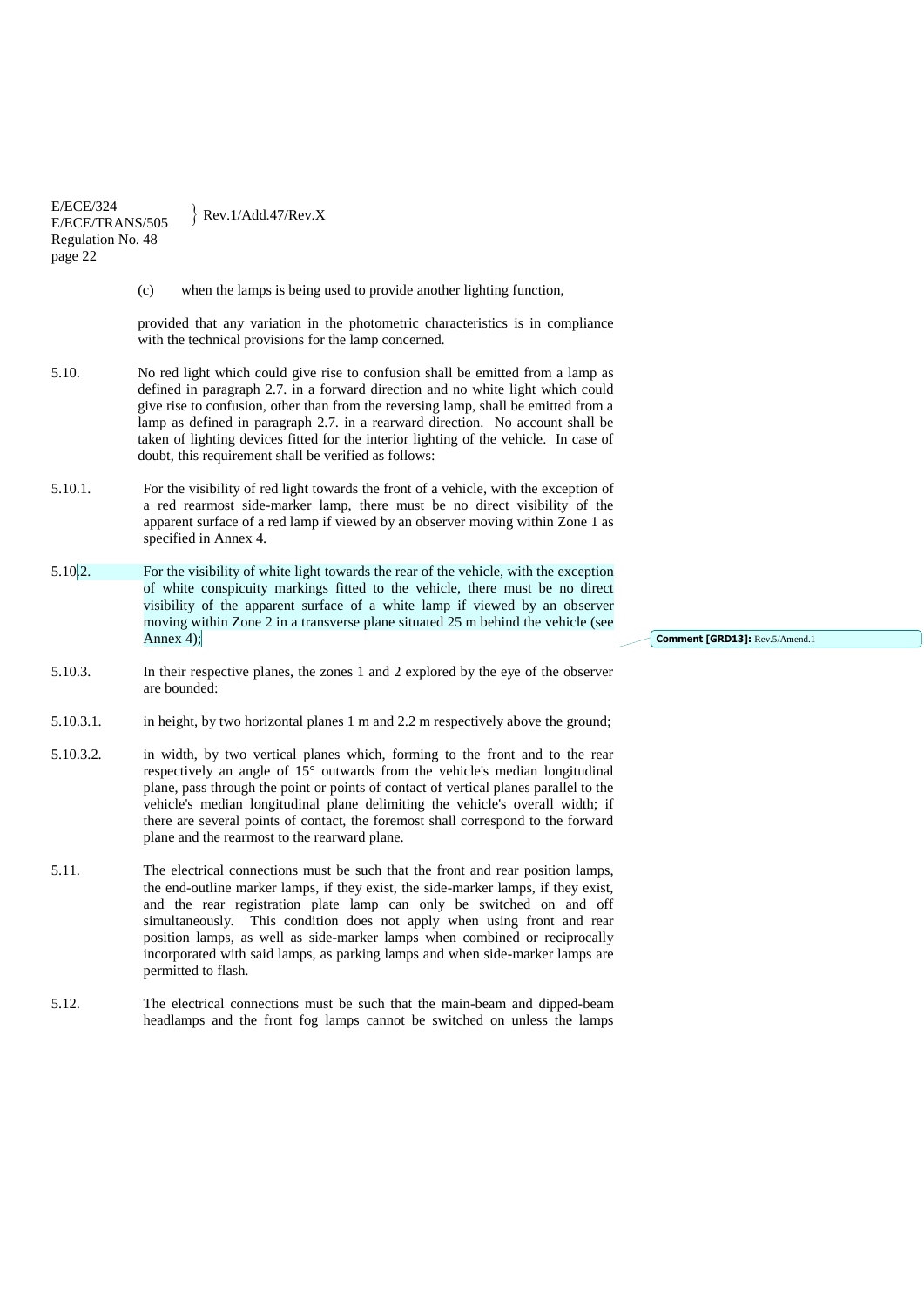(c) when the lamps is being used to provide another lighting function,

provided that any variation in the photometric characteristics is in compliance with the technical provisions for the lamp concerned.

- 5.10. No red light which could give rise to confusion shall be emitted from a lamp as defined in paragraph 2.7. in a forward direction and no white light which could give rise to confusion, other than from the reversing lamp, shall be emitted from a lamp as defined in paragraph 2.7. in a rearward direction. No account shall be taken of lighting devices fitted for the interior lighting of the vehicle. In case of doubt, this requirement shall be verified as follows:
- 5.10.1. For the visibility of red light towards the front of a vehicle, with the exception of a red rearmost side-marker lamp, there must be no direct visibility of the apparent surface of a red lamp if viewed by an observer moving within Zone 1 as specified in Annex 4.
- 5.10.2. For the visibility of white light towards the rear of the vehicle, with the exception of white conspicuity markings fitted to the vehicle, there must be no direct visibility of the apparent surface of a white lamp if viewed by an observer moving within Zone 2 in a transverse plane situated 25 m behind the vehicle (see Annex 4);
- 5.10.3. In their respective planes, the zones 1 and 2 explored by the eye of the observer are bounded:
- 5.10.3.1. in height, by two horizontal planes 1 m and 2.2 m respectively above the ground;
- 5.10.3.2. in width, by two vertical planes which, forming to the front and to the rear respectively an angle of 15° outwards from the vehicle's median longitudinal plane, pass through the point or points of contact of vertical planes parallel to the vehicle's median longitudinal plane delimiting the vehicle's overall width; if there are several points of contact, the foremost shall correspond to the forward plane and the rearmost to the rearward plane.
- 5.11. The electrical connections must be such that the front and rear position lamps, the end-outline marker lamps, if they exist, the side-marker lamps, if they exist, and the rear registration plate lamp can only be switched on and off simultaneously. This condition does not apply when using front and rear position lamps, as well as side-marker lamps when combined or reciprocally incorporated with said lamps, as parking lamps and when side-marker lamps are permitted to flash.
- 5.12. The electrical connections must be such that the main-beam and dipped-beam headlamps and the front fog lamps cannot be switched on unless the lamps

**Comment [GRD13]:** Rev.5/Amend.1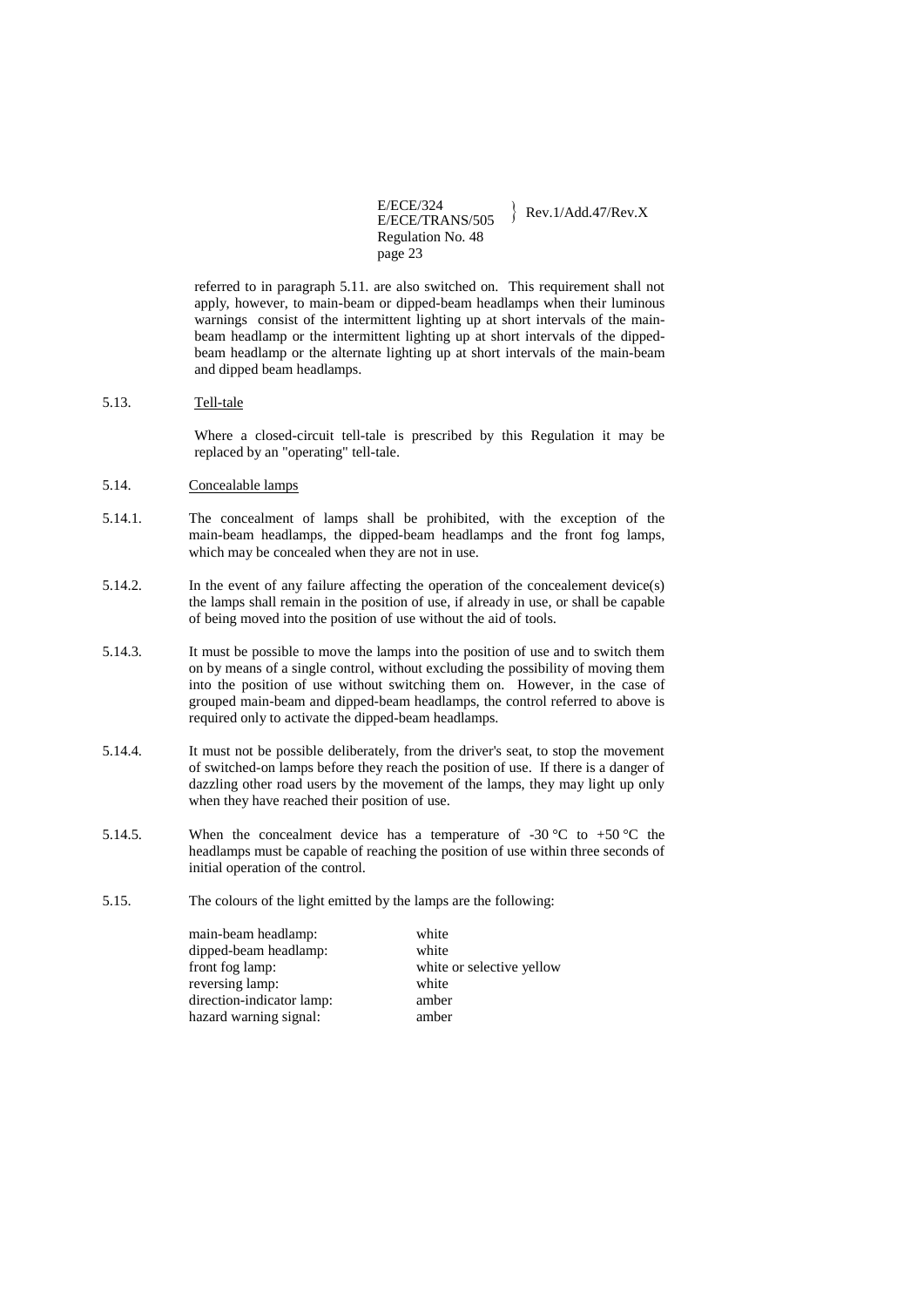referred to in paragraph 5.11. are also switched on. This requirement shall not apply, however, to main-beam or dipped-beam headlamps when their luminous warnings consist of the intermittent lighting up at short intervals of the mainbeam headlamp or the intermittent lighting up at short intervals of the dippedbeam headlamp or the alternate lighting up at short intervals of the main-beam and dipped beam headlamps.

5.13. Tell-tale

Where a closed-circuit tell-tale is prescribed by this Regulation it may be replaced by an "operating" tell-tale.

- 5.14. Concealable lamps
- 5.14.1. The concealment of lamps shall be prohibited, with the exception of the main-beam headlamps, the dipped-beam headlamps and the front fog lamps, which may be concealed when they are not in use.
- 5.14.2. In the event of any failure affecting the operation of the concealement device(s) the lamps shall remain in the position of use, if already in use, or shall be capable of being moved into the position of use without the aid of tools.
- 5.14.3. It must be possible to move the lamps into the position of use and to switch them on by means of a single control, without excluding the possibility of moving them into the position of use without switching them on. However, in the case of grouped main-beam and dipped-beam headlamps, the control referred to above is required only to activate the dipped-beam headlamps.
- 5.14.4. It must not be possible deliberately, from the driver's seat, to stop the movement of switched-on lamps before they reach the position of use. If there is a danger of dazzling other road users by the movement of the lamps, they may light up only when they have reached their position of use.
- 5.14.5. When the concealment device has a temperature of -30 °C to +50 °C the headlamps must be capable of reaching the position of use within three seconds of initial operation of the control.
- 5.15. The colours of the light emitted by the lamps are the following:

| white |
|-------|
| white |
| white |
| white |
| amber |
| amber |
|       |

white white or selective yellow white amber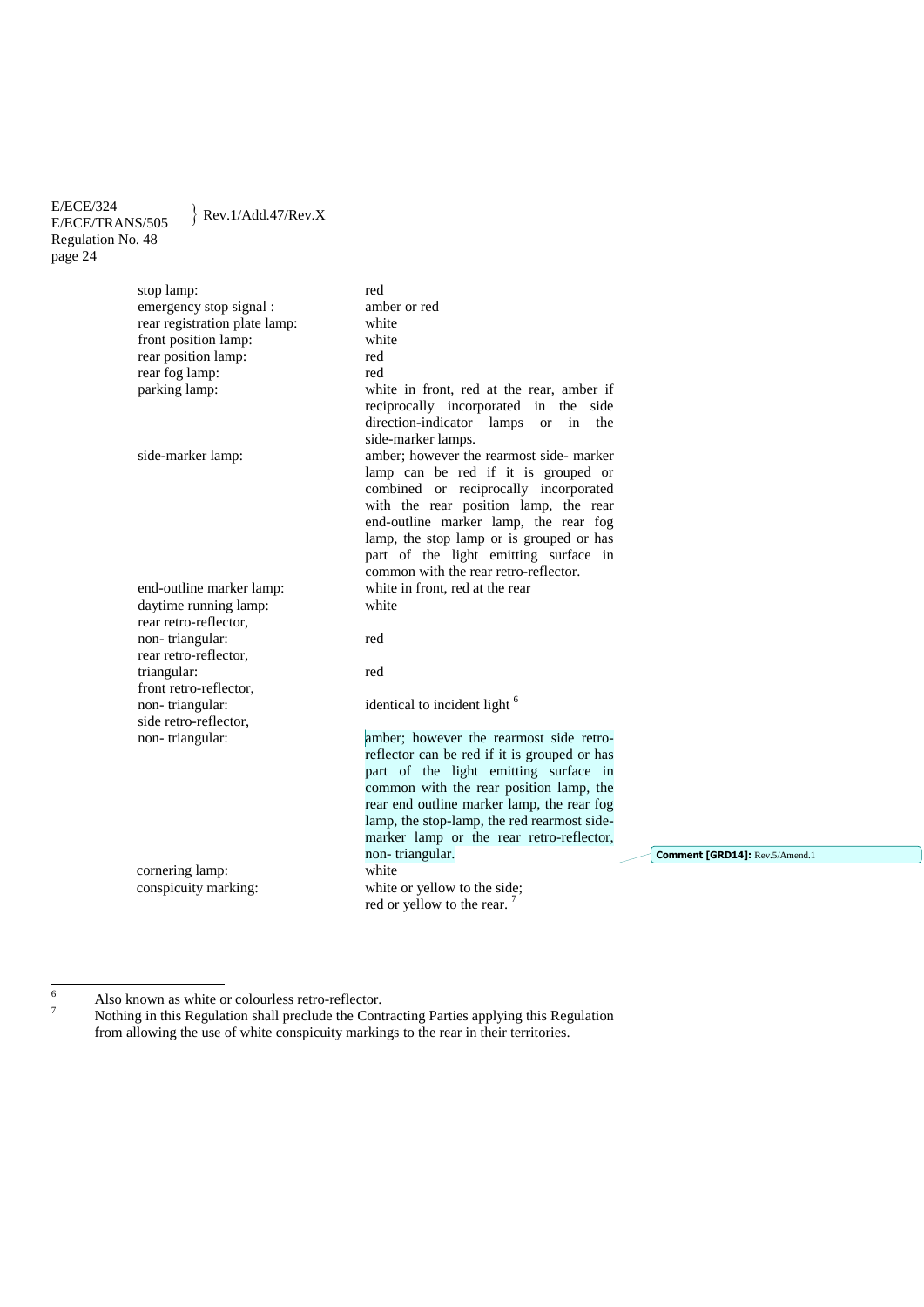E/ECE/324 E/ECE/TRANS/505 Regulation No. 48 page 24

 $\}$  Rev.1/Add.47/Rev.X

stop lamp: red emergency stop signal : amber or red rear registration plate lamp: white front position lamp: white rear position lamp: red rear fog lamp: red parking lamp: white in front, red at the rear, amber if reciprocally incorporated in the side direction-indicator lamps or in the side-marker lamps. side-marker lamp: amber; however the rearmost side-marker lamp can be red if it is grouped or combined or reciprocally incorporated with the rear position lamp, the rear end-outline marker lamp, the rear fog lamp, the stop lamp or is grouped or has part of the light emitting surface in common with the rear retro-reflector. end-outline marker lamp: white in front, red at the rear daytime running lamp: white rear retro-reflector, non- triangular: red rear retro-reflector, triangular: red front retro-reflector, non- triangular: identical to incident light <sup>6</sup> side retro-reflector,<br>non-triangular: amber; however the rearmost side retroreflector can be red if it is grouped or has part of the light emitting surface in common with the rear position lamp, the rear end outline marker lamp, the rear fog lamp, the stop-lamp, the red rearmost sidemarker lamp or the rear retro-reflector, non- triangular. cornering lamp: white conspicuity marking: white or yellow to the side; red or yellow to the rear. **Comment [GRD14]:** Rev.5/Amend.1

 $\sqrt{6}$  $\frac{6}{7}$  Also known as white or colourless retro-reflector.

<sup>7</sup> Nothing in this Regulation shall preclude the Contracting Parties applying this Regulation from allowing the use of white conspicuity markings to the rear in their territories.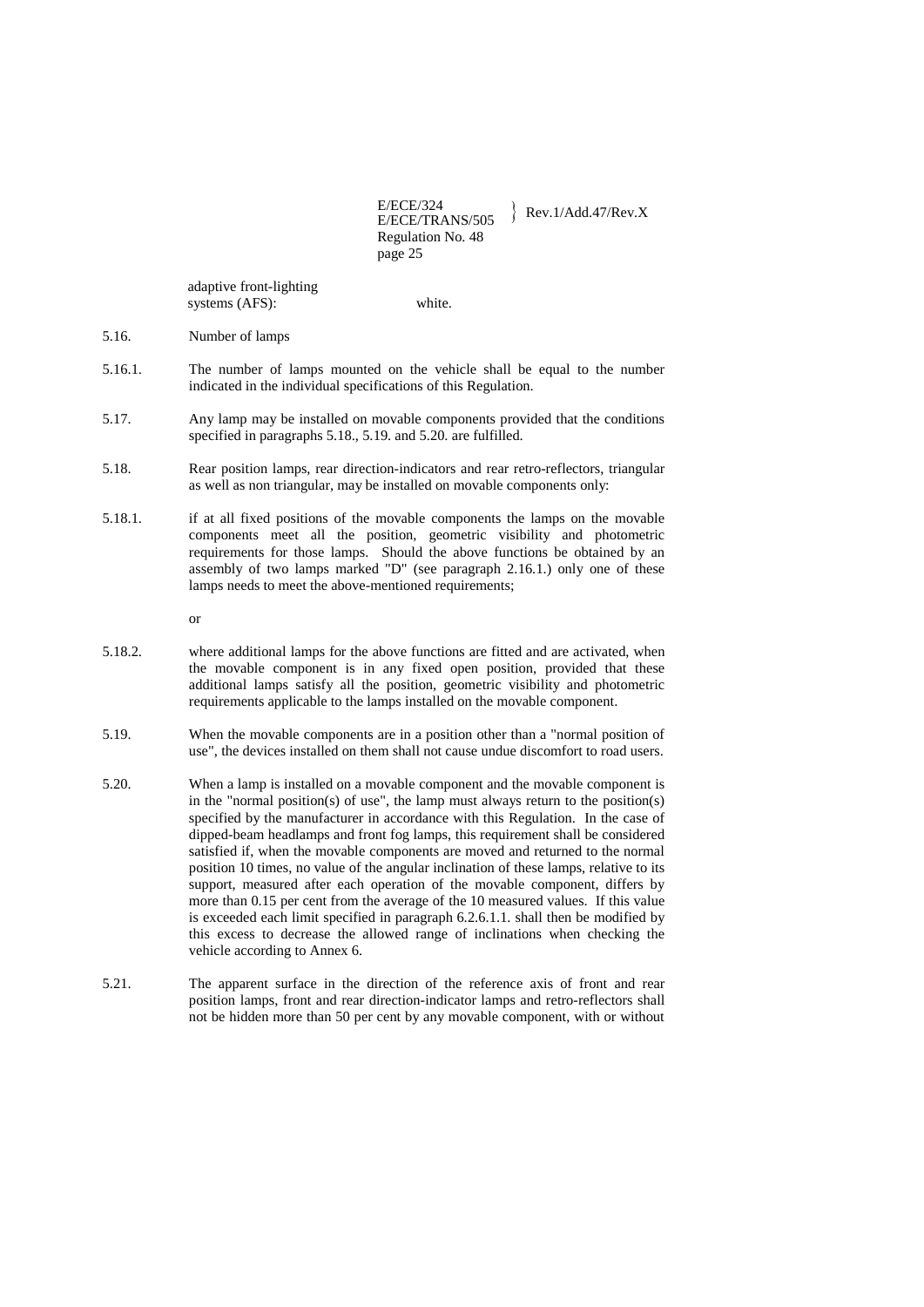adaptive front-lighting systems (AFS): white.

- 5.16.1. The number of lamps mounted on the vehicle shall be equal to the number indicated in the individual specifications of this Regulation.
- 5.17. Any lamp may be installed on movable components provided that the conditions specified in paragraphs 5.18., 5.19. and 5.20. are fulfilled.
- 5.18. Rear position lamps, rear direction-indicators and rear retro-reflectors, triangular as well as non triangular, may be installed on movable components only:
- 5.18.1. if at all fixed positions of the movable components the lamps on the movable components meet all the position, geometric visibility and photometric requirements for those lamps. Should the above functions be obtained by an assembly of two lamps marked "D" (see paragraph 2.16.1.) only one of these lamps needs to meet the above-mentioned requirements;

or

- 5.18.2. where additional lamps for the above functions are fitted and are activated, when the movable component is in any fixed open position, provided that these additional lamps satisfy all the position, geometric visibility and photometric requirements applicable to the lamps installed on the movable component.
- 5.19. When the movable components are in a position other than a "normal position of use", the devices installed on them shall not cause undue discomfort to road users.
- 5.20. When a lamp is installed on a movable component and the movable component is in the "normal position(s) of use", the lamp must always return to the position(s) specified by the manufacturer in accordance with this Regulation. In the case of dipped-beam headlamps and front fog lamps, this requirement shall be considered satisfied if, when the movable components are moved and returned to the normal position 10 times, no value of the angular inclination of these lamps, relative to its support, measured after each operation of the movable component, differs by more than 0.15 per cent from the average of the 10 measured values. If this value is exceeded each limit specified in paragraph 6.2.6.1.1. shall then be modified by this excess to decrease the allowed range of inclinations when checking the vehicle according to Annex 6.
- 5.21. The apparent surface in the direction of the reference axis of front and rear position lamps, front and rear direction-indicator lamps and retro-reflectors shall not be hidden more than 50 per cent by any movable component, with or without

<sup>5.16.</sup> Number of lamps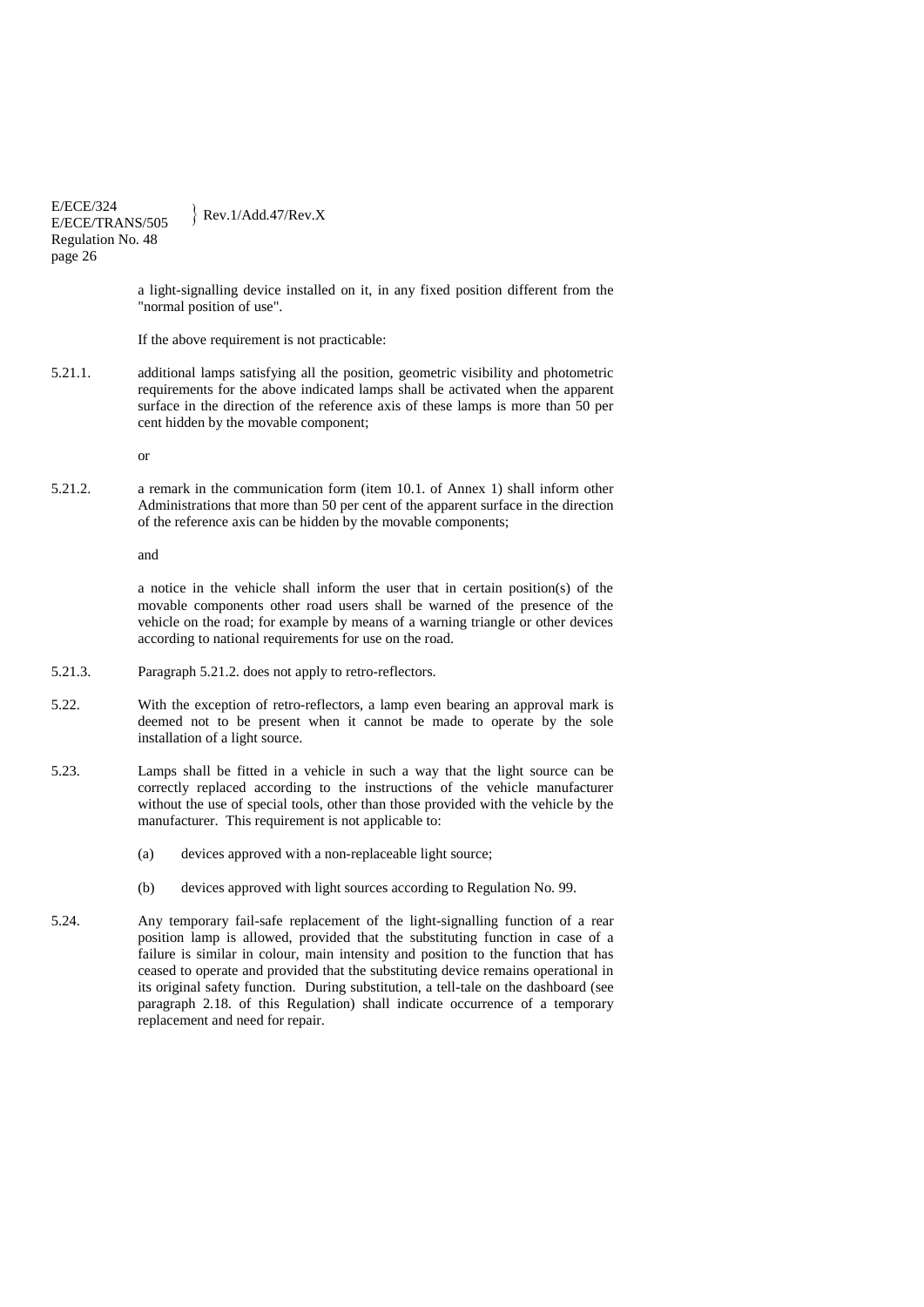> a light-signalling device installed on it, in any fixed position different from the "normal position of use".

If the above requirement is not practicable:

5.21.1. additional lamps satisfying all the position, geometric visibility and photometric requirements for the above indicated lamps shall be activated when the apparent surface in the direction of the reference axis of these lamps is more than 50 per cent hidden by the movable component;

or

5.21.2. a remark in the communication form (item 10.1. of Annex 1) shall inform other Administrations that more than 50 per cent of the apparent surface in the direction of the reference axis can be hidden by the movable components;

and

a notice in the vehicle shall inform the user that in certain position(s) of the movable components other road users shall be warned of the presence of the vehicle on the road; for example by means of a warning triangle or other devices according to national requirements for use on the road.

- 5.21.3. Paragraph 5.21.2. does not apply to retro-reflectors.
- 5.22. With the exception of retro-reflectors, a lamp even bearing an approval mark is deemed not to be present when it cannot be made to operate by the sole installation of a light source.
- 5.23. Lamps shall be fitted in a vehicle in such a way that the light source can be correctly replaced according to the instructions of the vehicle manufacturer without the use of special tools, other than those provided with the vehicle by the manufacturer. This requirement is not applicable to:
	- (a) devices approved with a non-replaceable light source;
	- (b) devices approved with light sources according to Regulation No. 99.
- 5.24. Any temporary fail-safe replacement of the light-signalling function of a rear position lamp is allowed, provided that the substituting function in case of a failure is similar in colour, main intensity and position to the function that has ceased to operate and provided that the substituting device remains operational in its original safety function. During substitution, a tell-tale on the dashboard (see paragraph 2.18. of this Regulation) shall indicate occurrence of a temporary replacement and need for repair.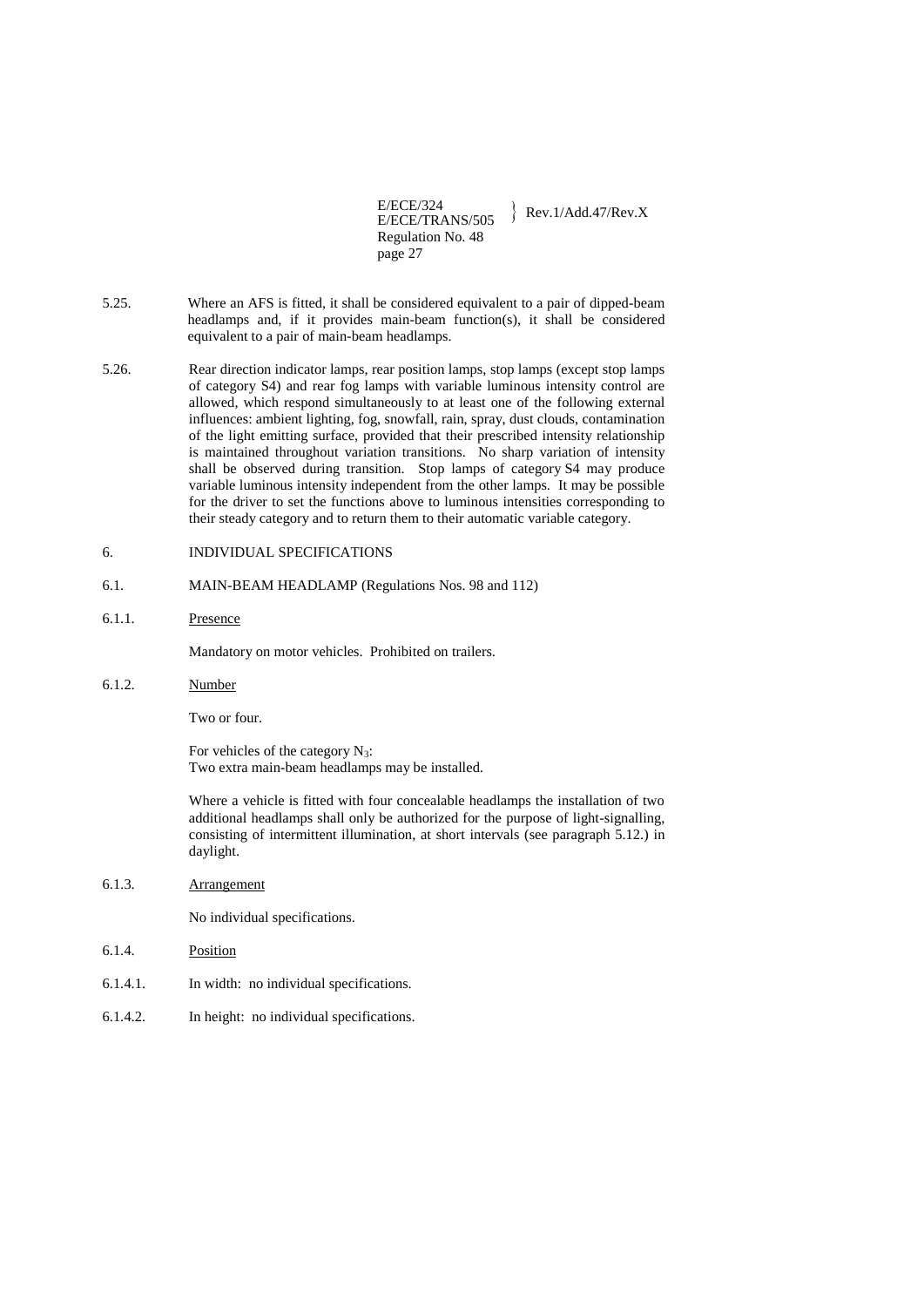- 5.25. Where an AFS is fitted, it shall be considered equivalent to a pair of dipped-beam headlamps and, if it provides main-beam function(s), it shall be considered equivalent to a pair of main-beam headlamps.
- 5.26. Rear direction indicator lamps, rear position lamps, stop lamps (except stop lamps of category S4) and rear fog lamps with variable luminous intensity control are allowed, which respond simultaneously to at least one of the following external influences: ambient lighting, fog, snowfall, rain, spray, dust clouds, contamination of the light emitting surface, provided that their prescribed intensity relationship is maintained throughout variation transitions. No sharp variation of intensity shall be observed during transition. Stop lamps of category S4 may produce variable luminous intensity independent from the other lamps. It may be possible for the driver to set the functions above to luminous intensities corresponding to their steady category and to return them to their automatic variable category.

## 6. INDIVIDUAL SPECIFICATIONS

### 6.1. MAIN-BEAM HEADLAMP (Regulations Nos. 98 and 112)

6.1.1. Presence

Mandatory on motor vehicles. Prohibited on trailers.

6.1.2. Number

Two or four.

For vehicles of the category  $N_3$ : Two extra main-beam headlamps may be installed.

Where a vehicle is fitted with four concealable headlamps the installation of two additional headlamps shall only be authorized for the purpose of light-signalling, consisting of intermittent illumination, at short intervals (see paragraph 5.12.) in daylight.

### 6.1.3. Arrangement

No individual specifications.

- 6.1.4. Position
- 6.1.4.1. In width: no individual specifications.
- 6.1.4.2. In height: no individual specifications.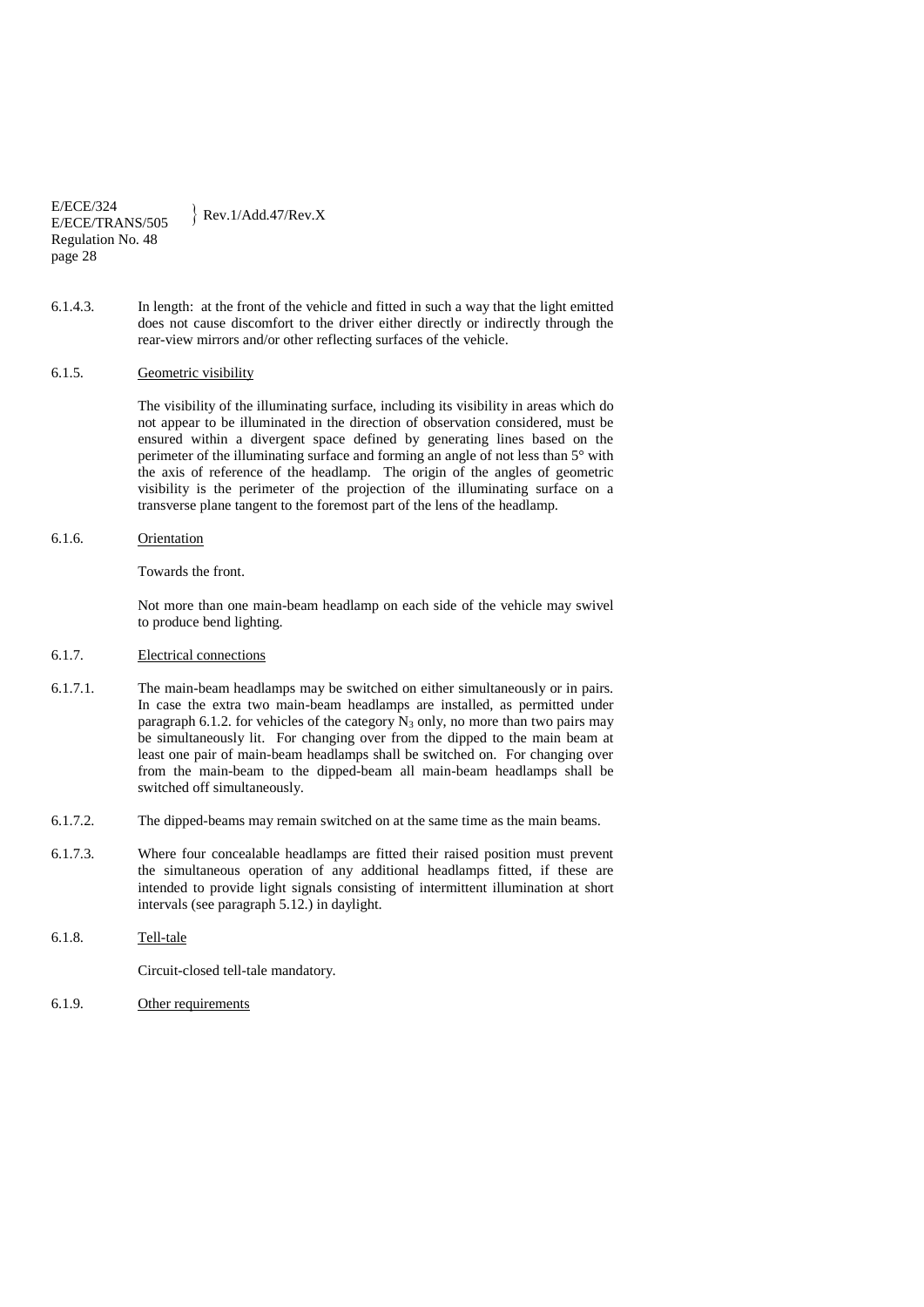6.1.4.3. In length: at the front of the vehicle and fitted in such a way that the light emitted does not cause discomfort to the driver either directly or indirectly through the rear-view mirrors and/or other reflecting surfaces of the vehicle.

#### 6.1.5. Geometric visibility

The visibility of the illuminating surface, including its visibility in areas which do not appear to be illuminated in the direction of observation considered, must be ensured within a divergent space defined by generating lines based on the perimeter of the illuminating surface and forming an angle of not less than 5° with the axis of reference of the headlamp. The origin of the angles of geometric visibility is the perimeter of the projection of the illuminating surface on a transverse plane tangent to the foremost part of the lens of the headlamp.

#### 6.1.6. Orientation

Towards the front.

Not more than one main-beam headlamp on each side of the vehicle may swivel to produce bend lighting.

### 6.1.7. Electrical connections

- 6.1.7.1. The main-beam headlamps may be switched on either simultaneously or in pairs. In case the extra two main-beam headlamps are installed, as permitted under paragraph 6.1.2. for vehicles of the category  $N_3$  only, no more than two pairs may be simultaneously lit.For changing over from the dipped to the main beam at least one pair of main-beam headlamps shall be switched on. For changing over from the main-beam to the dipped-beam all main-beam headlamps shall be switched off simultaneously.
- 6.1.7.2. The dipped-beams may remain switched on at the same time as the main beams.
- 6.1.7.3. Where four concealable headlamps are fitted their raised position must prevent the simultaneous operation of any additional headlamps fitted, if these are intended to provide light signals consisting of intermittent illumination at short intervals (see paragraph 5.12.) in daylight.
- 6.1.8. Tell-tale

Circuit-closed tell-tale mandatory.

6.1.9. Other requirements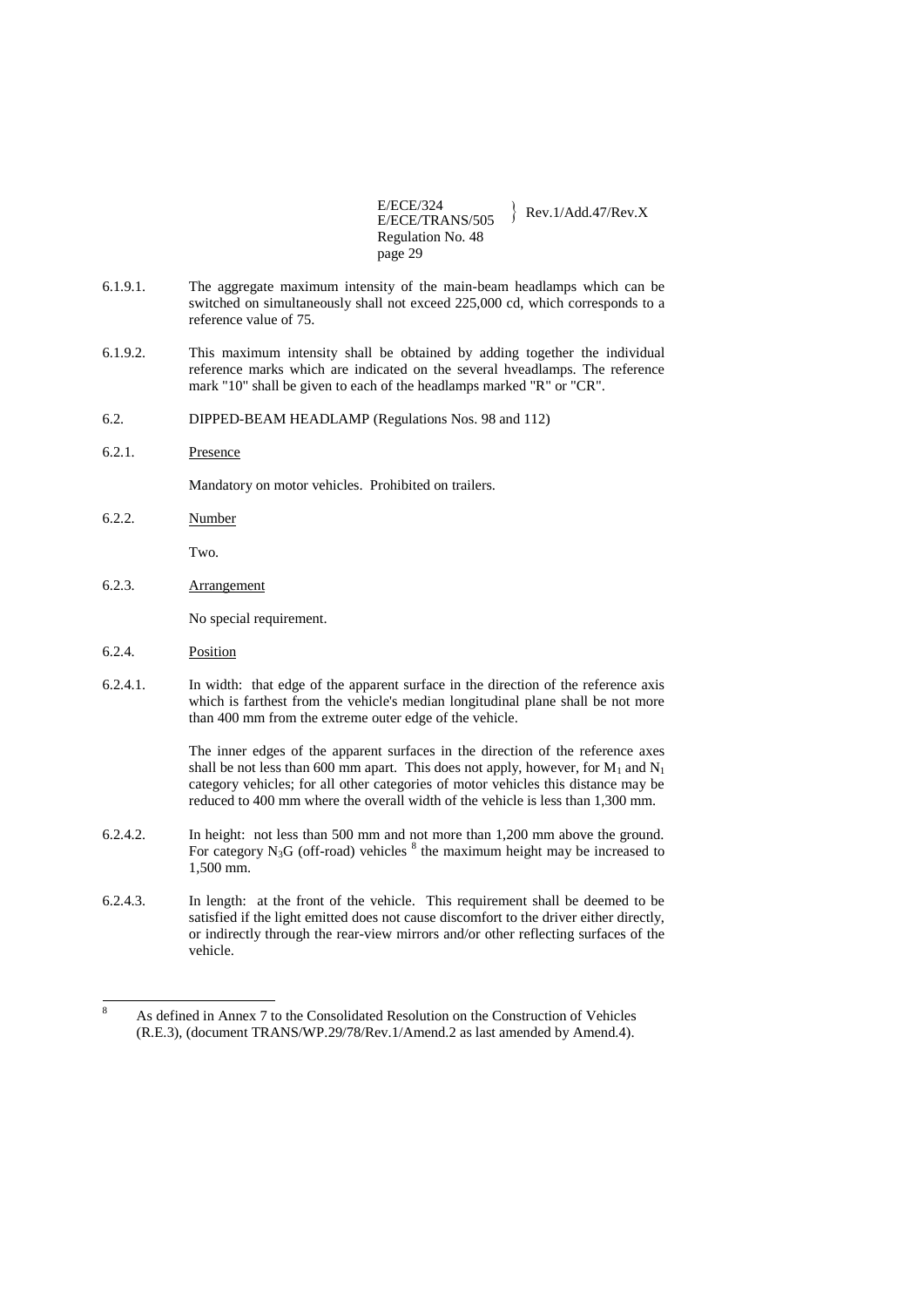- 6.1.9.1. The aggregate maximum intensity of the main-beam headlamps which can be switched on simultaneously shall not exceed 225,000 cd, which corresponds to a reference value of 75.
- 6.1.9.2. This maximum intensity shall be obtained by adding together the individual reference marks which are indicated on the several hveadlamps. The reference mark "10" shall be given to each of the headlamps marked "R" or "CR".
- 6.2. DIPPED-BEAM HEADLAMP (Regulations Nos. 98 and 112)
- 6.2.1. Presence

Mandatory on motor vehicles. Prohibited on trailers.

6.2.2. Number

Two.

6.2.3. Arrangement

No special requirement.

- 6.2.4. Position
- 6.2.4.1. In width: that edge of the apparent surface in the direction of the reference axis which is farthest from the vehicle's median longitudinal plane shall be not more than 400 mm from the extreme outer edge of the vehicle.

The inner edges of the apparent surfaces in the direction of the reference axes shall be not less than 600 mm apart. This does not apply, however, for  $M_1$  and  $N_1$ category vehicles; for all other categories of motor vehicles this distance may be reduced to 400 mm where the overall width of the vehicle is less than 1,300 mm.

- 6.2.4.2. In height: not less than 500 mm and not more than 1,200 mm above the ground. For category  $N_3G$  (off-road) vehicles  $8$  the maximum height may be increased to 1,500 mm.
- 6.2.4.3. In length: at the front of the vehicle. This requirement shall be deemed to be satisfied if the light emitted does not cause discomfort to the driver either directly, or indirectly through the rear-view mirrors and/or other reflecting surfaces of the vehicle.

<sup>8</sup> <sup>8</sup> As defined in Annex 7 to the Consolidated Resolution on the Construction of Vehicles (R.E.3), (document TRANS/WP.29/78/Rev.1/Amend.2 as last amended by Amend.4).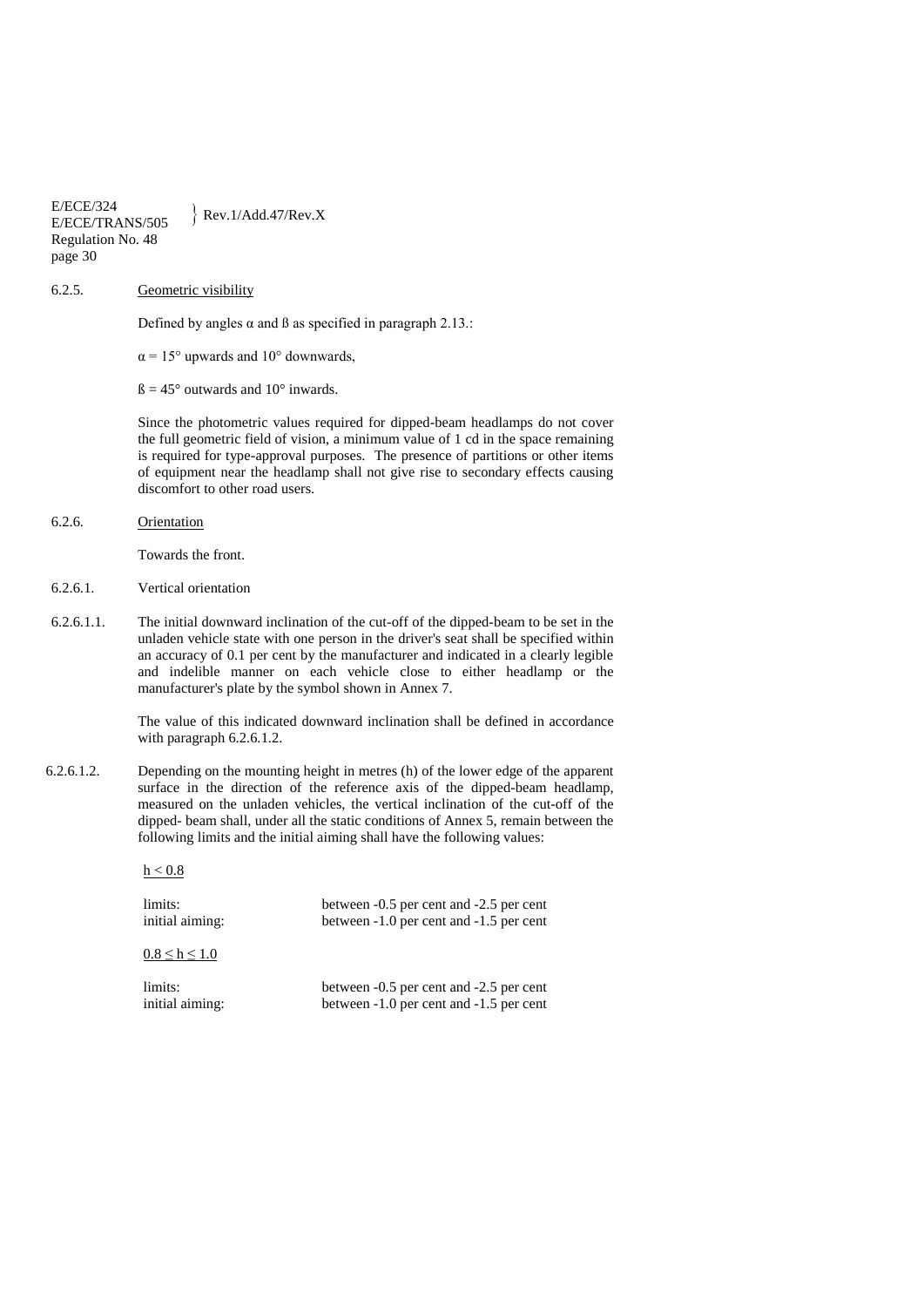#### 6.2.5. Geometric visibility

Defined by angles  $\alpha$  and  $\beta$  as specified in paragraph 2.13.:

- $\alpha$  = 15° upwards and 10° downwards,
- $\beta = 45^{\circ}$  outwards and 10° inwards.

Since the photometric values required for dipped-beam headlamps do not cover the full geometric field of vision, a minimum value of 1 cd in the space remaining is required for type-approval purposes. The presence of partitions or other items of equipment near the headlamp shall not give rise to secondary effects causing discomfort to other road users.

6.2.6. Orientation

Towards the front.

- 6.2.6.1. Vertical orientation
- 6.2.6.1.1. The initial downward inclination of the cut-off of the dipped-beam to be set in the unladen vehicle state with one person in the driver's seat shall be specified within an accuracy of 0.1 per cent by the manufacturer and indicated in a clearly legible and indelible manner on each vehicle close to either headlamp or the manufacturer's plate by the symbol shown in Annex 7.

The value of this indicated downward inclination shall be defined in accordance with paragraph 6.2.6.1.2.

6.2.6.1.2. Depending on the mounting height in metres (h) of the lower edge of the apparent surface in the direction of the reference axis of the dipped-beam headlamp, measured on the unladen vehicles, the vertical inclination of the cut-off of the dipped- beam shall, under all the static conditions of Annex 5, remain between the following limits and the initial aiming shall have the following values:

 $h < 0.8$ 

| limits:         | between -0.5 per cent and -2.5 per cent |
|-----------------|-----------------------------------------|
| initial aiming: | between -1.0 per cent and -1.5 per cent |
|                 |                                         |

 $0.8 \le h \le 1.0$ 

| limits:         | between -0.5 per cent and -2.5 per cent |
|-----------------|-----------------------------------------|
| initial aiming: | between -1.0 per cent and -1.5 per cent |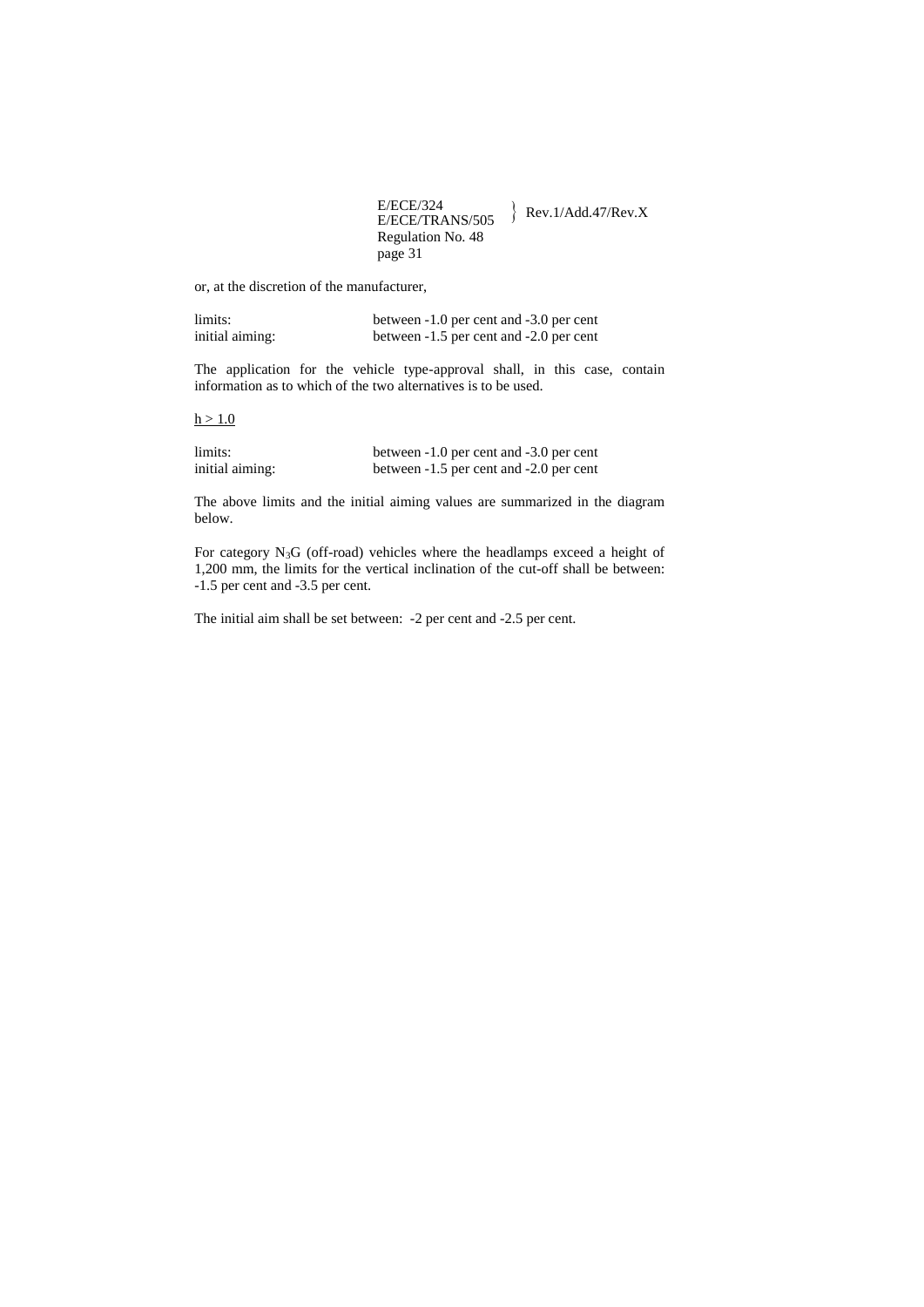```
E/ECE/324
E/ECE/TRANS/505
                     \} Rev.1/Add.47/Rev.X
Regulation No. 48
page 31
```
or, at the discretion of the manufacturer,

| limits:         | between -1.0 per cent and -3.0 per cent |
|-----------------|-----------------------------------------|
| initial aiming: | between -1.5 per cent and -2.0 per cent |

The application for the vehicle type-approval shall, in this case, contain information as to which of the two alternatives is to be used.

 $h > 1.0$ 

| limits:         | between -1.0 per cent and -3.0 per cent |
|-----------------|-----------------------------------------|
| initial aiming: | between -1.5 per cent and -2.0 per cent |

The above limits and the initial aiming values are summarized in the diagram below.

For category N<sub>3</sub>G (off-road) vehicles where the headlamps exceed a height of 1,200 mm, the limits for the vertical inclination of the cut-off shall be between: -1.5 per cent and -3.5 per cent.

The initial aim shall be set between: -2 per cent and -2.5 per cent.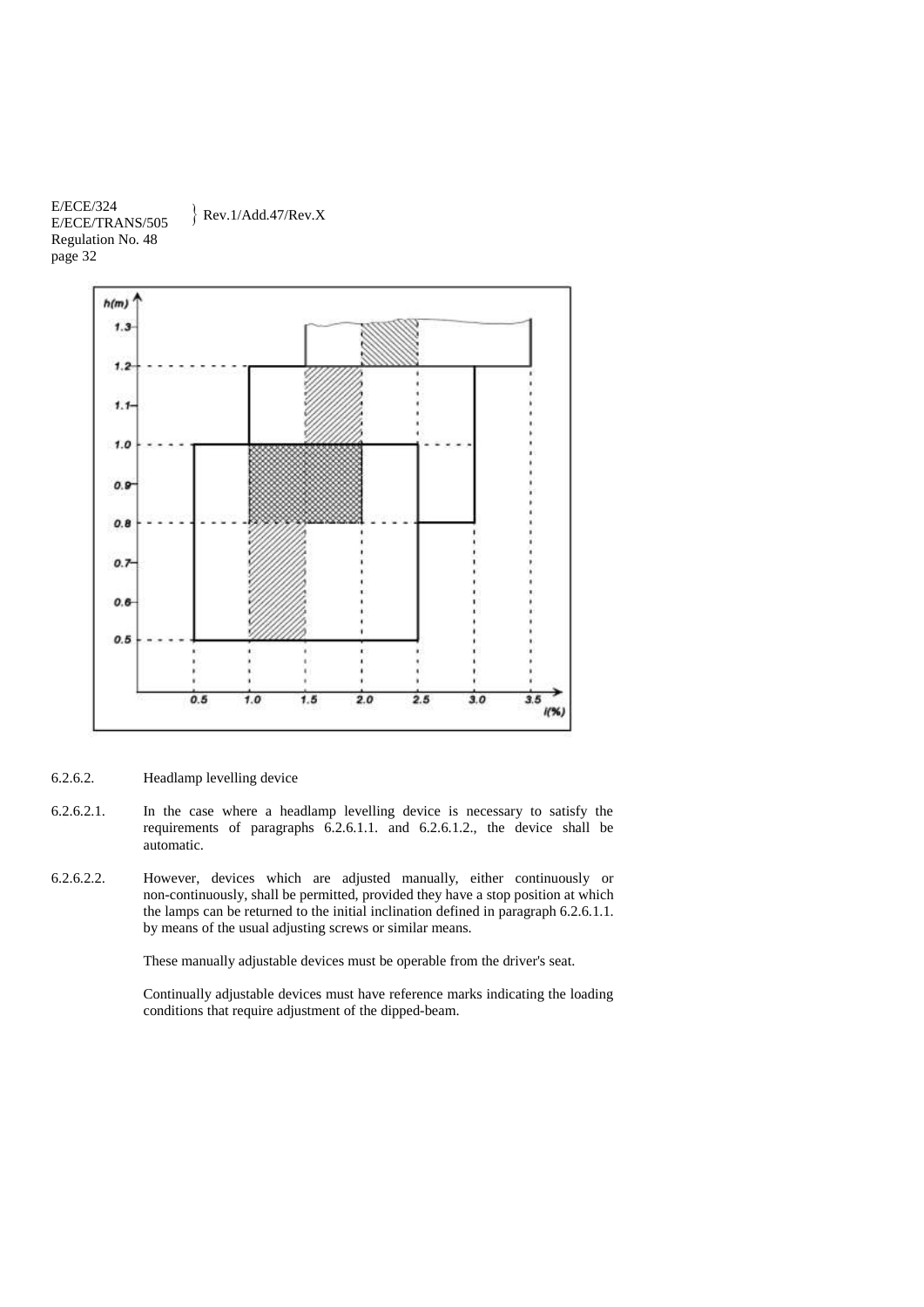



## 6.2.6.2. Headlamp levelling device

- 6.2.6.2.1. In the case where a headlamp levelling device is necessary to satisfy the requirements of paragraphs 6.2.6.1.1. and 6.2.6.1.2., the device shall be automatic.
- 6.2.6.2.2. However, devices which are adjusted manually, either continuously or non-continuously, shall be permitted, provided they have a stop position at which the lamps can be returned to the initial inclination defined in paragraph 6.2.6.1.1. by means of the usual adjusting screws or similar means.

These manually adjustable devices must be operable from the driver's seat.

Continually adjustable devices must have reference marks indicating the loading conditions that require adjustment of the dipped-beam.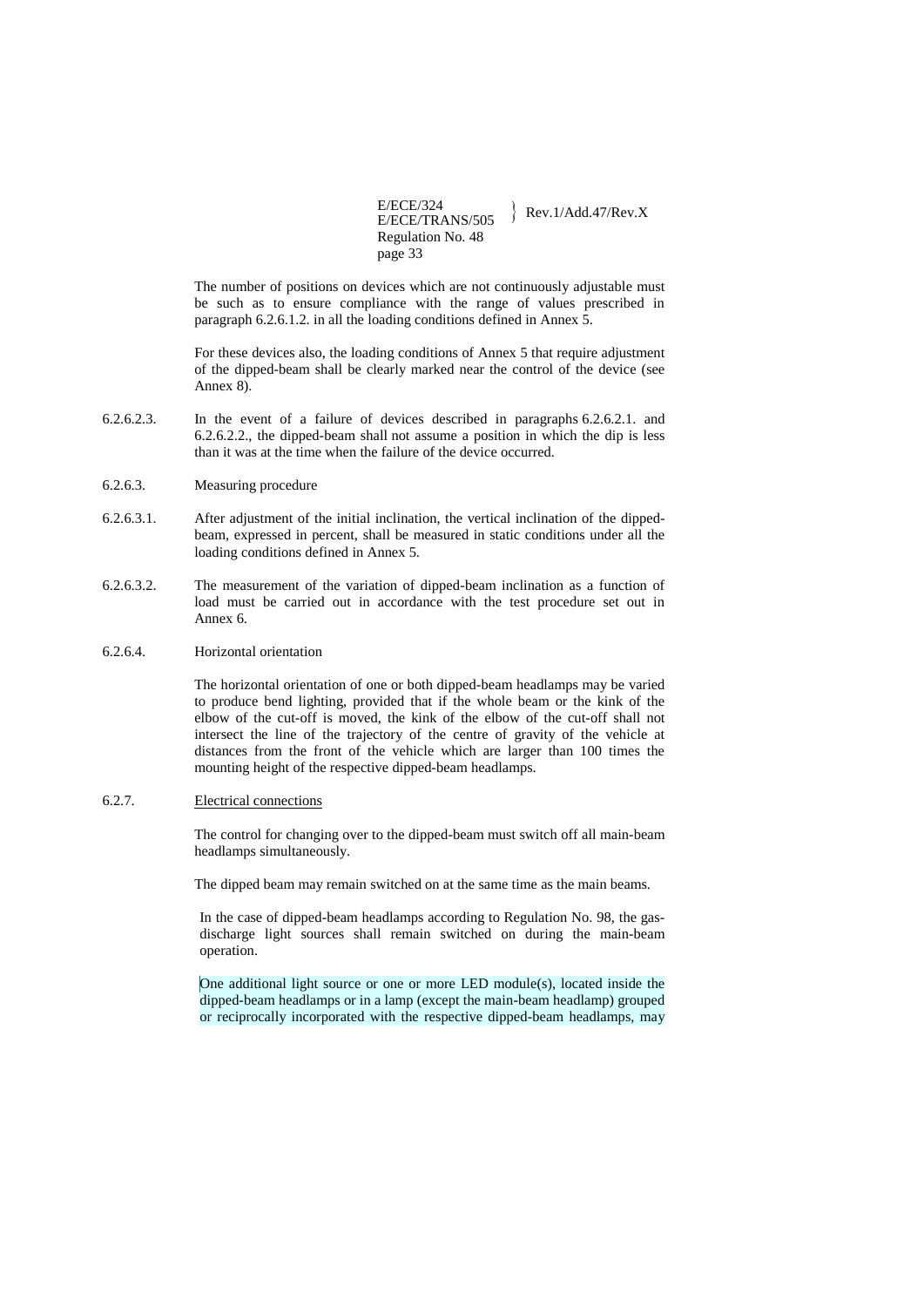The number of positions on devices which are not continuously adjustable must be such as to ensure compliance with the range of values prescribed in paragraph 6.2.6.1.2. in all the loading conditions defined in Annex 5.

For these devices also, the loading conditions of Annex 5 that require adjustment of the dipped-beam shall be clearly marked near the control of the device (see Annex 8).

6.2.6.2.3. In the event of a failure of devices described in paragraphs 6.2.6.2.1. and 6.2.6.2.2., the dipped-beam shall not assume a position in which the dip is less than it was at the time when the failure of the device occurred.

### 6.2.6.3. Measuring procedure

- 6.2.6.3.1. After adjustment of the initial inclination, the vertical inclination of the dippedbeam, expressed in percent, shall be measured in static conditions under all the loading conditions defined in Annex 5.
- 6.2.6.3.2. The measurement of the variation of dipped-beam inclination as a function of load must be carried out in accordance with the test procedure set out in Annex 6.
- 6.2.6.4. Horizontal orientation

The horizontal orientation of one or both dipped-beam headlamps may be varied to produce bend lighting, provided that if the whole beam or the kink of the elbow of the cut-off is moved, the kink of the elbow of the cut-off shall not intersect the line of the trajectory of the centre of gravity of the vehicle at distances from the front of the vehicle which are larger than 100 times the mounting height of the respective dipped-beam headlamps.

6.2.7. Electrical connections

The control for changing over to the dipped-beam must switch off all main-beam headlamps simultaneously.

The dipped beam may remain switched on at the same time as the main beams.

In the case of dipped-beam headlamps according to Regulation No. 98, the gasdischarge light sources shall remain switched on during the main-beam operation.

One additional light source or one or more LED module(s), located inside the dipped-beam headlamps or in a lamp (except the main-beam headlamp) grouped or reciprocally incorporated with the respective dipped-beam headlamps, may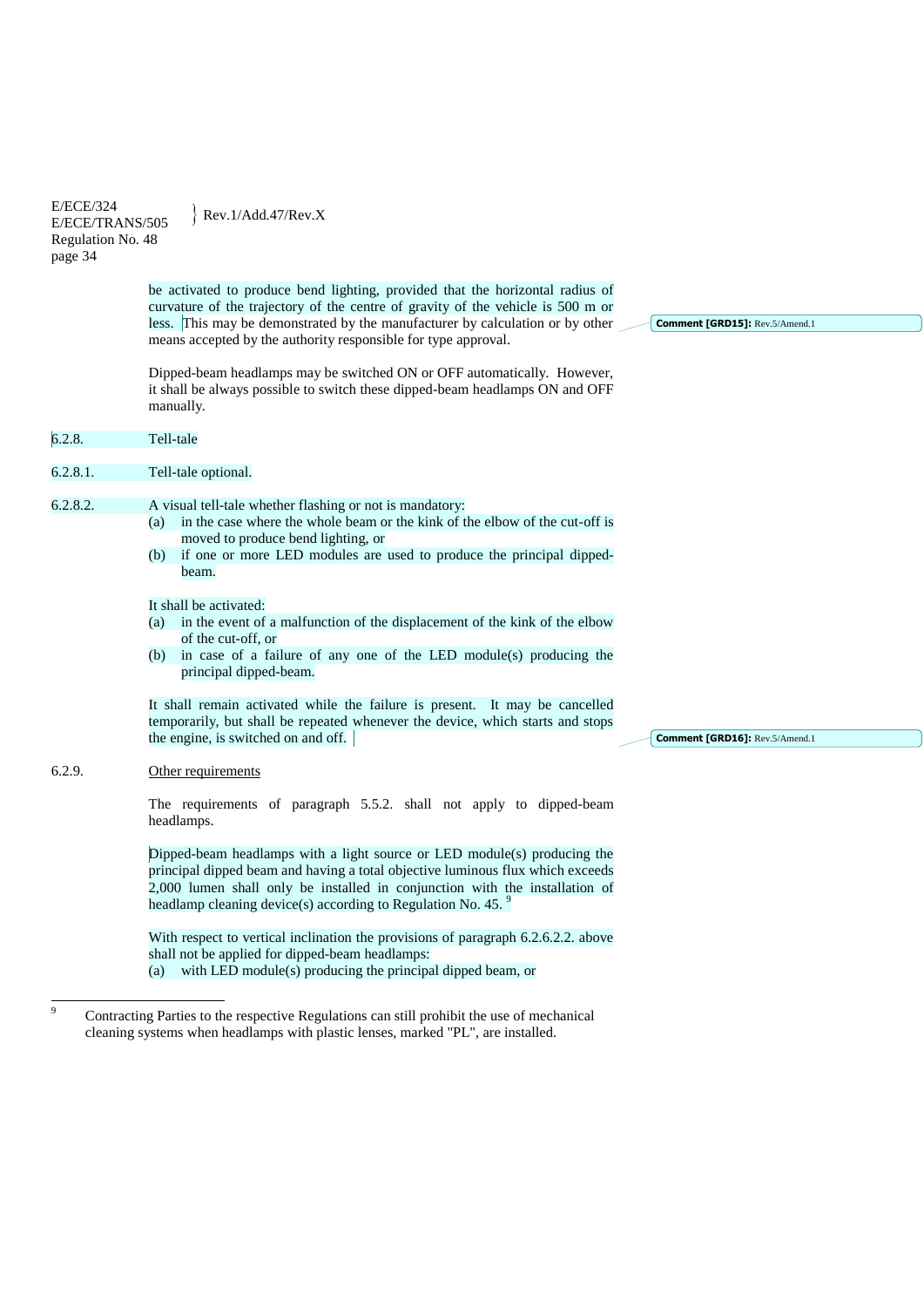be activated to produce bend lighting, provided that the horizontal radius of curvature of the trajectory of the centre of gravity of the vehicle is 500 m or less. This may be demonstrated by the manufacturer by calculation or by other means accepted by the authority responsible for type approval.

Dipped-beam headlamps may be switched ON or OFF automatically. However, it shall be always possible to switch these dipped-beam headlamps ON and OFF manually.

6.2.8. Tell-tale

### 6.2.8.1. Tell-tale optional.

#### 6.2.8.2. A visual tell-tale whether flashing or not is mandatory:

- (a) in the case where the whole beam or the kink of the elbow of the cut-off is moved to produce bend lighting, or
- (b) if one or more LED modules are used to produce the principal dippedbeam.

It shall be activated:

- (a) in the event of a malfunction of the displacement of the kink of the elbow of the cut-off, or
- (b) in case of a failure of any one of the LED module(s) producing the principal dipped-beam.

It shall remain activated while the failure is present. It may be cancelled temporarily, but shall be repeated whenever the device, which starts and stops the engine, is switched on and off.

## 6.2.9. Other requirements

The requirements of paragraph 5.5.2. shall not apply to dipped-beam headlamps.

Dipped-beam headlamps with a light source or LED module(s) producing the principal dipped beam and having a total objective luminous flux which exceeds 2,000 lumen shall only be installed in conjunction with the installation of headlamp cleaning device(s) according to Regulation No. 45. 9

With respect to vertical inclination the provisions of paragraph 6.2.6.2.2. above shall not be applied for dipped-beam headlamps: (a) with LED module(s) producing the principal dipped beam, or

**Comment [GRD16]:** Rev.5/Amend.1

**Comment [GRD15]:** Rev.5/Amend.1

 $\overline{9}$ <sup>9</sup> Contracting Parties to the respective Regulations can still prohibit the use of mechanical cleaning systems when headlamps with plastic lenses, marked "PL", are installed.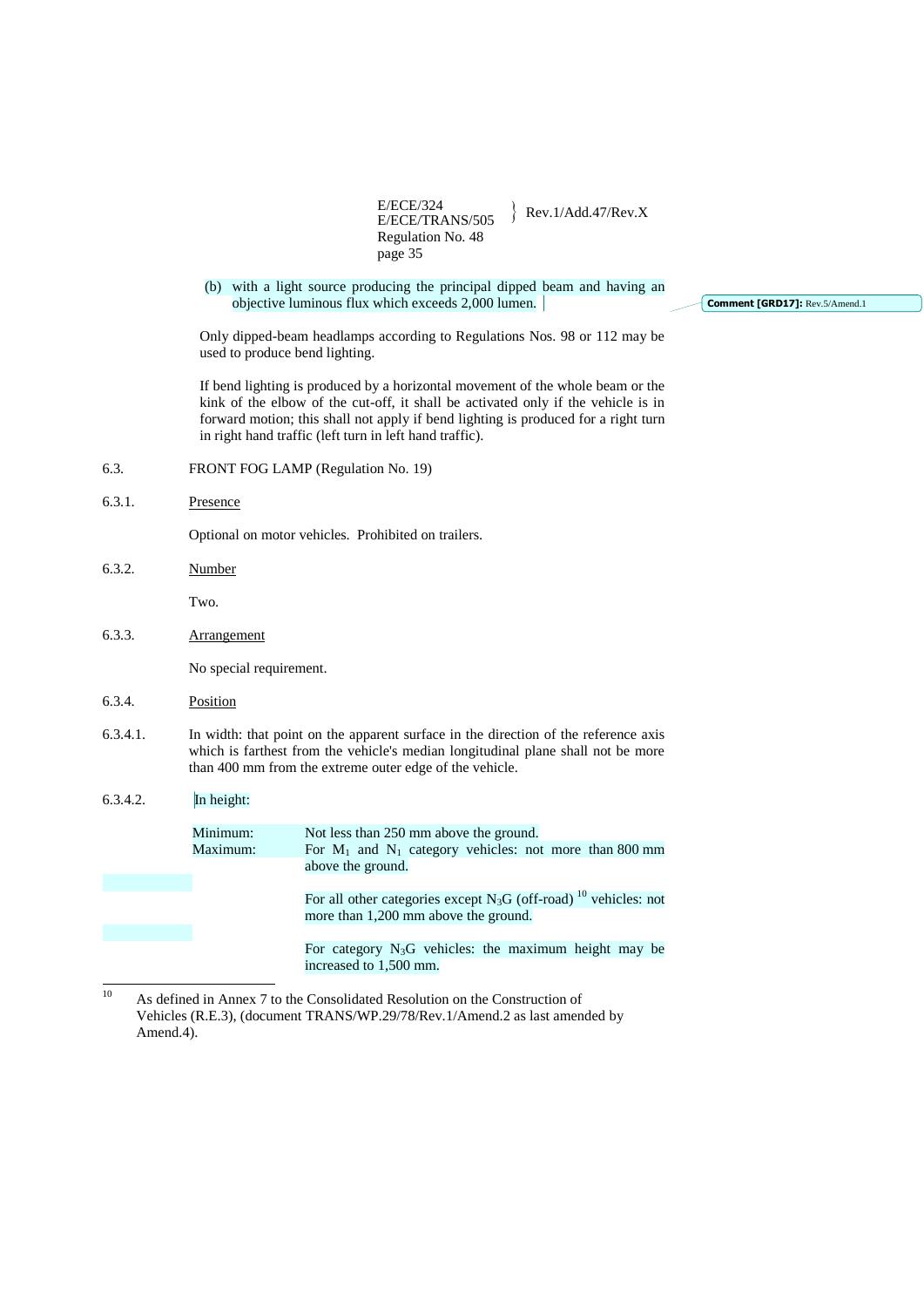### (b) with a light source producing the principal dipped beam and having an objective luminous flux which exceeds 2,000 lumen.

Only dipped-beam headlamps according to Regulations Nos. 98 or 112 may be used to produce bend lighting.

If bend lighting is produced by a horizontal movement of the whole beam or the kink of the elbow of the cut-off, it shall be activated only if the vehicle is in forward motion; this shall not apply if bend lighting is produced for a right turn in right hand traffic (left turn in left hand traffic).

- 6.3. FRONT FOG LAMP (Regulation No. 19)
- 6.3.1. Presence

Optional on motor vehicles. Prohibited on trailers.

6.3.2. Number

Two.

6.3.3. Arrangement

No special requirement.

- 6.3.4. Position
- 6.3.4.1. In width: that point on the apparent surface in the direction of the reference axis which is farthest from the vehicle's median longitudinal plane shall not be more than 400 mm from the extreme outer edge of the vehicle.

## 6.3.4.2. In height:

| Minimum:<br>Maximum: | Not less than 250 mm above the ground.<br>For $M_1$ and $N_1$ category vehicles: not more than 800 mm                 |
|----------------------|-----------------------------------------------------------------------------------------------------------------------|
|                      | above the ground.                                                                                                     |
|                      | For all other categories except $N_3G$ (off-road) <sup>10</sup> vehicles: not<br>more than 1,200 mm above the ground. |
|                      | For category $N_3G$ vehicles: the maximum height may be<br>increased to 1,500 mm.                                     |

 $10$ As defined in Annex 7 to the Consolidated Resolution on the Construction of Vehicles (R.E.3), (document TRANS/WP.29/78/Rev.1/Amend.2 as last amended by Amend.4).

**Comment [GRD17]:** Rev.5/Amend.1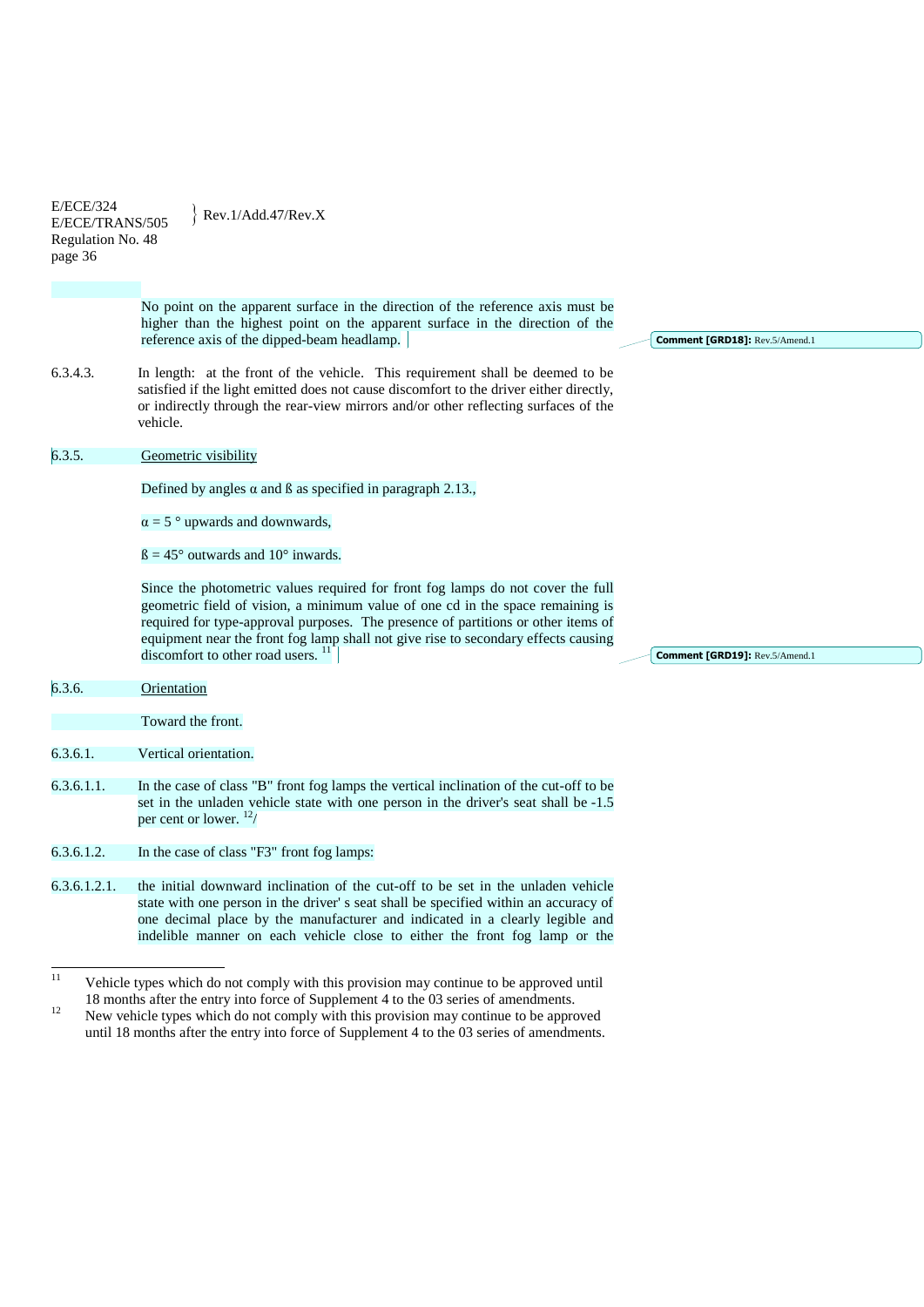> No point on the apparent surface in the direction of the reference axis must be higher than the highest point on the apparent surface in the direction of the reference axis of the dipped-beam headlamp.

- 6.3.4.3. In length: at the front of the vehicle. This requirement shall be deemed to be satisfied if the light emitted does not cause discomfort to the driver either directly, or indirectly through the rear-view mirrors and/or other reflecting surfaces of the vehicle.
- 6.3.5. Geometric visibility

Defined by angles  $\alpha$  and  $\beta$  as specified in paragraph 2.13.,

- $\alpha = 5$  ° upwards and downwards,
- $\beta = 45^{\circ}$  outwards and 10° inwards.

Since the photometric values required for front fog lamps do not cover the full geometric field of vision, a minimum value of one cd in the space remaining is required for type-approval purposes. The presence of partitions or other items of equipment near the front fog lamp shall not give rise to secondary effects causing discomfort to other road users.<sup>11</sup>

- 6.3.6. Orientation
- Toward the front.
- 6.3.6.1. Vertical orientation.
- 6.3.6.1.1. In the case of class "B" front fog lamps the vertical inclination of the cut-off to be set in the unladen vehicle state with one person in the driver's seat shall be -1.5 per cent or lower.  $12/$
- 6.3.6.1.2. In the case of class "F3" front fog lamps:
- 6.3.6.1.2.1. the initial downward inclination of the cut-off to be set in the unladen vehicle state with one person in the driver' s seat shall be specified within an accuracy of one decimal place by the manufacturer and indicated in a clearly legible and indelible manner on each vehicle close to either the front fog lamp or the

**Comment [GRD18]:** Rev.5/Amend.1

**Comment [GRD19]:** Rev.5/Amend.1

 $\overline{11}$ Vehicle types which do not comply with this provision may continue to be approved until 18 months after the entry into force of Supplement 4 to the 03 series of amendments.

<sup>&</sup>lt;sup>12</sup> New vehicle types which do not comply with this provision may continue to be approved until 18 months after the entry into force of Supplement 4 to the 03 series of amendments.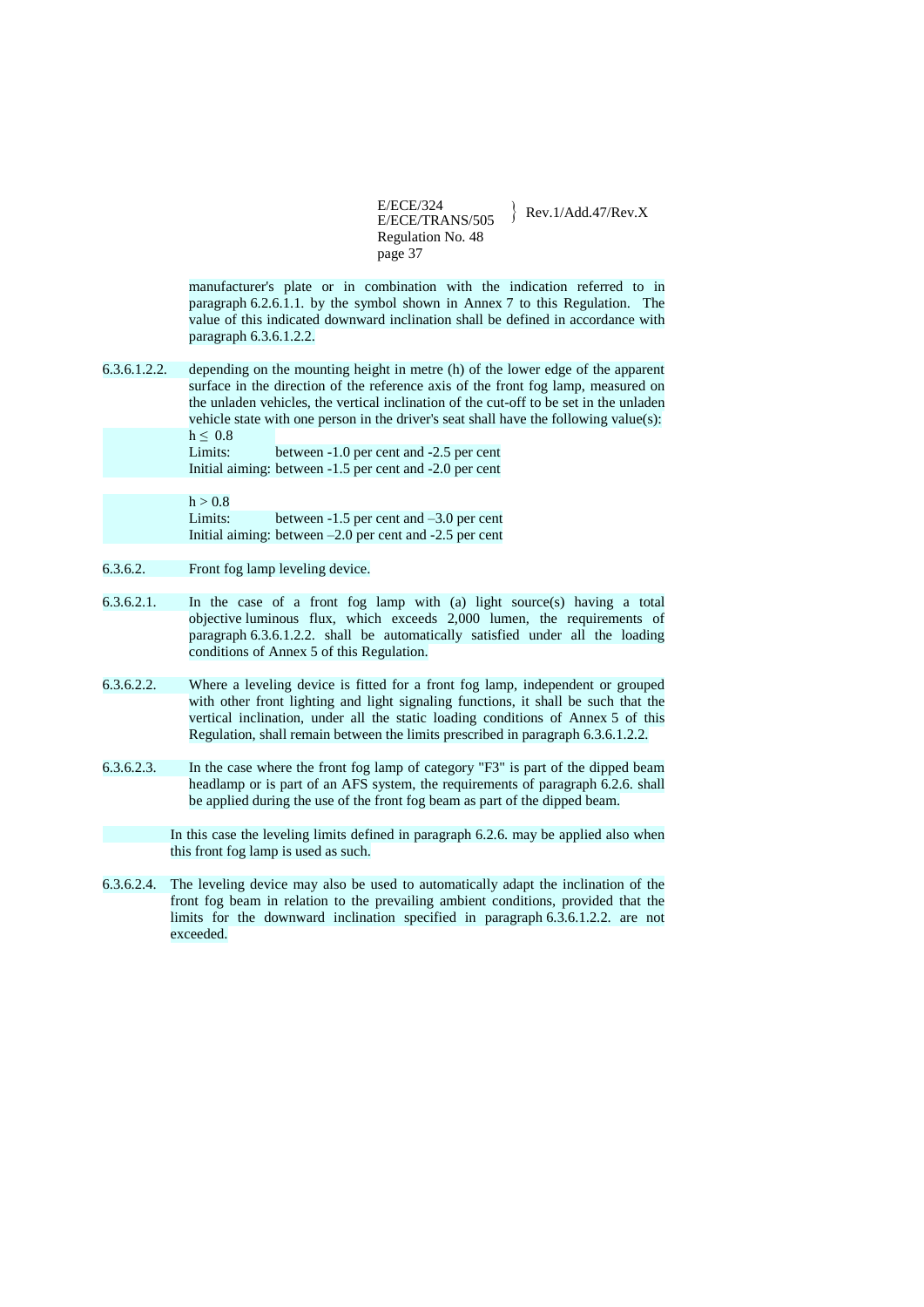manufacturer's plate or in combination with the indication referred to in paragraph 6.2.6.1.1. by the symbol shown in Annex 7 to this Regulation. The value of this indicated downward inclination shall be defined in accordance with paragraph 6.3.6.1.2.2.

6.3.6.1.2.2. depending on the mounting height in metre (h) of the lower edge of the apparent surface in the direction of the reference axis of the front fog lamp, measured on the unladen vehicles, the vertical inclination of the cut-off to be set in the unladen vehicle state with one person in the driver's seat shall have the following value(s):  $h < 0.8$ Limits: between -1.0 per cent and -2.5 per cent

Initial aiming: between -1.5 per cent and -2.0 per cent

 $h > 0.8$ Limits: between -1.5 per cent and -3.0 per cent Initial aiming: between –2.0 per cent and -2.5 per cent

- 6.3.6.2. Front fog lamp leveling device.
- 6.3.6.2.1. In the case of a front fog lamp with (a) light source(s) having a total objective luminous flux, which exceeds 2,000 lumen, the requirements of paragraph 6.3.6.1.2.2. shall be automatically satisfied under all the loading conditions of Annex 5 of this Regulation.
- 6.3.6.2.2. Where a leveling device is fitted for a front fog lamp, independent or grouped with other front lighting and light signaling functions, it shall be such that the vertical inclination, under all the static loading conditions of Annex 5 of this Regulation, shall remain between the limits prescribed in paragraph 6.3.6.1.2.2.
- 6.3.6.2.3. In the case where the front fog lamp of category "F3" is part of the dipped beam headlamp or is part of an AFS system, the requirements of paragraph 6.2.6. shall be applied during the use of the front fog beam as part of the dipped beam.

In this case the leveling limits defined in paragraph 6.2.6. may be applied also when this front fog lamp is used as such.

6.3.6.2.4. The leveling device may also be used to automatically adapt the inclination of the front fog beam in relation to the prevailing ambient conditions, provided that the limits for the downward inclination specified in paragraph 6.3.6.1.2.2. are not exceeded.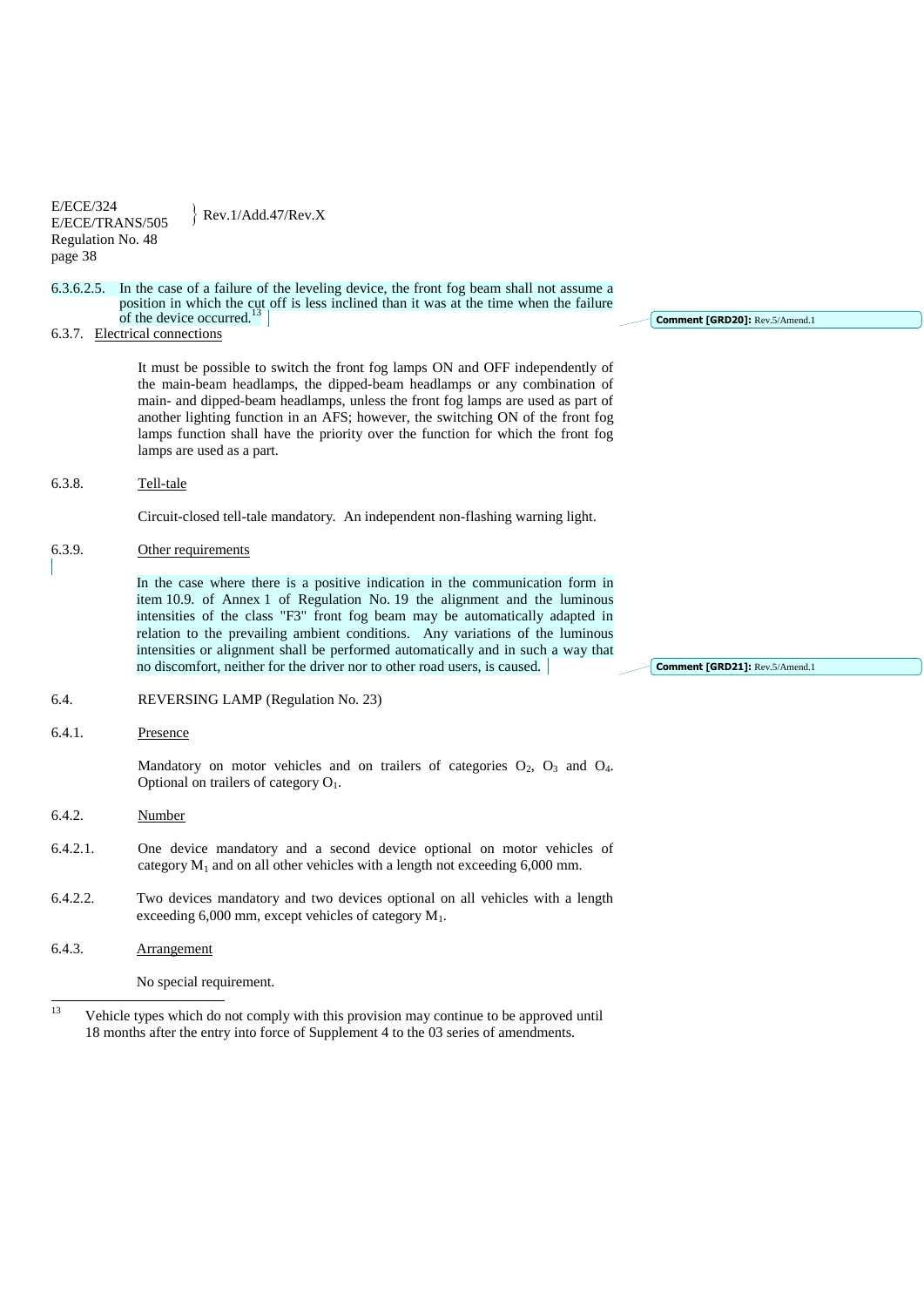# 6.3.6.2.5. In the case of a failure of the leveling device, the front fog beam shall not assume a position in which the cut off is less inclined than it was at the time when the failure of the device occurred.<sup>13</sup>

### 6.3.7. Electrical connections

It must be possible to switch the front fog lamps ON and OFF independently of the main-beam headlamps, the dipped-beam headlamps or any combination of main- and dipped-beam headlamps, unless the front fog lamps are used as part of another lighting function in an AFS; however, the switching ON of the front fog lamps function shall have the priority over the function for which the front fog lamps are used as a part.

6.3.8. Tell-tale

Circuit-closed tell-tale mandatory. An independent non-flashing warning light.

6.3.9. Other requirements

In the case where there is a positive indication in the communication form in item 10.9. of Annex 1 of Regulation No. 19 the alignment and the luminous intensities of the class "F3" front fog beam may be automatically adapted in relation to the prevailing ambient conditions. Any variations of the luminous intensities or alignment shall be performed automatically and in such a way that no discomfort, neither for the driver nor to other road users, is caused.

- 6.4. REVERSING LAMP (Regulation No. 23)
- 6.4.1. Presence

Mandatory on motor vehicles and on trailers of categories  $O_2$ ,  $O_3$  and  $O_4$ . Optional on trailers of category  $O_1$ .

- 6.4.2. Number
- 6.4.2.1. One device mandatory and a second device optional on motor vehicles of category  $M_1$  and on all other vehicles with a length not exceeding 6,000 mm.
- 6.4.2.2. Two devices mandatory and two devices optional on all vehicles with a length exceeding 6,000 mm, except vehicles of category M1.
- 6.4.3. Arrangement

No special requirement.

13 <sup>13</sup> Vehicle types which do not comply with this provision may continue to be approved until 18 months after the entry into force of Supplement 4 to the 03 series of amendments.

**Comment [GRD21]:** Rev.5/Amend.1

**Comment [GRD20]:** Rev.5/Amend.1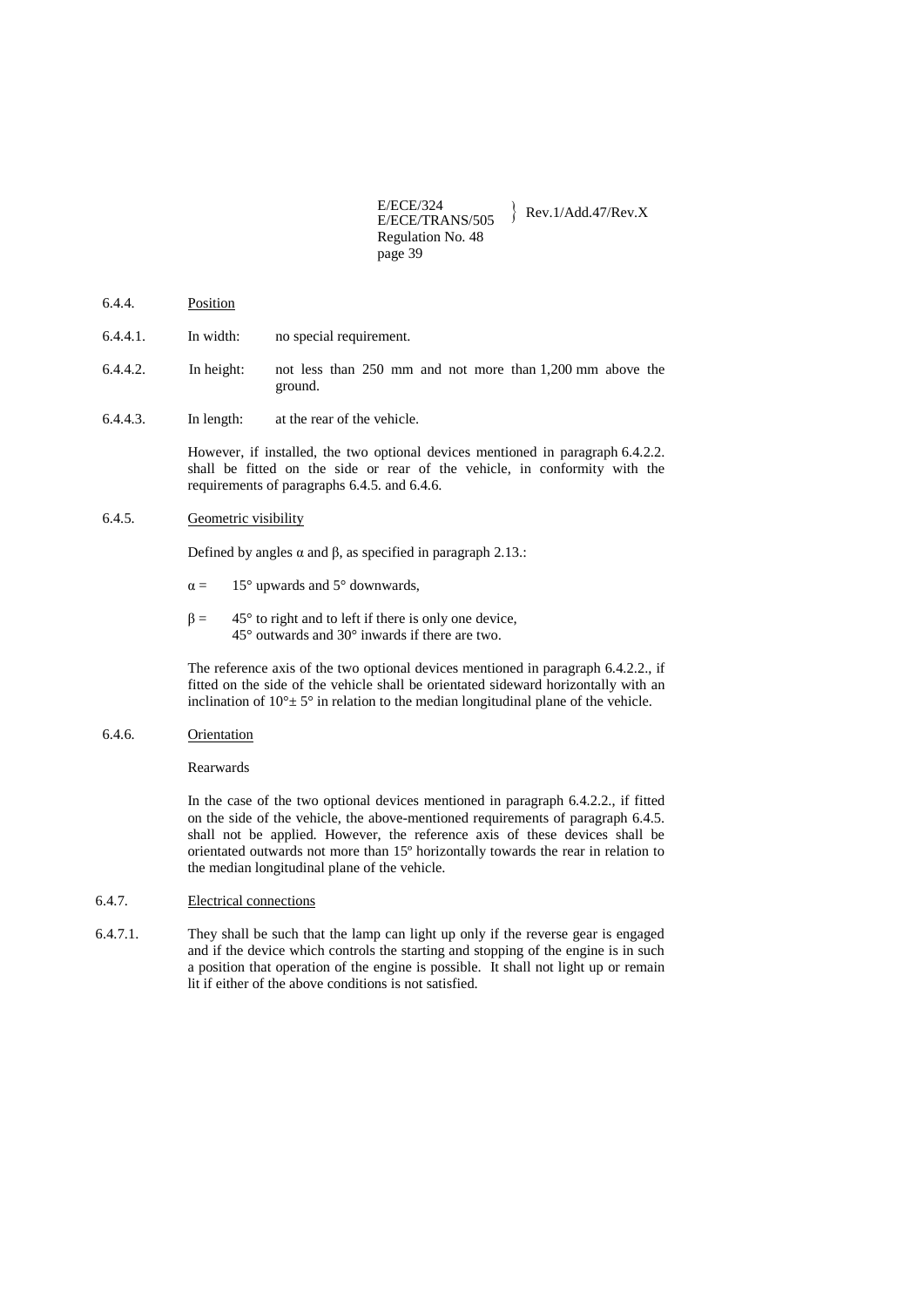# 6.4.4. Position

- 6.4.4.1. In width: no special requirement.
- 6.4.4.2. In height: not less than 250 mm and not more than 1,200 mm above the ground.
- 6.4.4.3. In length: at the rear of the vehicle.

However, if installed, the two optional devices mentioned in paragraph 6.4.2.2. shall be fitted on the side or rear of the vehicle, in conformity with the requirements of paragraphs 6.4.5. and 6.4.6.

### 6.4.5. Geometric visibility

Defined by angles  $\alpha$  and  $\beta$ , as specified in paragraph 2.13.:

- $\alpha = 15^{\circ}$  upwards and 5° downwards,
- $\beta =$  45° to right and to left if there is only one device, 45° outwards and 30° inwards if there are two.

The reference axis of the two optional devices mentioned in paragraph 6.4.2.2., if fitted on the side of the vehicle shall be orientated sideward horizontally with an inclination of  $10^{\circ}$  ±  $5^{\circ}$  in relation to the median longitudinal plane of the vehicle.

### 6.4.6. Orientation

Rearwards

In the case of the two optional devices mentioned in paragraph 6.4.2.2., if fitted on the side of the vehicle, the above-mentioned requirements of paragraph 6.4.5. shall not be applied. However, the reference axis of these devices shall be orientated outwards not more than 15º horizontally towards the rear in relation to the median longitudinal plane of the vehicle.

### 6.4.7. Electrical connections

6.4.7.1. They shall be such that the lamp can light up only if the reverse gear is engaged and if the device which controls the starting and stopping of the engine is in such a position that operation of the engine is possible. It shall not light up or remain lit if either of the above conditions is not satisfied.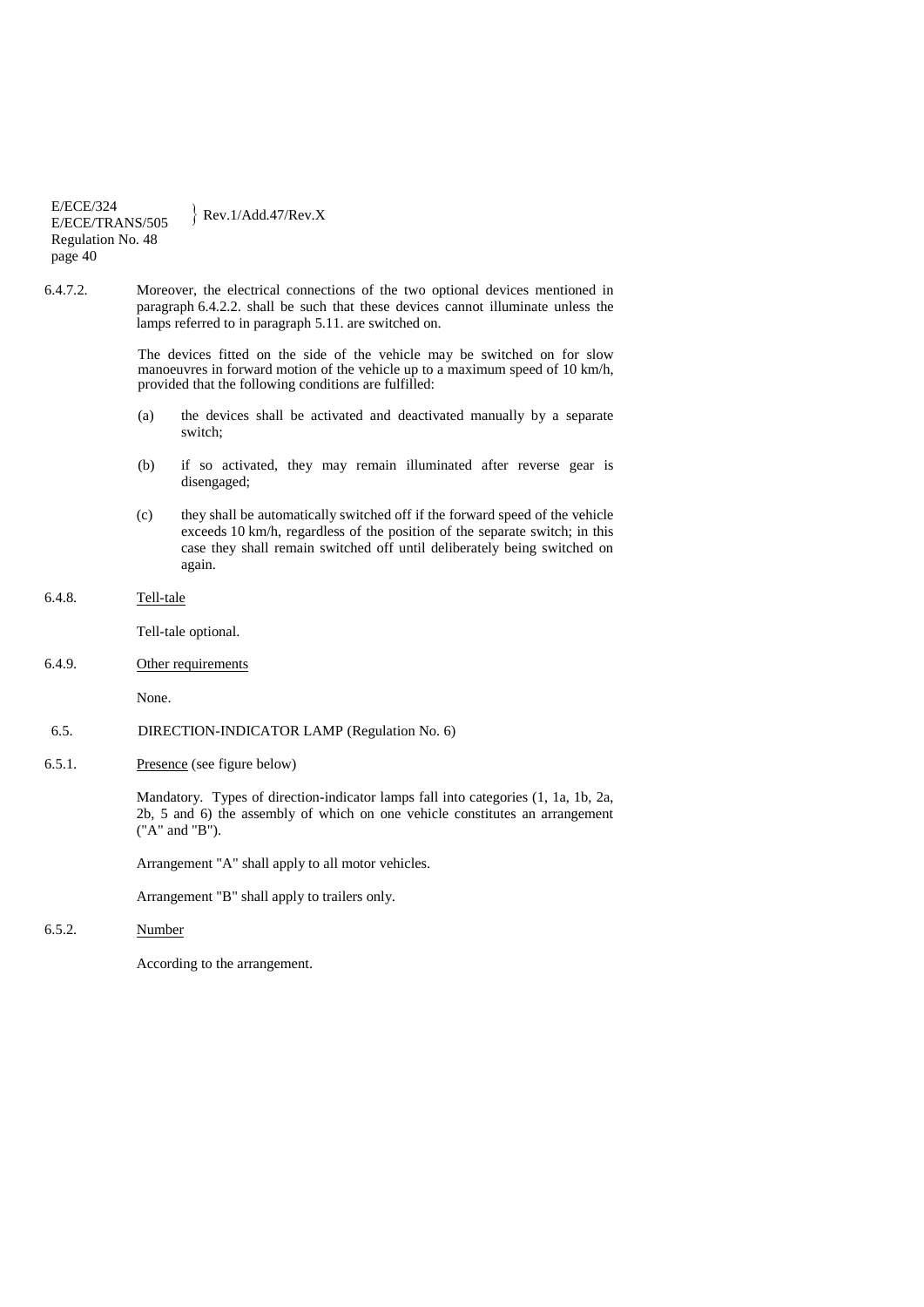6.4.7.2. Moreover, the electrical connections of the two optional devices mentioned in paragraph 6.4.2.2. shall be such that these devices cannot illuminate unless the lamps referred to in paragraph 5.11. are switched on.

> The devices fitted on the side of the vehicle may be switched on for slow manoeuvres in forward motion of the vehicle up to a maximum speed of 10 km/h, provided that the following conditions are fulfilled:

- (a) the devices shall be activated and deactivated manually by a separate switch;
- (b) if so activated, they may remain illuminated after reverse gear is disengaged;
- (c) they shall be automatically switched off if the forward speed of the vehicle exceeds 10 km/h, regardless of the position of the separate switch; in this case they shall remain switched off until deliberately being switched on again.
- 6.4.8. Tell-tale

Tell-tale optional.

6.4.9. Other requirements

None.

- 6.5. DIRECTION-INDICATOR LAMP (Regulation No. 6)
- 6.5.1. Presence (see figure below)

Mandatory. Types of direction-indicator lamps fall into categories (1, 1a, 1b, 2a, 2b, 5 and 6) the assembly of which on one vehicle constitutes an arrangement ("A" and "B").

Arrangement "A" shall apply to all motor vehicles.

Arrangement "B" shall apply to trailers only.

6.5.2. Number

According to the arrangement.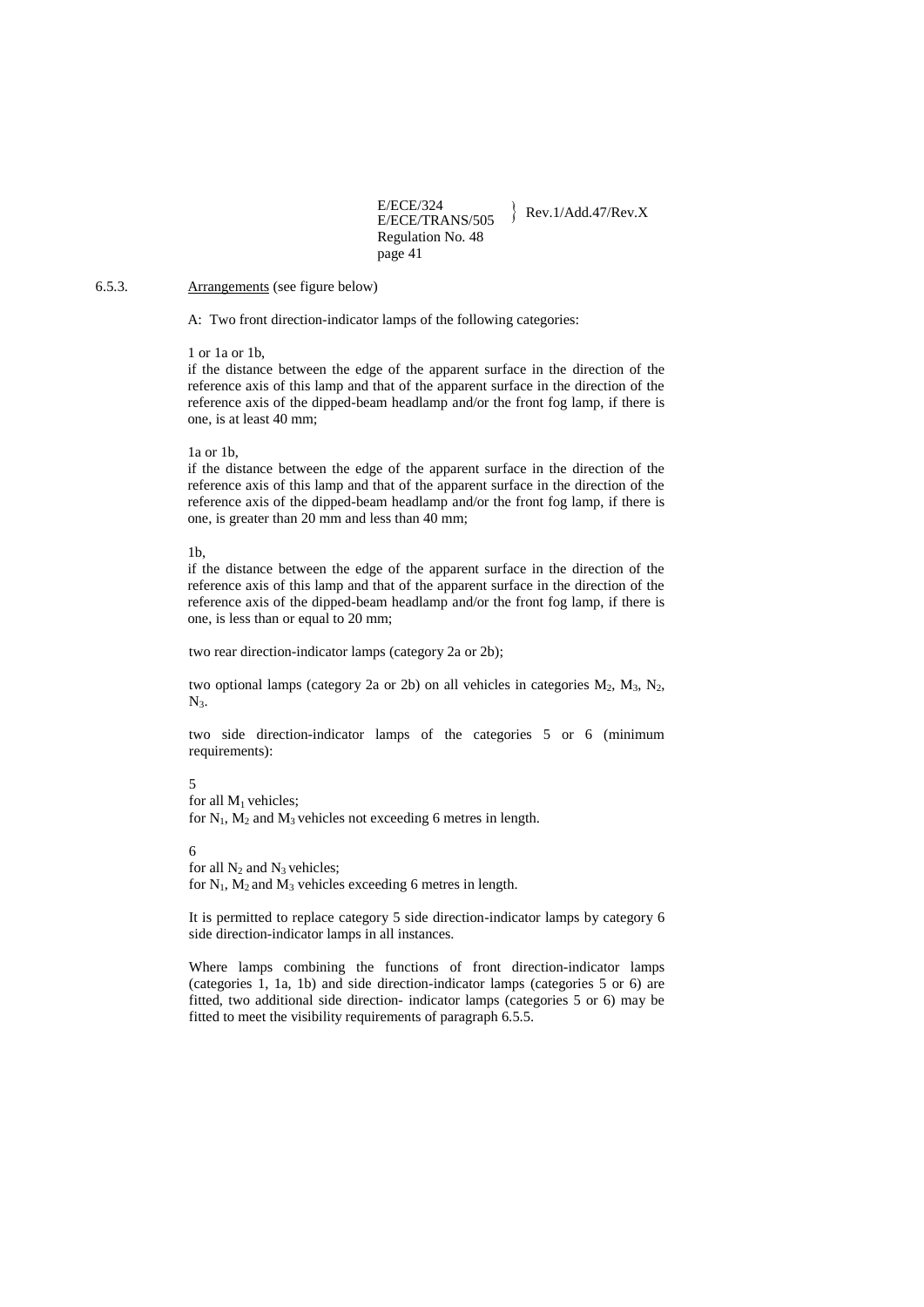```
E/ECE/324
E/ECE/TRANS/505
                    \} Rev.1/Add.47/Rev.X
Regulation No. 48
page 41
```
#### 6.5.3. Arrangements (see figure below)

A: Two front direction-indicator lamps of the following categories:

# 1 or 1a or 1b,

if the distance between the edge of the apparent surface in the direction of the reference axis of this lamp and that of the apparent surface in the direction of the reference axis of the dipped-beam headlamp and/or the front fog lamp, if there is one, is at least 40 mm;

#### 1a or 1b,

if the distance between the edge of the apparent surface in the direction of the reference axis of this lamp and that of the apparent surface in the direction of the reference axis of the dipped-beam headlamp and/or the front fog lamp, if there is one, is greater than 20 mm and less than 40 mm;

#### 1b,

if the distance between the edge of the apparent surface in the direction of the reference axis of this lamp and that of the apparent surface in the direction of the reference axis of the dipped-beam headlamp and/or the front fog lamp, if there is one, is less than or equal to 20 mm;

two rear direction-indicator lamps (category 2a or 2b);

two optional lamps (category 2a or 2b) on all vehicles in categories  $M_2$ ,  $M_3$ ,  $N_2$ ,  $N<sub>3</sub>$ .

two side direction-indicator lamps of the categories 5 or 6 (minimum requirements):

#### 5

for all  $M_1$  vehicles; for  $N_1$ ,  $M_2$  and  $M_3$  vehicles not exceeding 6 metres in length.

6

for all  $N_2$  and  $N_3$  vehicles; for  $N_1$ ,  $M_2$  and  $M_3$  vehicles exceeding 6 metres in length.

It is permitted to replace category 5 side direction-indicator lamps by category 6 side direction-indicator lamps in all instances.

Where lamps combining the functions of front direction-indicator lamps (categories 1, 1a, 1b) and side direction-indicator lamps (categories 5 or 6) are fitted, two additional side direction- indicator lamps (categories 5 or 6) may be fitted to meet the visibility requirements of paragraph 6.5.5.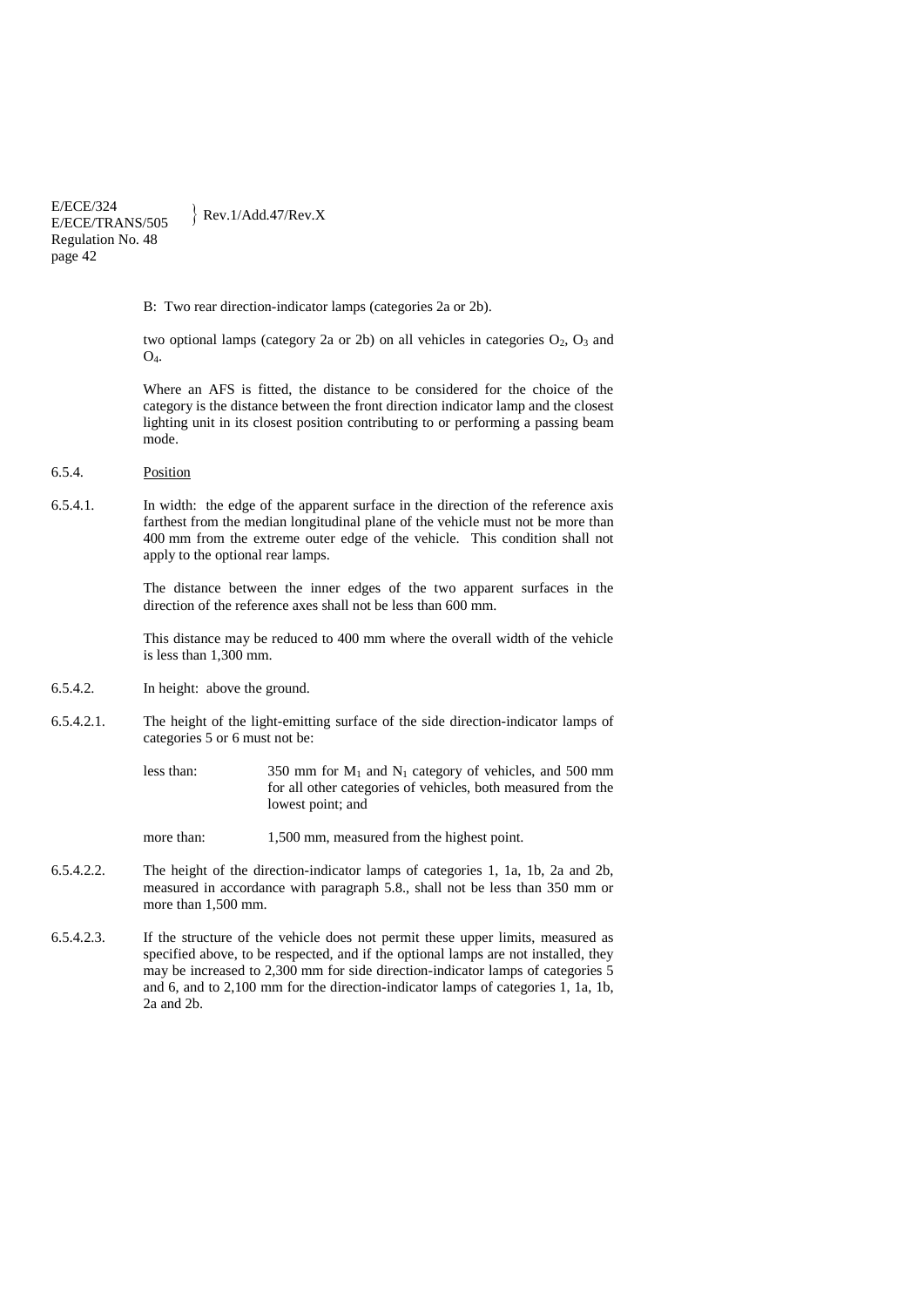B: Two rear direction-indicator lamps (categories 2a or 2b).

two optional lamps (category 2a or 2b) on all vehicles in categories  $O_2$ ,  $O_3$  and  $O_4$ .

Where an AFS is fitted, the distance to be considered for the choice of the category is the distance between the front direction indicator lamp and the closest lighting unit in its closest position contributing to or performing a passing beam mode.

- 6.5.4. Position
- 6.5.4.1. In width: the edge of the apparent surface in the direction of the reference axis farthest from the median longitudinal plane of the vehicle must not be more than 400 mm from the extreme outer edge of the vehicle. This condition shall not apply to the optional rear lamps.

The distance between the inner edges of the two apparent surfaces in the direction of the reference axes shall not be less than 600 mm.

This distance may be reduced to 400 mm where the overall width of the vehicle is less than 1,300 mm.

- 6.5.4.2. In height: above the ground.
- 6.5.4.2.1. The height of the light-emitting surface of the side direction-indicator lamps of categories 5 or 6 must not be:

less than:  $350 \text{ mm}$  for  $M_1$  and  $N_1$  category of vehicles, and 500 mm for all other categories of vehicles, both measured from the lowest point; and

more than: 1,500 mm, measured from the highest point.

- 6.5.4.2.2. The height of the direction-indicator lamps of categories 1, 1a, 1b, 2a and 2b, measured in accordance with paragraph 5.8., shall not be less than 350 mm or more than 1,500 mm.
- 6.5.4.2.3. If the structure of the vehicle does not permit these upper limits, measured as specified above, to be respected, and if the optional lamps are not installed, they may be increased to 2,300 mm for side direction-indicator lamps of categories 5 and 6, and to 2,100 mm for the direction-indicator lamps of categories 1, 1a, 1b, 2a and 2b.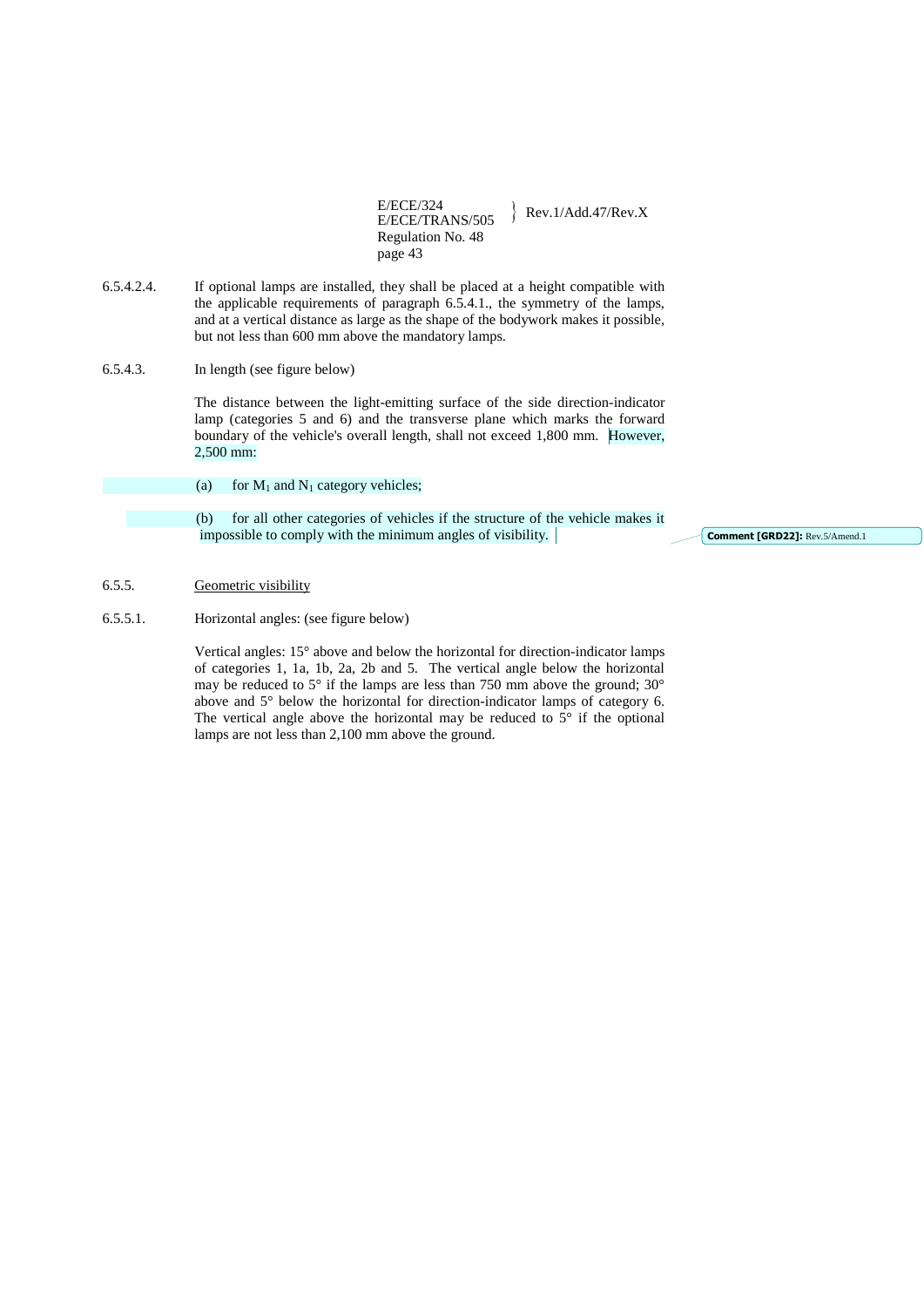- 6.5.4.2.4. If optional lamps are installed, they shall be placed at a height compatible with the applicable requirements of paragraph 6.5.4.1., the symmetry of the lamps, and at a vertical distance as large as the shape of the bodywork makes it possible, but not less than 600 mm above the mandatory lamps.
- 6.5.4.3. In length (see figure below)

The distance between the light-emitting surface of the side direction-indicator lamp (categories 5 and 6) and the transverse plane which marks the forward boundary of the vehicle's overall length, shall not exceed 1,800 mm. However, 2,500 mm:

(a) for  $M_1$  and  $N_1$  category vehicles;

(b) for all other categories of vehicles if the structure of the vehicle makes it impossible to comply with the minimum angles of visibility.

**Comment [GRD22]:** Rev.5/Amend.1

- 6.5.5. Geometric visibility
- 6.5.5.1. Horizontal angles: (see figure below)

Vertical angles: 15° above and below the horizontal for direction-indicator lamps of categories 1, 1a, 1b, 2a, 2b and 5. The vertical angle below the horizontal may be reduced to 5° if the lamps are less than 750 mm above the ground; 30° above and 5° below the horizontal for direction-indicator lamps of category 6. The vertical angle above the horizontal may be reduced to  $5^\circ$  if the optional lamps are not less than 2,100 mm above the ground.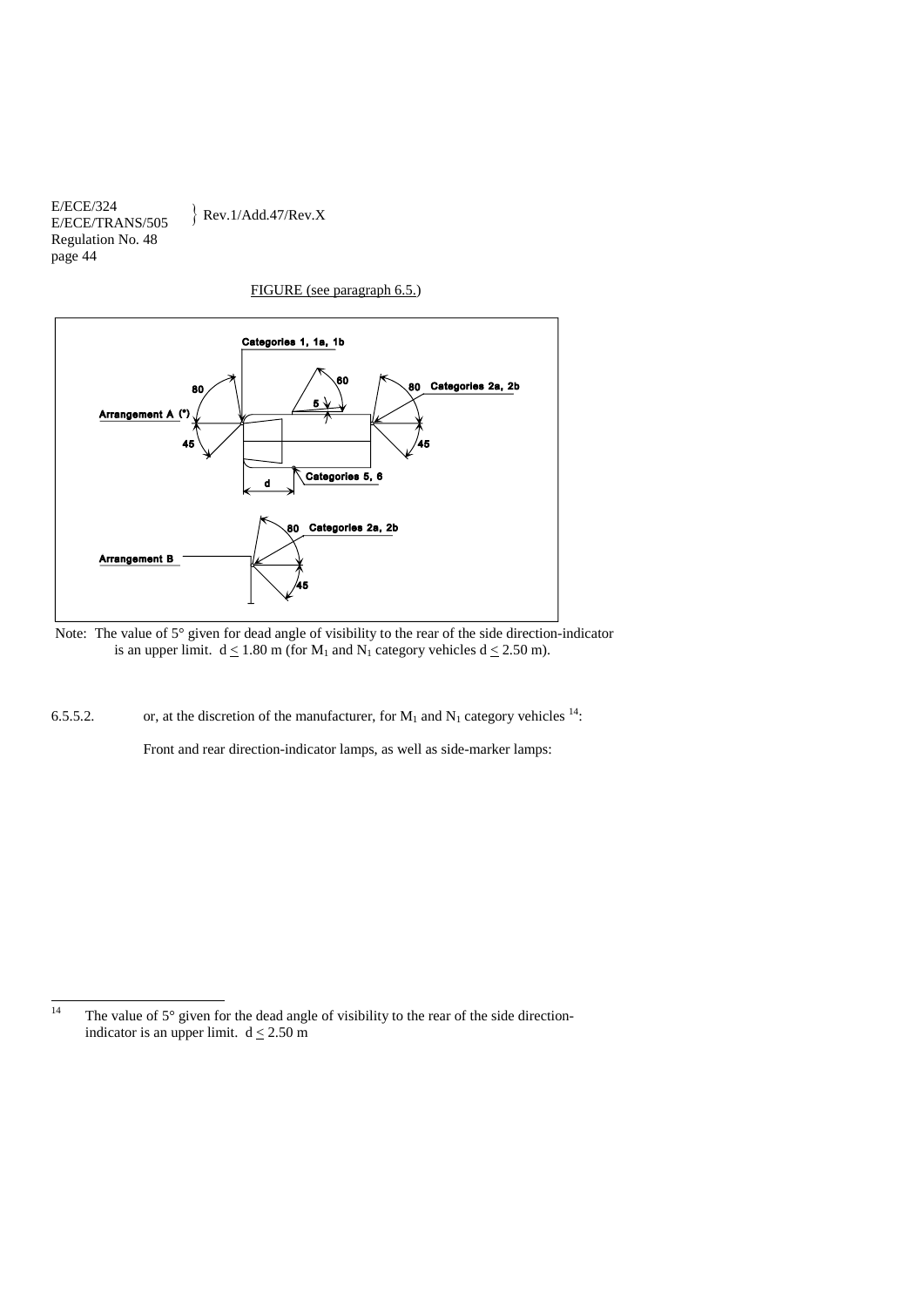FIGURE (see paragraph 6.5.)



Note: The value of 5° given for dead angle of visibility to the rear of the side direction-indicator is an upper limit.  $d \le 1.80$  m (for  $M_1$  and  $N_1$  category vehicles  $d \le 2.50$  m).

6.5.5.2. or, at the discretion of the manufacturer, for  $M_1$  and  $N_1$  category vehicles <sup>14</sup>:

Front and rear direction-indicator lamps, as well as side-marker lamps:

 $\overline{14}$ The value of 5° given for the dead angle of visibility to the rear of the side directionindicator is an upper limit.  $d \le 2.50$  m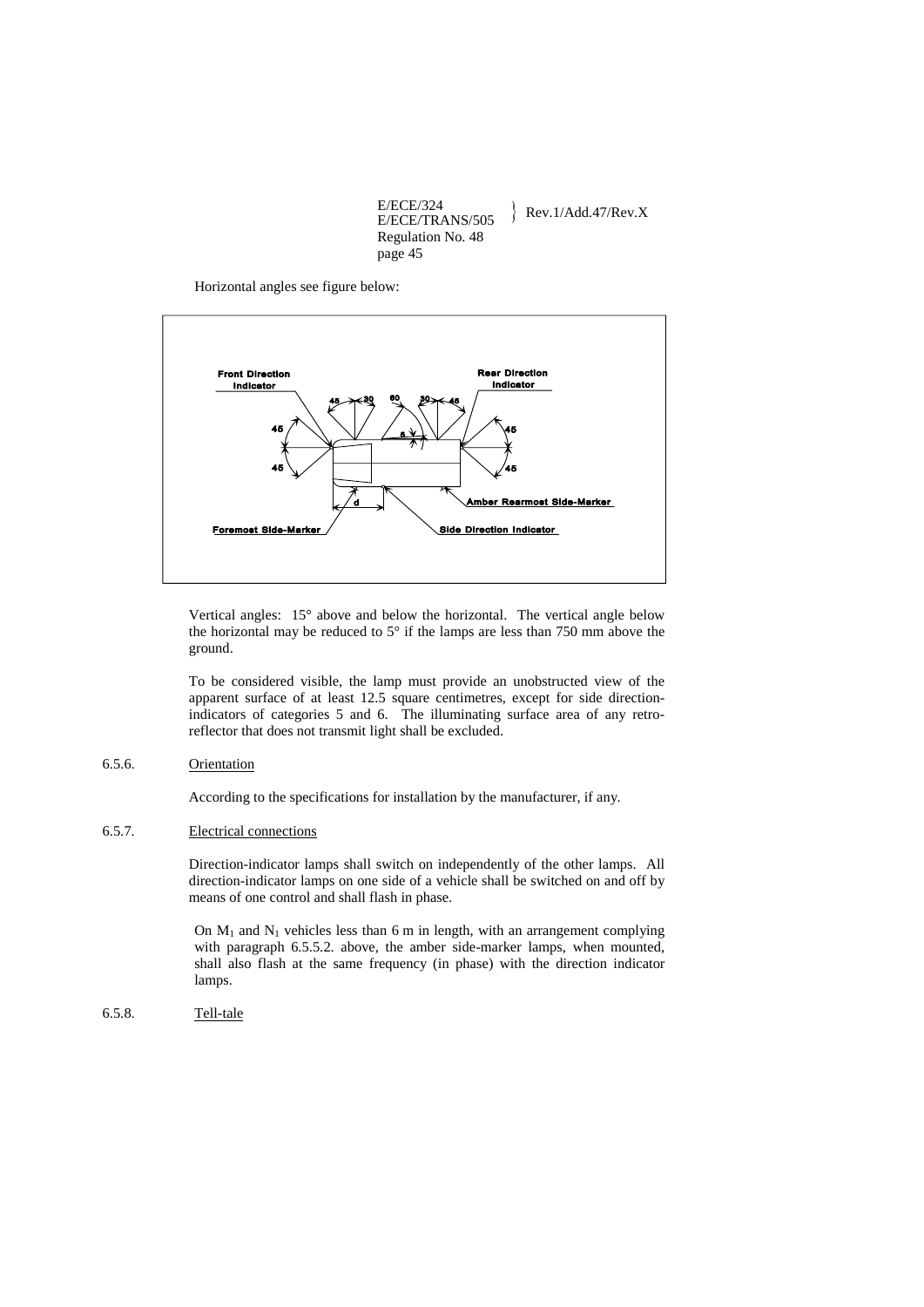```
E/ECE/324
E/ECE/TRANS/505
                    \} Rev.1/Add.47/Rev.X
Regulation No. 48
page 45
```
Horizontal angles see figure below:



Vertical angles: 15° above and below the horizontal. The vertical angle below the horizontal may be reduced to 5° if the lamps are less than 750 mm above the ground.

To be considered visible, the lamp must provide an unobstructed view of the apparent surface of at least 12.5 square centimetres, except for side directionindicators of categories 5 and 6. The illuminating surface area of any retroreflector that does not transmit light shall be excluded.

# 6.5.6. Orientation

According to the specifications for installation by the manufacturer, if any.

### 6.5.7. Electrical connections

Direction-indicator lamps shall switch on independently of the other lamps. All direction-indicator lamps on one side of a vehicle shall be switched on and off by means of one control and shall flash in phase.

On  $M_1$  and  $N_1$  vehicles less than 6 m in length, with an arrangement complying with paragraph 6.5.5.2. above, the amber side-marker lamps, when mounted, shall also flash at the same frequency (in phase) with the direction indicator lamps.

6.5.8. Tell-tale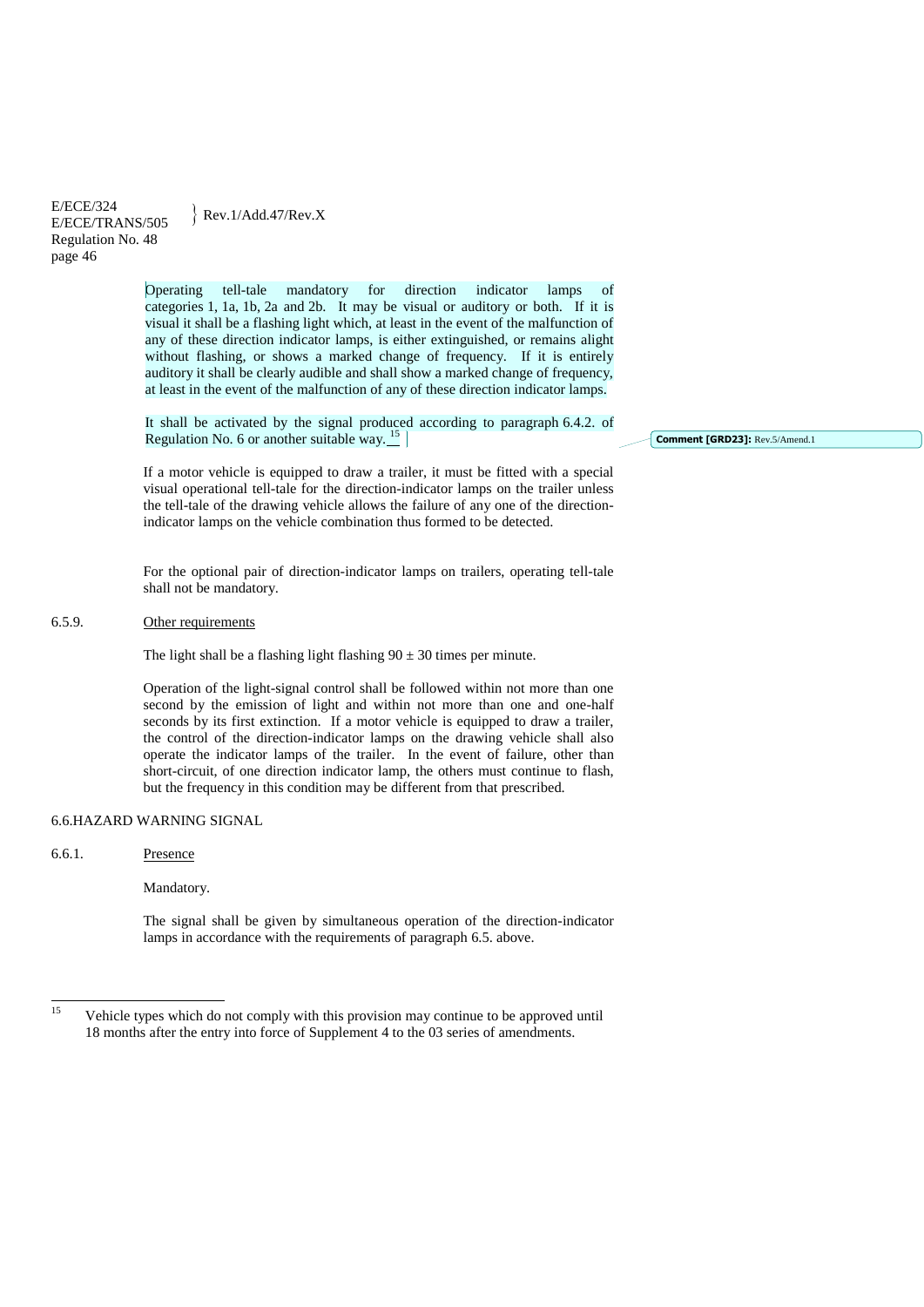> Operating tell-tale mandatory for direction indicator lamps of categories 1, 1a, 1b, 2a and 2b. It may be visual or auditory or both. If it is visual it shall be a flashing light which, at least in the event of the malfunction of any of these direction indicator lamps, is either extinguished, or remains alight without flashing, or shows a marked change of frequency. If it is entirely auditory it shall be clearly audible and shall show a marked change of frequency, at least in the event of the malfunction of any of these direction indicator lamps.

> It shall be activated by the signal produced according to paragraph 6.4.2. of Regulation No. 6 or another suitable way.  $15$

> If a motor vehicle is equipped to draw a trailer, it must be fitted with a special visual operational tell-tale for the direction-indicator lamps on the trailer unless the tell-tale of the drawing vehicle allows the failure of any one of the directionindicator lamps on the vehicle combination thus formed to be detected.

> For the optional pair of direction-indicator lamps on trailers, operating tell-tale shall not be mandatory.

### 6.5.9. Other requirements

The light shall be a flashing light flashing  $90 \pm 30$  times per minute.

Operation of the light-signal control shall be followed within not more than one second by the emission of light and within not more than one and one-half seconds by its first extinction. If a motor vehicle is equipped to draw a trailer, the control of the direction-indicator lamps on the drawing vehicle shall also operate the indicator lamps of the trailer. In the event of failure, other than short-circuit, of one direction indicator lamp, the others must continue to flash, but the frequency in this condition may be different from that prescribed.

#### 6.6.HAZARD WARNING SIGNAL

#### 6.6.1. Presence

Mandatory.

The signal shall be given by simultaneous operation of the direction-indicator lamps in accordance with the requirements of paragraph 6.5. above.

**Comment [GRD23]:** Rev.5/Amend.1

 $15$ <sup>15</sup> Vehicle types which do not comply with this provision may continue to be approved until 18 months after the entry into force of Supplement 4 to the 03 series of amendments.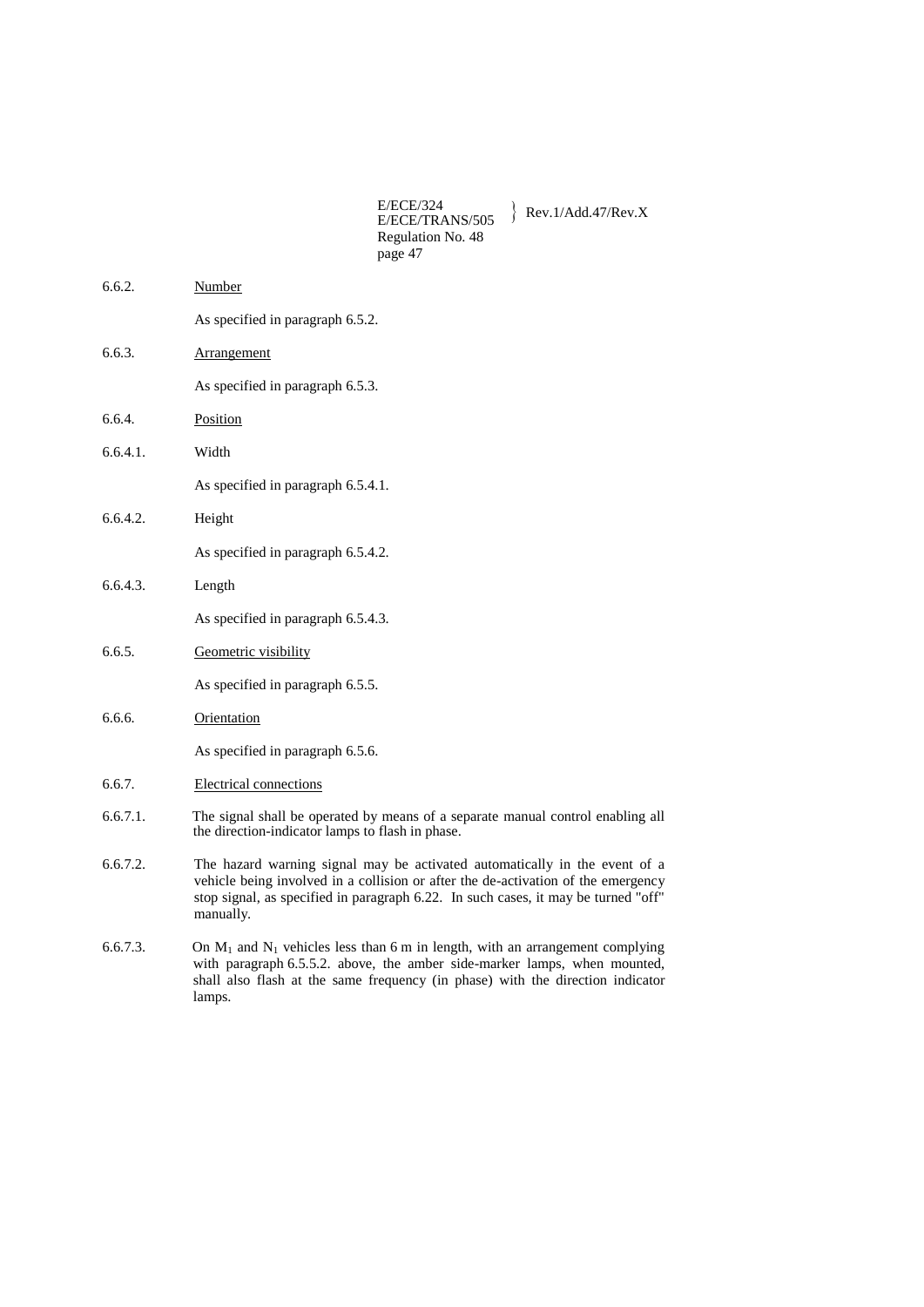E/ECE/324 E/ECE/324<br>E/ECE/TRANS/505 Rev.1/Add.47/Rev.X Regulation No. 48 page 47

| 6.6.2.   | Number                                                                                                                                                                                                                                                             |  |
|----------|--------------------------------------------------------------------------------------------------------------------------------------------------------------------------------------------------------------------------------------------------------------------|--|
|          | As specified in paragraph 6.5.2.                                                                                                                                                                                                                                   |  |
| 6.6.3.   | Arrangement                                                                                                                                                                                                                                                        |  |
|          | As specified in paragraph 6.5.3.                                                                                                                                                                                                                                   |  |
| 6.6.4.   | Position                                                                                                                                                                                                                                                           |  |
| 6.6.4.1. | Width                                                                                                                                                                                                                                                              |  |
|          | As specified in paragraph 6.5.4.1.                                                                                                                                                                                                                                 |  |
| 6.6.4.2. | Height                                                                                                                                                                                                                                                             |  |
|          | As specified in paragraph 6.5.4.2.                                                                                                                                                                                                                                 |  |
| 6.6.4.3. | Length                                                                                                                                                                                                                                                             |  |
|          | As specified in paragraph 6.5.4.3.                                                                                                                                                                                                                                 |  |
| 6.6.5.   | Geometric visibility                                                                                                                                                                                                                                               |  |
|          | As specified in paragraph 6.5.5.                                                                                                                                                                                                                                   |  |
| 6.6.6.   | <b>Orientation</b>                                                                                                                                                                                                                                                 |  |
|          | As specified in paragraph 6.5.6.                                                                                                                                                                                                                                   |  |
| 6.6.7.   | <b>Electrical connections</b>                                                                                                                                                                                                                                      |  |
| 6.6.7.1. | The signal shall be operated by means of a separate manual control enabling all<br>the direction-indicator lamps to flash in phase.                                                                                                                                |  |
| 6.6.7.2. | The hazard warning signal may be activated automatically in the event of a<br>vehicle being involved in a collision or after the de-activation of the emergency<br>stop signal, as specified in paragraph 6.22. In such cases, it may be turned "off"<br>manually. |  |
| 6.6.7.3. | On $M_1$ and $N_1$ vehicles less than 6 m in length, with an arrangement complying<br>with paragraph 6.5.5.2. above, the amber side-marker lamps, when mounted,                                                                                                    |  |

shall also flash at the same frequency (in phase) with the direction indicator

lamps.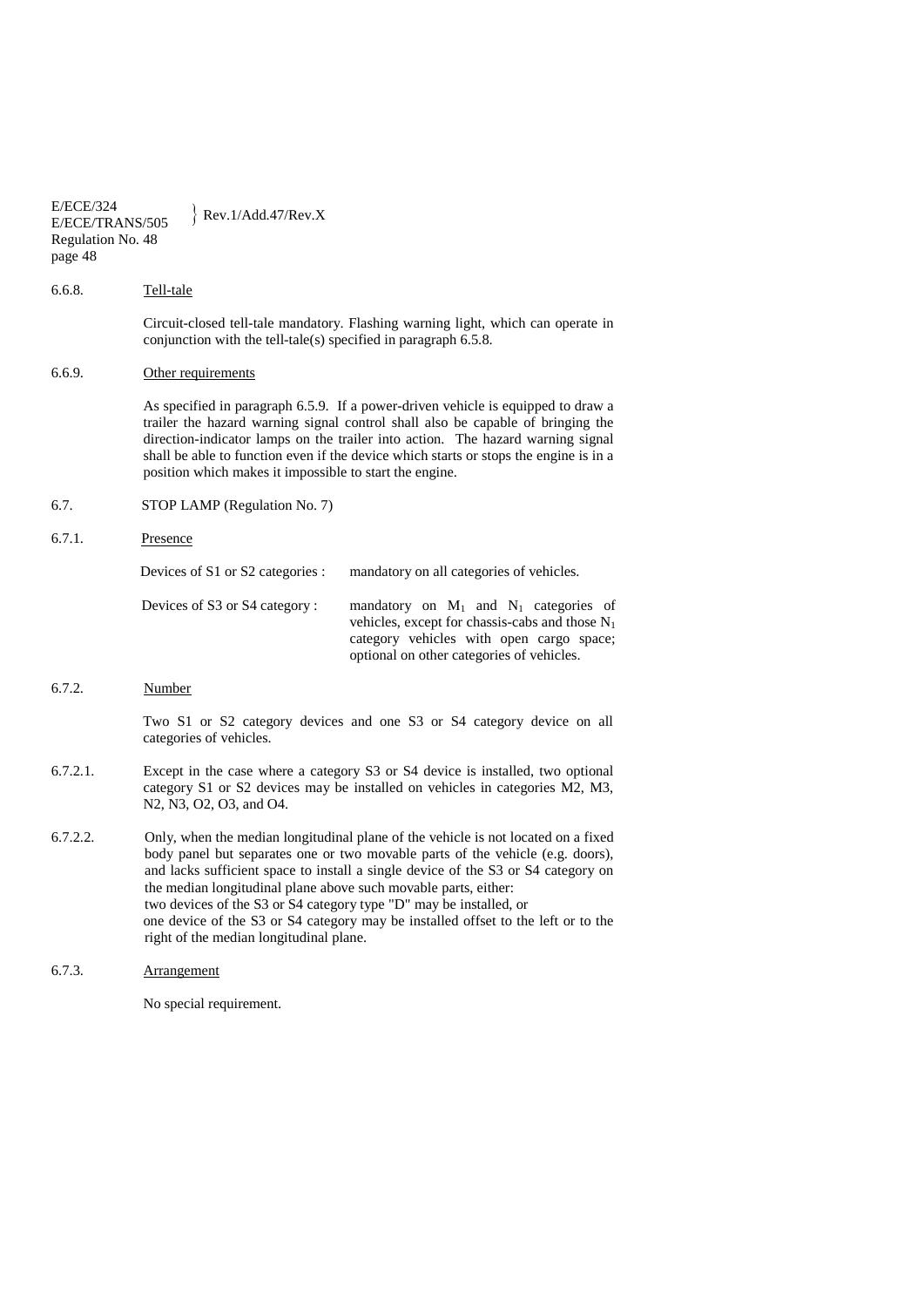6.6.8. Tell-tale

Circuit-closed tell-tale mandatory. Flashing warning light, which can operate in conjunction with the tell-tale(s) specified in paragraph 6.5.8.

### 6.6.9. Other requirements

As specified in paragraph 6.5.9. If a power-driven vehicle is equipped to draw a trailer the hazard warning signal control shall also be capable of bringing the direction-indicator lamps on the trailer into action. The hazard warning signal shall be able to function even if the device which starts or stops the engine is in a position which makes it impossible to start the engine.

6.7. STOP LAMP (Regulation No. 7)

#### 6.7.1. Presence

Devices of S1 or S2 categories : mandatory on all categories of vehicles.

Devices of S3 or S4 category : mandatory on  $M_1$  and  $N_1$  categories of vehicles, except for chassis-cabs and those  $N_1$ category vehicles with open cargo space; optional on other categories of vehicles.

### 6.7.2. Number

Two S1 or S2 category devices and one S3 or S4 category device on all categories of vehicles.

- 6.7.2.1. Except in the case where a category S3 or S4 device is installed, two optional category S1 or S2 devices may be installed on vehicles in categories M2, M3, N2, N3, O2, O3, and O4.
- 6.7.2.2. Only, when the median longitudinal plane of the vehicle is not located on a fixed body panel but separates one or two movable parts of the vehicle (e.g. doors), and lacks sufficient space to install a single device of the S3 or S4 category on the median longitudinal plane above such movable parts, either: two devices of the S3 or S4 category type "D" may be installed, or one device of the S3 or S4 category may be installed offset to the left or to the right of the median longitudinal plane.
- 6.7.3. Arrangement

No special requirement.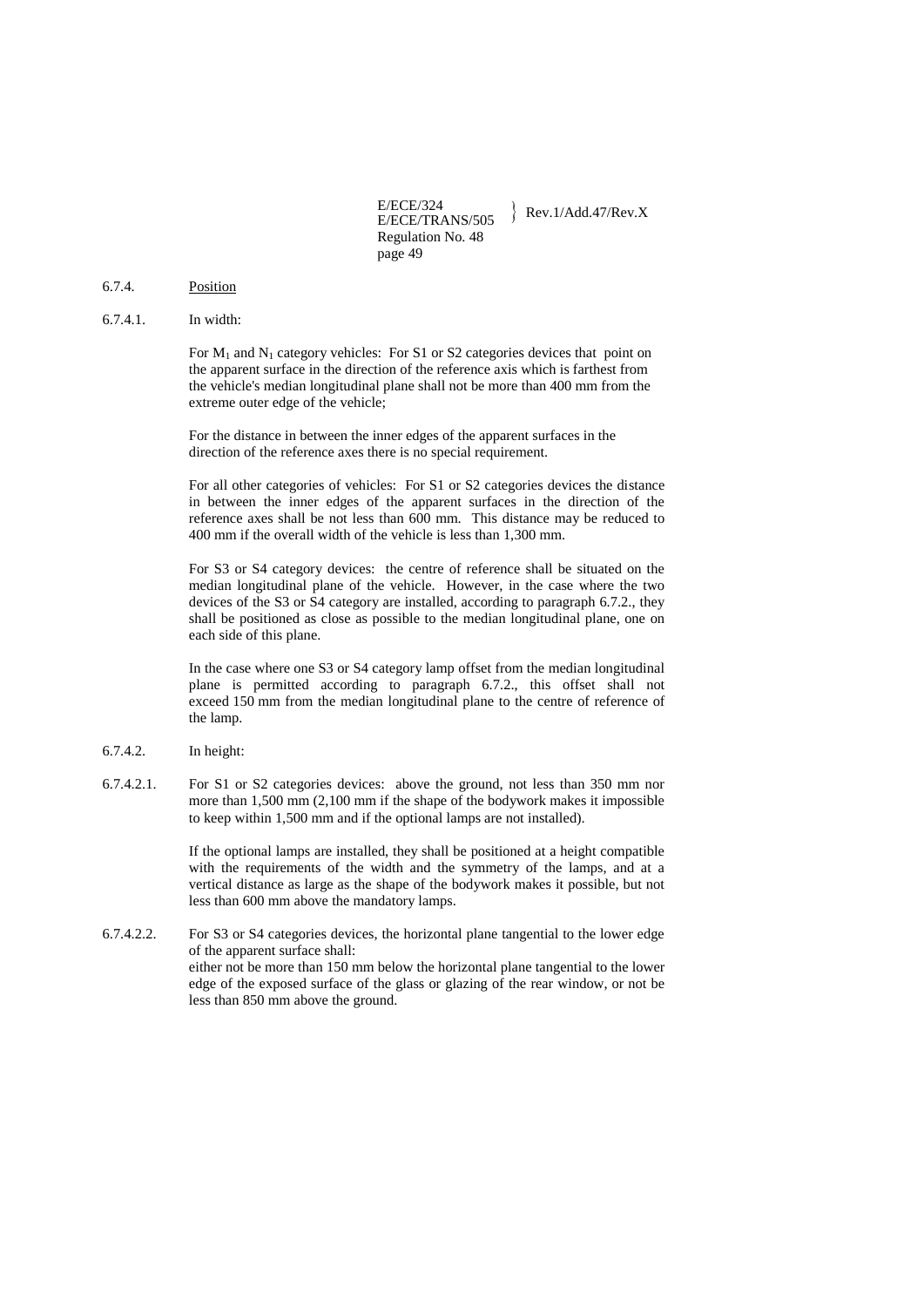### 6.7.4. Position

6.7.4.1. In width:

For  $M_1$  and  $N_1$  category vehicles: For S1 or S2 categories devices that point on the apparent surface in the direction of the reference axis which is farthest from the vehicle's median longitudinal plane shall not be more than 400 mm from the extreme outer edge of the vehicle;

For the distance in between the inner edges of the apparent surfaces in the direction of the reference axes there is no special requirement.

For all other categories of vehicles: For S1 or S2 categories devices the distance in between the inner edges of the apparent surfaces in the direction of the reference axes shall be not less than 600 mm. This distance may be reduced to 400 mm if the overall width of the vehicle is less than 1,300 mm.

For S3 or S4 category devices: the centre of reference shall be situated on the median longitudinal plane of the vehicle. However, in the case where the two devices of the S3 or S4 category are installed, according to paragraph 6.7.2., they shall be positioned as close as possible to the median longitudinal plane, one on each side of this plane.

In the case where one S3 or S4 category lamp offset from the median longitudinal plane is permitted according to paragraph 6.7.2., this offset shall not exceed 150 mm from the median longitudinal plane to the centre of reference of the lamp.

- 6.7.4.2. In height:
- 6.7.4.2.1. For S1 or S2 categories devices: above the ground, not less than 350 mm nor more than 1,500 mm (2,100 mm if the shape of the bodywork makes it impossible to keep within 1,500 mm and if the optional lamps are not installed).

If the optional lamps are installed, they shall be positioned at a height compatible with the requirements of the width and the symmetry of the lamps, and at a vertical distance as large as the shape of the bodywork makes it possible, but not less than 600 mm above the mandatory lamps.

6.7.4.2.2. For S3 or S4 categories devices, the horizontal plane tangential to the lower edge of the apparent surface shall: either not be more than 150 mm below the horizontal plane tangential to the lower edge of the exposed surface of the glass or glazing of the rear window, or not be less than 850 mm above the ground.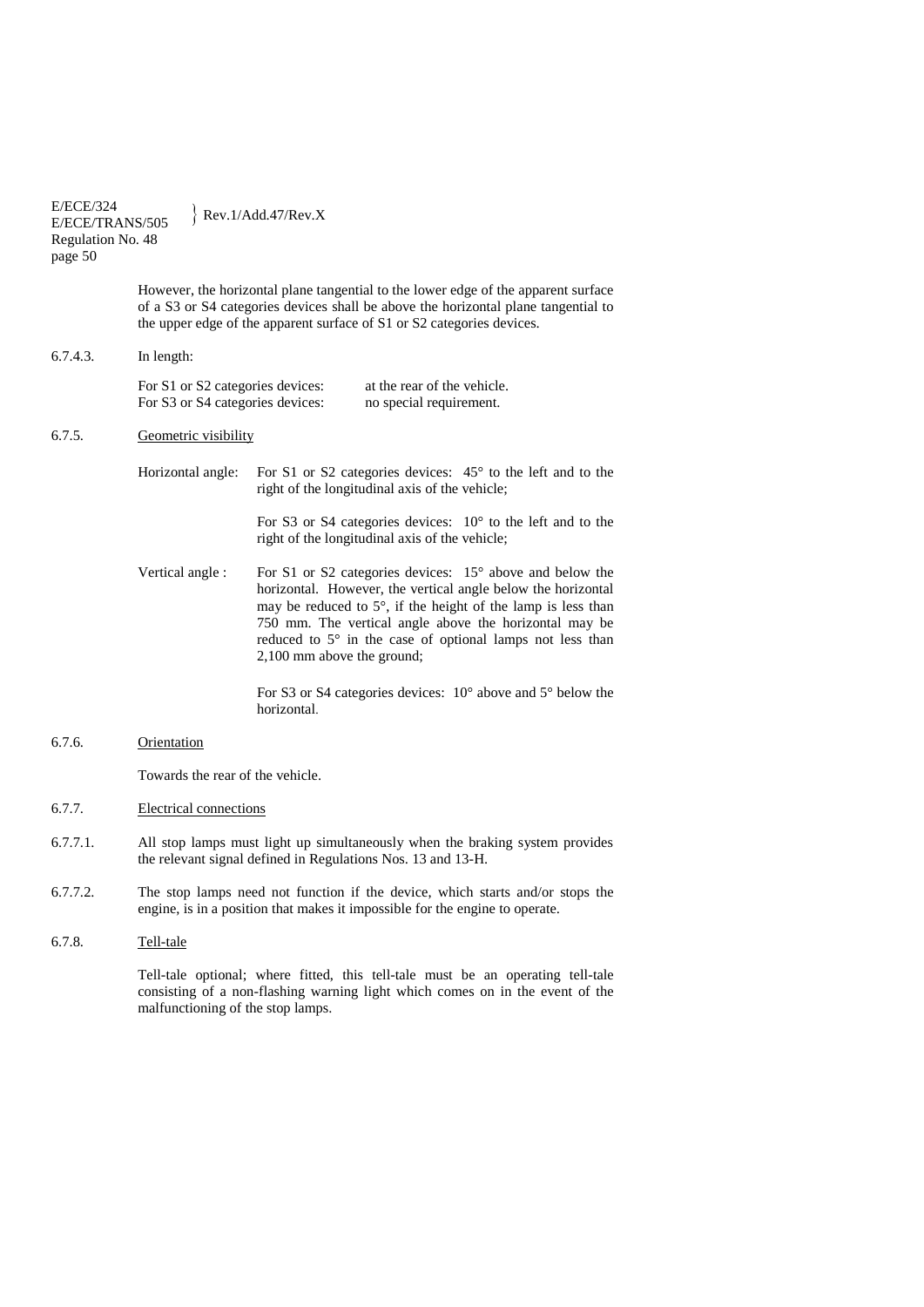> However, the horizontal plane tangential to the lower edge of the apparent surface of a S3 or S4 categories devices shall be above the horizontal plane tangential to the upper edge of the apparent surface of S1 or S2 categories devices.

#### 6.7.4.3. In length:

| For S1 or S2 categories devices: | at the rear of the vehicle. |
|----------------------------------|-----------------------------|
| For S3 or S4 categories devices: | no special requirement.     |

#### 6.7.5. Geometric visibility

- Horizontal angle: For S1 or S2 categories devices: 45° to the left and to the right of the longitudinal axis of the vehicle;
	- For S3 or S4 categories devices:10° to the left and to the right of the longitudinal axis of the vehicle;
- Vertical angle : For S1 or S2 categories devices: 15° above and below the horizontal. However, the vertical angle below the horizontal may be reduced to 5°, if the height of the lamp is less than 750 mm. The vertical angle above the horizontal may be reduced to 5° in the case of optional lamps not less than 2,100 mm above the ground;

For S3 or S4 categories devices: 10° above and 5° below the horizontal.

### 6.7.6. Orientation

Towards the rear of the vehicle.

- 6.7.7. Electrical connections
- 6.7.7.1. All stop lamps must light up simultaneously when the braking system provides the relevant signal defined in Regulations Nos. 13 and 13-H.
- 6.7.7.2. The stop lamps need not function if the device, which starts and/or stops the engine, is in a position that makes it impossible for the engine to operate.
- 6.7.8. Tell-tale

Tell-tale optional; where fitted, this tell-tale must be an operating tell-tale consisting of a non-flashing warning light which comes on in the event of the malfunctioning of the stop lamps.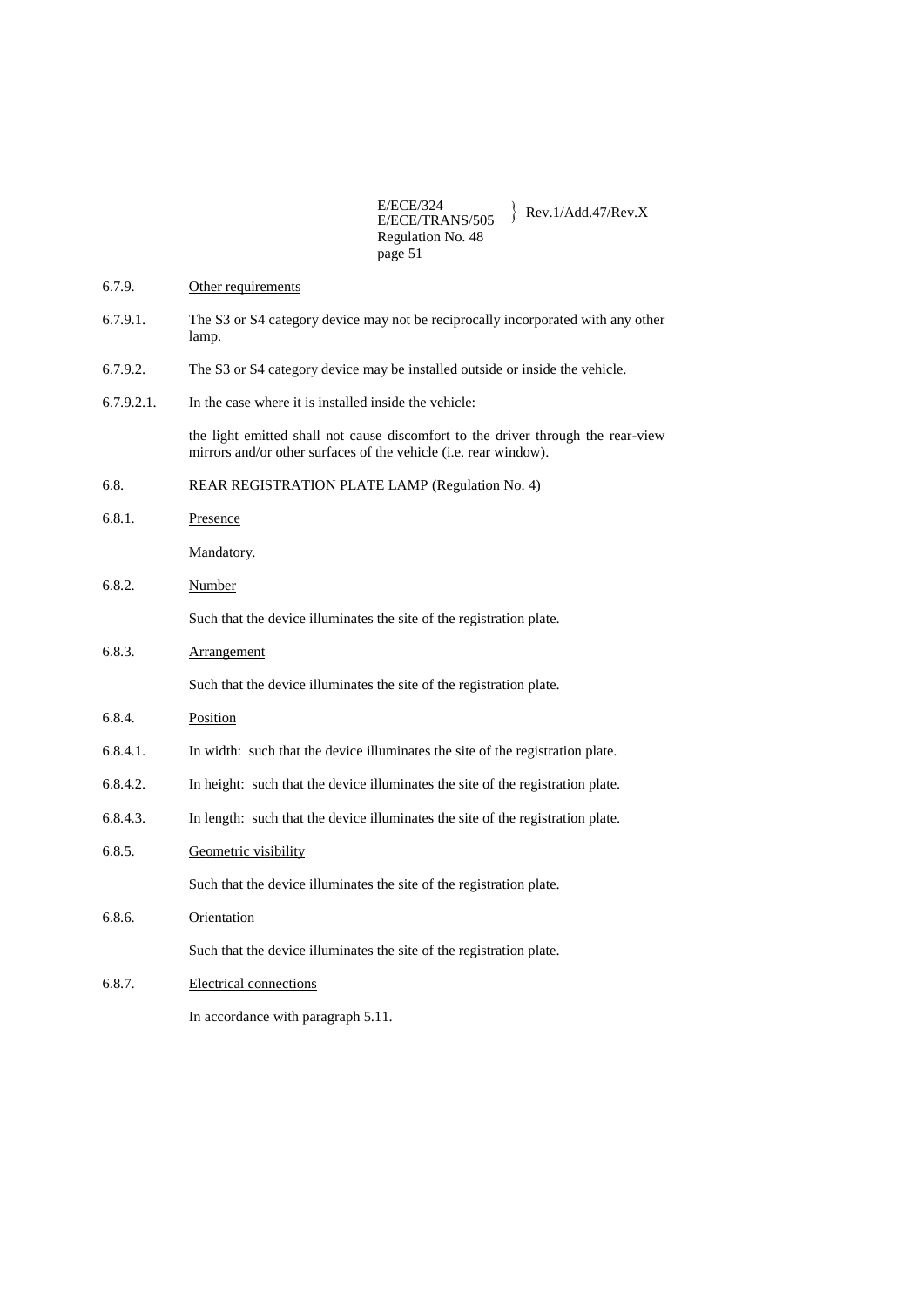# 6.7.9. Other requirements

- 6.7.9.1. The S3 or S4 category device may not be reciprocally incorporated with any other lamp.
- 6.7.9.2. The S3 or S4 category device may be installed outside or inside the vehicle.
- 6.7.9.2.1. In the case where it is installed inside the vehicle:

the light emitted shall not cause discomfort to the driver through the rear-view mirrors and/or other surfaces of the vehicle (i.e. rear window).

- 6.8. REAR REGISTRATION PLATE LAMP (Regulation No. 4)
- 6.8.1. Presence

Mandatory.

6.8.2. Number

Such that the device illuminates the site of the registration plate.

6.8.3. Arrangement

Such that the device illuminates the site of the registration plate.

- 6.8.4. Position
- 6.8.4.1. In width: such that the device illuminates the site of the registration plate.
- 6.8.4.2. In height: such that the device illuminates the site of the registration plate.
- 6.8.4.3. In length: such that the device illuminates the site of the registration plate.
- 6.8.5. Geometric visibility

Such that the device illuminates the site of the registration plate.

6.8.6. Orientation

Such that the device illuminates the site of the registration plate.

6.8.7. Electrical connections

In accordance with paragraph 5.11.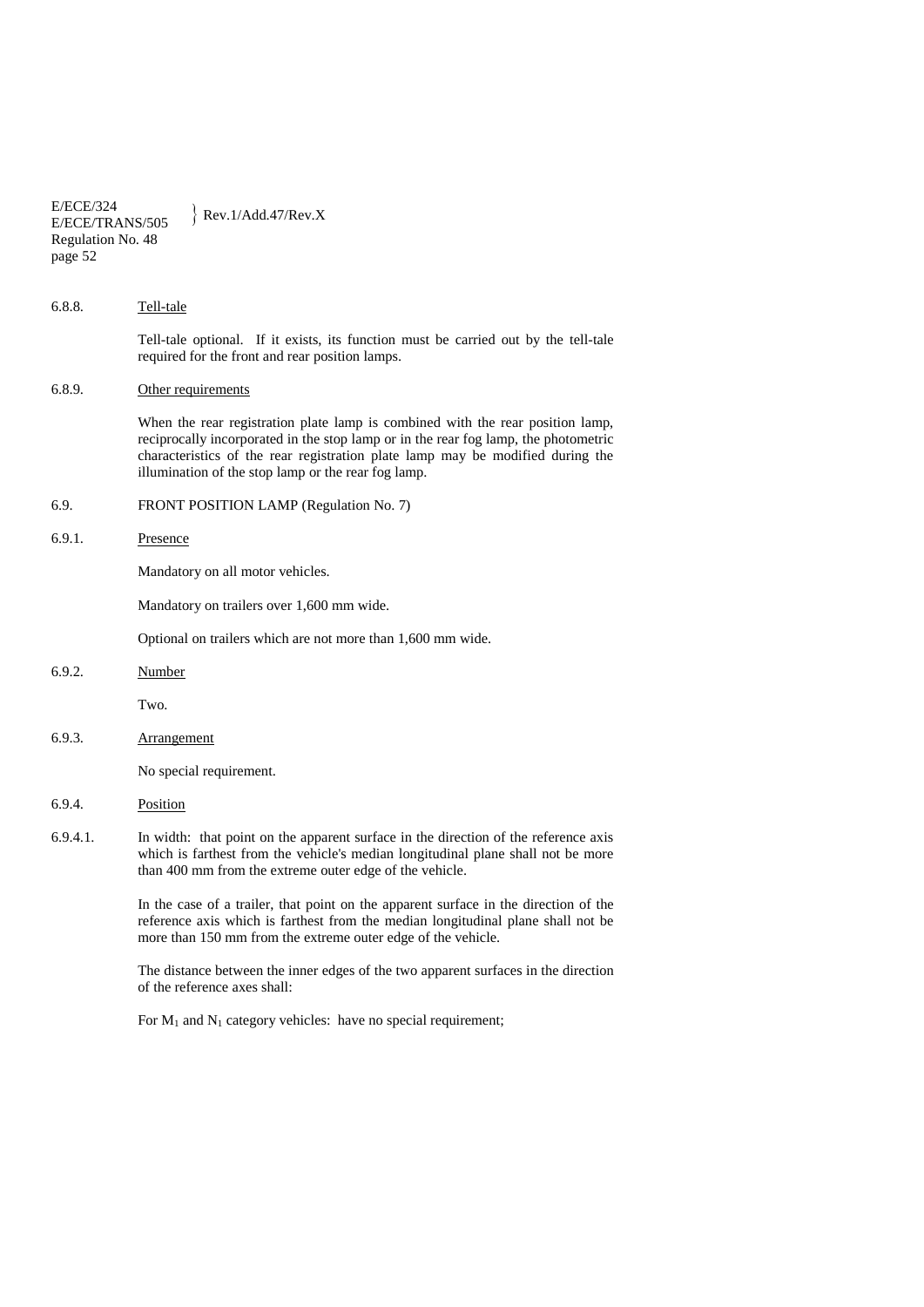6.8.8. Tell-tale

Tell-tale optional. If it exists, its function must be carried out by the tell-tale required for the front and rear position lamps.

6.8.9. Other requirements

When the rear registration plate lamp is combined with the rear position lamp, reciprocally incorporated in the stop lamp or in the rear fog lamp, the photometric characteristics of the rear registration plate lamp may be modified during the illumination of the stop lamp or the rear fog lamp.

- 6.9. FRONT POSITION LAMP (Regulation No. 7)
- 6.9.1. Presence

Mandatory on all motor vehicles.

Mandatory on trailers over 1,600 mm wide.

Optional on trailers which are not more than 1,600 mm wide.

6.9.2. Number

Two.

6.9.3. Arrangement

No special requirement.

- 6.9.4. Position
- 6.9.4.1. In width: that point on the apparent surface in the direction of the reference axis which is farthest from the vehicle's median longitudinal plane shall not be more than 400 mm from the extreme outer edge of the vehicle.

In the case of a trailer, that point on the apparent surface in the direction of the reference axis which is farthest from the median longitudinal plane shall not be more than 150 mm from the extreme outer edge of the vehicle.

The distance between the inner edges of the two apparent surfaces in the direction of the reference axes shall:

For  $M_1$  and  $N_1$  category vehicles: have no special requirement;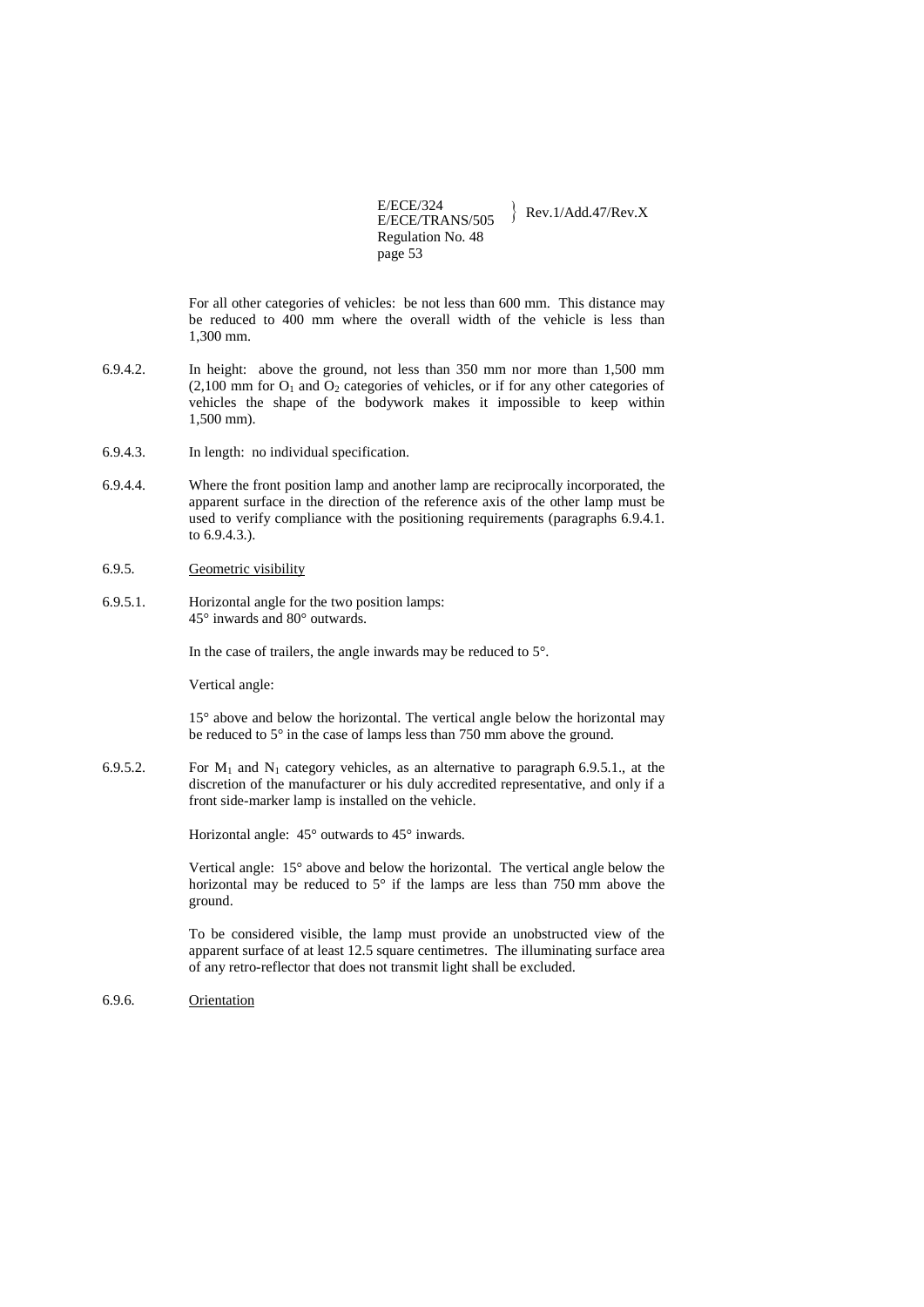For all other categories of vehicles: be not less than 600 mm. This distance may be reduced to 400 mm where the overall width of the vehicle is less than 1,300 mm.

- 6.9.4.2. In height: above the ground, not less than 350 mm nor more than 1,500 mm  $(2,100 \text{ mm}$  for  $O_1$  and  $O_2$  categories of vehicles, or if for any other categories of vehicles the shape of the bodywork makes it impossible to keep within 1,500 mm).
- 6.9.4.3. In length: no individual specification.
- 6.9.4.4. Where the front position lamp and another lamp are reciprocally incorporated, the apparent surface in the direction of the reference axis of the other lamp must be used to verify compliance with the positioning requirements (paragraphs 6.9.4.1. to 6.9.4.3.).
- 6.9.5. Geometric visibility
- 6.9.5.1. Horizontal angle for the two position lamps: 45° inwards and 80° outwards.

In the case of trailers, the angle inwards may be reduced to 5°.

Vertical angle:

15° above and below the horizontal. The vertical angle below the horizontal may be reduced to 5° in the case of lamps less than 750 mm above the ground.

6.9.5.2. For  $M_1$  and  $N_1$  category vehicles, as an alternative to paragraph 6.9.5.1., at the discretion of the manufacturer or his duly accredited representative, and only if a front side-marker lamp is installed on the vehicle.

Horizontal angle: 45° outwards to 45° inwards.

Vertical angle: 15° above and below the horizontal. The vertical angle below the horizontal may be reduced to 5° if the lamps are less than 750 mm above the ground.

To be considered visible, the lamp must provide an unobstructed view of the apparent surface of at least 12.5 square centimetres. The illuminating surface area of any retro-reflector that does not transmit light shall be excluded.

6.9.6. Orientation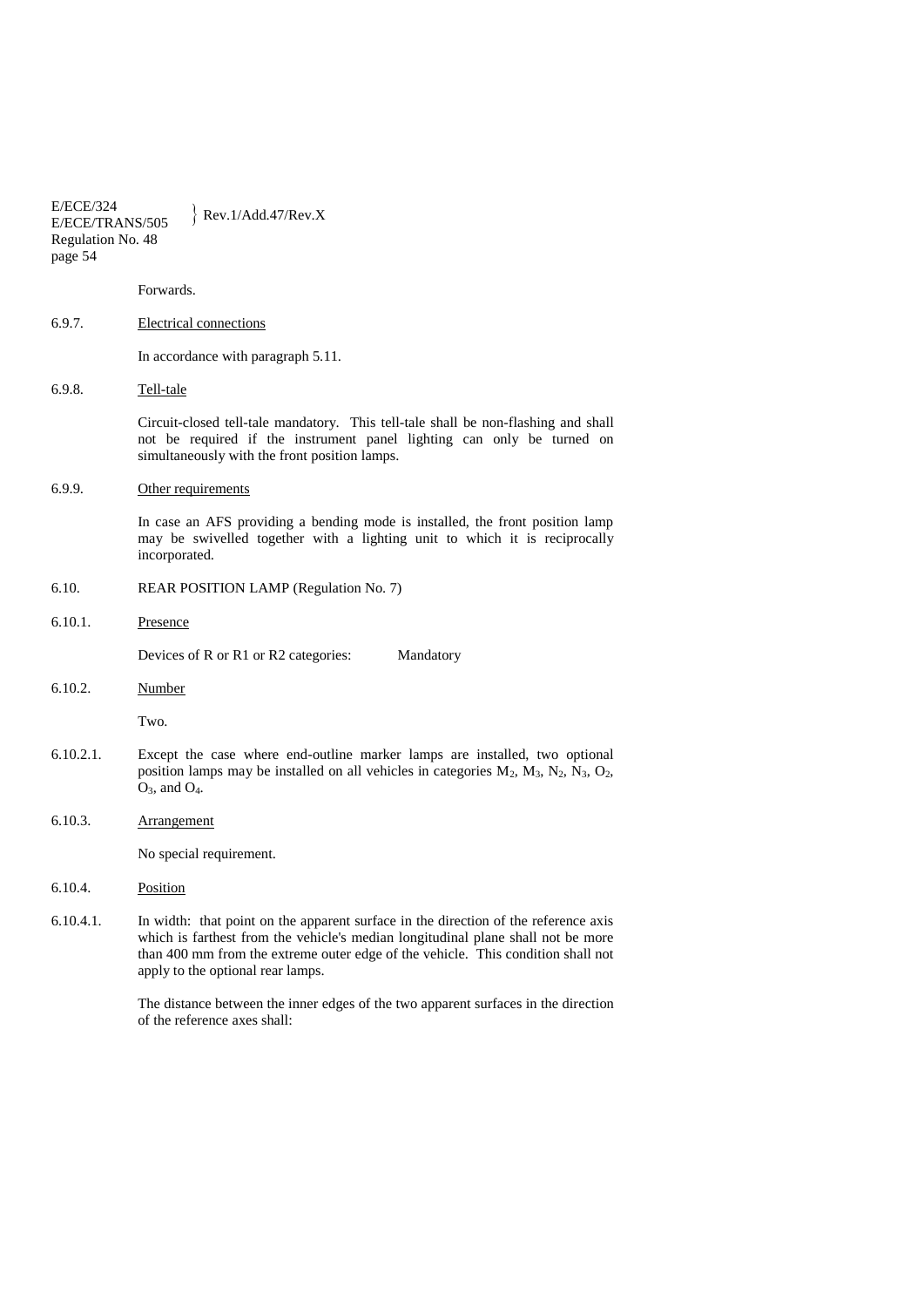Forwards.

6.9.7. Electrical connections

In accordance with paragraph 5.11.

6.9.8. Tell-tale

Circuit-closed tell-tale mandatory. This tell-tale shall be non-flashing and shall not be required if the instrument panel lighting can only be turned on simultaneously with the front position lamps.

6.9.9. Other requirements

In case an AFS providing a bending mode is installed, the front position lamp may be swivelled together with a lighting unit to which it is reciprocally incorporated.

- 6.10. REAR POSITION LAMP (Regulation No. 7)
- 6.10.1. Presence

Devices of R or R1 or R2 categories: Mandatory

6.10.2. Number

Two.

- 6.10.2.1. Except the case where end-outline marker lamps are installed, two optional position lamps may be installed on all vehicles in categories  $M_2$ ,  $M_3$ ,  $N_2$ ,  $N_3$ ,  $O_2$ ,  $O_3$ , and  $O_4$ .
- 6.10.3. Arrangement

No special requirement.

- 6.10.4. Position
- 6.10.4.1. In width: that point on the apparent surface in the direction of the reference axis which is farthest from the vehicle's median longitudinal plane shall not be more than 400 mm from the extreme outer edge of the vehicle. This condition shall not apply to the optional rear lamps.

The distance between the inner edges of the two apparent surfaces in the direction of the reference axes shall: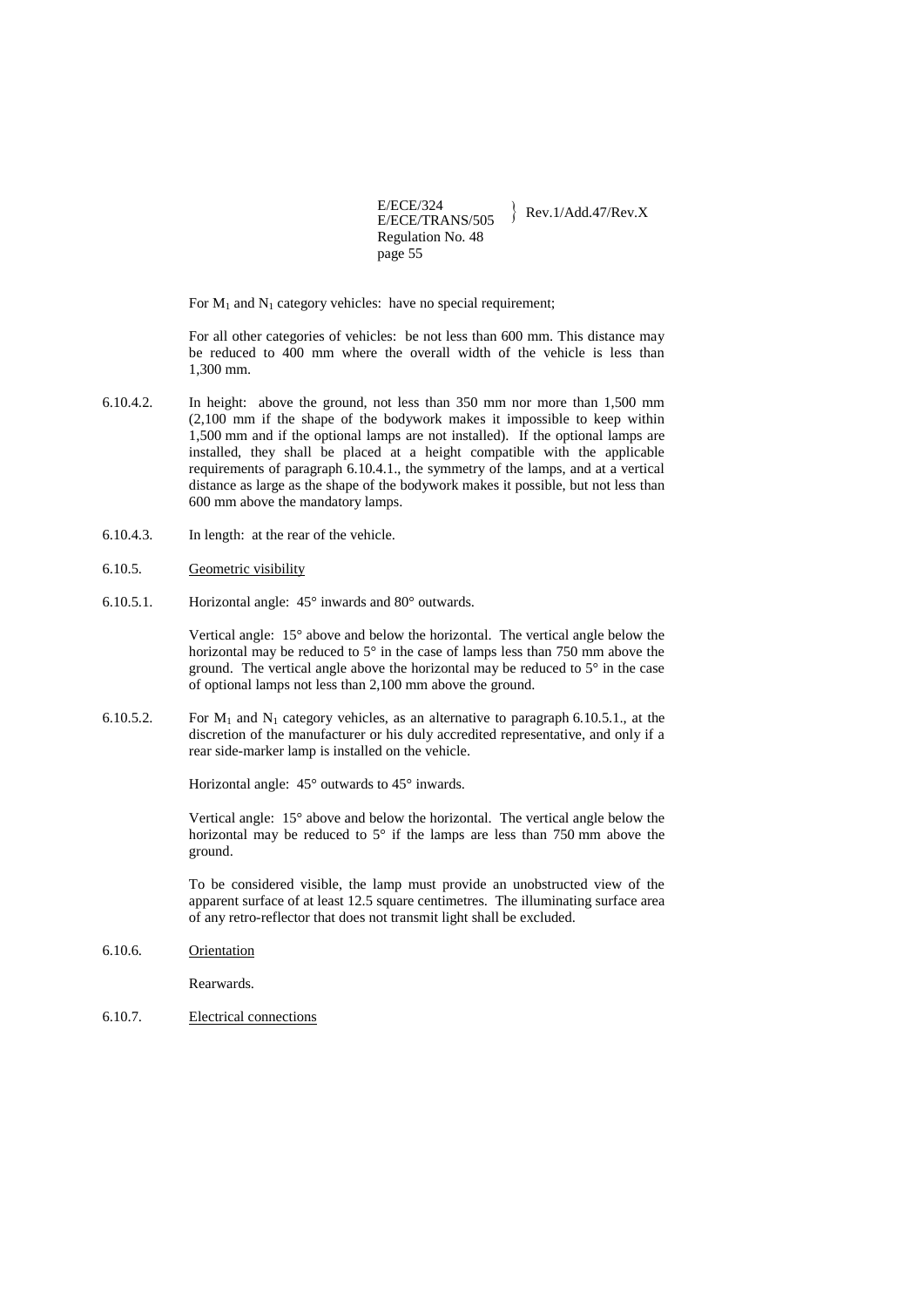For  $M_1$  and  $N_1$  category vehicles: have no special requirement;

For all other categories of vehicles: be not less than 600 mm. This distance may be reduced to 400 mm where the overall width of the vehicle is less than 1,300 mm.

- 6.10.4.2. In height: above the ground, not less than 350 mm nor more than 1,500 mm  $(2,100)$  mm if the shape of the bodywork makes it impossible to keep within 1,500 mm and if the optional lamps are not installed). If the optional lamps are installed, they shall be placed at a height compatible with the applicable requirements of paragraph 6.10.4.1., the symmetry of the lamps, and at a vertical distance as large as the shape of the bodywork makes it possible, but not less than 600 mm above the mandatory lamps.
- 6.10.4.3. In length: at the rear of the vehicle.
- 6.10.5. Geometric visibility
- 6.10.5.1. Horizontal angle: 45° inwards and 80° outwards.

Vertical angle: 15° above and below the horizontal. The vertical angle below the horizontal may be reduced to 5° in the case of lamps less than 750 mm above the ground. The vertical angle above the horizontal may be reduced to 5° in the case of optional lamps not less than 2,100 mm above the ground.

6.10.5.2. For  $M_1$  and  $N_1$  category vehicles, as an alternative to paragraph 6.10.5.1., at the discretion of the manufacturer or his duly accredited representative, and only if a rear side-marker lamp is installed on the vehicle.

Horizontal angle: 45° outwards to 45° inwards.

Vertical angle: 15° above and below the horizontal. The vertical angle below the horizontal may be reduced to 5° if the lamps are less than 750 mm above the ground.

To be considered visible, the lamp must provide an unobstructed view of the apparent surface of at least 12.5 square centimetres. The illuminating surface area of any retro-reflector that does not transmit light shall be excluded.

6.10.6. Orientation

Rearwards.

6.10.7. Electrical connections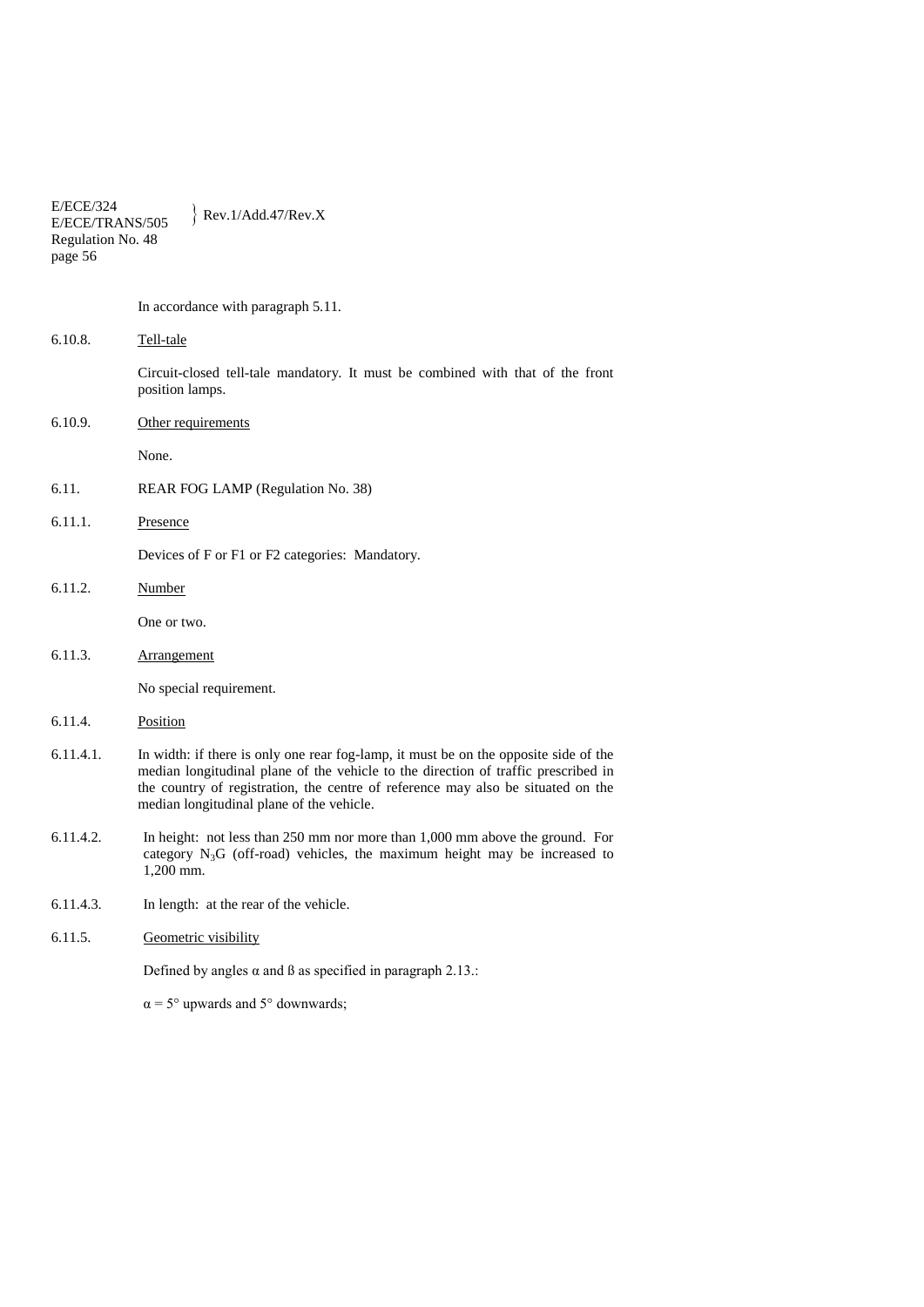E/ECE/324 E/ECE/TRANS/505  $\}$  Rev.1/Add.47/Rev.X Regulation No. 48 page 56 In accordance with paragraph 5.11. 6.10.8. Tell-tale Circuit-closed tell-tale mandatory. It must be combined with that of the front position lamps. 6.10.9. Other requirements None. 6.11. REAR FOG LAMP (Regulation No. 38) 6.11.1. Presence Devices of F or F1 or F2 categories: Mandatory. 6.11.2. Number One or two. 6.11.3. Arrangement No special requirement. 6.11.4. Position 6.11.4.1. In width: if there is only one rear fog-lamp, it must be on the opposite side of the median longitudinal plane of the vehicle to the direction of traffic prescribed in the country of registration, the centre of reference may also be situated on the median longitudinal plane of the vehicle. 6.11.4.2. In height: not less than 250 mm nor more than 1,000 mm above the ground. For category  $N_3G$  (off-road) vehicles, the maximum height may be increased to 1,200 mm. 6.11.4.3. In length: at the rear of the vehicle. 6.11.5. Geometric visibility Defined by angles  $\alpha$  and  $\beta$  as specified in paragraph 2.13.:

 $\alpha$  = 5° upwards and 5° downwards;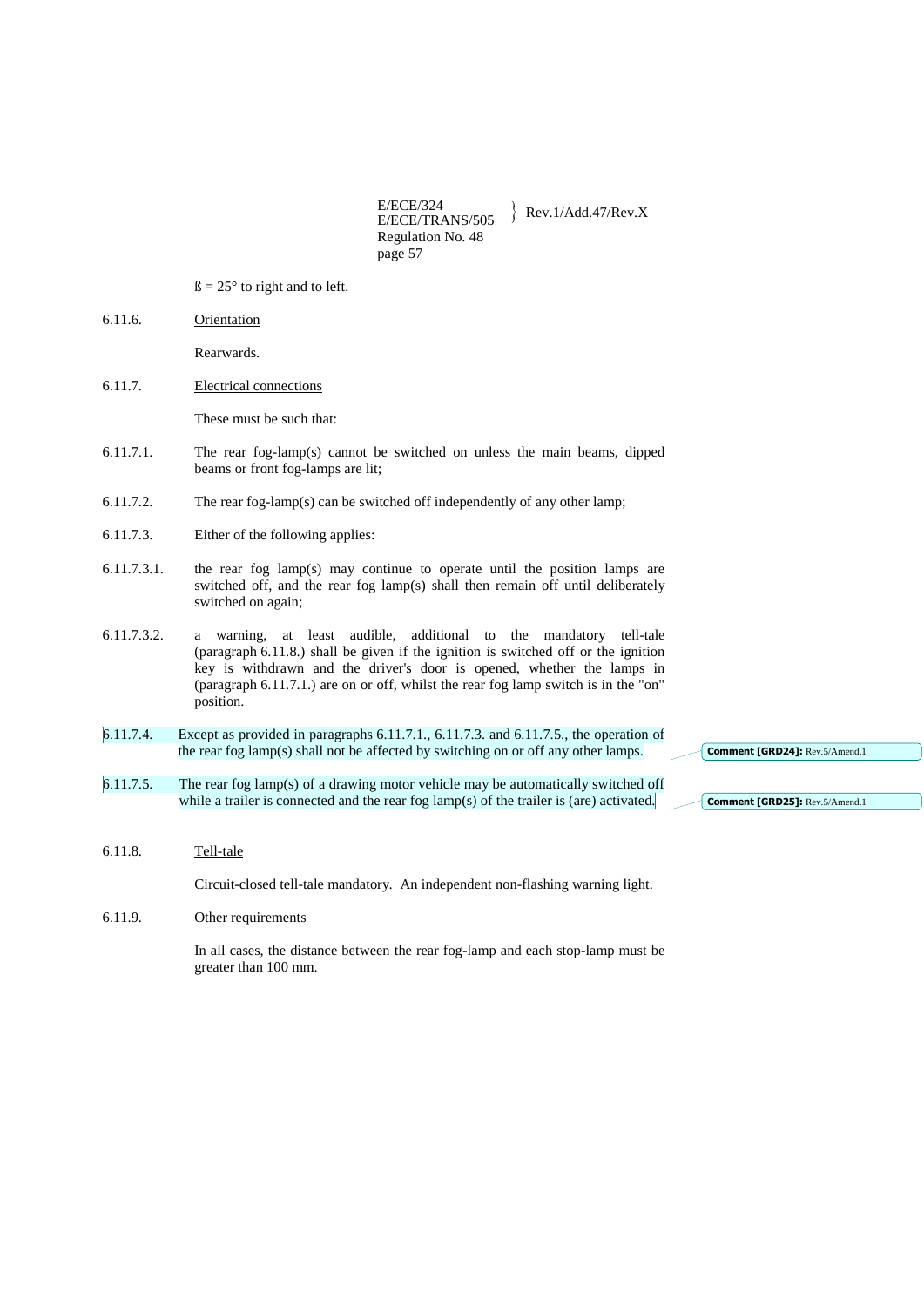$\beta = 25^{\circ}$  to right and to left.

6.11.6. Orientation

Rearwards.

6.11.7. Electrical connections

These must be such that:

- 6.11.7.1. The rear fog-lamp(s) cannot be switched on unless the main beams, dipped beams or front fog-lamps are lit;
- 6.11.7.2. The rear fog-lamp(s) can be switched off independently of any other lamp;
- 6.11.7.3. Either of the following applies:
- 6.11.7.3.1. the rear fog lamp(s) may continue to operate until the position lamps are switched off, and the rear fog lamp(s) shall then remain off until deliberately switched on again;
- 6.11.7.3.2. a warning, at least audible, additional to the mandatory tell-tale (paragraph 6.11.8.) shall be given if the ignition is switched off or the ignition key is withdrawn and the driver's door is opened, whether the lamps in (paragraph 6.11.7.1.) are on or off, whilst the rear fog lamp switch is in the "on" position.
- 6.11.7.4. Except as provided in paragraphs 6.11.7.1., 6.11.7.3. and 6.11.7.5., the operation of the rear fog lamp(s) shall not be affected by switching on or off any other lamps.
- 6.11.7.5. The rear fog lamp(s) of a drawing motor vehicle may be automatically switched off while a trailer is connected and the rear fog lamp(s) of the trailer is (are) activated.

**Comment [GRD24]:** Rev.5/Amend.1

**Comment [GRD25]:** Rev.5/Amend.1

6.11.8. Tell-tale

Circuit-closed tell-tale mandatory. An independent non-flashing warning light.

6.11.9. Other requirements

In all cases, the distance between the rear fog-lamp and each stop-lamp must be greater than 100 mm.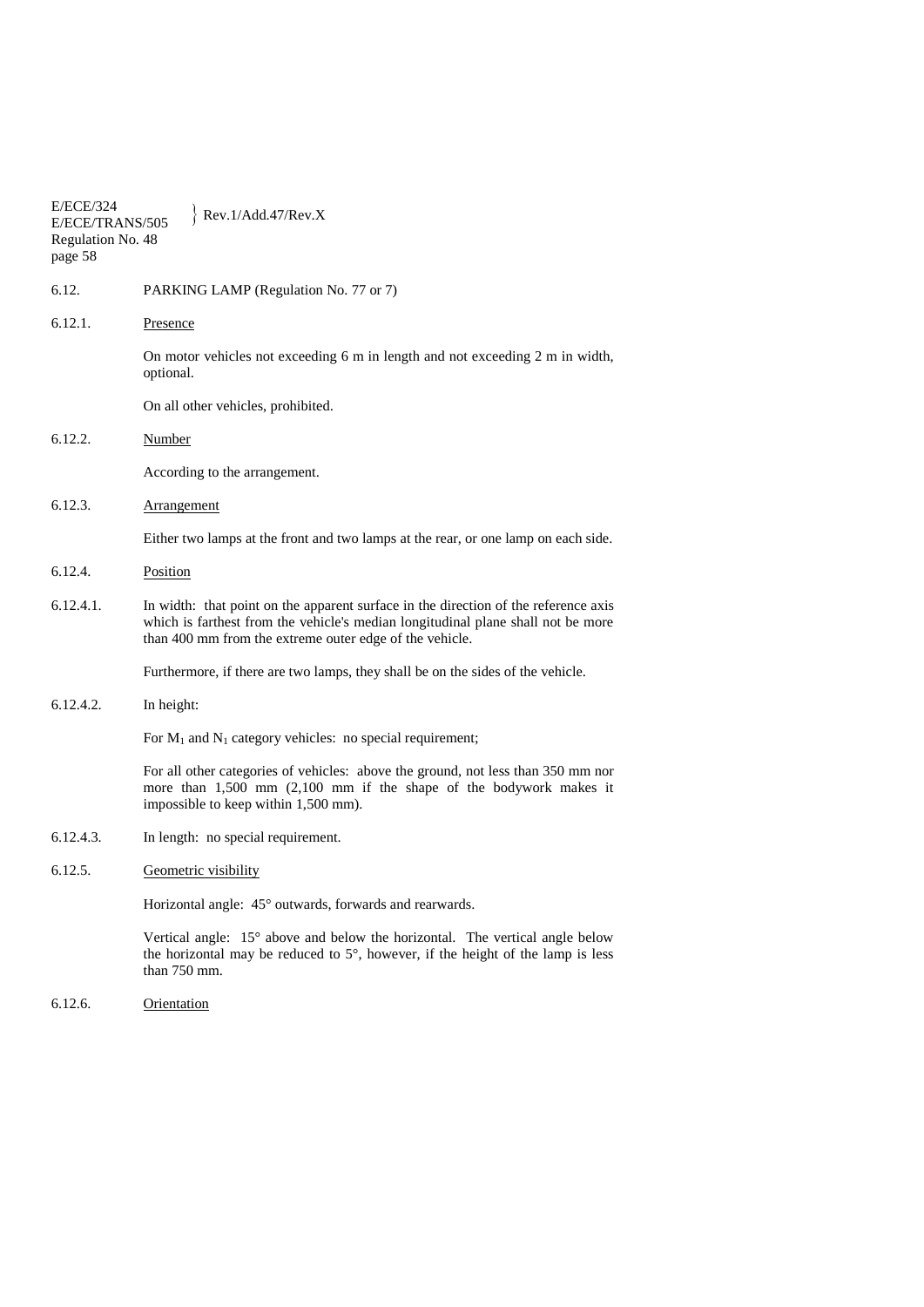| E/ECE/324<br>E/ECE/TRANS/505<br>Regulation No. 48<br>page 58 | Rev.1/Add.47/Rev.X                                                                                                                                                                                                                 |
|--------------------------------------------------------------|------------------------------------------------------------------------------------------------------------------------------------------------------------------------------------------------------------------------------------|
| 6.12.                                                        | PARKING LAMP (Regulation No. 77 or 7)                                                                                                                                                                                              |
| 6.12.1.                                                      | Presence                                                                                                                                                                                                                           |
|                                                              | On motor vehicles not exceeding 6 m in length and not exceeding 2 m in width,<br>optional.                                                                                                                                         |
|                                                              | On all other vehicles, prohibited.                                                                                                                                                                                                 |
| 6.12.2.                                                      | <b>Number</b>                                                                                                                                                                                                                      |
|                                                              | According to the arrangement.                                                                                                                                                                                                      |
| 6.12.3.                                                      | <b>Arrangement</b>                                                                                                                                                                                                                 |
|                                                              | Either two lamps at the front and two lamps at the rear, or one lamp on each side.                                                                                                                                                 |
| 6.12.4.                                                      | Position                                                                                                                                                                                                                           |
| 6.12.4.1.                                                    | In width: that point on the apparent surface in the direction of the reference axis<br>which is farthest from the vehicle's median longitudinal plane shall not be more<br>than 400 mm from the extreme outer edge of the vehicle. |
|                                                              | Furthermore, if there are two lamps, they shall be on the sides of the vehicle.                                                                                                                                                    |
| 6.12.4.2.                                                    | In height:                                                                                                                                                                                                                         |
|                                                              | For $M_1$ and $N_1$ category vehicles: no special requirement;                                                                                                                                                                     |
|                                                              | For all other categories of vehicles: above the ground, not less than 350 mm nor<br>more than $1,500$ mm $(2,100$ mm if the shape of the bodywork makes it<br>impossible to keep within 1,500 mm).                                 |
| 6.12.4.3.                                                    | In length: no special requirement.                                                                                                                                                                                                 |
| 6.12.5.                                                      | <b>Geometric visibility</b>                                                                                                                                                                                                        |
|                                                              | Horizontal angle: 45° outwards, forwards and rearwards.                                                                                                                                                                            |
|                                                              | Vertical angle: 15° above and below the horizontal. The vertical angle below<br>the horizontal may be reduced to 5°, however, if the height of the lamp is less<br>than 750 mm.                                                    |
| 6.12.6.                                                      | <b>Orientation</b>                                                                                                                                                                                                                 |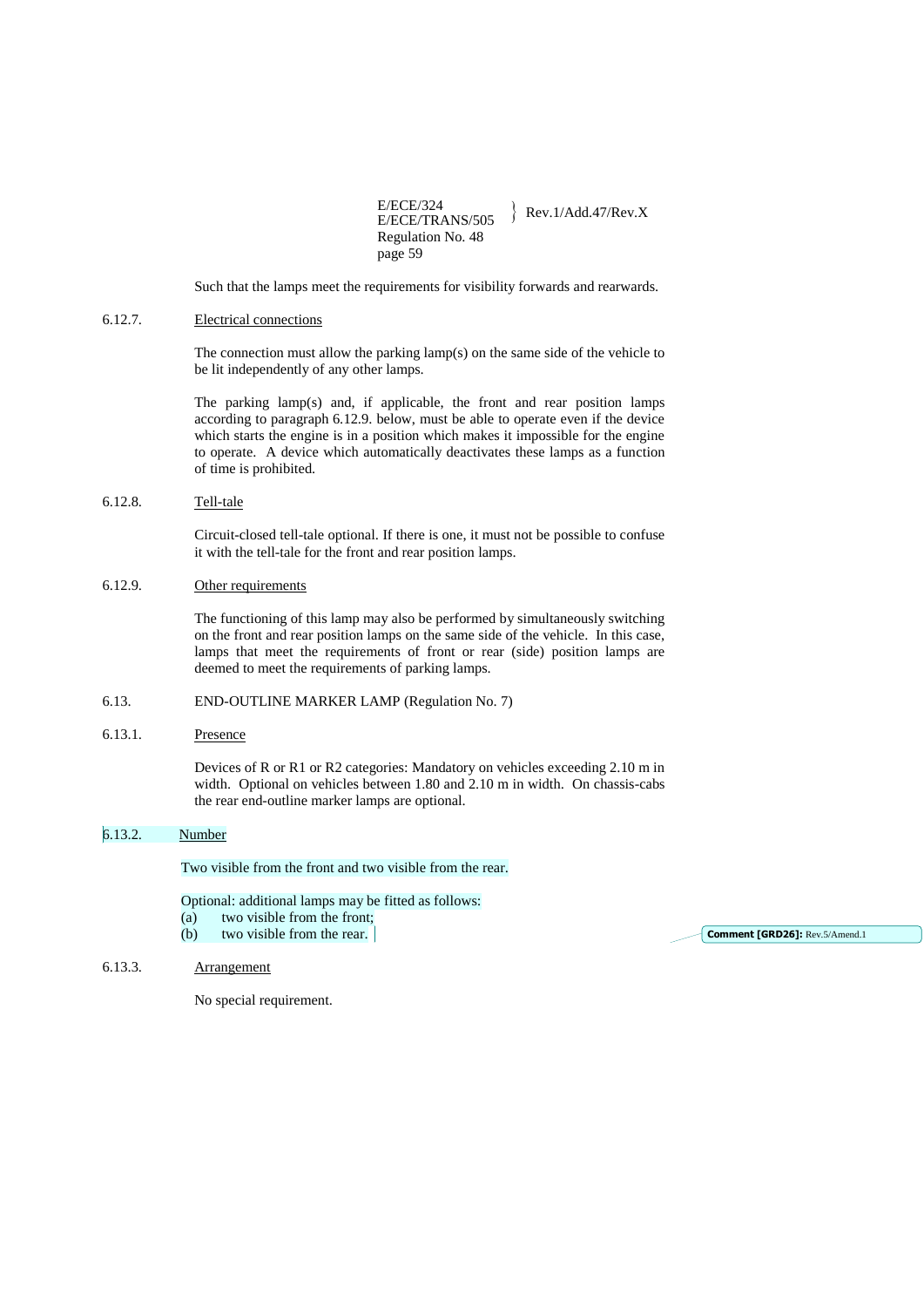Such that the lamps meet the requirements for visibility forwards and rearwards.

### 6.12.7. Electrical connections

The connection must allow the parking lamp(s) on the same side of the vehicle to be lit independently of any other lamps.

The parking lamp(s) and, if applicable, the front and rear position lamps according to paragraph 6.12.9. below, must be able to operate even if the device which starts the engine is in a position which makes it impossible for the engine to operate. A device which automatically deactivates these lamps as a function of time is prohibited.

### 6.12.8. Tell-tale

Circuit-closed tell-tale optional. If there is one, it must not be possible to confuse it with the tell-tale for the front and rear position lamps.

# 6.12.9. Other requirements

The functioning of this lamp may also be performed by simultaneously switching on the front and rear position lamps on the same side of the vehicle. In this case, lamps that meet the requirements of front or rear (side) position lamps are deemed to meet the requirements of parking lamps.

### 6.13. END-OUTLINE MARKER LAMP (Regulation No. 7)

6.13.1. Presence

Devices of R or R1 or R2 categories: Mandatory on vehicles exceeding 2.10 m in width. Optional on vehicles between 1.80 and 2.10 m in width. On chassis-cabs the rear end-outline marker lamps are optional.

# 6.13.2. Number

Two visible from the front and two visible from the rear.

Optional: additional lamps may be fitted as follows: (a) two visible from the front; (b) two visible from the rear.

**Comment [GRD26]:** Rev.5/Amend.1

6.13.3. Arrangement

No special requirement.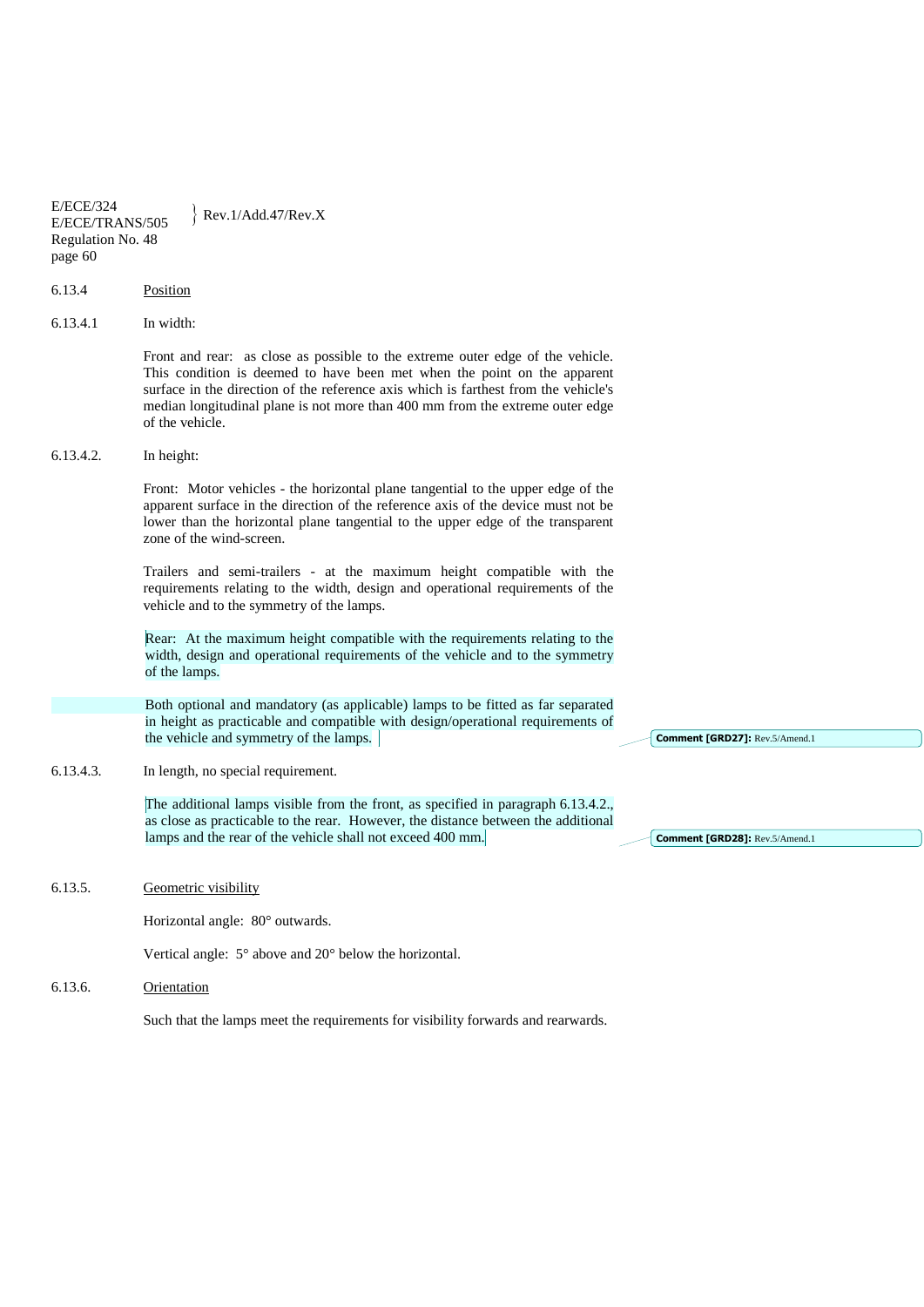6.13.4.1 In width:

Front and rear: as close as possible to the extreme outer edge of the vehicle. This condition is deemed to have been met when the point on the apparent surface in the direction of the reference axis which is farthest from the vehicle's median longitudinal plane is not more than 400 mm from the extreme outer edge of the vehicle.

6.13.4.2. In height:

Front: Motor vehicles - the horizontal plane tangential to the upper edge of the apparent surface in the direction of the reference axis of the device must not be lower than the horizontal plane tangential to the upper edge of the transparent zone of the wind-screen.

Trailers and semi-trailers - at the maximum height compatible with the requirements relating to the width, design and operational requirements of the vehicle and to the symmetry of the lamps.

Rear: At the maximum height compatible with the requirements relating to the width, design and operational requirements of the vehicle and to the symmetry of the lamps.

Both optional and mandatory (as applicable) lamps to be fitted as far separated in height as practicable and compatible with design/operational requirements of the vehicle and symmetry of the lamps.

6.13.4.3. In length, no special requirement.

The additional lamps visible from the front, as specified in paragraph 6.13.4.2., as close as practicable to the rear. However, the distance between the additional lamps and the rear of the vehicle shall not exceed 400 mm.

6.13.5. Geometric visibility

Horizontal angle: 80° outwards.

Vertical angle: 5° above and 20° below the horizontal.

6.13.6. Orientation

Such that the lamps meet the requirements for visibility forwards and rearwards.

**Comment [GRD27]:** Rev.5/Amend.1

**Comment [GRD28]:** Rev.5/Amend.1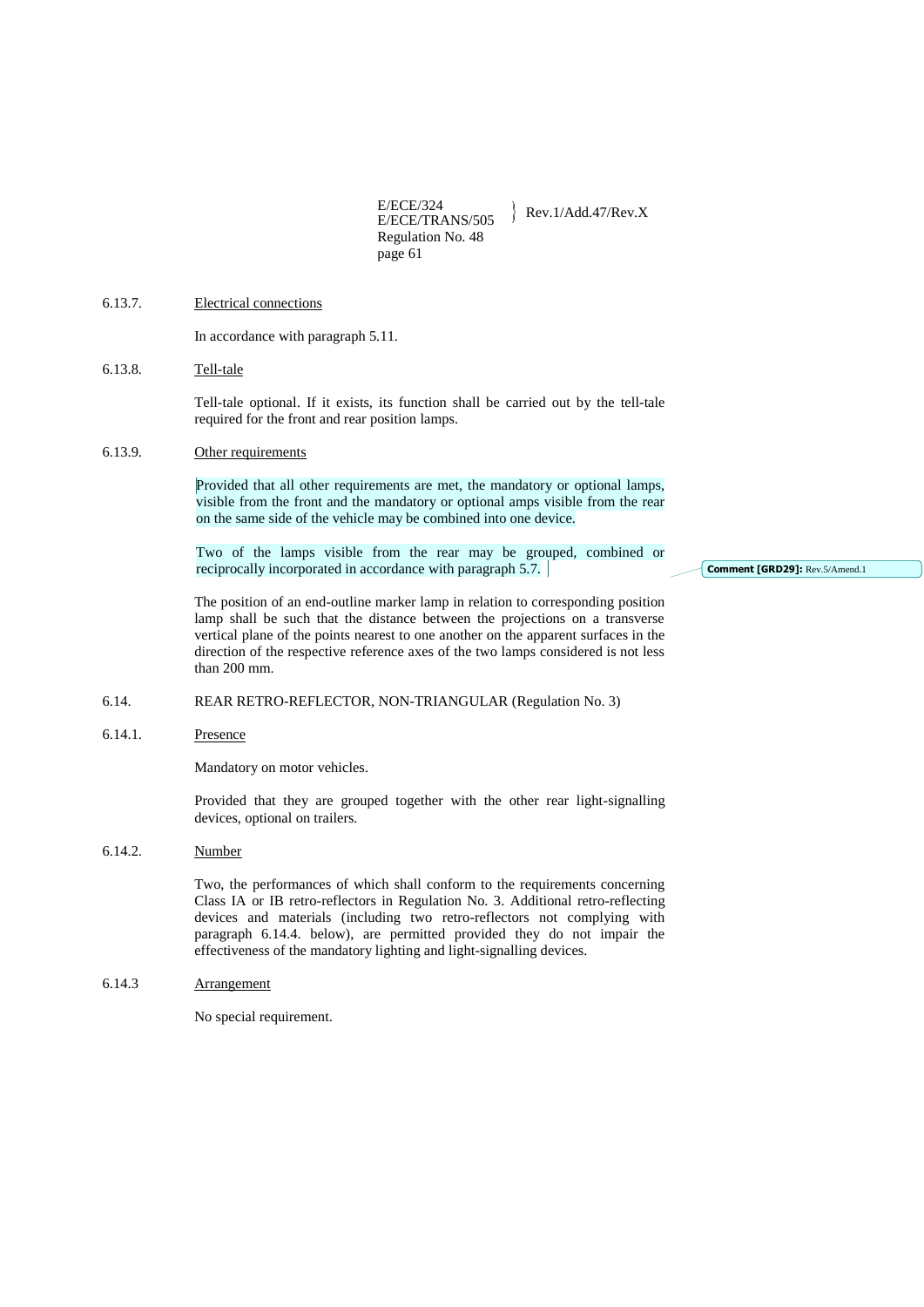# 6.13.7. Electrical connections

In accordance with paragraph 5.11.

### 6.13.8. Tell-tale

Tell-tale optional. If it exists, its function shall be carried out by the tell-tale required for the front and rear position lamps.

### 6.13.9. Other requirements

Provided that all other requirements are met, the mandatory or optional lamps, visible from the front and the mandatory or optional amps visible from the rear on the same side of the vehicle may be combined into one device.

Two of the lamps visible from the rear may be grouped, combined or reciprocally incorporated in accordance with paragraph 5.7.

The position of an end-outline marker lamp in relation to corresponding position lamp shall be such that the distance between the projections on a transverse vertical plane of the points nearest to one another on the apparent surfaces in the direction of the respective reference axes of the two lamps considered is not less than 200 mm.

### 6.14. REAR RETRO-REFLECTOR, NON-TRIANGULAR (Regulation No. 3)

#### 6.14.1. Presence

Mandatory on motor vehicles.

Provided that they are grouped together with the other rear light-signalling devices, optional on trailers.

### 6.14.2. Number

Two, the performances of which shall conform to the requirements concerning Class IA or IB retro-reflectors in Regulation No. 3. Additional retro-reflecting devices and materials (including two retro-reflectors not complying with paragraph 6.14.4. below), are permitted provided they do not impair the effectiveness of the mandatory lighting and light-signalling devices.

### 6.14.3 Arrangement

No special requirement.

**Comment [GRD29]:** Rev.5/Amend.1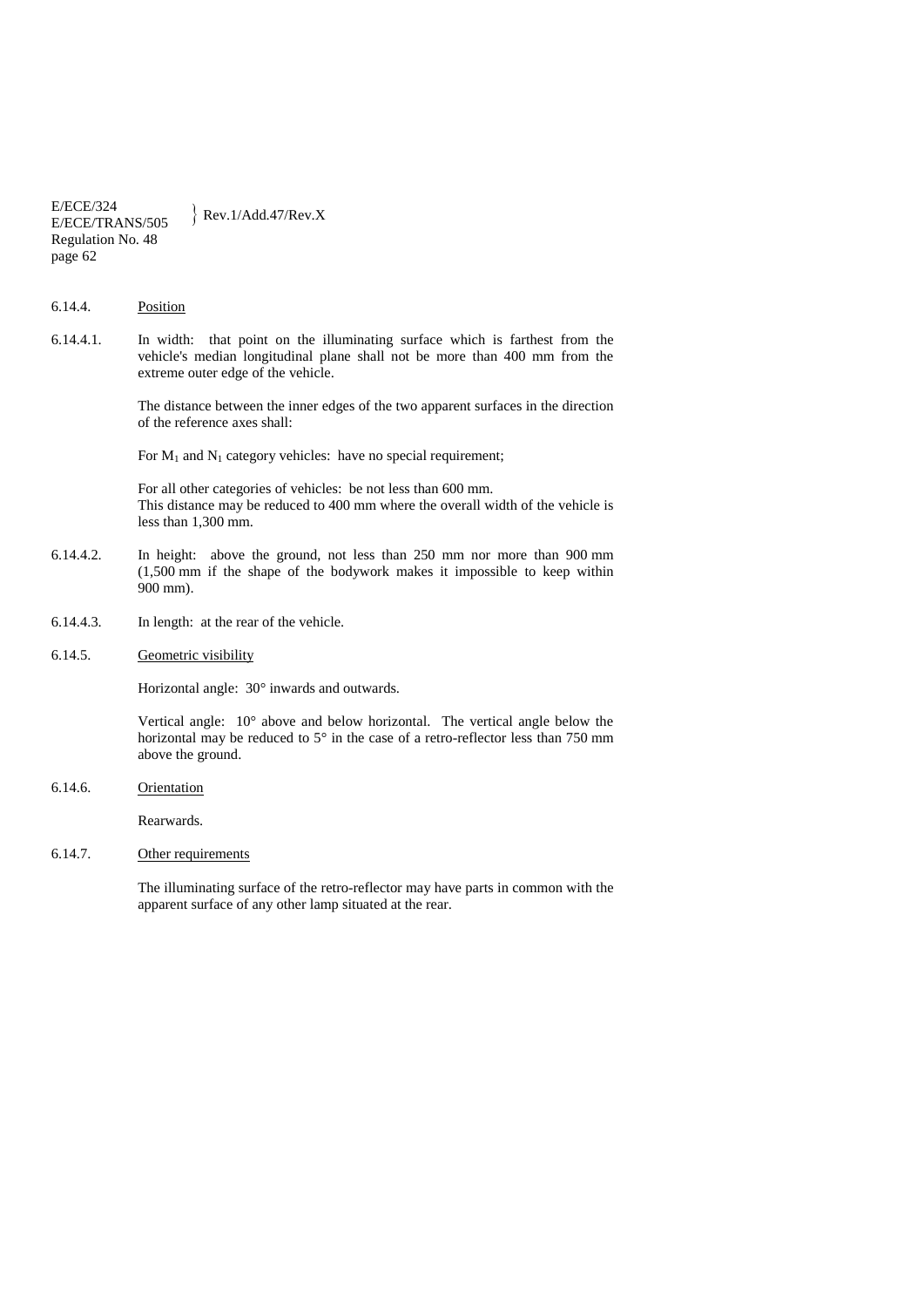- 6.14.4. Position
- 6.14.4.1. In width: that point on the illuminating surface which is farthest from the vehicle's median longitudinal plane shall not be more than 400 mm from the extreme outer edge of the vehicle.

The distance between the inner edges of the two apparent surfaces in the direction of the reference axes shall:

For  $M_1$  and  $N_1$  category vehicles: have no special requirement;

For all other categories of vehicles: be not less than 600 mm. This distance may be reduced to 400 mm where the overall width of the vehicle is less than 1,300 mm.

- 6.14.4.2. In height: above the ground, not less than 250 mm nor more than 900 mm (1,500 mm if the shape of the bodywork makes it impossible to keep within 900 mm).
- 6.14.4.3. In length: at the rear of the vehicle.
- 6.14.5. Geometric visibility

Horizontal angle: 30° inwards and outwards.

Vertical angle: 10° above and below horizontal. The vertical angle below the horizontal may be reduced to 5° in the case of a retro-reflector less than 750 mm above the ground.

6.14.6. Orientation

Rearwards.

6.14.7. Other requirements

The illuminating surface of the retro-reflector may have parts in common with the apparent surface of any other lamp situated at the rear.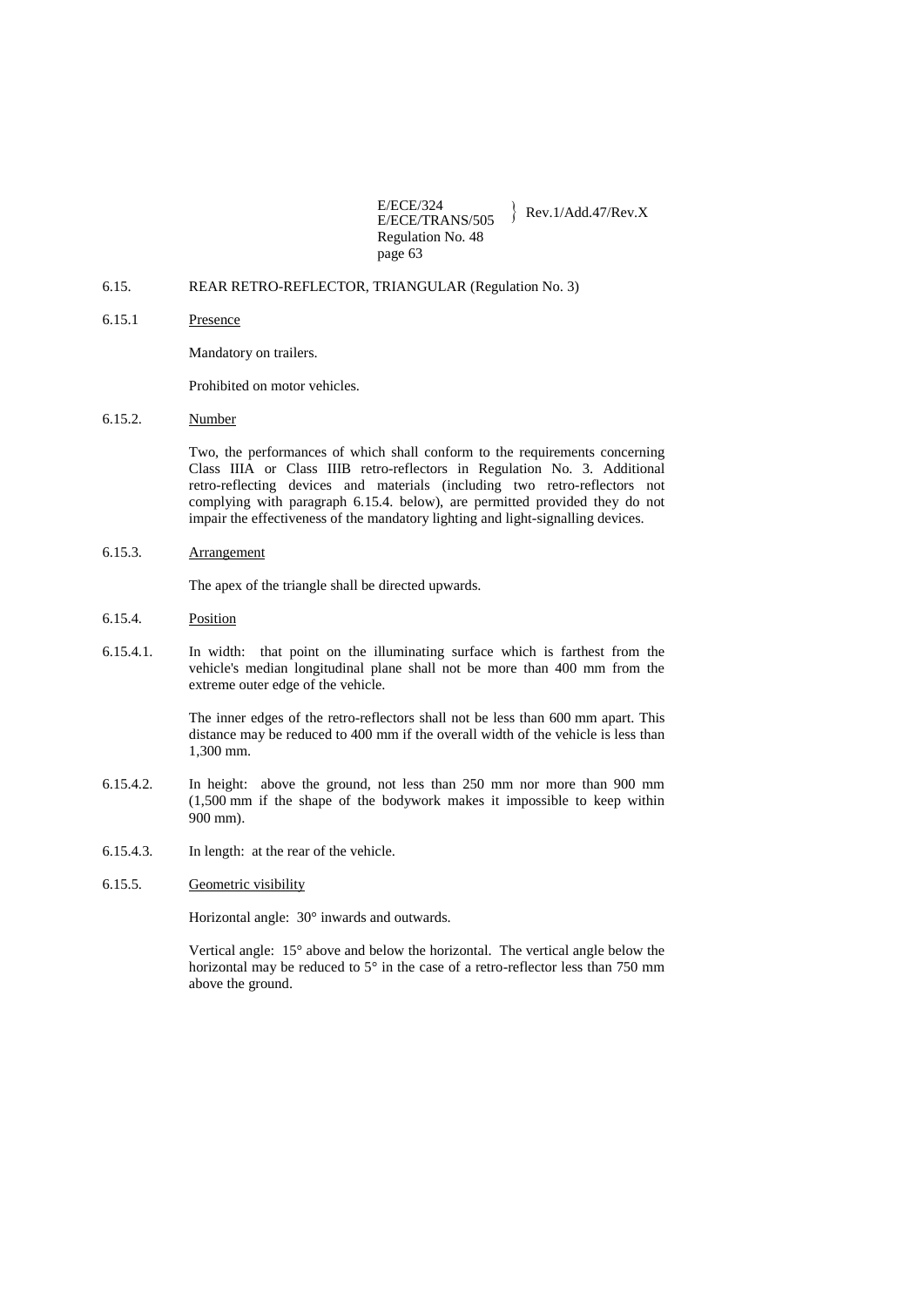# 6.15. REAR RETRO-REFLECTOR, TRIANGULAR (Regulation No. 3)

6.15.1 Presence

Mandatory on trailers.

Prohibited on motor vehicles.

# 6.15.2. Number

Two, the performances of which shall conform to the requirements concerning Class IIIA or Class IIIB retro-reflectors in Regulation No. 3. Additional retro-reflecting devices and materials (including two retro-reflectors not complying with paragraph 6.15.4. below), are permitted provided they do not impair the effectiveness of the mandatory lighting and light-signalling devices.

# 6.15.3. Arrangement

The apex of the triangle shall be directed upwards.

- 6.15.4. Position
- 6.15.4.1. In width: that point on the illuminating surface which is farthest from the vehicle's median longitudinal plane shall not be more than 400 mm from the extreme outer edge of the vehicle.

The inner edges of the retro-reflectors shall not be less than 600 mm apart. This distance may be reduced to 400 mm if the overall width of the vehicle is less than 1,300 mm.

- 6.15.4.2. In height: above the ground, not less than 250 mm nor more than 900 mm (1,500 mm if the shape of the bodywork makes it impossible to keep within 900 mm).
- 6.15.4.3. In length: at the rear of the vehicle.
- 6.15.5. Geometric visibility

Horizontal angle: 30° inwards and outwards.

Vertical angle: 15° above and below the horizontal. The vertical angle below the horizontal may be reduced to 5° in the case of a retro-reflector less than 750 mm above the ground.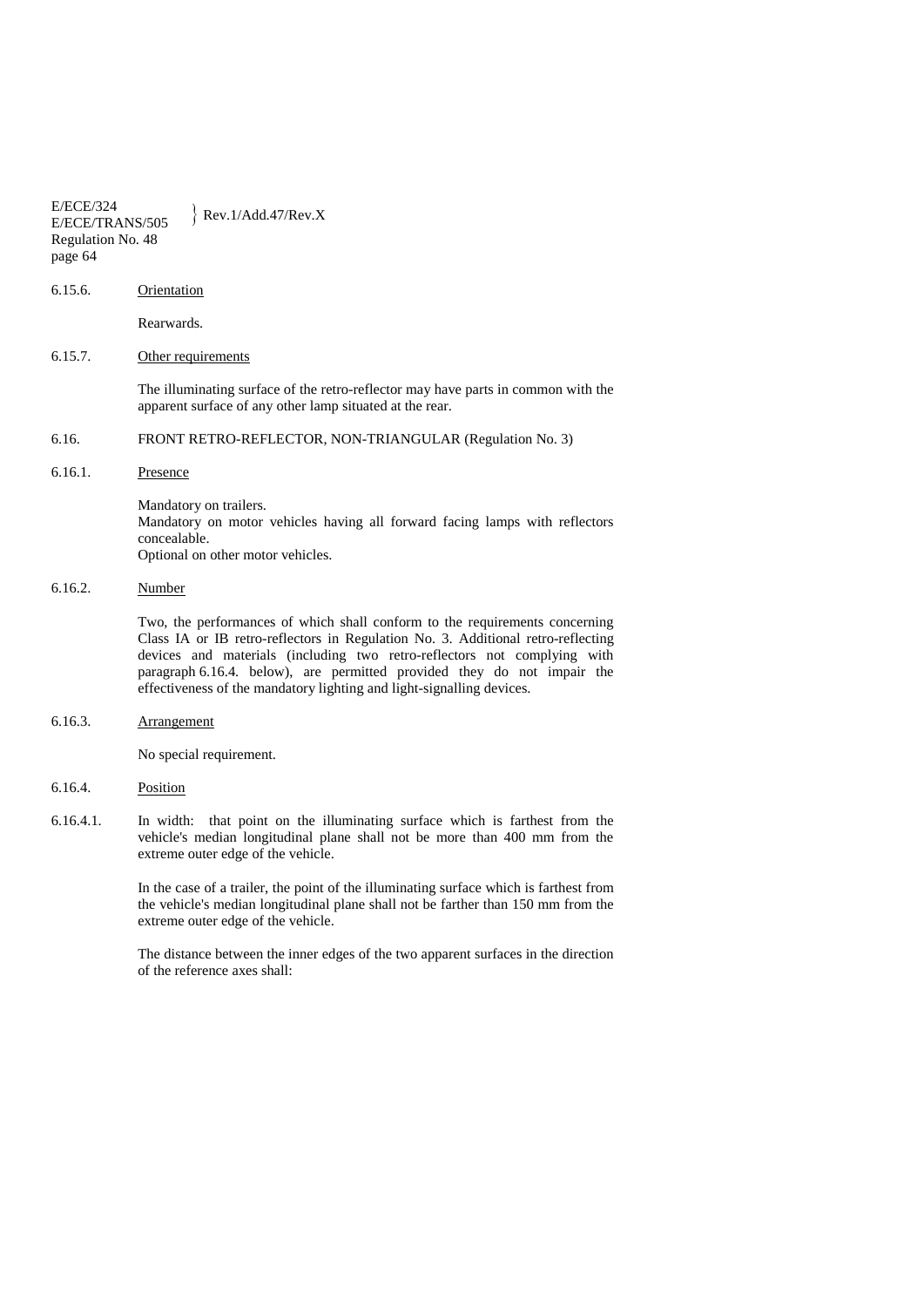6.15.6. Orientation

Rearwards.

6.15.7. Other requirements

The illuminating surface of the retro-reflector may have parts in common with the apparent surface of any other lamp situated at the rear.

- 6.16. FRONT RETRO-REFLECTOR, NON-TRIANGULAR (Regulation No. 3)
- 6.16.1. Presence

Mandatory on trailers. Mandatory on motor vehicles having all forward facing lamps with reflectors concealable. Optional on other motor vehicles.

6.16.2. Number

Two, the performances of which shall conform to the requirements concerning Class IA or IB retro-reflectors in Regulation No. 3. Additional retro-reflecting devices and materials (including two retro-reflectors not complying with paragraph 6.16.4. below), are permitted provided they do not impair the effectiveness of the mandatory lighting and light-signalling devices.

6.16.3. Arrangement

No special requirement.

- 6.16.4. Position
- 6.16.4.1. In width: that point on the illuminating surface which is farthest from the vehicle's median longitudinal plane shall not be more than 400 mm from the extreme outer edge of the vehicle.

In the case of a trailer, the point of the illuminating surface which is farthest from the vehicle's median longitudinal plane shall not be farther than 150 mm from the extreme outer edge of the vehicle.

The distance between the inner edges of the two apparent surfaces in the direction of the reference axes shall: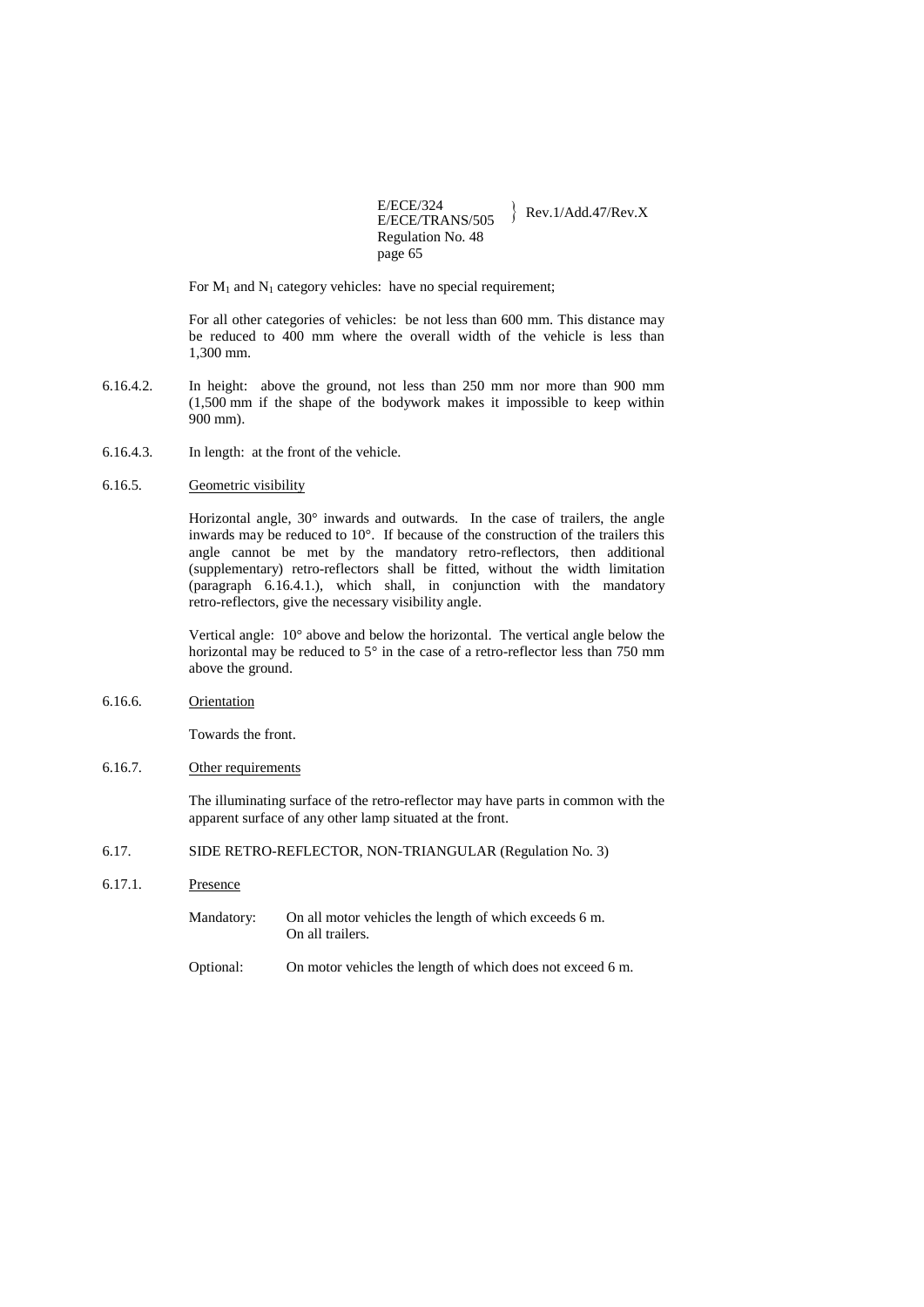For  $M_1$  and  $N_1$  category vehicles: have no special requirement;

For all other categories of vehicles: be not less than 600 mm. This distance may be reduced to 400 mm where the overall width of the vehicle is less than 1,300 mm.

- 6.16.4.2. In height: above the ground, not less than 250 mm nor more than 900 mm (1,500 mm if the shape of the bodywork makes it impossible to keep within 900 mm).
- 6.16.4.3. In length: at the front of the vehicle.

### 6.16.5. Geometric visibility

Horizontal angle, 30° inwards and outwards. In the case of trailers, the angle inwards may be reduced to 10°. If because of the construction of the trailers this angle cannot be met by the mandatory retro-reflectors, then additional (supplementary) retro-reflectors shall be fitted, without the width limitation (paragraph 6.16.4.1.), which shall, in conjunction with the mandatory retro-reflectors, give the necessary visibility angle.

Vertical angle: 10° above and below the horizontal. The vertical angle below the horizontal may be reduced to 5° in the case of a retro-reflector less than 750 mm above the ground.

6.16.6. Orientation

Towards the front.

6.16.7. Other requirements

The illuminating surface of the retro-reflector may have parts in common with the apparent surface of any other lamp situated at the front.

6.17. SIDE RETRO-REFLECTOR, NON-TRIANGULAR (Regulation No. 3)

#### 6.17.1. Presence

| Mandatory: | On all motor vehicles the length of which exceeds 6 m.<br>On all trailers. |  |
|------------|----------------------------------------------------------------------------|--|
| Optional:  | On motor vehicles the length of which does not exceed 6 m.                 |  |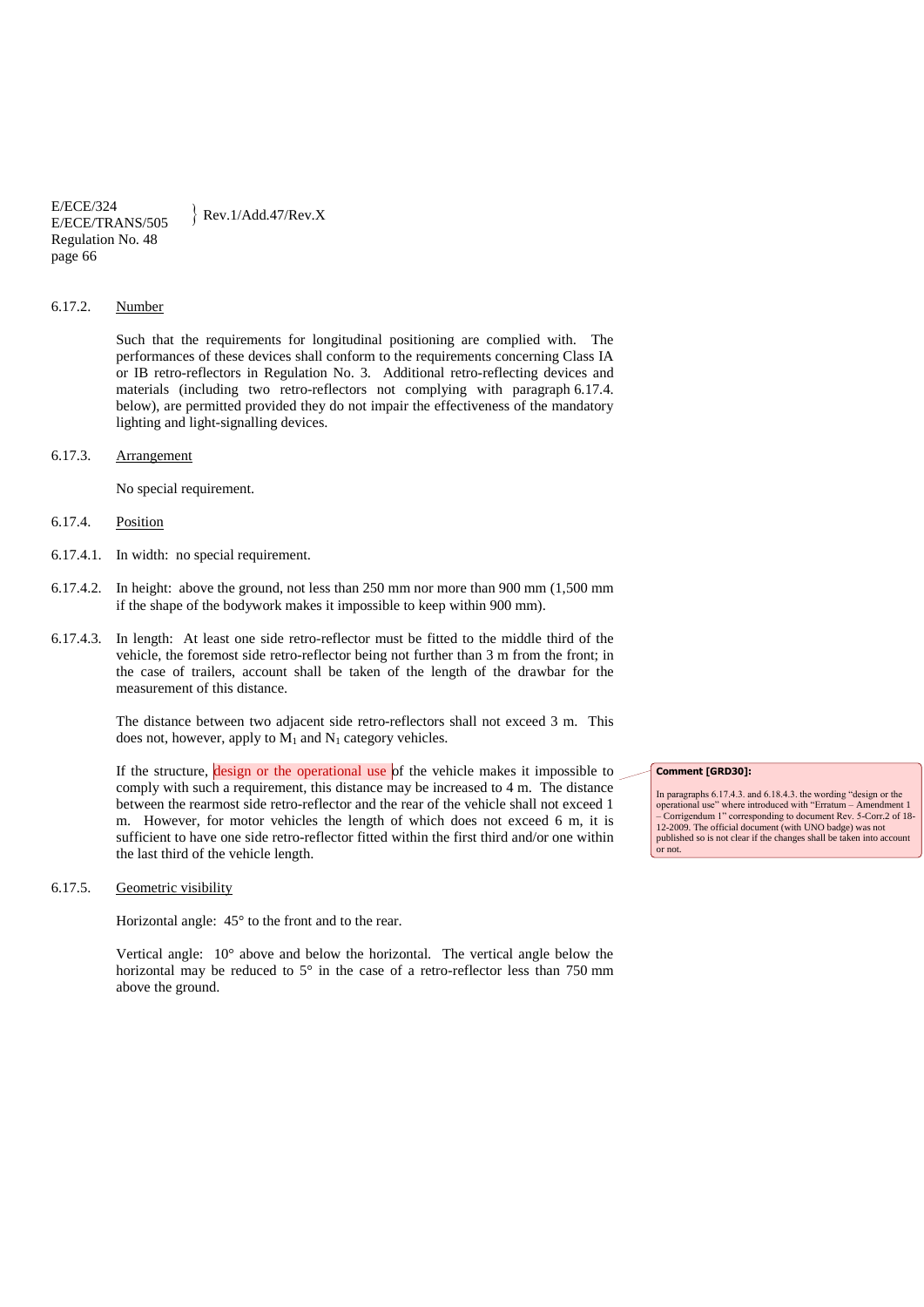### 6.17.2. Number

Such that the requirements for longitudinal positioning are complied with. The performances of these devices shall conform to the requirements concerning Class IA or IB retro-reflectors in Regulation No. 3. Additional retro-reflecting devices and materials (including two retro-reflectors not complying with paragraph 6.17.4. below), are permitted provided they do not impair the effectiveness of the mandatory lighting and light-signalling devices.

6.17.3. Arrangement

No special requirement.

- 6.17.4. Position
- 6.17.4.1. In width: no special requirement.
- 6.17.4.2. In height: above the ground, not less than 250 mm nor more than 900 mm (1,500 mm if the shape of the bodywork makes it impossible to keep within 900 mm).
- 6.17.4.3. In length: At least one side retro-reflector must be fitted to the middle third of the vehicle, the foremost side retro-reflector being not further than 3 m from the front; in the case of trailers, account shall be taken of the length of the drawbar for the measurement of this distance.

The distance between two adjacent side retro-reflectors shall not exceed 3 m. This does not, however, apply to  $M_1$  and  $N_1$  category vehicles.

If the structure, design or the operational use of the vehicle makes it impossible to comply with such a requirement, this distance may be increased to 4 m. The distance between the rearmost side retro-reflector and the rear of the vehicle shall not exceed 1 m. However, for motor vehicles the length of which does not exceed 6 m, it is sufficient to have one side retro-reflector fitted within the first third and/or one within the last third of the vehicle length.

6.17.5. Geometric visibility

Horizontal angle: 45° to the front and to the rear.

Vertical angle: 10° above and below the horizontal. The vertical angle below the horizontal may be reduced to 5° in the case of a retro-reflector less than 750 mm above the ground.

**Comment [GRD30]:** 

In paragraphs 6.17.4.3. and 6.18.4.3. the wording "design or the operational use" where introduced with "Erratum – Amendment 1 – Corrigendum 1" corresponding to document Rev. 5-Corr.2 of 18- 12-2009. The official document (with UNO badge) was not published so is not clear if the changes shall be taken into account or not.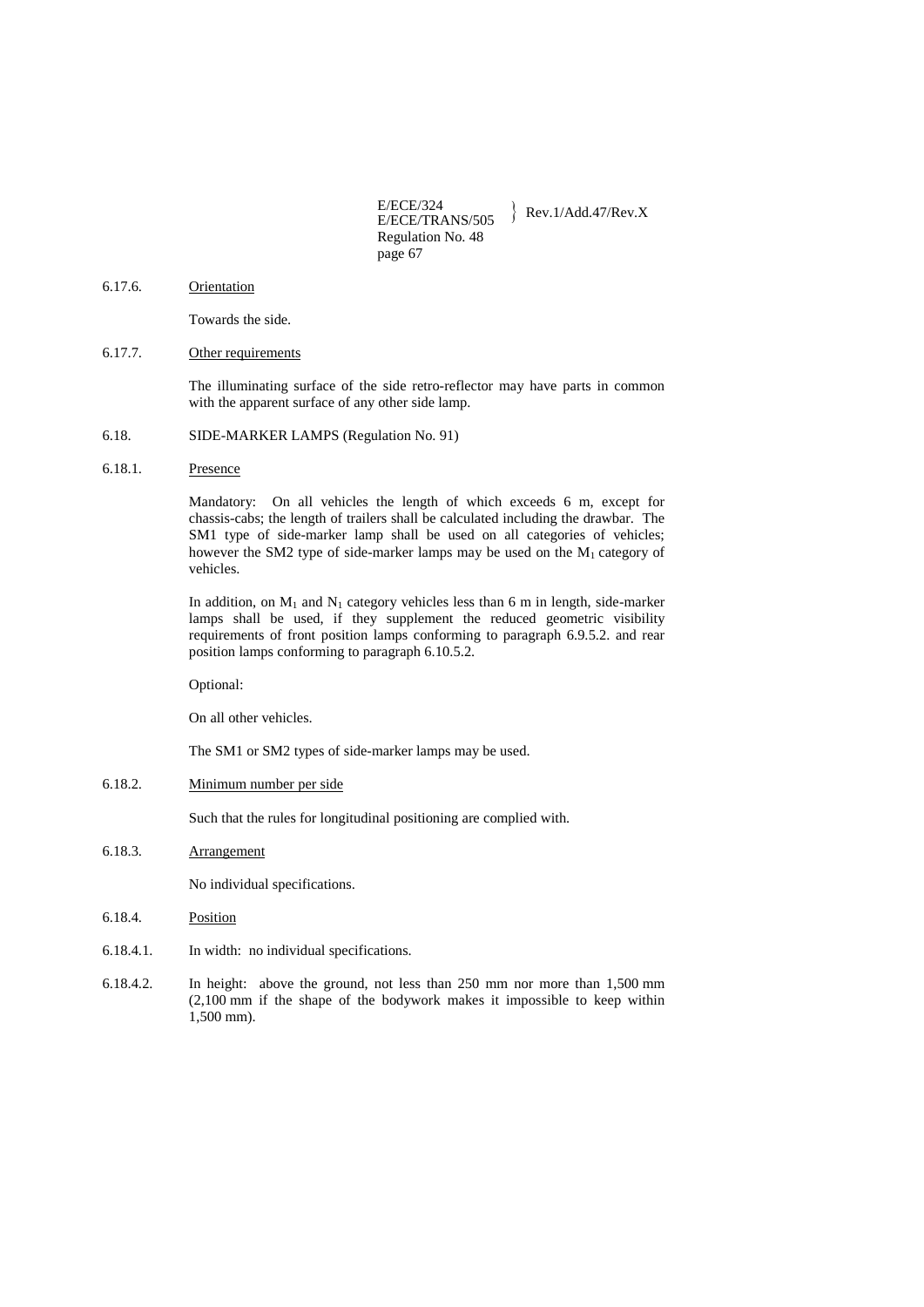# 6.17.6. Orientation

Towards the side.

6.17.7. Other requirements

The illuminating surface of the side retro-reflector may have parts in common with the apparent surface of any other side lamp.

- 6.18. SIDE-MARKER LAMPS (Regulation No. 91)
- 6.18.1. Presence

Mandatory: On all vehicles the length of which exceeds 6 m, except for chassis-cabs; the length of trailers shall be calculated including the drawbar. The SM1 type of side-marker lamp shall be used on all categories of vehicles; however the SM2 type of side-marker lamps may be used on the  $M_1$  category of vehicles.

In addition, on  $M_1$  and  $N_1$  category vehicles less than 6 m in length, side-marker lamps shall be used, if they supplement the reduced geometric visibility requirements of front position lamps conforming to paragraph 6.9.5.2. and rear position lamps conforming to paragraph 6.10.5.2.

Optional:

On all other vehicles.

The SM1 or SM2 types of side-marker lamps may be used.

### 6.18.2. Minimum number per side

Such that the rules for longitudinal positioning are complied with.

# 6.18.3. Arrangement

No individual specifications.

- 6.18.4. Position
- 6.18.4.1. In width: no individual specifications.
- 6.18.4.2. In height: above the ground, not less than 250 mm nor more than 1,500 mm (2,100 mm if the shape of the bodywork makes it impossible to keep within 1,500 mm).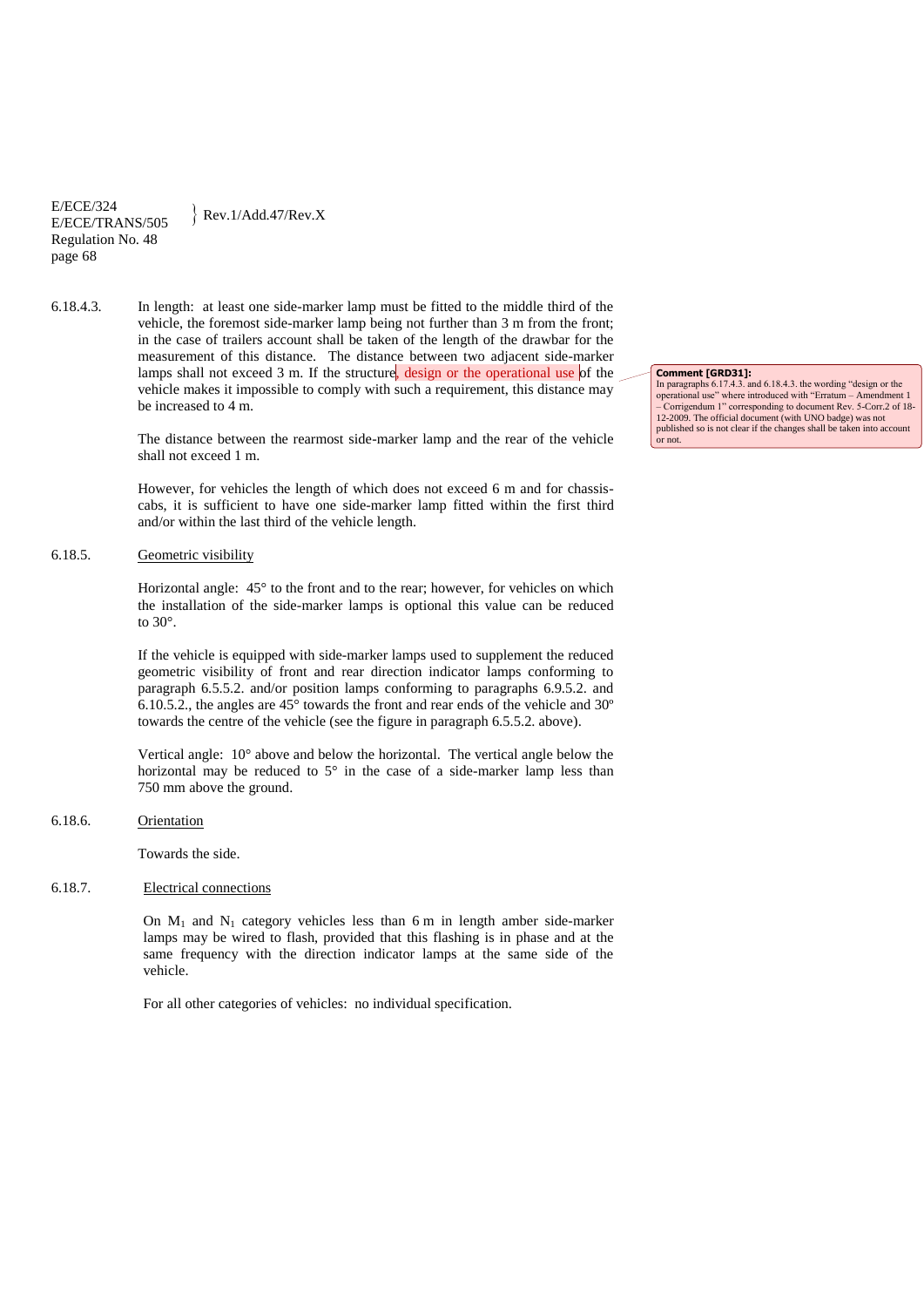6.18.4.3. In length: at least one side-marker lamp must be fitted to the middle third of the vehicle, the foremost side-marker lamp being not further than 3 m from the front; in the case of trailers account shall be taken of the length of the drawbar for the measurement of this distance. The distance between two adjacent side-marker lamps shall not exceed 3 m. If the structure, design or the operational use of the vehicle makes it impossible to comply with such a requirement, this distance may be increased to 4 m.

> The distance between the rearmost side-marker lamp and the rear of the vehicle shall not exceed 1 m.

> However, for vehicles the length of which does not exceed 6 m and for chassiscabs, it is sufficient to have one side-marker lamp fitted within the first third and/or within the last third of the vehicle length.

# 6.18.5. Geometric visibility

Horizontal angle: 45° to the front and to the rear; however, for vehicles on which the installation of the side-marker lamps is optional this value can be reduced to 30°.

If the vehicle is equipped with side-marker lamps used to supplement the reduced geometric visibility of front and rear direction indicator lamps conforming to paragraph 6.5.5.2. and/or position lamps conforming to paragraphs 6.9.5.2. and 6.10.5.2., the angles are 45° towards the front and rear ends of the vehicle and 30º towards the centre of the vehicle (see the figure in paragraph 6.5.5.2. above).

Vertical angle: 10° above and below the horizontal. The vertical angle below the horizontal may be reduced to 5° in the case of a side-marker lamp less than 750 mm above the ground.

6.18.6. Orientation

Towards the side.

#### 6.18.7. Electrical connections

On  $M_1$  and  $N_1$  category vehicles less than 6 m in length amber side-marker lamps may be wired to flash, provided that this flashing is in phase and at the same frequency with the direction indicator lamps at the same side of the vehicle.

For all other categories of vehicles: no individual specification.

#### **Comment [GRD31]:**

In paragraphs 6.17.4.3. and 6.18.4.3. the wording "design or the operational use" where introduced with "Erratum – Amendment 1 – Corrigendum 1" corresponding to document Rev. 5-Corr.2 of 18- 12-2009. The official document (with UNO badge) was not published so is not clear if the changes shall be taken into account or not.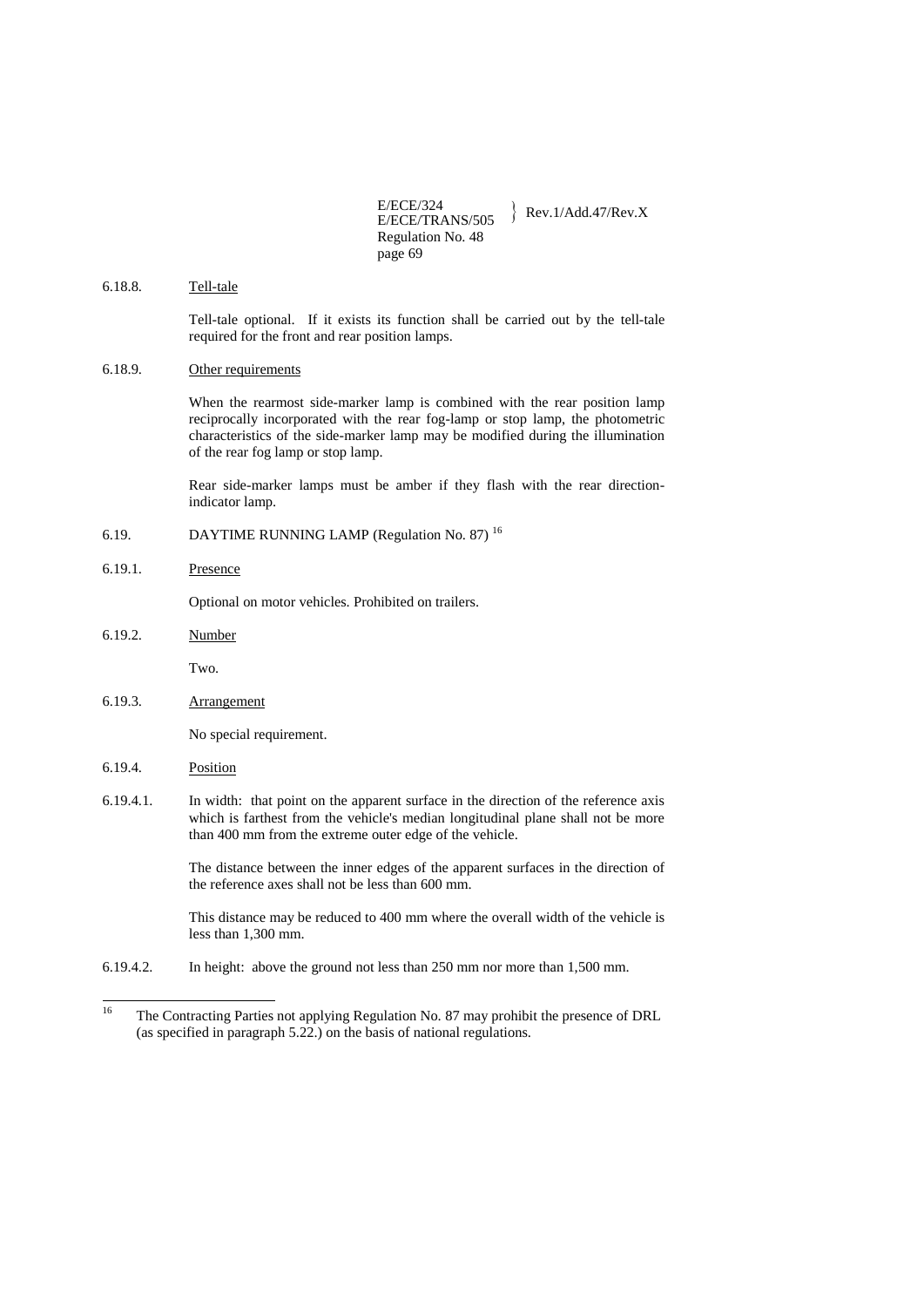# 6.18.8. Tell-tale

Tell-tale optional. If it exists its function shall be carried out by the tell-tale required for the front and rear position lamps.

# 6.18.9. Other requirements

When the rearmost side-marker lamp is combined with the rear position lamp reciprocally incorporated with the rear fog-lamp or stop lamp, the photometric characteristics of the side-marker lamp may be modified during the illumination of the rear fog lamp or stop lamp.

Rear side-marker lamps must be amber if they flash with the rear directionindicator lamp.

- 6.19. DAYTIME RUNNING LAMP (Regulation No. 87) <sup>16</sup>
- 6.19.1. Presence

Optional on motor vehicles. Prohibited on trailers.

6.19.2. Number

Two.

6.19.3. Arrangement

No special requirement.

- 6.19.4. Position
- 6.19.4.1. In width: that point on the apparent surface in the direction of the reference axis which is farthest from the vehicle's median longitudinal plane shall not be more than 400 mm from the extreme outer edge of the vehicle.

The distance between the inner edges of the apparent surfaces in the direction of the reference axes shall not be less than 600 mm.

This distance may be reduced to 400 mm where the overall width of the vehicle is less than 1,300 mm.

6.19.4.2. In height: above the ground not less than 250 mm nor more than 1,500 mm.

 $16$ <sup>16</sup> The Contracting Parties not applying Regulation No. 87 may prohibit the presence of DRL (as specified in paragraph 5.22.) on the basis of national regulations.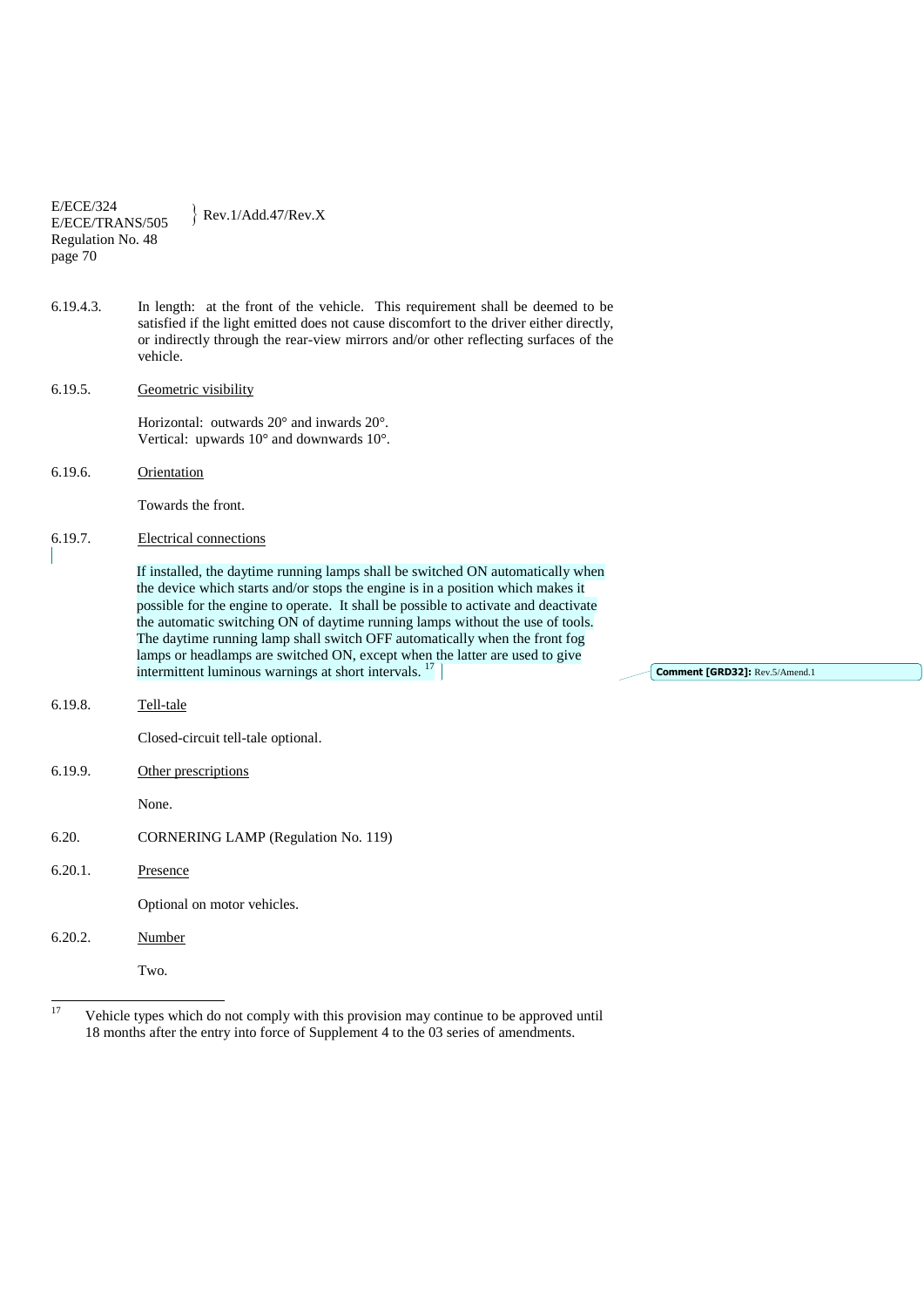- 6.19.4.3. In length: at the front of the vehicle. This requirement shall be deemed to be satisfied if the light emitted does not cause discomfort to the driver either directly, or indirectly through the rear-view mirrors and/or other reflecting surfaces of the vehicle.
- 6.19.5. Geometric visibility

Horizontal: outwards 20° and inwards 20°. Vertical: upwards 10° and downwards 10°.

6.19.6. Orientation

Towards the front.

6.19.7. Electrical connections

If installed, the daytime running lamps shall be switched ON automatically when the device which starts and/or stops the engine is in a position which makes it possible for the engine to operate. It shall be possible to activate and deactivate the automatic switching ON of daytime running lamps without the use of tools. The daytime running lamp shall switch OFF automatically when the front fog lamps or headlamps are switched ON, except when the latter are used to give intermittent luminous warnings at short intervals.<sup>17</sup>

6.19.8. Tell-tale

Closed-circuit tell-tale optional.

6.19.9. Other prescriptions

None.

- 6.20. CORNERING LAMP (Regulation No. 119)
- 6.20.1. Presence

Optional on motor vehicles.

6.20.2. Number

Two.

17 <sup>17</sup> Vehicle types which do not comply with this provision may continue to be approved until 18 months after the entry into force of Supplement 4 to the 03 series of amendments.

**Comment [GRD32]:** Rev.5/Amend.1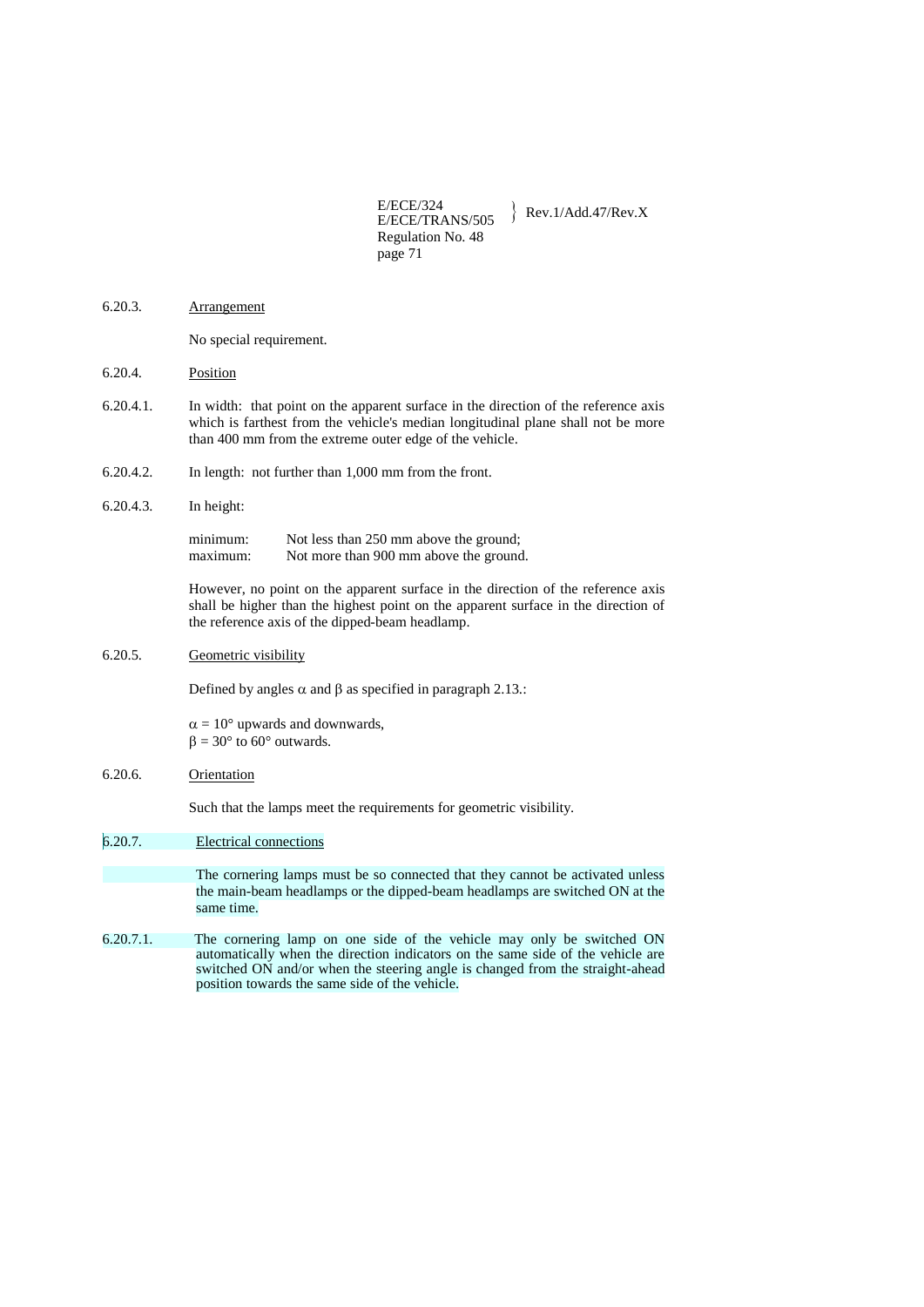6.20.3. Arrangement

No special requirement.

- 6.20.4. Position
- 6.20.4.1. In width: that point on the apparent surface in the direction of the reference axis which is farthest from the vehicle's median longitudinal plane shall not be more than 400 mm from the extreme outer edge of the vehicle.
- 6.20.4.2. In length: not further than 1,000 mm from the front.
- 6.20.4.3. In height:

minimum: Not less than 250 mm above the ground; maximum: Not more than 900 mm above the ground.

However, no point on the apparent surface in the direction of the reference axis shall be higher than the highest point on the apparent surface in the direction of the reference axis of the dipped-beam headlamp.

### 6.20.5. Geometric visibility

Defined by angles  $\alpha$  and  $\beta$  as specified in paragraph 2.13.:

 $\alpha = 10^{\circ}$  upwards and downwards,  $\beta = 30^\circ$  to 60° outwards.

### 6.20.6. Orientation

Such that the lamps meet the requirements for geometric visibility.

6.20.7. Electrical connections

The cornering lamps must be so connected that they cannot be activated unless the main-beam headlamps or the dipped-beam headlamps are switched ON at the same time.

6.20.7.1. The cornering lamp on one side of the vehicle may only be switched ON automatically when the direction indicators on the same side of the vehicle are switched ON and/or when the steering angle is changed from the straight-ahead position towards the same side of the vehicle.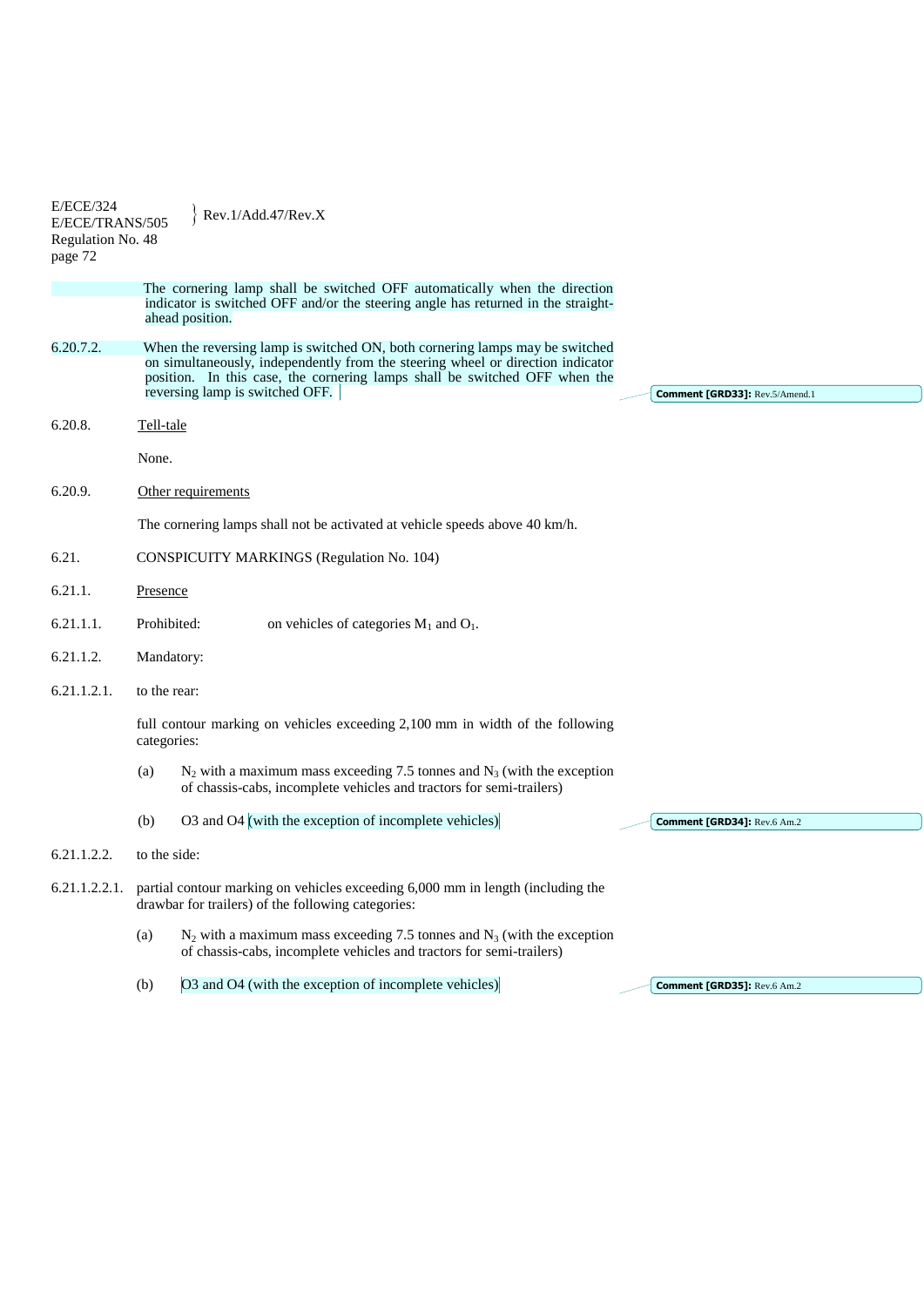| <b>E/ECE/324</b><br>E/ECE/TRANS/505<br>Regulation No. 48<br>page 72 |                                                                                                                                                                                                  | Rev.1/Add.47/Rev.X                                                                                                                                   |                                |  |  |
|---------------------------------------------------------------------|--------------------------------------------------------------------------------------------------------------------------------------------------------------------------------------------------|------------------------------------------------------------------------------------------------------------------------------------------------------|--------------------------------|--|--|
|                                                                     |                                                                                                                                                                                                  | The cornering lamp shall be switched OFF automatically when the direction                                                                            |                                |  |  |
|                                                                     |                                                                                                                                                                                                  | indicator is switched OFF and/or the steering angle has returned in the straight-<br>ahead position.                                                 |                                |  |  |
| 6.20.7.2.                                                           |                                                                                                                                                                                                  | When the reversing lamp is switched ON, both cornering lamps may be switched                                                                         |                                |  |  |
|                                                                     | on simultaneously, independently from the steering wheel or direction indicator<br>position. In this case, the cornering lamps shall be switched OFF when the<br>reversing lamp is switched OFF. |                                                                                                                                                      | Comment [GRD33]: Rev.5/Amend.1 |  |  |
| 6.20.8.                                                             | Tell-tale                                                                                                                                                                                        |                                                                                                                                                      |                                |  |  |
|                                                                     | None.                                                                                                                                                                                            |                                                                                                                                                      |                                |  |  |
| 6.20.9.                                                             | Other requirements                                                                                                                                                                               |                                                                                                                                                      |                                |  |  |
|                                                                     |                                                                                                                                                                                                  | The cornering lamps shall not be activated at vehicle speeds above 40 km/h.                                                                          |                                |  |  |
| 6.21.                                                               | CONSPICUITY MARKINGS (Regulation No. 104)                                                                                                                                                        |                                                                                                                                                      |                                |  |  |
| 6.21.1.                                                             | Presence                                                                                                                                                                                         |                                                                                                                                                      |                                |  |  |
| 6.21.1.1.                                                           | Prohibited:<br>on vehicles of categories $M_1$ and $O_1$ .                                                                                                                                       |                                                                                                                                                      |                                |  |  |
| 6.21.1.2.                                                           | Mandatory:                                                                                                                                                                                       |                                                                                                                                                      |                                |  |  |
| 6.21.1.2.1.                                                         | to the rear:                                                                                                                                                                                     |                                                                                                                                                      |                                |  |  |
|                                                                     | categories:                                                                                                                                                                                      | full contour marking on vehicles exceeding 2,100 mm in width of the following                                                                        |                                |  |  |
|                                                                     | (a)                                                                                                                                                                                              | $N_2$ with a maximum mass exceeding 7.5 tonnes and $N_3$ (with the exception<br>of chassis-cabs, incomplete vehicles and tractors for semi-trailers) |                                |  |  |
|                                                                     | (b)                                                                                                                                                                                              | O3 and O4 (with the exception of incomplete vehicles)                                                                                                | Comment [GRD34]: Rev.6 Am.2    |  |  |
| 6.21.1.2.2.                                                         | to the side:                                                                                                                                                                                     |                                                                                                                                                      |                                |  |  |
| 6.21.1.2.2.1.                                                       |                                                                                                                                                                                                  | partial contour marking on vehicles exceeding 6,000 mm in length (including the<br>drawbar for trailers) of the following categories:                |                                |  |  |
|                                                                     | (a)                                                                                                                                                                                              | $N_2$ with a maximum mass exceeding 7.5 tonnes and $N_3$ (with the exception<br>of chassis-cabs, incomplete vehicles and tractors for semi-trailers) |                                |  |  |
|                                                                     | (b)                                                                                                                                                                                              | O3 and O4 (with the exception of incomplete vehicles)                                                                                                | Comment [GRD35]: Rev.6 Am.2    |  |  |
|                                                                     |                                                                                                                                                                                                  |                                                                                                                                                      |                                |  |  |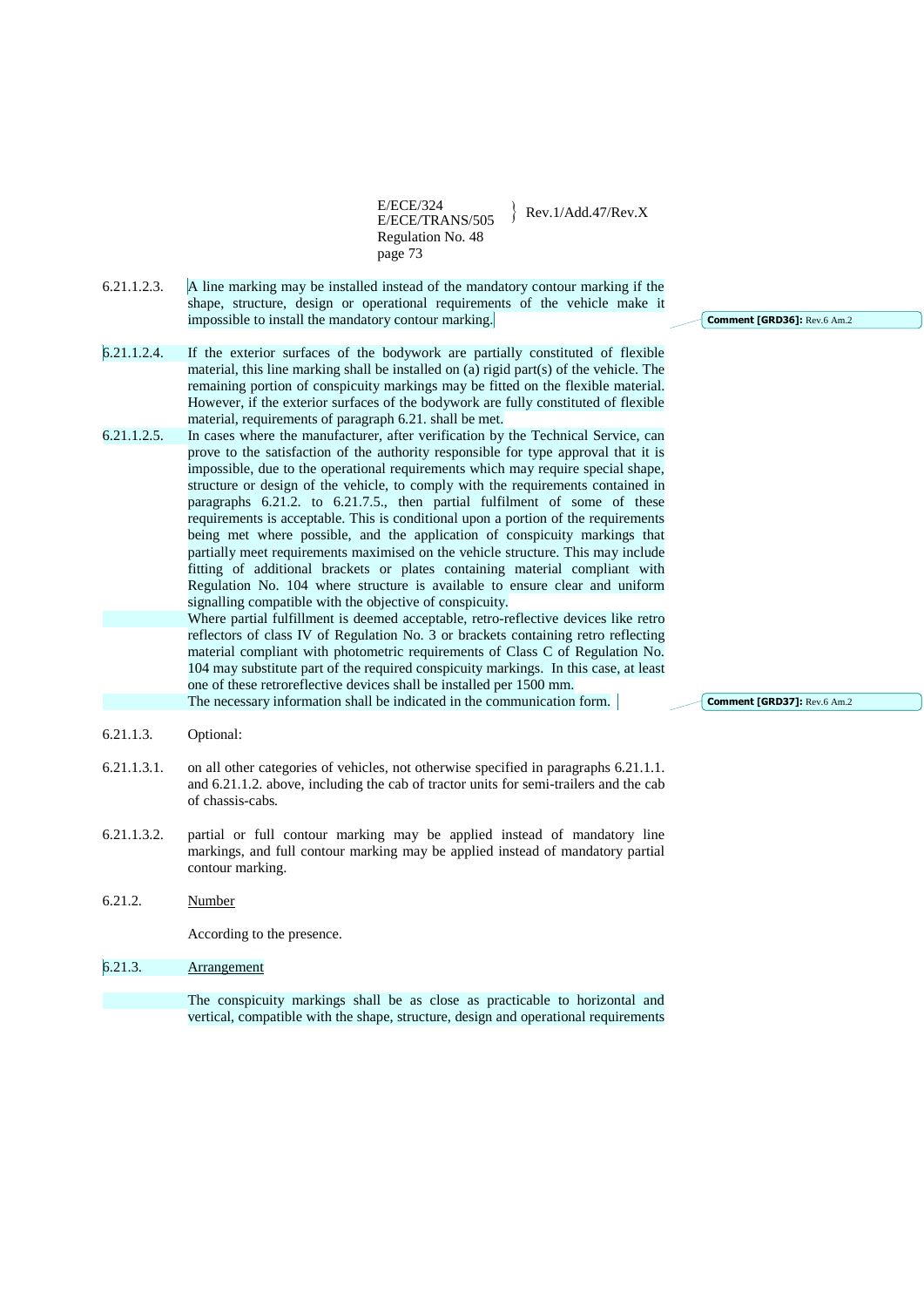- 6.21.1.2.3. A line marking may be installed instead of the mandatory contour marking if the shape, structure, design or operational requirements of the vehicle make it impossible to install the mandatory contour marking.
- 6.21.1.2.4. If the exterior surfaces of the bodywork are partially constituted of flexible material, this line marking shall be installed on (a) rigid part(s) of the vehicle. The remaining portion of conspicuity markings may be fitted on the flexible material. However, if the exterior surfaces of the bodywork are fully constituted of flexible material, requirements of paragraph 6.21. shall be met.
- 6.21.1.2.5. In cases where the manufacturer, after verification by the Technical Service, can prove to the satisfaction of the authority responsible for type approval that it is impossible, due to the operational requirements which may require special shape, structure or design of the vehicle, to comply with the requirements contained in paragraphs 6.21.2. to 6.21.7.5., then partial fulfilment of some of these requirements is acceptable. This is conditional upon a portion of the requirements being met where possible, and the application of conspicuity markings that partially meet requirements maximised on the vehicle structure. This may include fitting of additional brackets or plates containing material compliant with Regulation No. 104 where structure is available to ensure clear and uniform signalling compatible with the objective of conspicuity.

Where partial fulfillment is deemed acceptable, retro-reflective devices like retro reflectors of class IV of Regulation No. 3 or brackets containing retro reflecting material compliant with photometric requirements of Class C of Regulation No. 104 may substitute part of the required conspicuity markings. In this case, at least one of these retroreflective devices shall be installed per 1500 mm.

The necessary information shall be indicated in the communication form.

- 6.21.1.3. Optional:
- 6.21.1.3.1. on all other categories of vehicles, not otherwise specified in paragraphs 6.21.1.1. and 6.21.1.2. above, including the cab of tractor units for semi-trailers and the cab of chassis-cabs*.*
- 6.21.1.3.2. partial or full contour marking may be applied instead of mandatory line markings, and full contour marking may be applied instead of mandatory partial contour marking.
- 6.21.2. Number

According to the presence.

6.21.3. Arrangement

The conspicuity markings shall be as close as practicable to horizontal and vertical, compatible with the shape, structure, design and operational requirements **Comment [GRD37]:** Rev.6 Am.2

**Comment [GRD36]:** Rev.6 Am.2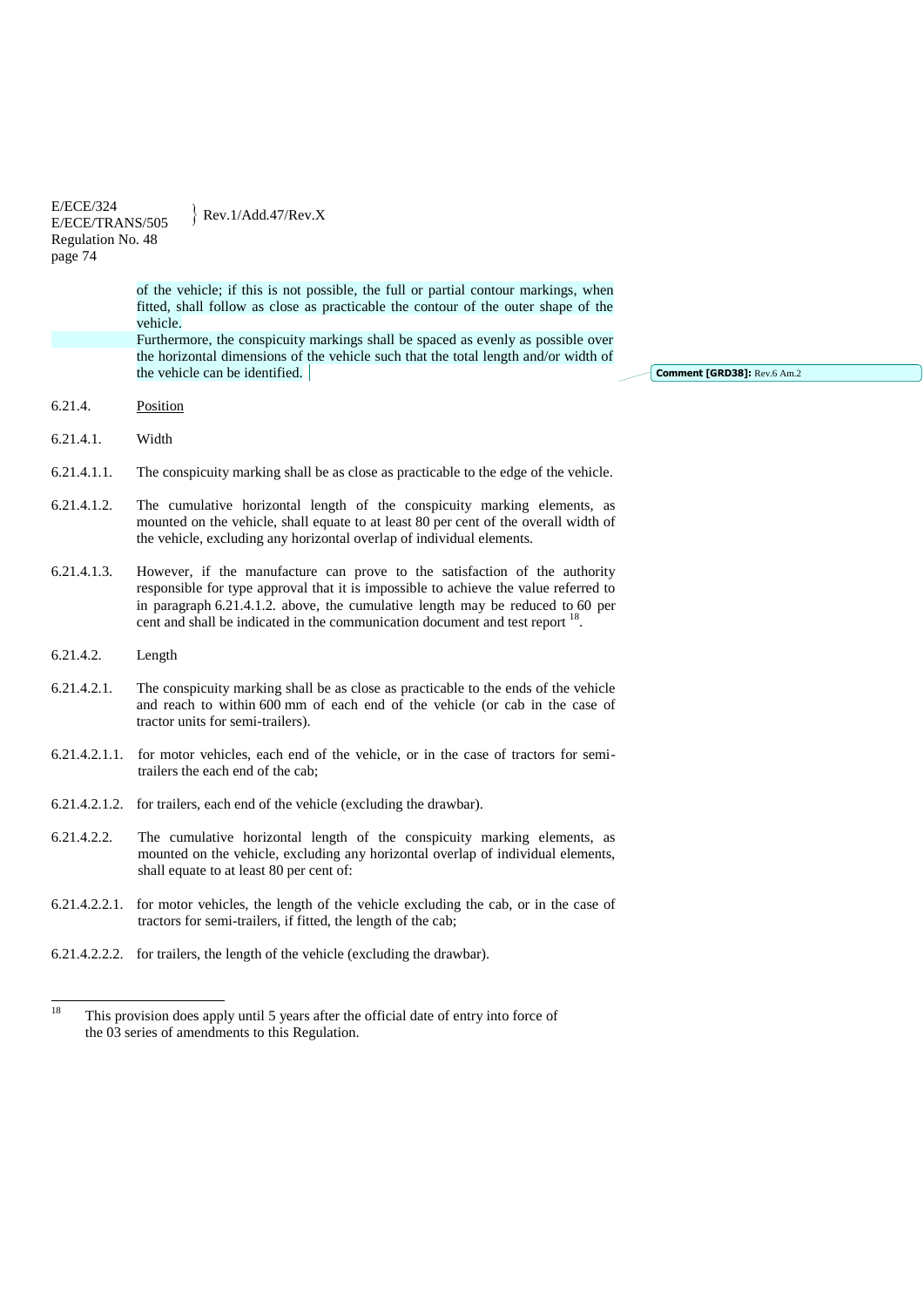page 74

of the vehicle; if this is not possible, the full or partial contour markings, when fitted, shall follow as close as practicable the contour of the outer shape of the vehicle.

Furthermore, the conspicuity markings shall be spaced as evenly as possible over the horizontal dimensions of the vehicle such that the total length and/or width of the vehicle can be identified.

**Comment [GRD38]:** Rev.6 Am.2

- 6.21.4. Position
- 6.21.4.1. Width
- 6.21.4.1.1. The conspicuity marking shall be as close as practicable to the edge of the vehicle.
- 6.21.4.1.2. The cumulative horizontal length of the conspicuity marking elements, as mounted on the vehicle, shall equate to at least 80 per cent of the overall width of the vehicle, excluding any horizontal overlap of individual elements.
- 6.21.4.1.3. However, if the manufacture can prove to the satisfaction of the authority responsible for type approval that it is impossible to achieve the value referred to in paragraph 6.21.4.1.2. above, the cumulative length may be reduced to 60 per cent and shall be indicated in the communication document and test report <sup>18</sup>.
- 6.21.4.2. Length
- 6.21.4.2.1. The conspicuity marking shall be as close as practicable to the ends of the vehicle and reach to within 600 mm of each end of the vehicle (or cab in the case of tractor units for semi-trailers).
- 6.21.4.2.1.1. for motor vehicles, each end of the vehicle, or in the case of tractors for semitrailers the each end of the cab;
- 6.21.4.2.1.2. for trailers, each end of the vehicle (excluding the drawbar).
- 6.21.4.2.2. The cumulative horizontal length of the conspicuity marking elements, as mounted on the vehicle, excluding any horizontal overlap of individual elements, shall equate to at least 80 per cent of:
- 6.21.4.2.2.1. for motor vehicles, the length of the vehicle excluding the cab, or in the case of tractors for semi-trailers, if fitted, the length of the cab;
- 6.21.4.2.2.2. for trailers, the length of the vehicle (excluding the drawbar).

<sup>18</sup> This provision does apply until 5 years after the official date of entry into force of the 03 series of amendments to this Regulation.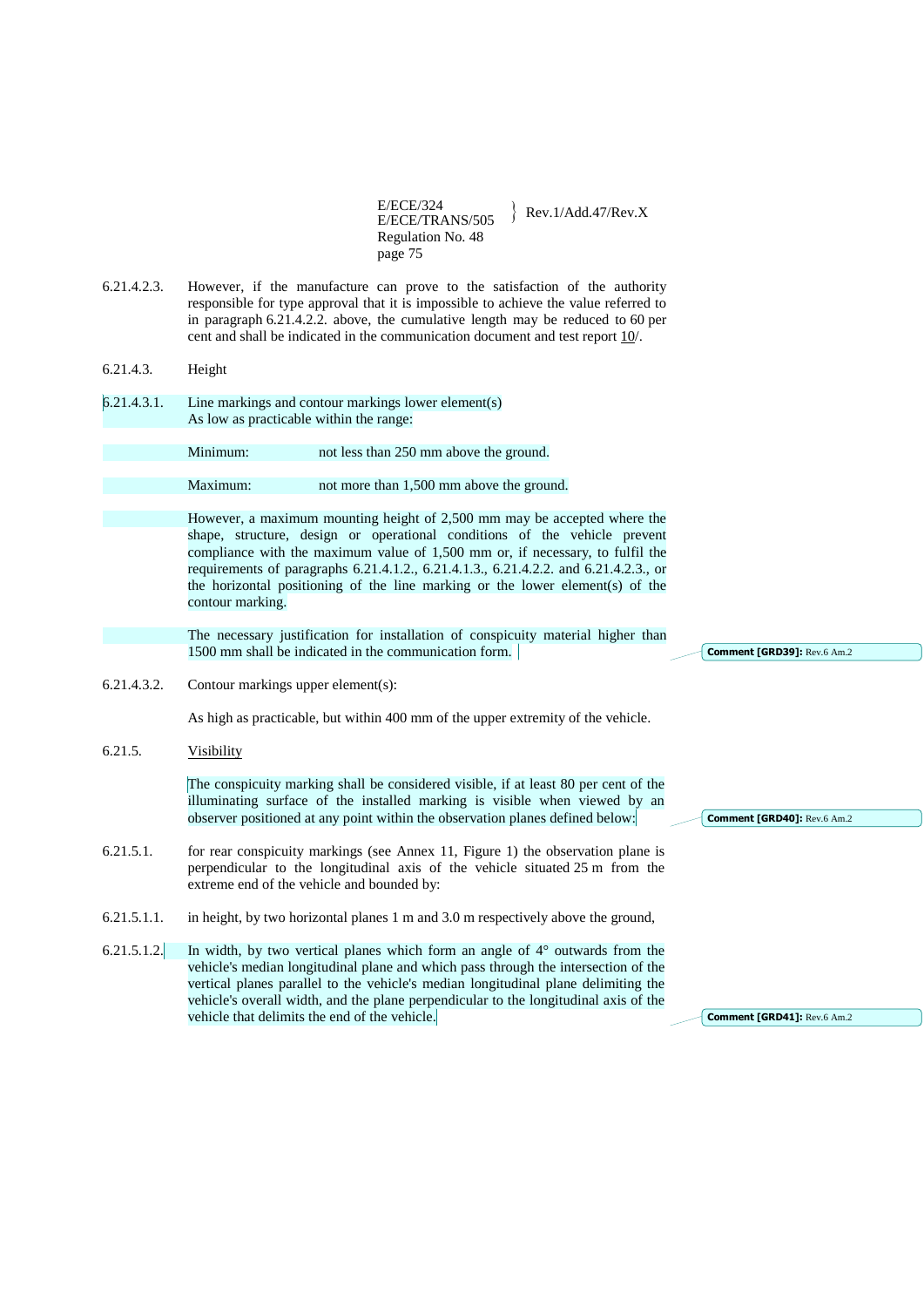- 6.21.4.2.3. However, if the manufacture can prove to the satisfaction of the authority responsible for type approval that it is impossible to achieve the value referred to in paragraph 6.21.4.2.2. above, the cumulative length may be reduced to 60 per cent and shall be indicated in the communication document and test report 10/.
- 6.21.4.3. Height

### 6.21.4.3.1. Line markings and contour markings lower element(s) As low as practicable within the range:

Minimum: not less than 250 mm above the ground.

Maximum: not more than 1,500 mm above the ground.

However, a maximum mounting height of 2,500 mm may be accepted where the shape, structure, design or operational conditions of the vehicle prevent compliance with the maximum value of 1,500 mm or, if necessary, to fulfil the requirements of paragraphs 6.21.4.1.2., 6.21.4.1.3., 6.21.4.2.2. and 6.21.4.2.3., or the horizontal positioning of the line marking or the lower element(s) of the contour marking.

The necessary justification for installation of conspicuity material higher than 1500 mm shall be indicated in the communication form.

6.21.4.3.2. Contour markings upper element(s):

As high as practicable, but within 400 mm of the upper extremity of the vehicle.

6.21.5. Visibility

The conspicuity marking shall be considered visible, if at least 80 per cent of the illuminating surface of the installed marking is visible when viewed by an observer positioned at any point within the observation planes defined below:

- 6.21.5.1. for rear conspicuity markings (see Annex 11, Figure 1) the observation plane is perpendicular to the longitudinal axis of the vehicle situated 25 m from the extreme end of the vehicle and bounded by:
- 6.21.5.1.1. in height, by two horizontal planes 1 m and 3.0 m respectively above the ground,
- 6.21.5.1.2. In width, by two vertical planes which form an angle of  $4^{\circ}$  outwards from the vehicle's median longitudinal plane and which pass through the intersection of the vertical planes parallel to the vehicle's median longitudinal plane delimiting the vehicle's overall width, and the plane perpendicular to the longitudinal axis of the vehicle that delimits the end of the vehicle.

**Comment [GRD40]:** Rev.6 Am.2

**Comment [GRD39]:** Rev.6 Am.2

**Comment [GRD41]:** Rev.6 Am.2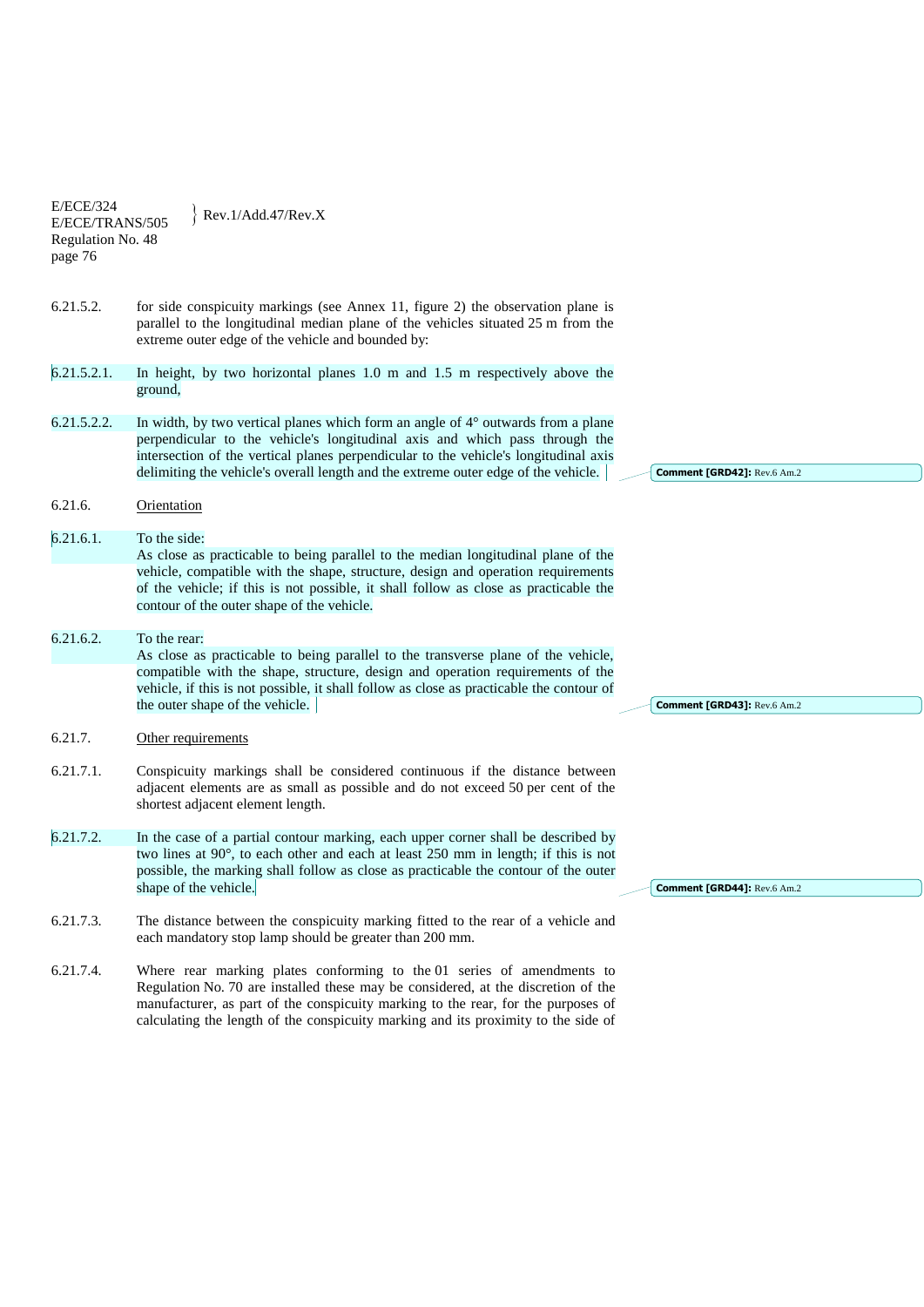- 6.21.5.2. for side conspicuity markings (see Annex 11, figure 2) the observation plane is parallel to the longitudinal median plane of the vehicles situated 25 m from the extreme outer edge of the vehicle and bounded by:
- 6.21.5.2.1. In height, by two horizontal planes 1.0 m and 1.5 m respectively above the ground,
- 6.21.5.2.2. In width, by two vertical planes which form an angle of  $4^{\circ}$  outwards from a plane perpendicular to the vehicle's longitudinal axis and which pass through the intersection of the vertical planes perpendicular to the vehicle's longitudinal axis delimiting the vehicle's overall length and the extreme outer edge of the vehicle.
- 6.21.6. Orientation

6.21.6.1. To the side: As close as practicable to being parallel to the median longitudinal plane of the vehicle, compatible with the shape, structure, design and operation requirements of the vehicle; if this is not possible, it shall follow as close as practicable the contour of the outer shape of the vehicle.

# 6.21.6.2. To the rear:

As close as practicable to being parallel to the transverse plane of the vehicle, compatible with the shape, structure, design and operation requirements of the vehicle, if this is not possible, it shall follow as close as practicable the contour of the outer shape of the vehicle.

- 6.21.7. Other requirements
- 6.21.7.1. Conspicuity markings shall be considered continuous if the distance between adjacent elements are as small as possible and do not exceed 50 per cent of the shortest adjacent element length.
- 6.21.7.2. In the case of a partial contour marking, each upper corner shall be described by two lines at 90°, to each other and each at least 250 mm in length; if this is not possible, the marking shall follow as close as practicable the contour of the outer shape of the vehicle.
- 6.21.7.3. The distance between the conspicuity marking fitted to the rear of a vehicle and each mandatory stop lamp should be greater than 200 mm.
- 6.21.7.4. Where rear marking plates conforming to the 01 series of amendments to Regulation No. 70 are installed these may be considered, at the discretion of the manufacturer, as part of the conspicuity marking to the rear, for the purposes of calculating the length of the conspicuity marking and its proximity to the side of

**Comment [GRD42]:** Rev.6 Am.2

**Comment [GRD43]:** Rev.6 Am.2

**Comment [GRD44]:** Rev.6 Am.2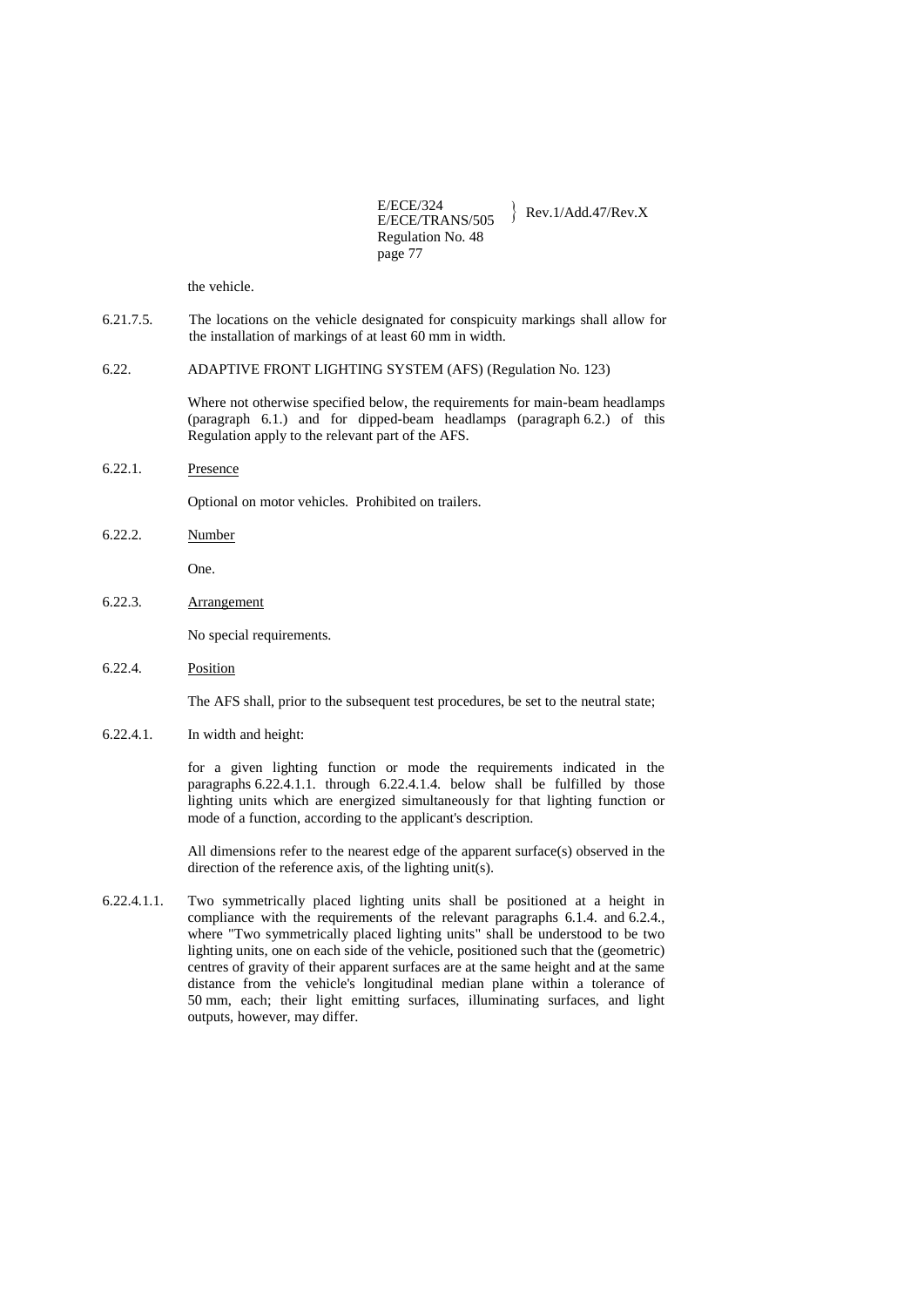the vehicle.

- 6.21.7.5. The locations on the vehicle designated for conspicuity markings shall allow for the installation of markings of at least 60 mm in width.
- 6.22. ADAPTIVE FRONT LIGHTING SYSTEM (AFS) (Regulation No. 123)

Where not otherwise specified below, the requirements for main-beam headlamps (paragraph 6.1.) and for dipped-beam headlamps (paragraph 6.2.) of this Regulation apply to the relevant part of the AFS.

6.22.1. Presence

Optional on motor vehicles. Prohibited on trailers.

6.22.2. Number

One.

6.22.3. Arrangement

No special requirements.

6.22.4. Position

The AFS shall, prior to the subsequent test procedures, be set to the neutral state;

6.22.4.1. In width and height:

for a given lighting function or mode the requirements indicated in the paragraphs 6.22.4.1.1. through 6.22.4.1.4. below shall be fulfilled by those lighting units which are energized simultaneously for that lighting function or mode of a function, according to the applicant's description.

All dimensions refer to the nearest edge of the apparent surface(s) observed in the direction of the reference axis, of the lighting unit(s).

6.22.4.1.1. Two symmetrically placed lighting units shall be positioned at a height in compliance with the requirements of the relevant paragraphs 6.1.4. and 6.2.4., where "Two symmetrically placed lighting units" shall be understood to be two lighting units, one on each side of the vehicle, positioned such that the (geometric) centres of gravity of their apparent surfaces are at the same height and at the same distance from the vehicle's longitudinal median plane within a tolerance of 50 mm, each; their light emitting surfaces, illuminating surfaces, and light outputs, however, may differ.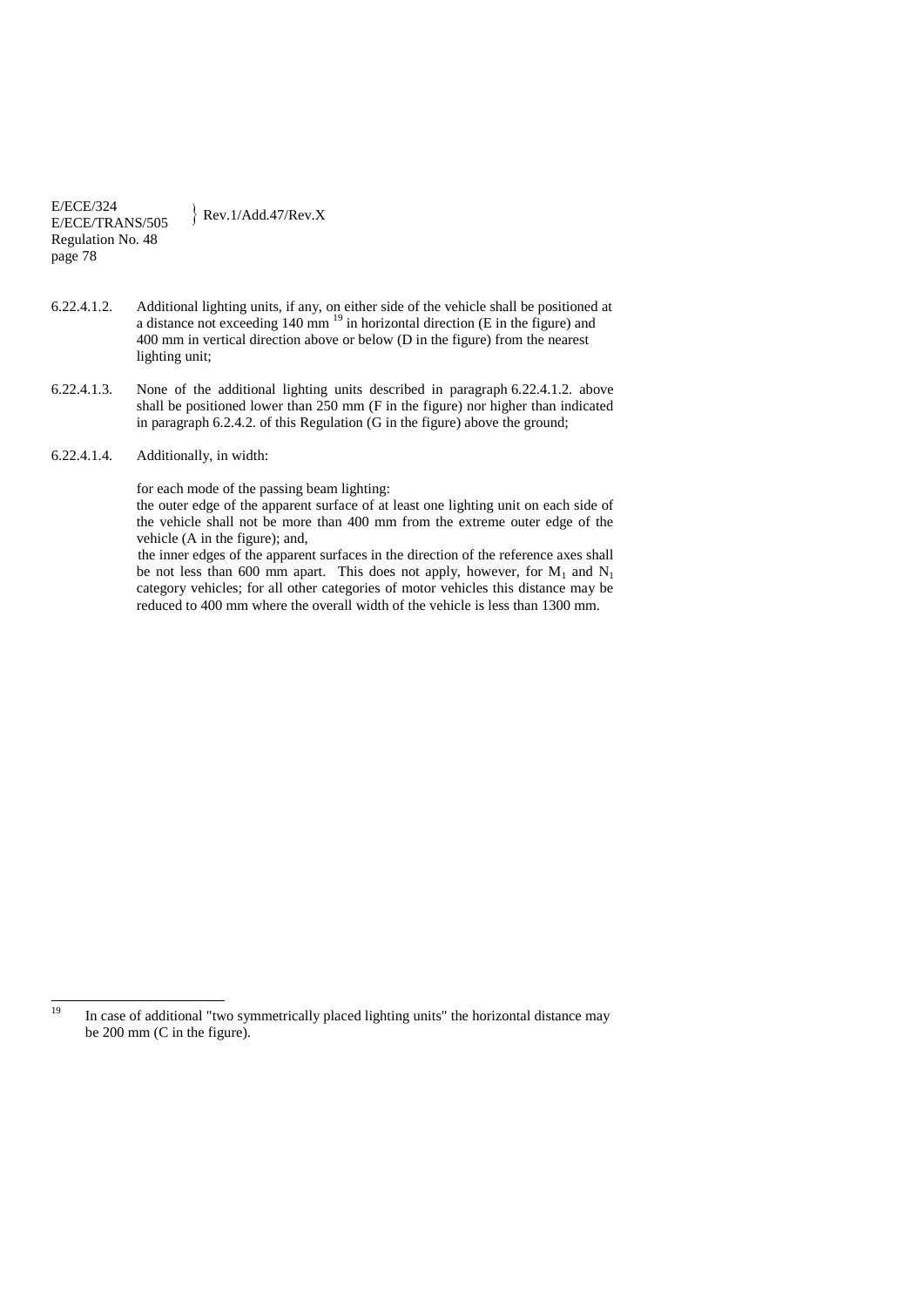- 6.22.4.1.2. Additional lighting units, if any, on either side of the vehicle shall be positioned at a distance not exceeding  $140$  mm<sup>19</sup> in horizontal direction (E in the figure) and 400 mm in vertical direction above or below (D in the figure) from the nearest lighting unit;
- 6.22.4.1.3. None of the additional lighting units described in paragraph 6.22.4.1.2. above shall be positioned lower than 250 mm (F in the figure) nor higher than indicated in paragraph 6.2.4.2. of this Regulation (G in the figure) above the ground;
- 6.22.4.1.4. Additionally, in width:

for each mode of the passing beam lighting:

the outer edge of the apparent surface of at least one lighting unit on each side of the vehicle shall not be more than 400 mm from the extreme outer edge of the vehicle (A in the figure); and,

the inner edges of the apparent surfaces in the direction of the reference axes shall be not less than 600 mm apart. This does not apply, however, for  $M_1$  and  $N_1$ category vehicles; for all other categories of motor vehicles this distance may be reduced to 400 mm where the overall width of the vehicle is less than 1300 mm.

<sup>19</sup> In case of additional "two symmetrically placed lighting units" the horizontal distance may be 200 mm (C in the figure).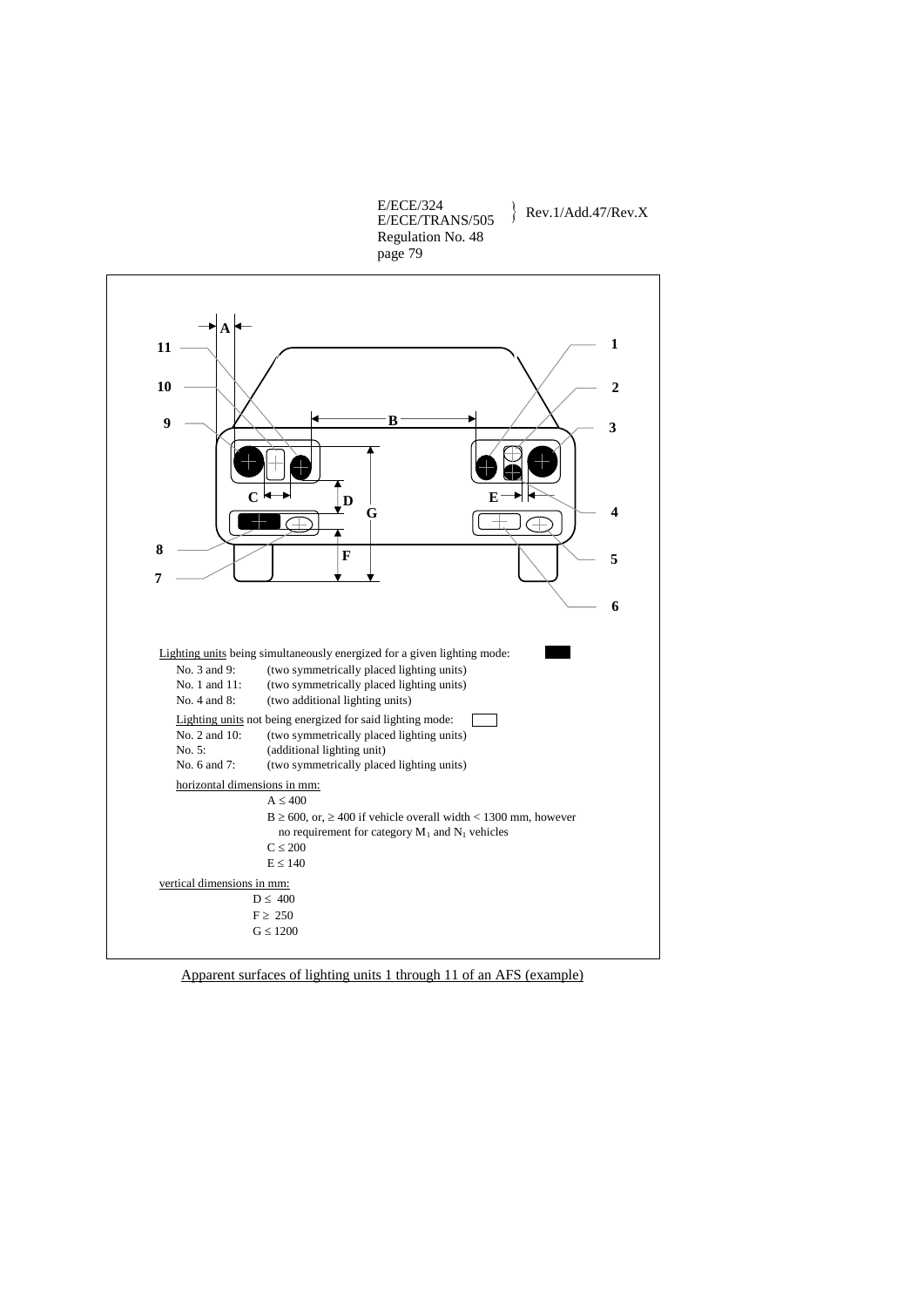



Apparent surfaces of lighting units 1 through 11 of an AFS (example)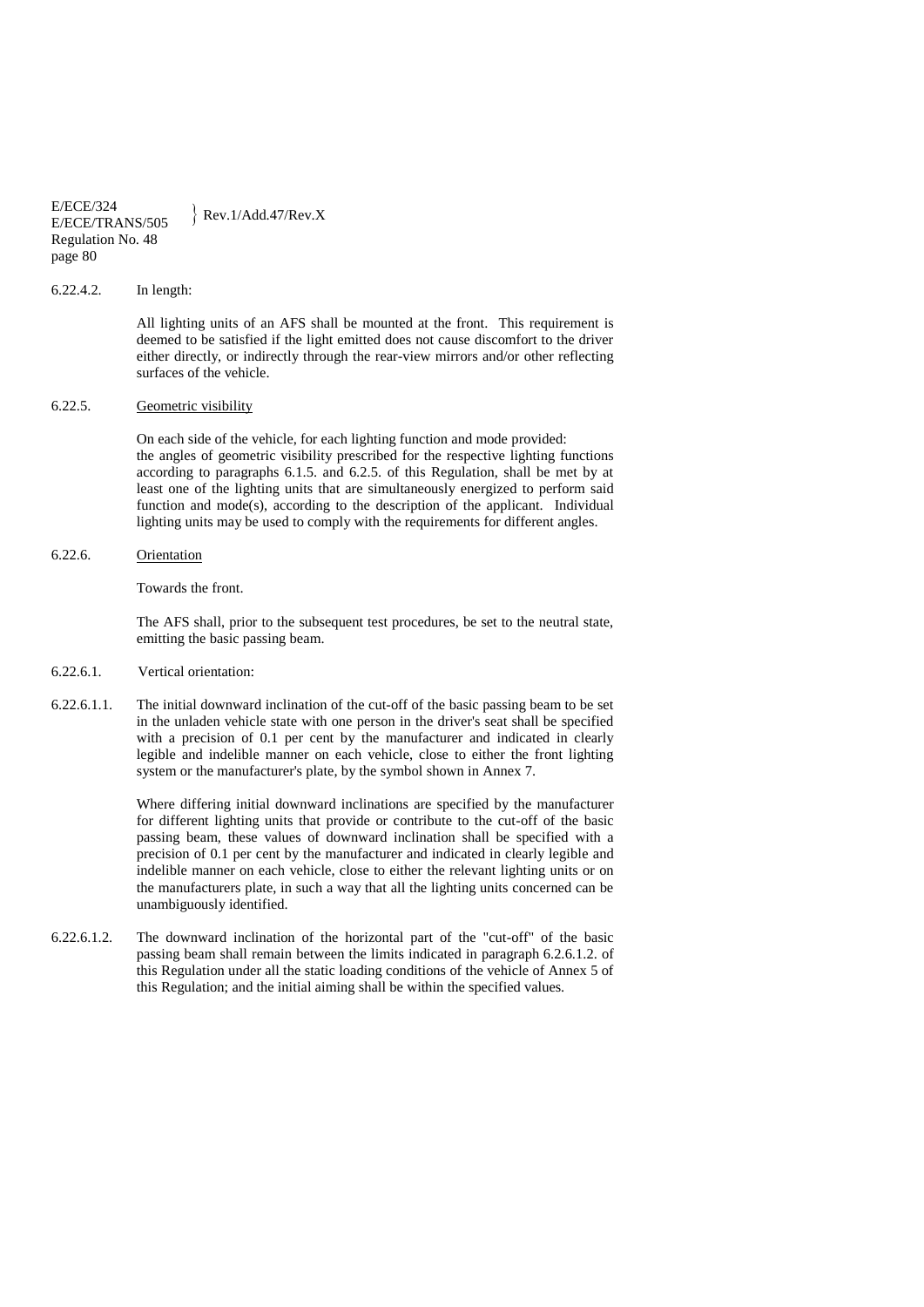### 6.22.4.2. In length:

All lighting units of an AFS shall be mounted at the front. This requirement is deemed to be satisfied if the light emitted does not cause discomfort to the driver either directly, or indirectly through the rear-view mirrors and/or other reflecting surfaces of the vehicle.

### 6.22.5. Geometric visibility

On each side of the vehicle, for each lighting function and mode provided: the angles of geometric visibility prescribed for the respective lighting functions according to paragraphs 6.1.5. and 6.2.5. of this Regulation, shall be met by at least one of the lighting units that are simultaneously energized to perform said function and mode(s), according to the description of the applicant. Individual lighting units may be used to comply with the requirements for different angles.

## 6.22.6. Orientation

Towards the front.

The AFS shall, prior to the subsequent test procedures, be set to the neutral state, emitting the basic passing beam.

- 6.22.6.1. Vertical orientation:
- 6.22.6.1.1. The initial downward inclination of the cut-off of the basic passing beam to be set in the unladen vehicle state with one person in the driver's seat shall be specified with a precision of 0.1 per cent by the manufacturer and indicated in clearly legible and indelible manner on each vehicle, close to either the front lighting system or the manufacturer's plate, by the symbol shown in Annex 7.

Where differing initial downward inclinations are specified by the manufacturer for different lighting units that provide or contribute to the cut-off of the basic passing beam, these values of downward inclination shall be specified with a precision of 0.1 per cent by the manufacturer and indicated in clearly legible and indelible manner on each vehicle, close to either the relevant lighting units or on the manufacturers plate, in such a way that all the lighting units concerned can be unambiguously identified.

6.22.6.1.2. The downward inclination of the horizontal part of the "cut-off" of the basic passing beam shall remain between the limits indicated in paragraph 6.2.6.1.2. of this Regulation under all the static loading conditions of the vehicle of Annex 5 of this Regulation; and the initial aiming shall be within the specified values.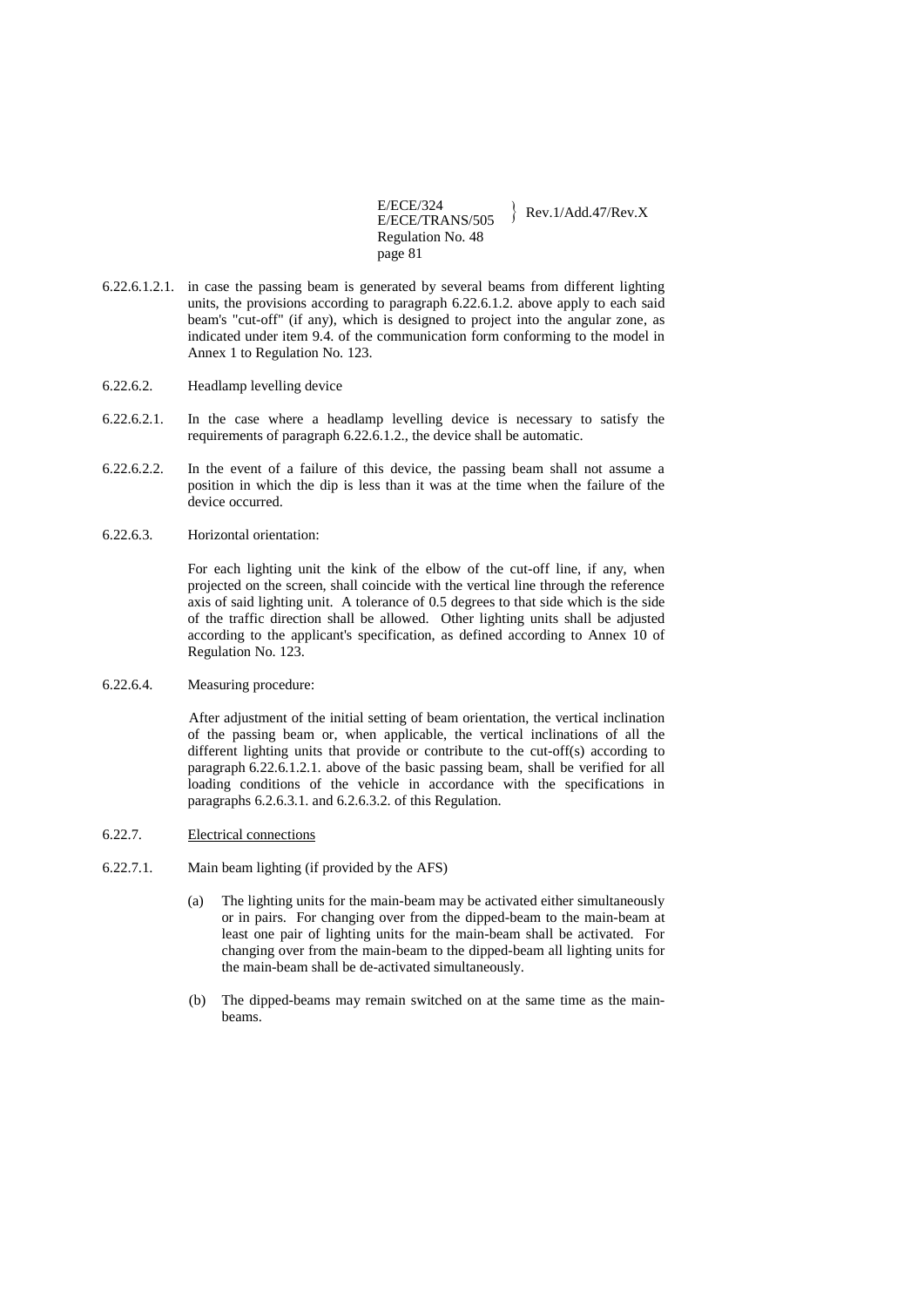- 6.22.6.1.2.1. in case the passing beam is generated by several beams from different lighting units, the provisions according to paragraph 6.22.6.1.2. above apply to each said beam's "cut-off" (if any), which is designed to project into the angular zone, as indicated under item 9.4. of the communication form conforming to the model in Annex 1 to Regulation No. 123.
- 6.22.6.2. Headlamp levelling device
- 6.22.6.2.1. In the case where a headlamp levelling device is necessary to satisfy the requirements of paragraph 6.22.6.1.2., the device shall be automatic.
- 6.22.6.2.2. In the event of a failure of this device, the passing beam shall not assume a position in which the dip is less than it was at the time when the failure of the device occurred.
- 6.22.6.3. Horizontal orientation:

For each lighting unit the kink of the elbow of the cut-off line, if any, when projected on the screen, shall coincide with the vertical line through the reference axis of said lighting unit. A tolerance of 0.5 degrees to that side which is the side of the traffic direction shall be allowed. Other lighting units shall be adjusted according to the applicant's specification, as defined according to Annex 10 of Regulation No. 123.

6.22.6.4. Measuring procedure:

After adjustment of the initial setting of beam orientation, the vertical inclination of the passing beam or, when applicable, the vertical inclinations of all the different lighting units that provide or contribute to the cut-off(s) according to paragraph 6.22.6.1.2.1. above of the basic passing beam, shall be verified for all loading conditions of the vehicle in accordance with the specifications in paragraphs 6.2.6.3.1. and 6.2.6.3.2. of this Regulation.

- 6.22.7. Electrical connections
- 6.22.7.1. Main beam lighting (if provided by the AFS)
	- (a) The lighting units for the main-beam may be activated either simultaneously or in pairs. For changing over from the dipped-beam to the main-beam at least one pair of lighting units for the main-beam shall be activated. For changing over from the main-beam to the dipped-beam all lighting units for the main-beam shall be de-activated simultaneously.
	- (b) The dipped-beams may remain switched on at the same time as the mainbeams.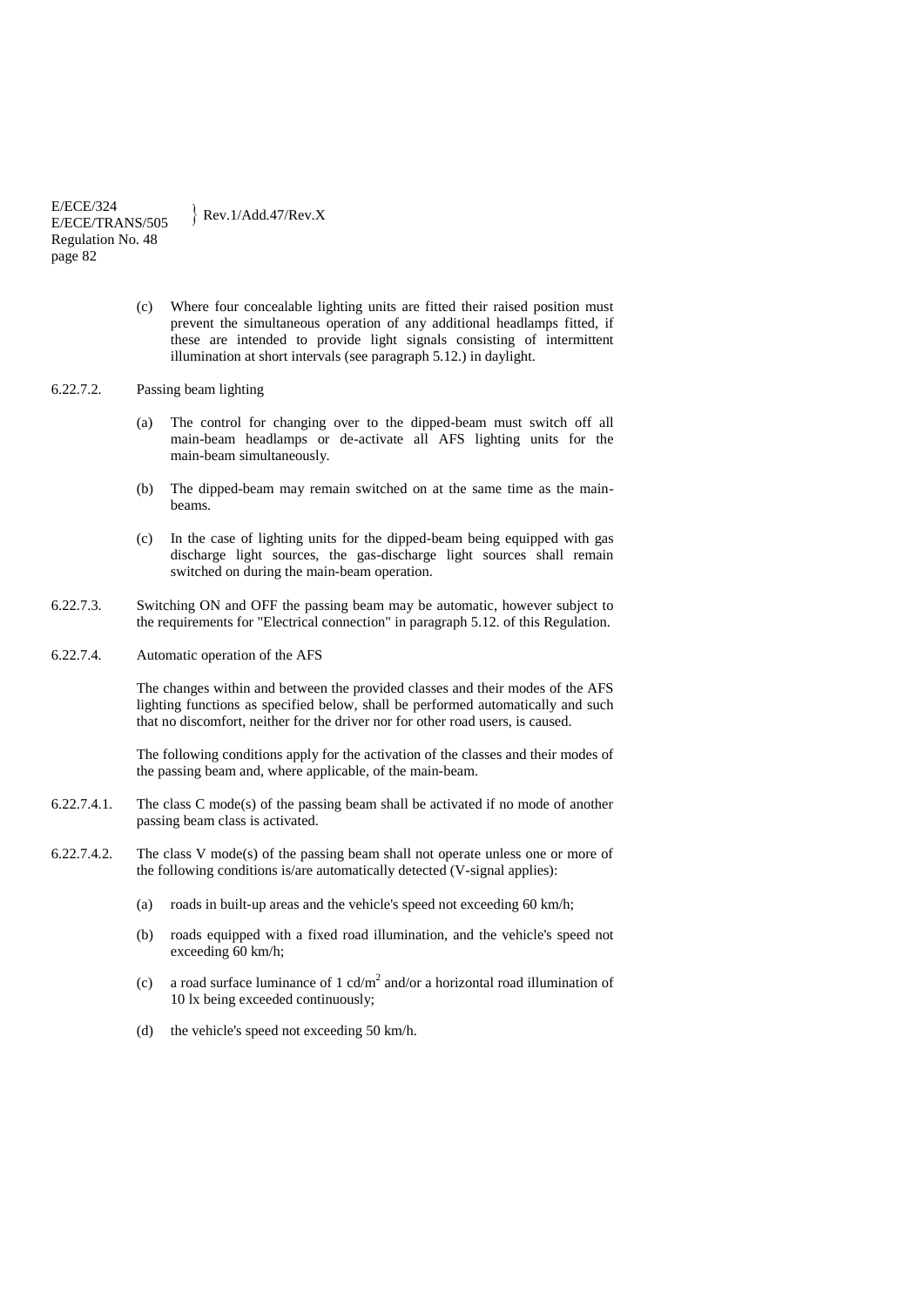- (c) Where four concealable lighting units are fitted their raised position must prevent the simultaneous operation of any additional headlamps fitted, if these are intended to provide light signals consisting of intermittent illumination at short intervals (see paragraph 5.12.) in daylight.
- 6.22.7.2. Passing beam lighting
	- (a) The control for changing over to the dipped-beam must switch off all main-beam headlamps or de-activate all AFS lighting units for the main-beam simultaneously.
	- (b) The dipped-beam may remain switched on at the same time as the mainbeams.
	- (c) In the case of lighting units for the dipped-beam being equipped with gas discharge light sources, the gas-discharge light sources shall remain switched on during the main-beam operation.
- 6.22.7.3. Switching ON and OFF the passing beam may be automatic, however subject to the requirements for "Electrical connection" in paragraph 5.12. of this Regulation.
- 6.22.7.4. Automatic operation of the AFS

The changes within and between the provided classes and their modes of the AFS lighting functions as specified below, shall be performed automatically and such that no discomfort, neither for the driver nor for other road users, is caused.

The following conditions apply for the activation of the classes and their modes of the passing beam and, where applicable, of the main-beam.

- 6.22.7.4.1. The class C mode(s) of the passing beam shall be activated if no mode of another passing beam class is activated.
- 6.22.7.4.2. The class V mode(s) of the passing beam shall not operate unless one or more of the following conditions is/are automatically detected (V-signal applies):
	- (a) roads in built-up areas and the vehicle's speed not exceeding 60 km/h;
	- (b) roads equipped with a fixed road illumination, and the vehicle's speed not exceeding 60 km/h;
	- (c) a road surface luminance of 1 cd/m<sup>2</sup> and/or a horizontal road illumination of 10 lx being exceeded continuously;
	- (d) the vehicle's speed not exceeding 50 km/h.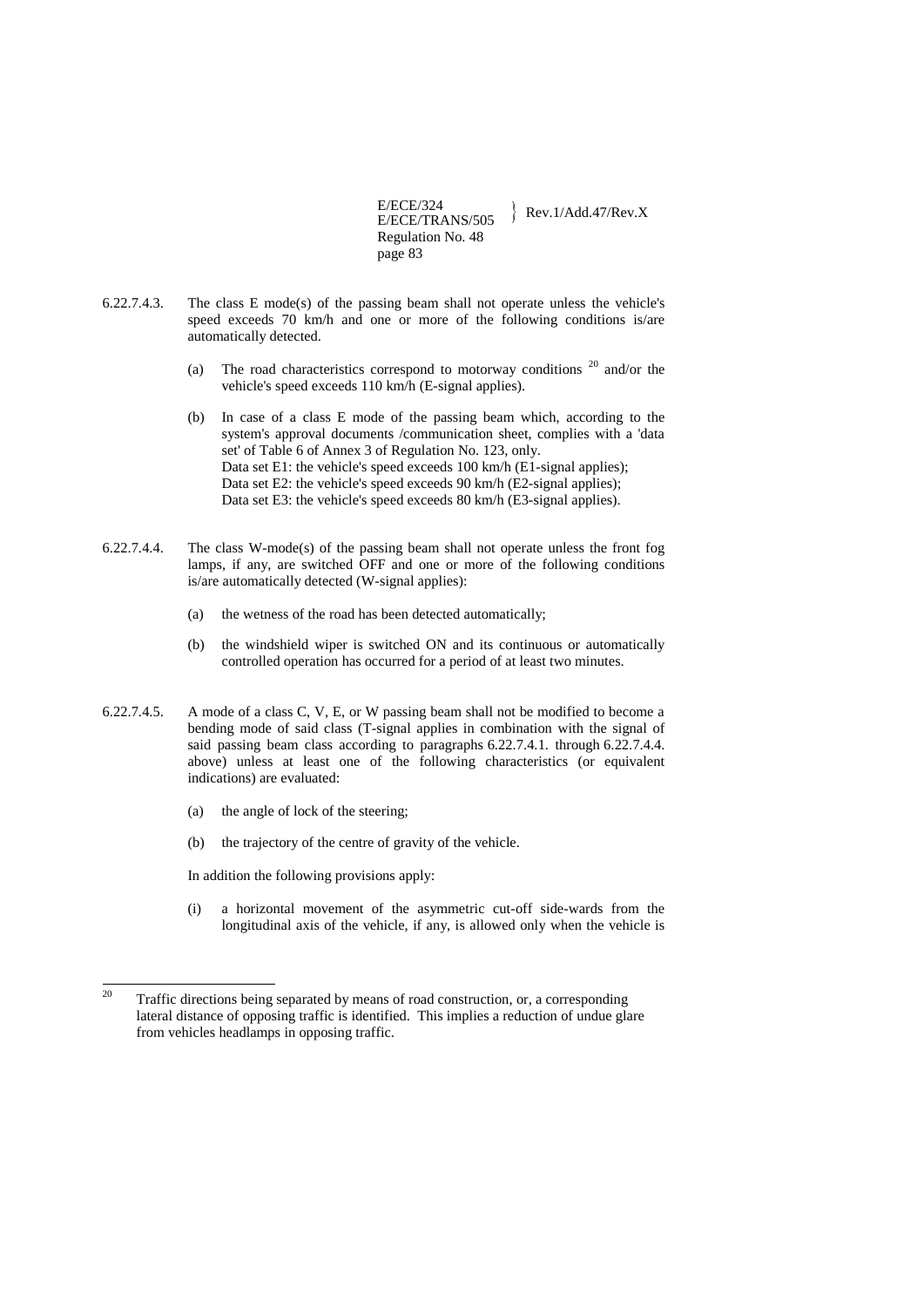- 6.22.7.4.3. The class E mode(s) of the passing beam shall not operate unless the vehicle's speed exceeds 70 km/h and one or more of the following conditions is/are automatically detected.
	- (a) The road characteristics correspond to motorway conditions  $20$  and/or the vehicle's speed exceeds 110 km/h (E-signal applies).
	- (b) In case of a class E mode of the passing beam which, according to the system's approval documents /communication sheet, complies with a 'data set' of Table 6 of Annex 3 of Regulation No. 123, only. Data set E1: the vehicle's speed exceeds 100 km/h (E1-signal applies); Data set E2: the vehicle's speed exceeds 90 km/h (E2-signal applies); Data set E3: the vehicle's speed exceeds 80 km/h (E3-signal applies).
- $6.22.7.4.4.$  The class W-mode(s) of the passing beam shall not operate unless the front fog lamps, if any, are switched OFF and one or more of the following conditions is/are automatically detected (W-signal applies):
	- (a) the wetness of the road has been detected automatically;
	- (b) the windshield wiper is switched ON and its continuous or automatically controlled operation has occurred for a period of at least two minutes.
- 6.22.7.4.5. A mode of a class C, V, E, or W passing beam shall not be modified to become a bending mode of said class (T-signal applies in combination with the signal of said passing beam class according to paragraphs 6.22.7.4.1. through 6.22.7.4.4. above) unless at least one of the following characteristics (or equivalent indications) are evaluated:
	- (a) the angle of lock of the steering;
	- (b) the trajectory of the centre of gravity of the vehicle.

In addition the following provisions apply:

(i) a horizontal movement of the asymmetric cut-off side-wards from the longitudinal axis of the vehicle, if any, is allowed only when the vehicle is

<sup>20</sup> Traffic directions being separated by means of road construction, or, a corresponding lateral distance of opposing traffic is identified. This implies a reduction of undue glare from vehicles headlamps in opposing traffic.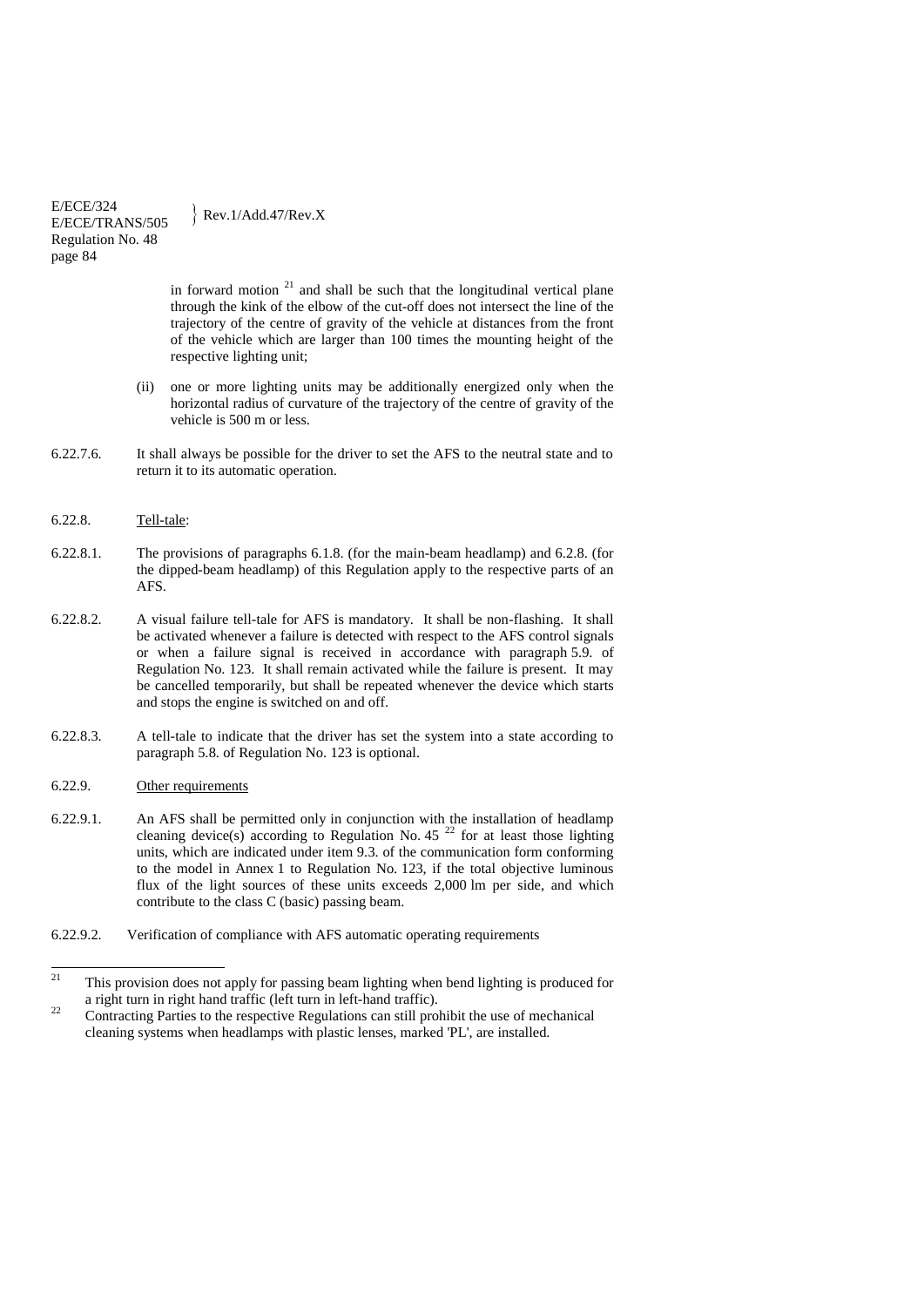in forward motion  $21$  and shall be such that the longitudinal vertical plane through the kink of the elbow of the cut-off does not intersect the line of the trajectory of the centre of gravity of the vehicle at distances from the front of the vehicle which are larger than 100 times the mounting height of the respective lighting unit;

- (ii) one or more lighting units may be additionally energized only when the horizontal radius of curvature of the trajectory of the centre of gravity of the vehicle is 500 m or less.
- 6.22.7.6. It shall always be possible for the driver to set the AFS to the neutral state and to return it to its automatic operation.

### 6.22.8. Tell-tale:

- 6.22.8.1. The provisions of paragraphs 6.1.8. (for the main-beam headlamp) and 6.2.8. (for the dipped-beam headlamp) of this Regulation apply to the respective parts of an AFS.
- 6.22.8.2. A visual failure tell-tale for AFS is mandatory. It shall be non-flashing. It shall be activated whenever a failure is detected with respect to the AFS control signals or when a failure signal is received in accordance with paragraph 5.9. of Regulation No. 123. It shall remain activated while the failure is present. It may be cancelled temporarily, but shall be repeated whenever the device which starts and stops the engine is switched on and off.
- 6.22.8.3. A tell-tale to indicate that the driver has set the system into a state according to paragraph 5.8. of Regulation No. 123 is optional.
- 6.22.9. Other requirements
- 6.22.9.1. An AFS shall be permitted only in conjunction with the installation of headlamp cleaning device(s) according to Regulation No. 45<sup> $22$ </sup> for at least those lighting units, which are indicated under item 9.3. of the communication form conforming to the model in Annex 1 to Regulation No. 123, if the total objective luminous flux of the light sources of these units exceeds 2,000 lm per side, and which contribute to the class C (basic) passing beam.
- 6.22.9.2. Verification of compliance with AFS automatic operating requirements

 $21$ This provision does not apply for passing beam lighting when bend lighting is produced for a right turn in right hand traffic (left turn in left-hand traffic).

<sup>&</sup>lt;sup>22</sup> Contracting Parties to the respective Regulations can still prohibit the use of mechanical cleaning systems when headlamps with plastic lenses, marked 'PL', are installed.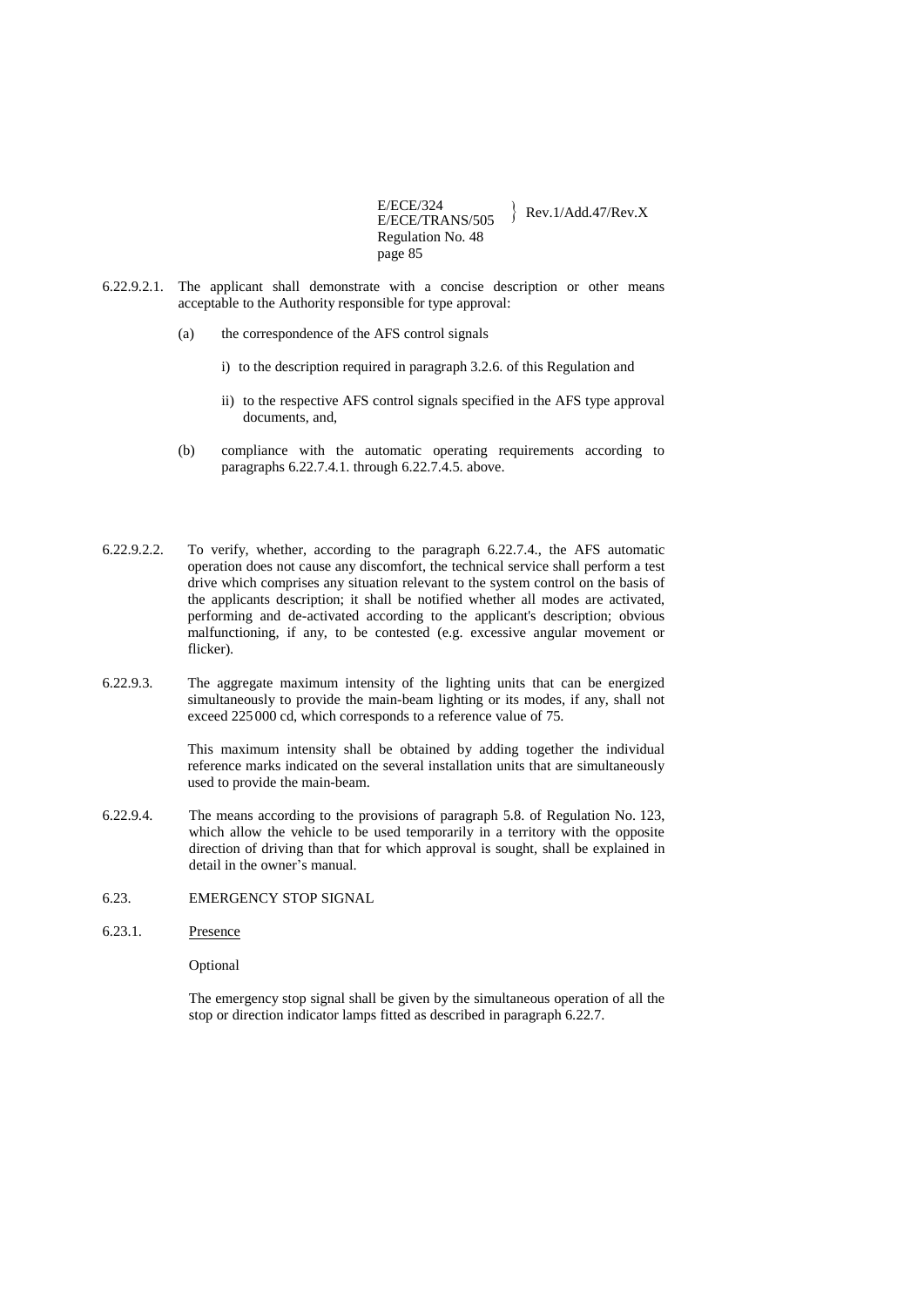- 6.22.9.2.1. The applicant shall demonstrate with a concise description or other means acceptable to the Authority responsible for type approval:
	- (a) the correspondence of the AFS control signals
		- i) to the description required in paragraph 3.2.6. of this Regulation and
		- ii) to the respective AFS control signals specified in the AFS type approval documents, and,
	- (b) compliance with the automatic operating requirements according to paragraphs 6.22.7.4.1. through 6.22.7.4.5. above.
- 6.22.9.2.2. To verify, whether, according to the paragraph 6.22.7.4., the AFS automatic operation does not cause any discomfort, the technical service shall perform a test drive which comprises any situation relevant to the system control on the basis of the applicants description; it shall be notified whether all modes are activated, performing and de-activated according to the applicant's description; obvious malfunctioning, if any, to be contested (e.g. excessive angular movement or flicker).
- 6.22.9.3. The aggregate maximum intensity of the lighting units that can be energized simultaneously to provide the main-beam lighting or its modes, if any, shall not exceed 225 000 cd, which corresponds to a reference value of 75.

This maximum intensity shall be obtained by adding together the individual reference marks indicated on the several installation units that are simultaneously used to provide the main-beam.

- 6.22.9.4. The means according to the provisions of paragraph 5.8. of Regulation No. 123, which allow the vehicle to be used temporarily in a territory with the opposite direction of driving than that for which approval is sought, shall be explained in detail in the owner's manual.
- 6.23. EMERGENCY STOP SIGNAL
- 6.23.1. Presence

Optional

The emergency stop signal shall be given by the simultaneous operation of all the stop or direction indicator lamps fitted as described in paragraph 6.22.7.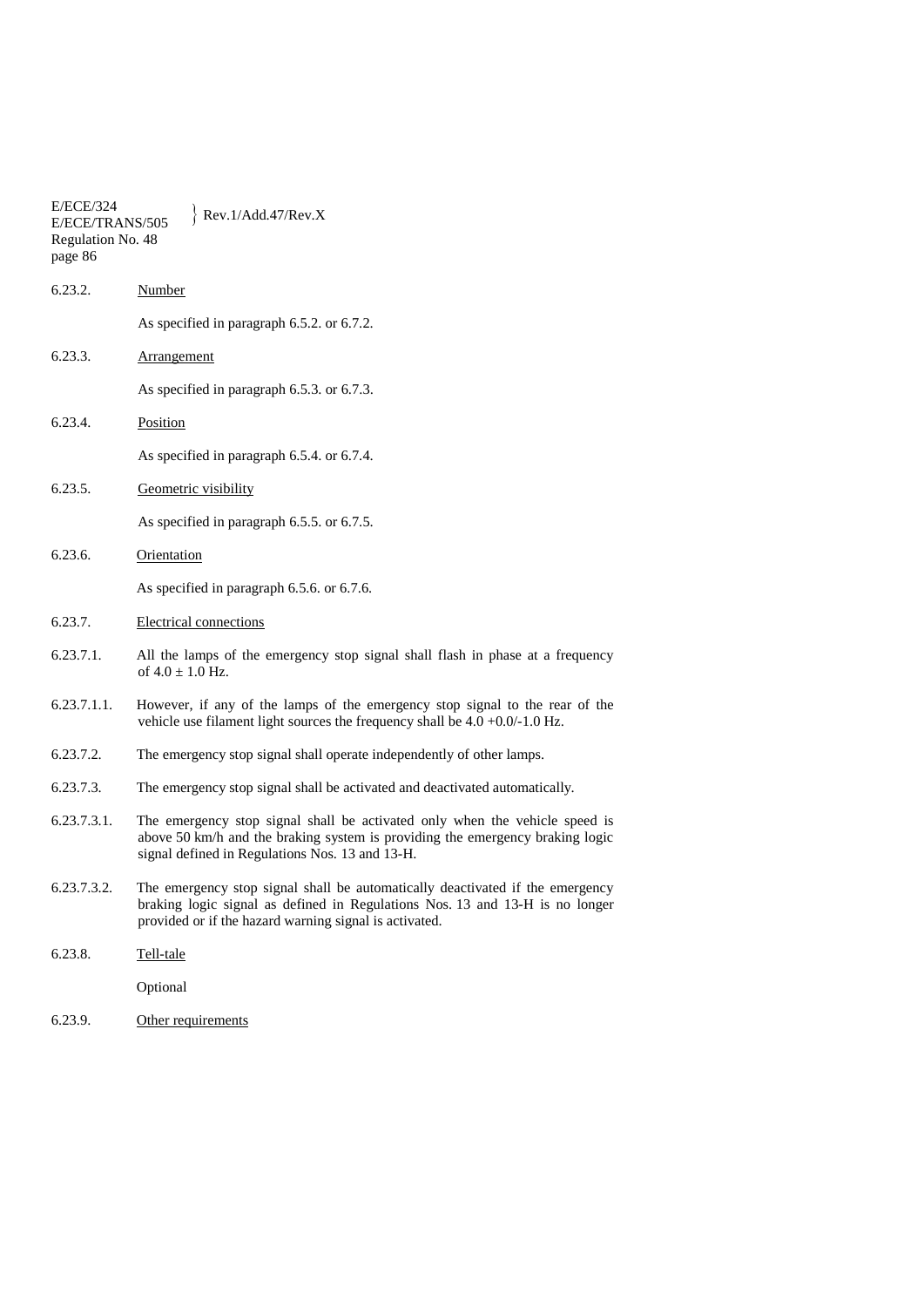6.23.2. Number As specified in paragraph 6.5.2. or 6.7.2. 6.23.3. Arrangement As specified in paragraph 6.5.3. or 6.7.3. 6.23.4. Position As specified in paragraph 6.5.4. or 6.7.4. 6.23.5. Geometric visibility As specified in paragraph 6.5.5. or 6.7.5. 6.23.6. Orientation As specified in paragraph 6.5.6. or 6.7.6. 6.23.7. Electrical connections 6.23.7.1. All the lamps of the emergency stop signal shall flash in phase at a frequency of  $4.0 \pm 1.0$  Hz. 6.23.7.1.1. However, if any of the lamps of the emergency stop signal to the rear of the vehicle use filament light sources the frequency shall be  $4.0 + 0.0 - 1.0$  Hz. 6.23.7.2. The emergency stop signal shall operate independently of other lamps.

- 6.23.7.3. The emergency stop signal shall be activated and deactivated automatically.
- 6.23.7.3.1. The emergency stop signal shall be activated only when the vehicle speed is above 50 km/h and the braking system is providing the emergency braking logic signal defined in Regulations Nos. 13 and 13-H.
- 6.23.7.3.2. The emergency stop signal shall be automatically deactivated if the emergency braking logic signal as defined in Regulations Nos. 13 and 13-H is no longer provided or if the hazard warning signal is activated.

6.23.8. Tell-tale

Optional

6.23.9. Other requirements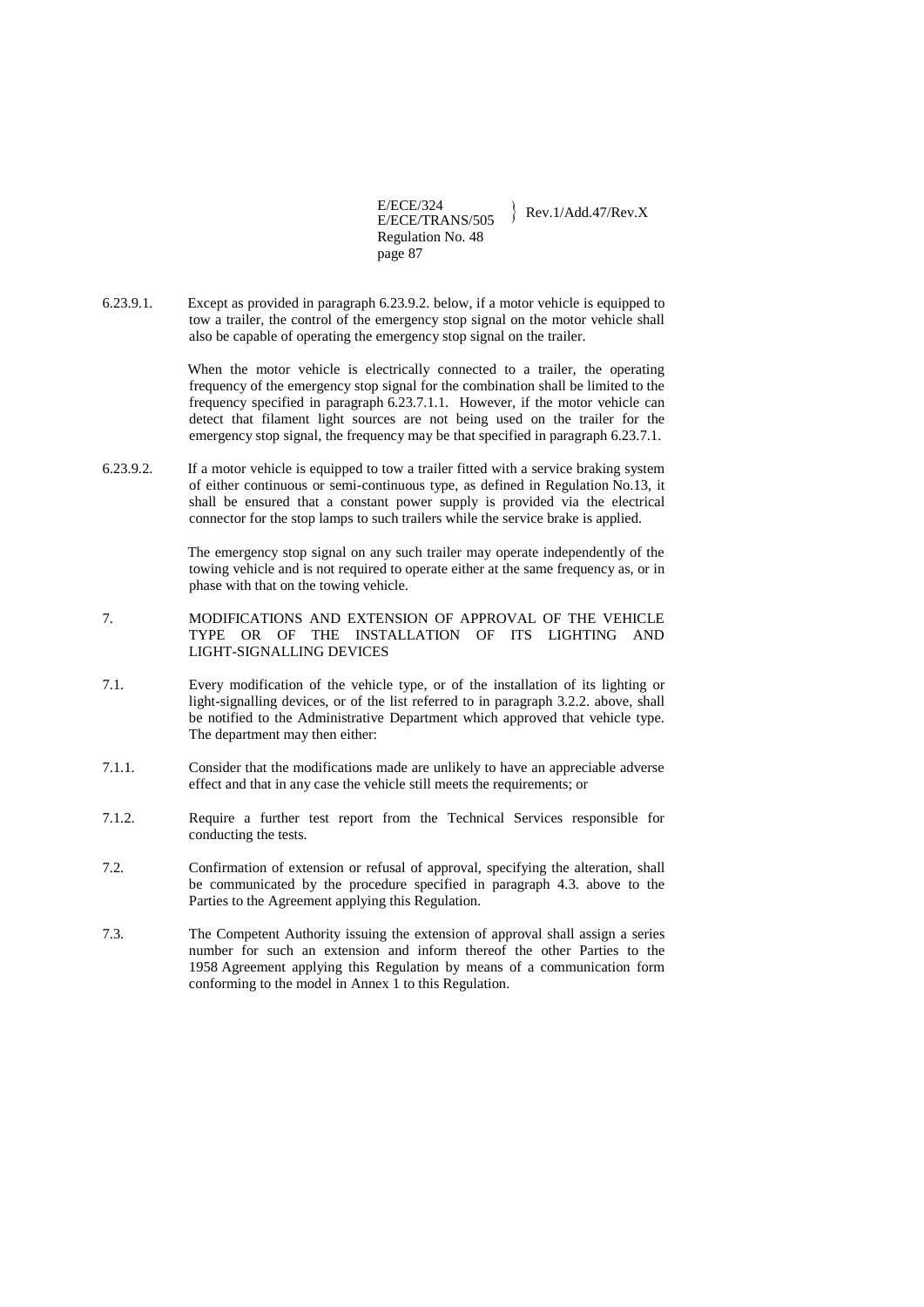6.23.9.1. Except as provided in paragraph 6.23.9.2. below, if a motor vehicle is equipped to tow a trailer, the control of the emergency stop signal on the motor vehicle shall also be capable of operating the emergency stop signal on the trailer.

> When the motor vehicle is electrically connected to a trailer, the operating frequency of the emergency stop signal for the combination shall be limited to the frequency specified in paragraph 6.23.7.1.1. However, if the motor vehicle can detect that filament light sources are not being used on the trailer for the emergency stop signal, the frequency may be that specified in paragraph 6.23.7.1.

6.23.9.2. If a motor vehicle is equipped to tow a trailer fitted with a service braking system of either continuous or semi-continuous type, as defined in Regulation No.13, it shall be ensured that a constant power supply is provided via the electrical connector for the stop lamps to such trailers while the service brake is applied.

> The emergency stop signal on any such trailer may operate independently of the towing vehicle and is not required to operate either at the same frequency as, or in phase with that on the towing vehicle.

- 7. MODIFICATIONS AND EXTENSION OF APPROVAL OF THE VEHICLE TYPE OR OF THE INSTALLATION OF ITS LIGHTING AND LIGHT-SIGNALLING DEVICES
- 7.1. Every modification of the vehicle type, or of the installation of its lighting or light-signalling devices, or of the list referred to in paragraph 3.2.2. above, shall be notified to the Administrative Department which approved that vehicle type. The department may then either:
- 7.1.1. Consider that the modifications made are unlikely to have an appreciable adverse effect and that in any case the vehicle still meets the requirements; or
- 7.1.2. Require a further test report from the Technical Services responsible for conducting the tests.
- 7.2. Confirmation of extension or refusal of approval, specifying the alteration, shall be communicated by the procedure specified in paragraph 4.3. above to the Parties to the Agreement applying this Regulation.
- 7.3. The Competent Authority issuing the extension of approval shall assign a series number for such an extension and inform thereof the other Parties to the 1958 Agreement applying this Regulation by means of a communication form conforming to the model in Annex 1 to this Regulation.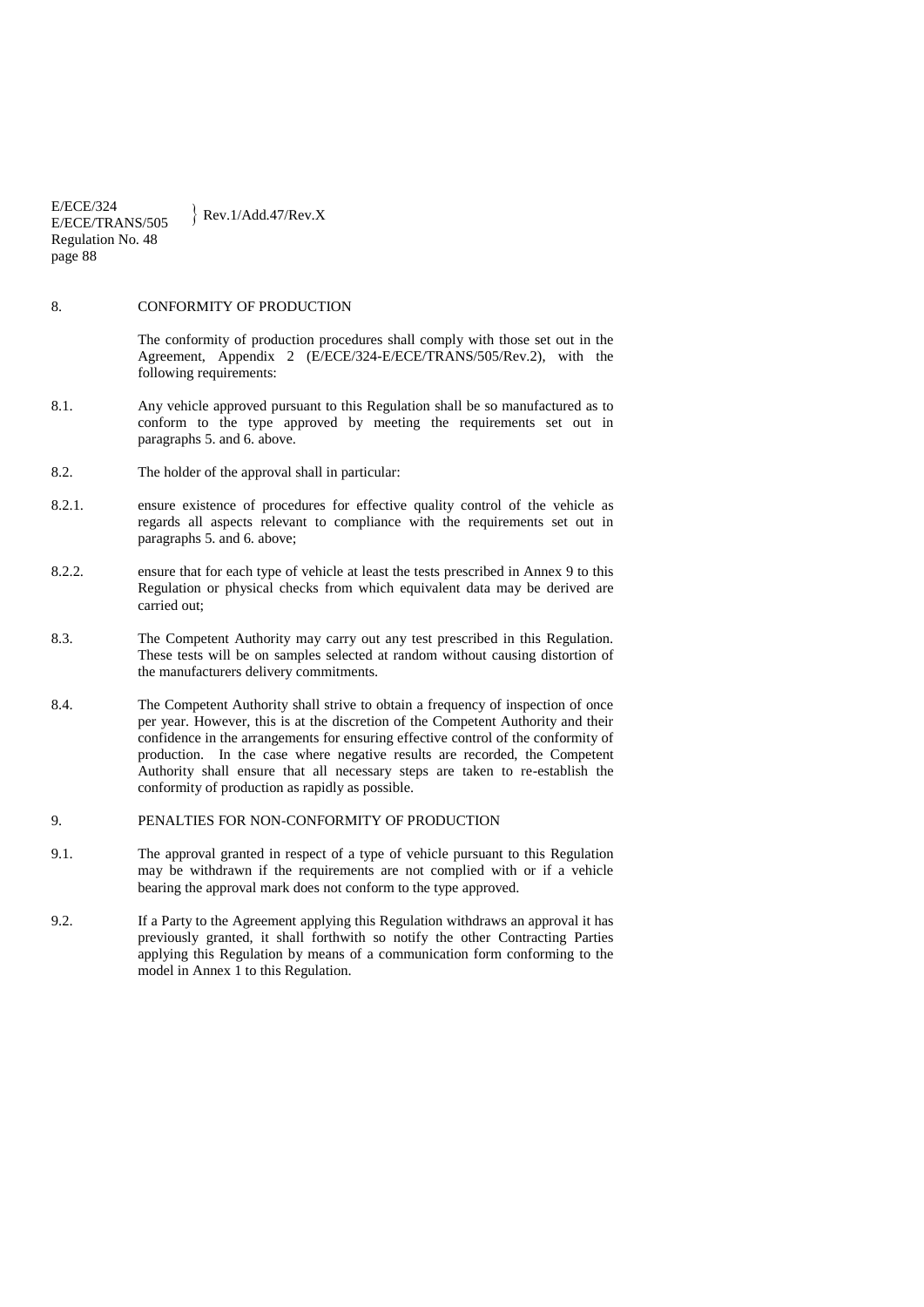# 8. CONFORMITY OF PRODUCTION

The conformity of production procedures shall comply with those set out in the Agreement, Appendix 2 (E/ECE/324-E/ECE/TRANS/505/Rev.2), with the following requirements:

- 8.1. Any vehicle approved pursuant to this Regulation shall be so manufactured as to conform to the type approved by meeting the requirements set out in paragraphs 5. and 6. above.
- 8.2. The holder of the approval shall in particular:
- 8.2.1. ensure existence of procedures for effective quality control of the vehicle as regards all aspects relevant to compliance with the requirements set out in paragraphs 5. and 6. above;
- 8.2.2. ensure that for each type of vehicle at least the tests prescribed in Annex 9 to this Regulation or physical checks from which equivalent data may be derived are carried out;
- 8.3. The Competent Authority may carry out any test prescribed in this Regulation. These tests will be on samples selected at random without causing distortion of the manufacturers delivery commitments.
- 8.4. The Competent Authority shall strive to obtain a frequency of inspection of once per year. However, this is at the discretion of the Competent Authority and their confidence in the arrangements for ensuring effective control of the conformity of production. In the case where negative results are recorded, the Competent Authority shall ensure that all necessary steps are taken to re-establish the conformity of production as rapidly as possible.

### 9. PENALTIES FOR NON-CONFORMITY OF PRODUCTION

- 9.1. The approval granted in respect of a type of vehicle pursuant to this Regulation may be withdrawn if the requirements are not complied with or if a vehicle bearing the approval mark does not conform to the type approved.
- 9.2. If a Party to the Agreement applying this Regulation withdraws an approval it has previously granted, it shall forthwith so notify the other Contracting Parties applying this Regulation by means of a communication form conforming to the model in Annex 1 to this Regulation.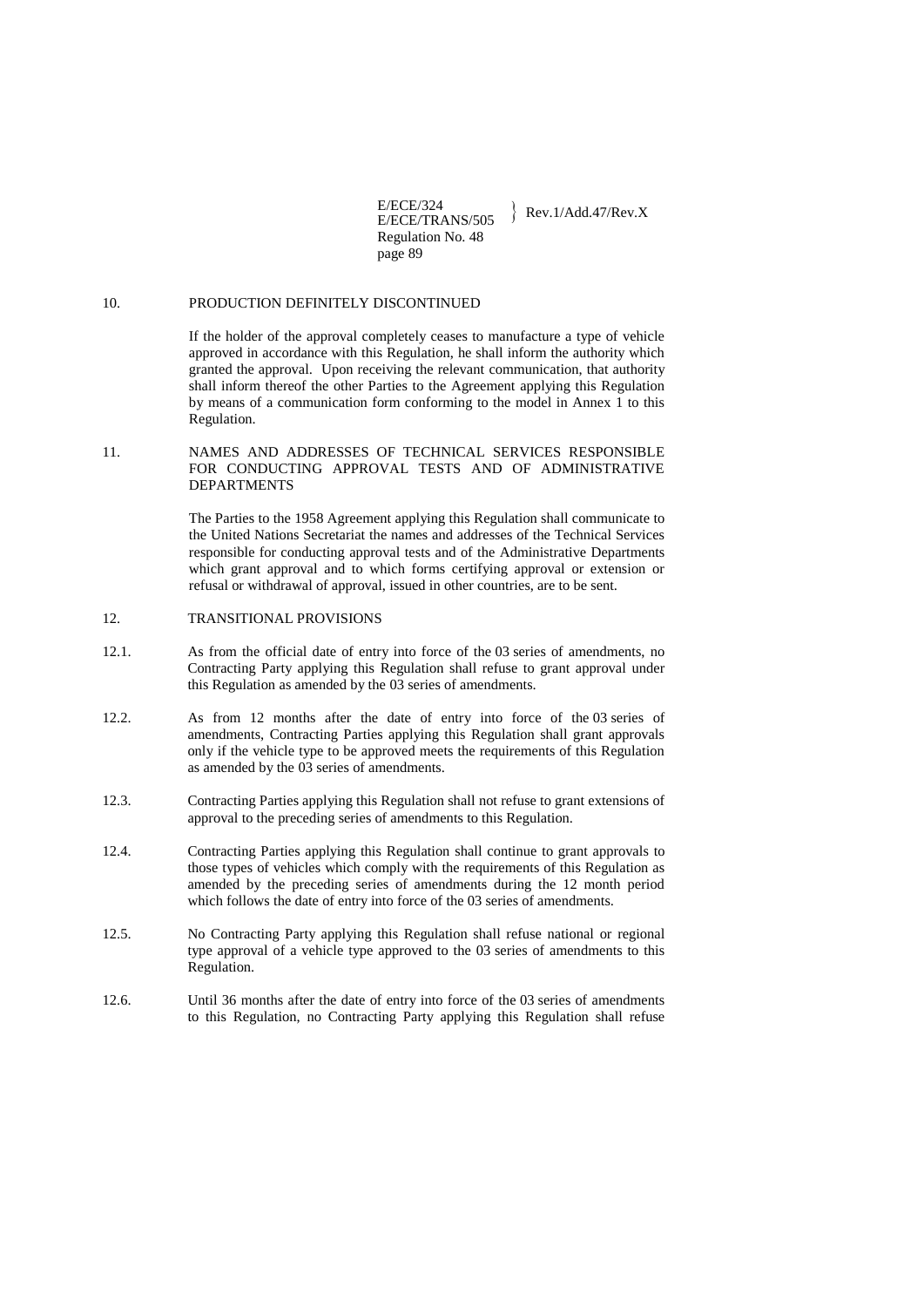## 10. PRODUCTION DEFINITELY DISCONTINUED

If the holder of the approval completely ceases to manufacture a type of vehicle approved in accordance with this Regulation, he shall inform the authority which granted the approval. Upon receiving the relevant communication, that authority shall inform thereof the other Parties to the Agreement applying this Regulation by means of a communication form conforming to the model in Annex 1 to this Regulation.

### 11. NAMES AND ADDRESSES OF TECHNICAL SERVICES RESPONSIBLE FOR CONDUCTING APPROVAL TESTS AND OF ADMINISTRATIVE DEPARTMENTS

The Parties to the 1958 Agreement applying this Regulation shall communicate to the United Nations Secretariat the names and addresses of the Technical Services responsible for conducting approval tests and of the Administrative Departments which grant approval and to which forms certifying approval or extension or refusal or withdrawal of approval, issued in other countries, are to be sent.

## 12. TRANSITIONAL PROVISIONS

- 12.1. As from the official date of entry into force of the 03 series of amendments, no Contracting Party applying this Regulation shall refuse to grant approval under this Regulation as amended by the 03 series of amendments.
- 12.2. As from 12 months after the date of entry into force of the 03 series of amendments, Contracting Parties applying this Regulation shall grant approvals only if the vehicle type to be approved meets the requirements of this Regulation as amended by the 03 series of amendments.
- 12.3. Contracting Parties applying this Regulation shall not refuse to grant extensions of approval to the preceding series of amendments to this Regulation.
- 12.4. Contracting Parties applying this Regulation shall continue to grant approvals to those types of vehicles which comply with the requirements of this Regulation as amended by the preceding series of amendments during the 12 month period which follows the date of entry into force of the 03 series of amendments.
- 12.5. No Contracting Party applying this Regulation shall refuse national or regional type approval of a vehicle type approved to the 03 series of amendments to this Regulation.
- 12.6. Until 36 months after the date of entry into force of the 03 series of amendments to this Regulation, no Contracting Party applying this Regulation shall refuse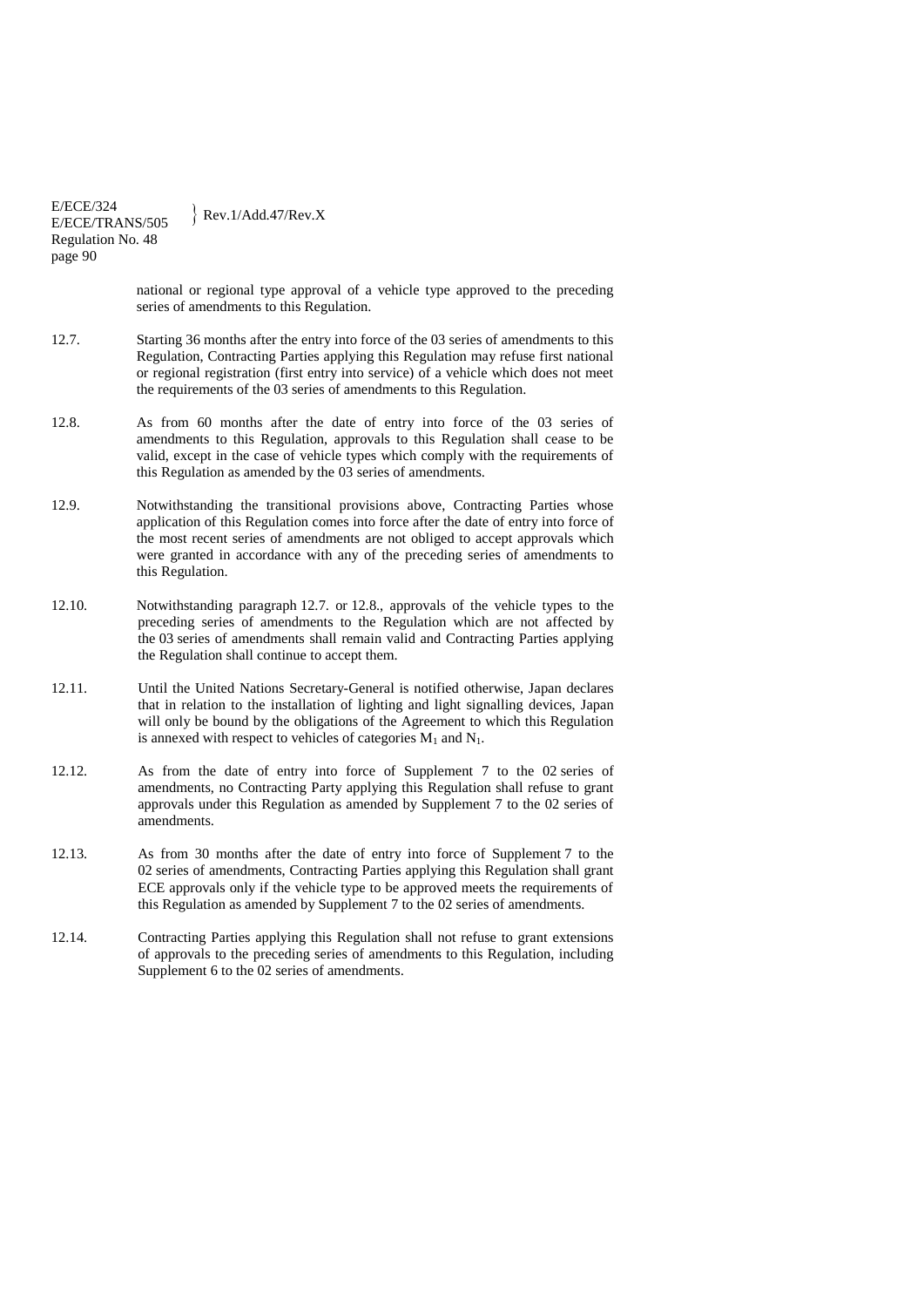> national or regional type approval of a vehicle type approved to the preceding series of amendments to this Regulation.

- 12.7. Starting 36 months after the entry into force of the 03 series of amendments to this Regulation, Contracting Parties applying this Regulation may refuse first national or regional registration (first entry into service) of a vehicle which does not meet the requirements of the 03 series of amendments to this Regulation.
- 12.8. As from 60 months after the date of entry into force of the 03 series of amendments to this Regulation, approvals to this Regulation shall cease to be valid, except in the case of vehicle types which comply with the requirements of this Regulation as amended by the 03 series of amendments.
- 12.9. Notwithstanding the transitional provisions above, Contracting Parties whose application of this Regulation comes into force after the date of entry into force of the most recent series of amendments are not obliged to accept approvals which were granted in accordance with any of the preceding series of amendments to this Regulation.
- 12.10. Notwithstanding paragraph 12.7. or 12.8., approvals of the vehicle types to the preceding series of amendments to the Regulation which are not affected by the 03 series of amendments shall remain valid and Contracting Parties applying the Regulation shall continue to accept them.
- 12.11. Until the United Nations Secretary-General is notified otherwise, Japan declares that in relation to the installation of lighting and light signalling devices, Japan will only be bound by the obligations of the Agreement to which this Regulation is annexed with respect to vehicles of categories  $M_1$  and  $N_1$ .
- 12.12. As from the date of entry into force of Supplement 7 to the 02 series of amendments, no Contracting Party applying this Regulation shall refuse to grant approvals under this Regulation as amended by Supplement 7 to the 02 series of amendments.
- 12.13. As from 30 months after the date of entry into force of Supplement 7 to the 02 series of amendments, Contracting Parties applying this Regulation shall grant ECE approvals only if the vehicle type to be approved meets the requirements of this Regulation as amended by Supplement 7 to the 02 series of amendments.
- 12.14. Contracting Parties applying this Regulation shall not refuse to grant extensions of approvals to the preceding series of amendments to this Regulation, including Supplement 6 to the 02 series of amendments.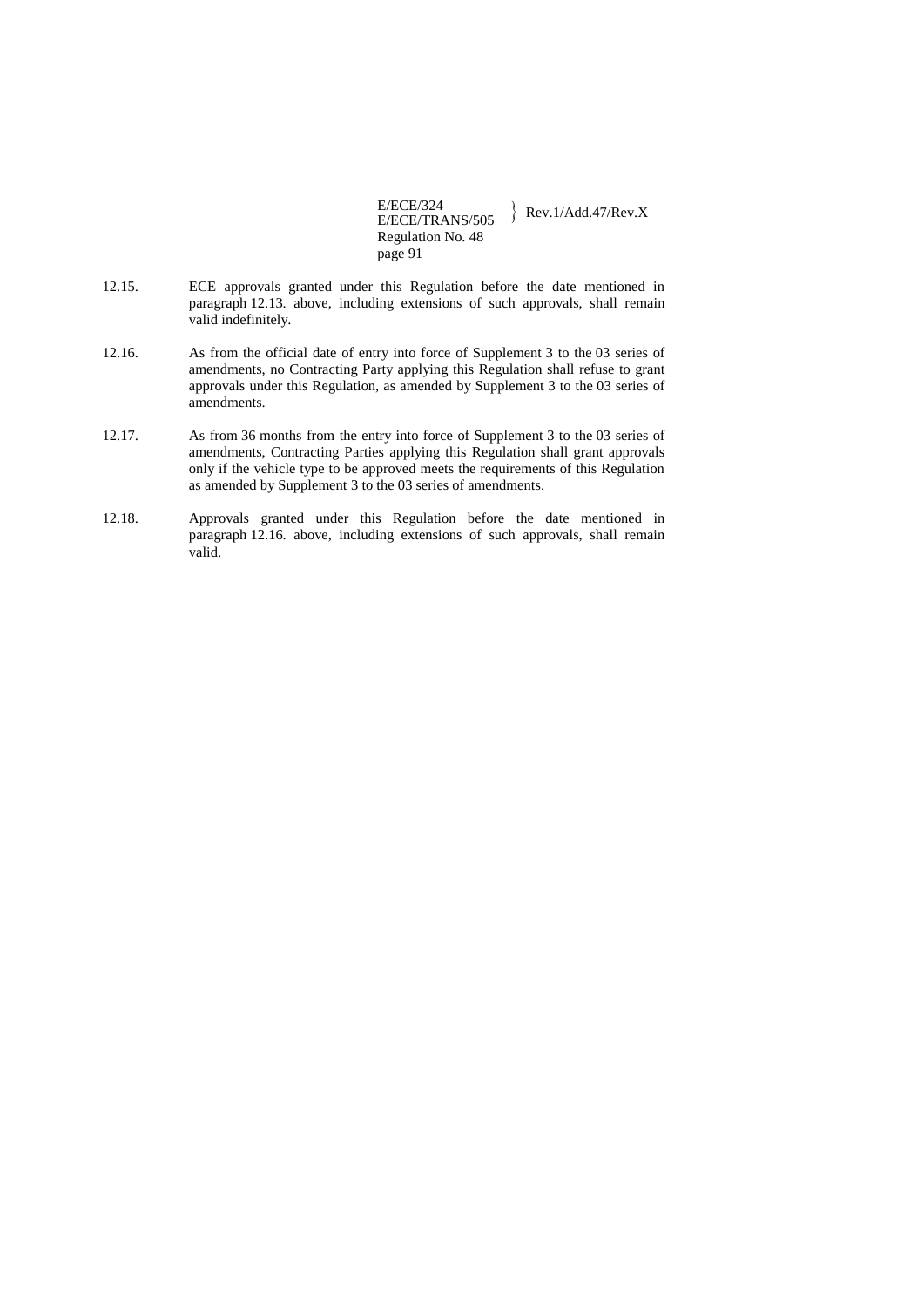- 12.15. ECE approvals granted under this Regulation before the date mentioned in paragraph 12.13. above, including extensions of such approvals, shall remain valid indefinitely.
- 12.16. As from the official date of entry into force of Supplement 3 to the 03 series of amendments, no Contracting Party applying this Regulation shall refuse to grant approvals under this Regulation, as amended by Supplement 3 to the 03 series of amendments.
- 12.17. As from 36 months from the entry into force of Supplement 3 to the 03 series of amendments, Contracting Parties applying this Regulation shall grant approvals only if the vehicle type to be approved meets the requirements of this Regulation as amended by Supplement 3 to the 03 series of amendments.
- 12.18. Approvals granted under this Regulation before the date mentioned in paragraph 12.16. above, including extensions of such approvals, shall remain valid.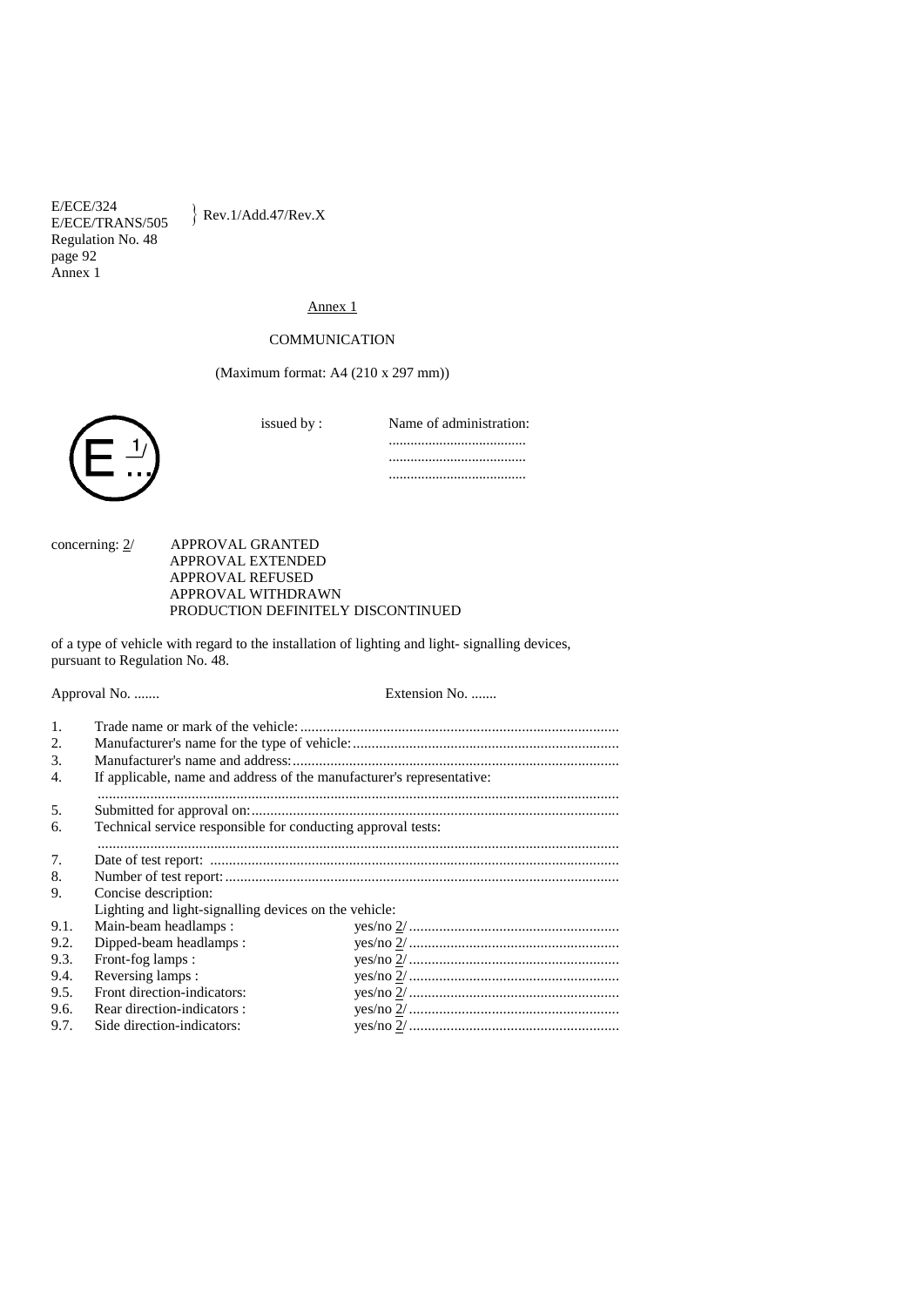### E/ECE/324 E/ECE/TRANS/505 Regulation No. 48 page 92 Annex 1

# $\}$  Rev.1/Add.47/Rev.X

## Annex 1

### **COMMUNICATION**

## (Maximum format: A4 (210 x 297 mm))



issued by : Name of administration: ...................................... ...................................... ......................................

concerning: 2/ APPROVAL GRANTED APPROVAL EXTENDED APPROVAL REFUSED APPROVAL WITHDRAWN PRODUCTION DEFINITELY DISCONTINUED

of a type of vehicle with regard to the installation of lighting and light- signalling devices, pursuant to Regulation No. 48.

## Approval No. ....... Extension No. .......

| $\overline{1}$ . |                                                                       |  |  |  |  |  |
|------------------|-----------------------------------------------------------------------|--|--|--|--|--|
| 2.               |                                                                       |  |  |  |  |  |
| 3.               |                                                                       |  |  |  |  |  |
| 4.               | If applicable, name and address of the manufacturer's representative: |  |  |  |  |  |
| 5.               |                                                                       |  |  |  |  |  |
| 6.               | Technical service responsible for conducting approval tests:          |  |  |  |  |  |
| 7.               |                                                                       |  |  |  |  |  |
| 8.               |                                                                       |  |  |  |  |  |
| 9.               | Concise description:                                                  |  |  |  |  |  |
|                  | Lighting and light-signalling devices on the vehicle:                 |  |  |  |  |  |
| 9.1.             | Main-beam headlamps:                                                  |  |  |  |  |  |
| 9.2.             | Dipped-beam headlamps:                                                |  |  |  |  |  |
| 9.3.             | Front-fog lamps :                                                     |  |  |  |  |  |
| 9.4.             | Reversing lamps :                                                     |  |  |  |  |  |
| 9.5.             | Front direction-indicators:                                           |  |  |  |  |  |
| 9.6.             | Rear direction-indicators :                                           |  |  |  |  |  |
| 9.7.             | Side direction-indicators:                                            |  |  |  |  |  |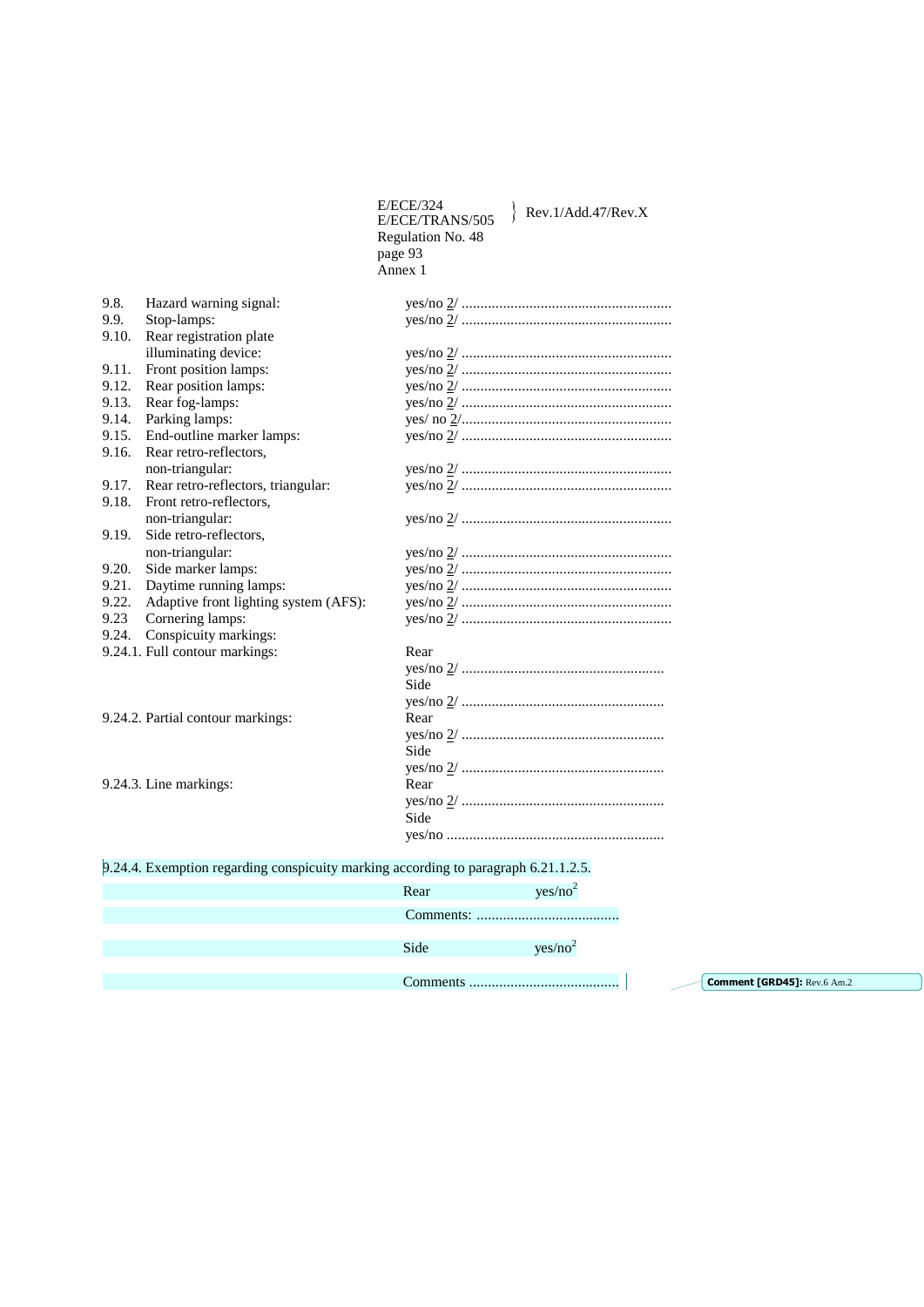|       |                                       | <b>E/ECE/324</b><br>$\left\{$ Rev.1/Add.47/Rev.X<br>E/ECE/TRANS/505<br>Regulation No. 48<br>page 93<br>Annex 1 |
|-------|---------------------------------------|----------------------------------------------------------------------------------------------------------------|
| 9.8.  | Hazard warning signal:                |                                                                                                                |
| 9.9.  | Stop-lamps:                           |                                                                                                                |
| 9.10. | Rear registration plate               |                                                                                                                |
|       | illuminating device:                  |                                                                                                                |
| 9.11. | Front position lamps:                 |                                                                                                                |
| 9.12. | Rear position lamps:                  |                                                                                                                |
| 9.13. | Rear fog-lamps:                       |                                                                                                                |
| 9.14. | Parking lamps:                        |                                                                                                                |
| 9.15. | End-outline marker lamps:             |                                                                                                                |
| 9.16. | Rear retro-reflectors,                |                                                                                                                |
|       | non-triangular:                       |                                                                                                                |
| 9.17. | Rear retro-reflectors, triangular:    |                                                                                                                |
| 9.18. | Front retro-reflectors,               |                                                                                                                |
|       | non-triangular:                       |                                                                                                                |
| 9.19. | Side retro-reflectors,                |                                                                                                                |
|       | non-triangular:                       |                                                                                                                |
| 9.20. | Side marker lamps:                    |                                                                                                                |
| 9.21. | Daytime running lamps:                |                                                                                                                |
| 9.22. | Adaptive front lighting system (AFS): |                                                                                                                |
| 9.23  | Cornering lamps:                      |                                                                                                                |
| 9.24. | Conspicuity markings:                 |                                                                                                                |
|       | 9.24.1. Full contour markings:        | Rear                                                                                                           |
|       |                                       |                                                                                                                |
|       |                                       | Side                                                                                                           |
|       |                                       |                                                                                                                |
|       | 9.24.2. Partial contour markings:     | Rear                                                                                                           |
|       |                                       |                                                                                                                |
|       |                                       | Side                                                                                                           |
|       |                                       |                                                                                                                |
|       | 9.24.3. Line markings:                | Rear                                                                                                           |
|       |                                       | Side                                                                                                           |
|       |                                       |                                                                                                                |
|       |                                       |                                                                                                                |

# 9.24.4. Exemption regarding conspicuity marking according to paragraph 6.21.1.2.5.

| Rear | $ves/no^2$ |
|------|------------|
|      |            |
| Side | $yes/no^2$ |
|      |            |

 $\sigma$  **Comment [GRD45]:** Rev.6 Am.2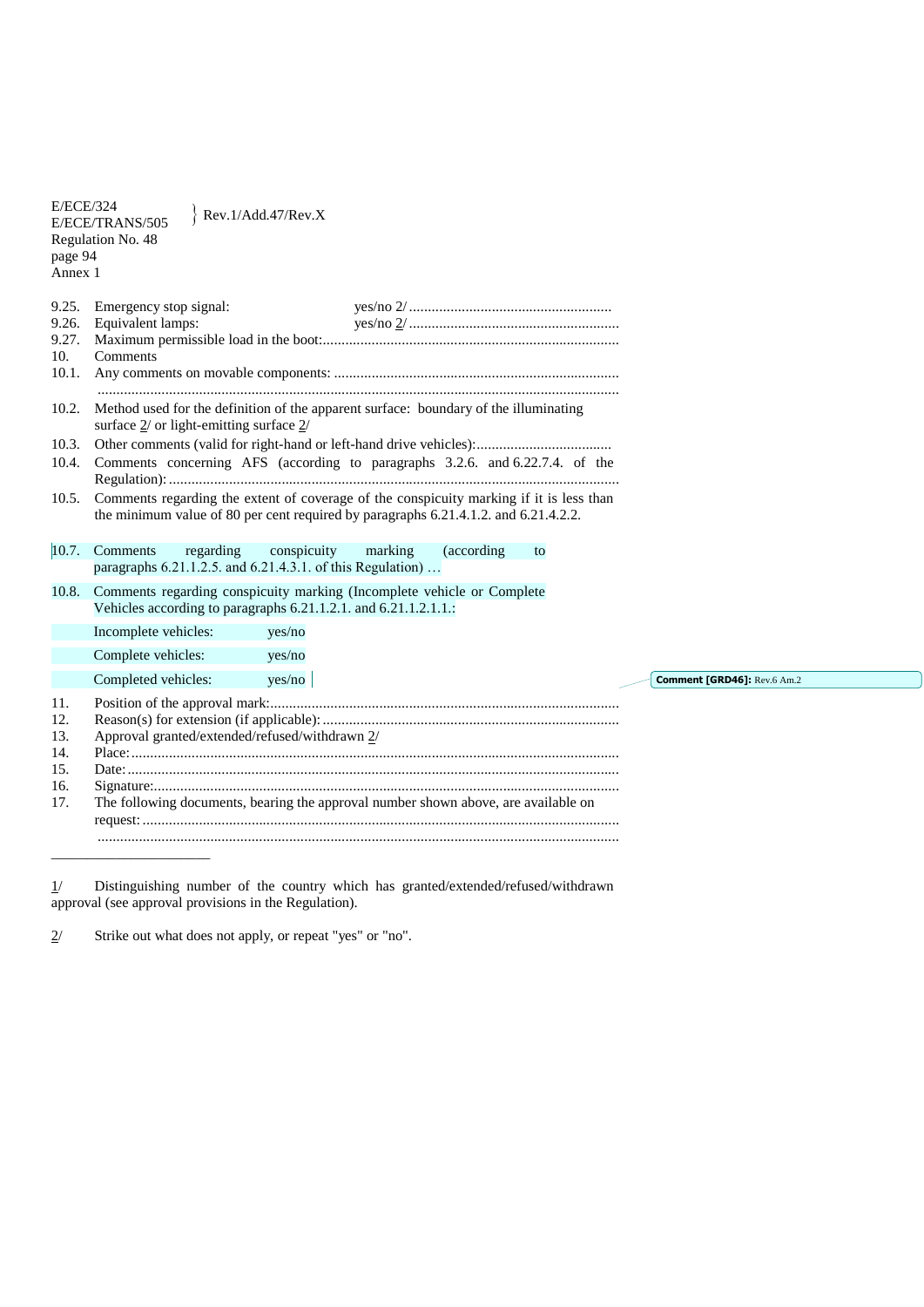| <b>E/ECE/324</b><br>page 94<br>Annex 1        | E/ECE/TRANS/505<br>Regulation No. 48                                                                                                                                                     | Rev.1/Add.47/Rev.X |         |                  |  |                             |  |
|-----------------------------------------------|------------------------------------------------------------------------------------------------------------------------------------------------------------------------------------------|--------------------|---------|------------------|--|-----------------------------|--|
| 9.25.<br>9.26.<br>9.27.<br>10.<br>10.1.       | Emergency stop signal:<br>Equivalent lamps:<br>Comments                                                                                                                                  |                    |         |                  |  |                             |  |
| 10.2.                                         | Method used for the definition of the apparent surface: boundary of the illuminating<br>surface $2/$ or light-emitting surface $2/$                                                      |                    |         |                  |  |                             |  |
| 10.3.                                         |                                                                                                                                                                                          |                    |         |                  |  |                             |  |
| 10.4.                                         | Comments concerning AFS (according to paragraphs 3.2.6. and 6.22.7.4. of the                                                                                                             |                    |         |                  |  |                             |  |
|                                               | 10.5. Comments regarding the extent of coverage of the conspicuity marking if it is less than<br>the minimum value of 80 per cent required by paragraphs $6.21.4.1.2$ and $6.21.4.2.2$ . |                    |         |                  |  |                             |  |
| 10.7.                                         | Comments<br>regarding<br>paragraphs 6.21.1.2.5. and 6.21.4.3.1. of this Regulation)                                                                                                      | conspicuity        | marking | (according<br>to |  |                             |  |
|                                               | 10.8. Comments regarding conspicuity marking (Incomplete vehicle or Complete<br>Vehicles according to paragraphs 6.21.1.2.1. and 6.21.1.2.1.1.:                                          |                    |         |                  |  |                             |  |
|                                               | Incomplete vehicles:                                                                                                                                                                     | yes/no             |         |                  |  |                             |  |
|                                               | Complete vehicles:                                                                                                                                                                       | yes/no             |         |                  |  |                             |  |
|                                               | Completed vehicles:                                                                                                                                                                      | yes/no             |         |                  |  | Comment [GRD46]: Rev.6 Am.2 |  |
| 11.<br>12.<br>13.<br>14.<br>15.<br>16.<br>17. | Approval granted/extended/refused/withdrawn 2/<br>The following documents, bearing the approval number shown above, are available on                                                     |                    |         |                  |  |                             |  |
|                                               |                                                                                                                                                                                          |                    |         |                  |  |                             |  |

| 1/ |                                                       |  |  | Distinguishing number of the country which has granted/extended/refused/withdrawn |
|----|-------------------------------------------------------|--|--|-----------------------------------------------------------------------------------|
|    | approval (see approval provisions in the Regulation). |  |  |                                                                                   |

2/ Strike out what does not apply, or repeat "yes" or "no".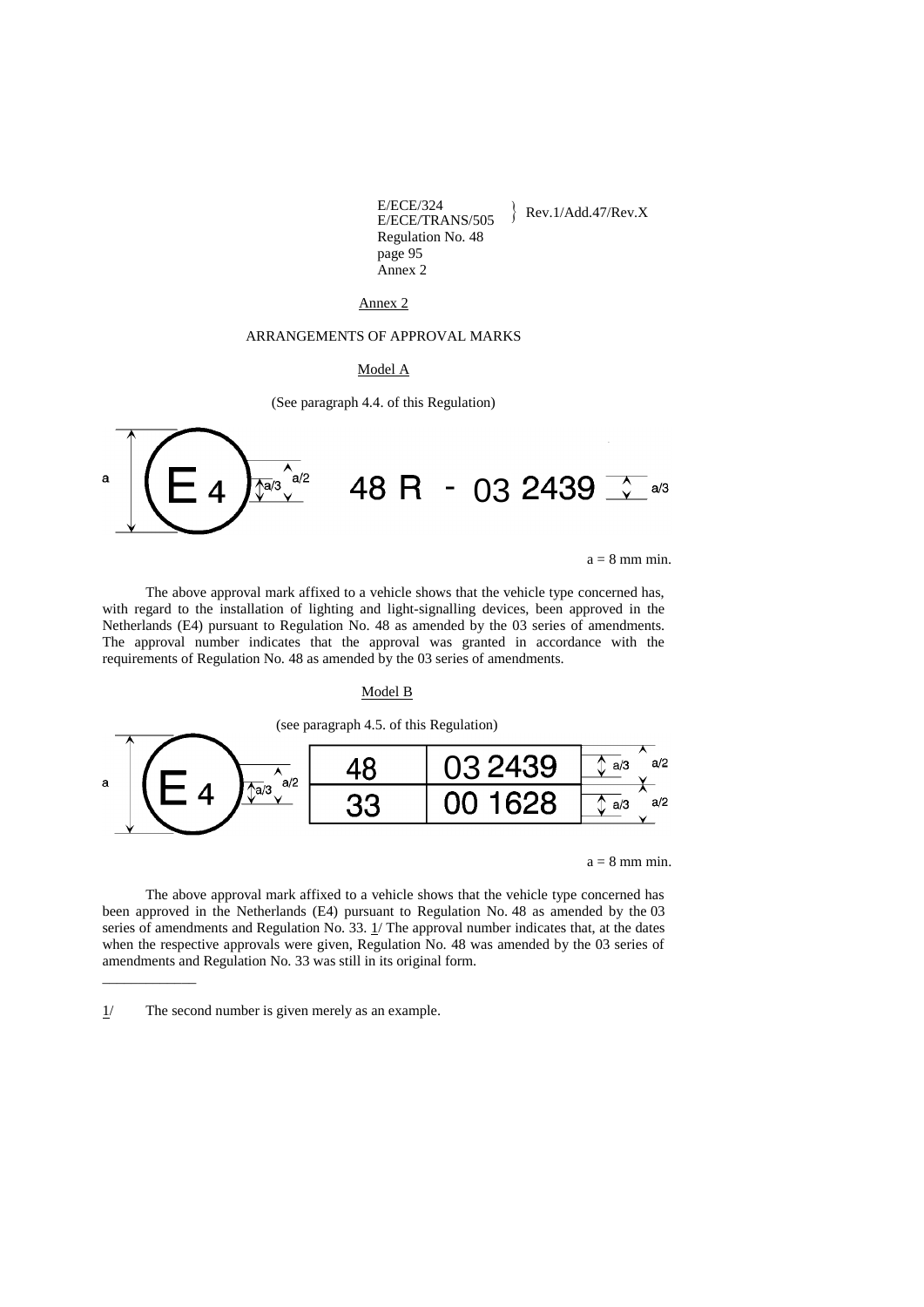### Annex 2

### ARRANGEMENTS OF APPROVAL MARKS

#### Model A

(See paragraph 4.4. of this Regulation)



 $a = 8$  mm min.

The above approval mark affixed to a vehicle shows that the vehicle type concerned has, with regard to the installation of lighting and light-signalling devices, been approved in the Netherlands (E4) pursuant to Regulation No. 48 as amended by the 03 series of amendments. The approval number indicates that the approval was granted in accordance with the requirements of Regulation No. 48 as amended by the 03 series of amendments.

### Model B

(see paragraph 4.5. of this Regulation)



 $a = 8$  mm min.

The above approval mark affixed to a vehicle shows that the vehicle type concerned has been approved in the Netherlands (E4) pursuant to Regulation No. 48 as amended by the 03 series of amendments and Regulation No.  $33. 1/$  The approval number indicates that, at the dates when the respective approvals were given, Regulation No. 48 was amended by the 03 series of amendments and Regulation No. 33 was still in its original form.

\_\_\_\_\_\_\_\_\_\_\_\_\_

 $1/$  The second number is given merely as an example.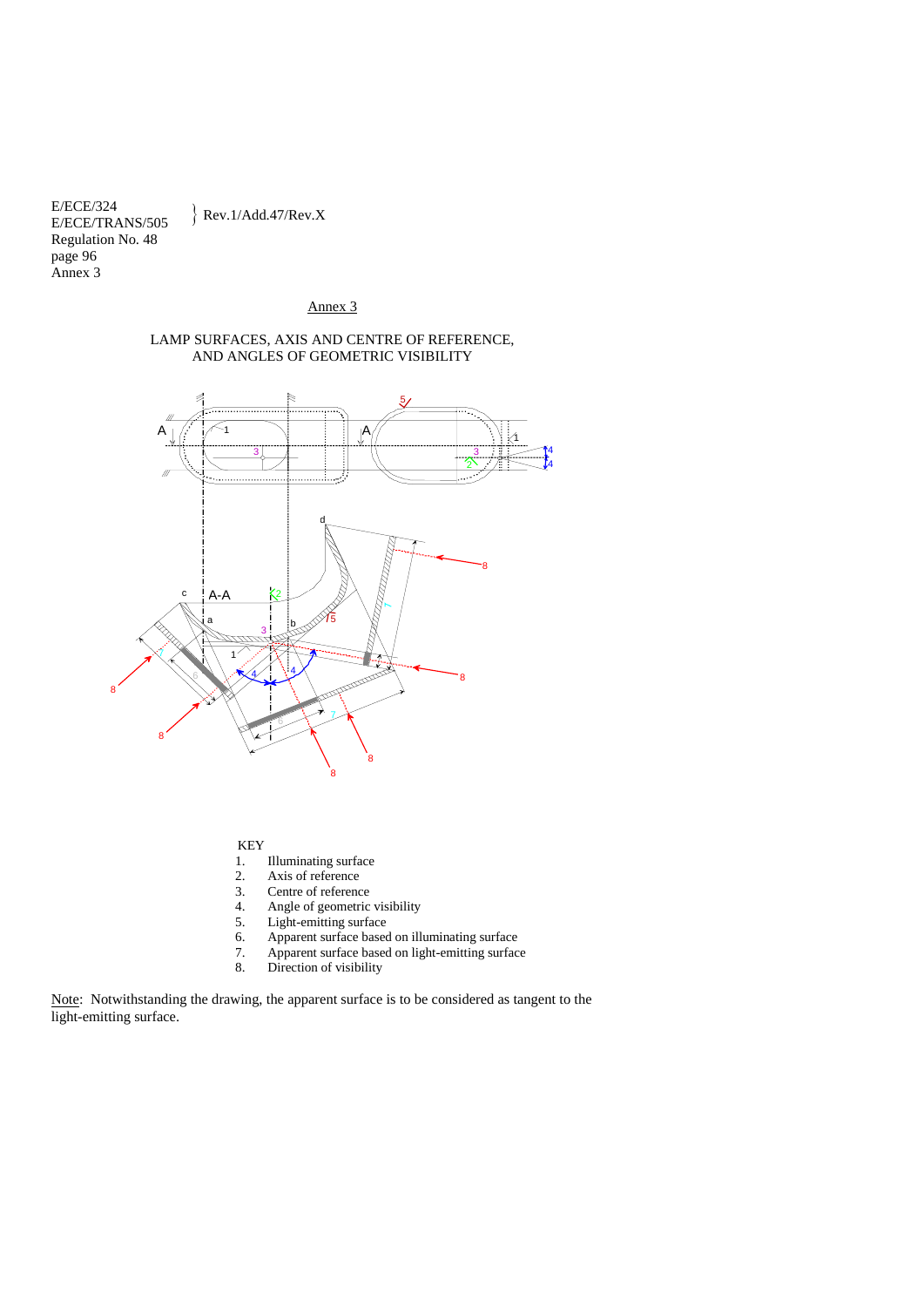Annex 3

### LAMP SURFACES, AXIS AND CENTRE OF REFERENCE, AND ANGLES OF GEOMETRIC VISIBILITY



KEY

- 1. Illuminating surface<br>2. Axis of reference
- 
- 2. Axis of reference<br>3. Centre of reference 3. Centre of reference<br>4. Angle of geometric
- 4. Angle of geometric visibility<br>5. Light-emitting surface
- 5. Light-emitting surface<br>6. Apparent surface based<br>7. Apparent surface based
- 6. Apparent surface based on illuminating surface
- 7. Apparent surface based on light-emitting surface
- 8. Direction of visibility

Note: Notwithstanding the drawing, the apparent surface is to be considered as tangent to the light-emitting surface.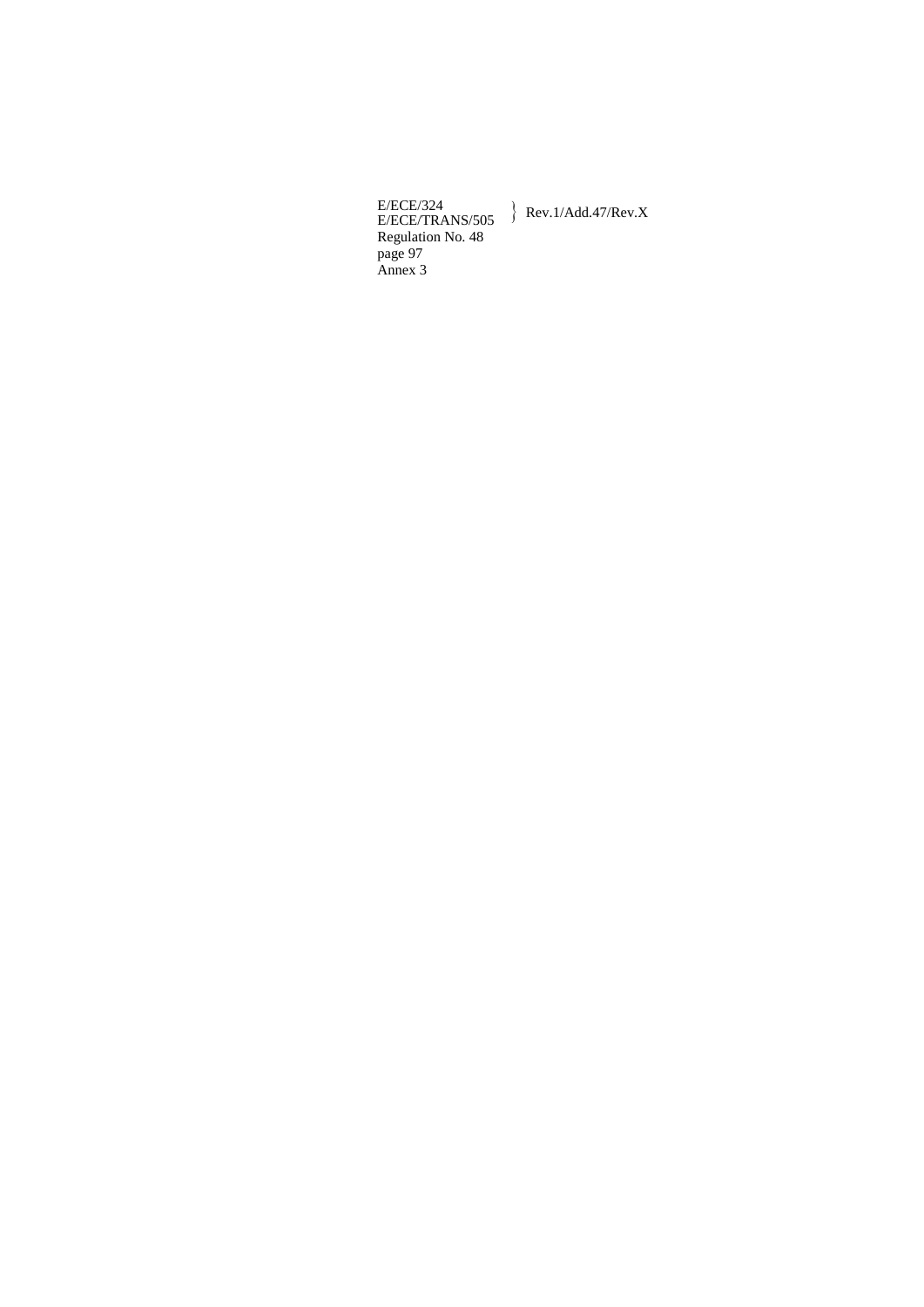E/ECE/324 E/ECE/324<br>E/ECE/TRANS/505 Rev.1/Add.47/Rev.X Regulation No. 48 page 97 Annex 3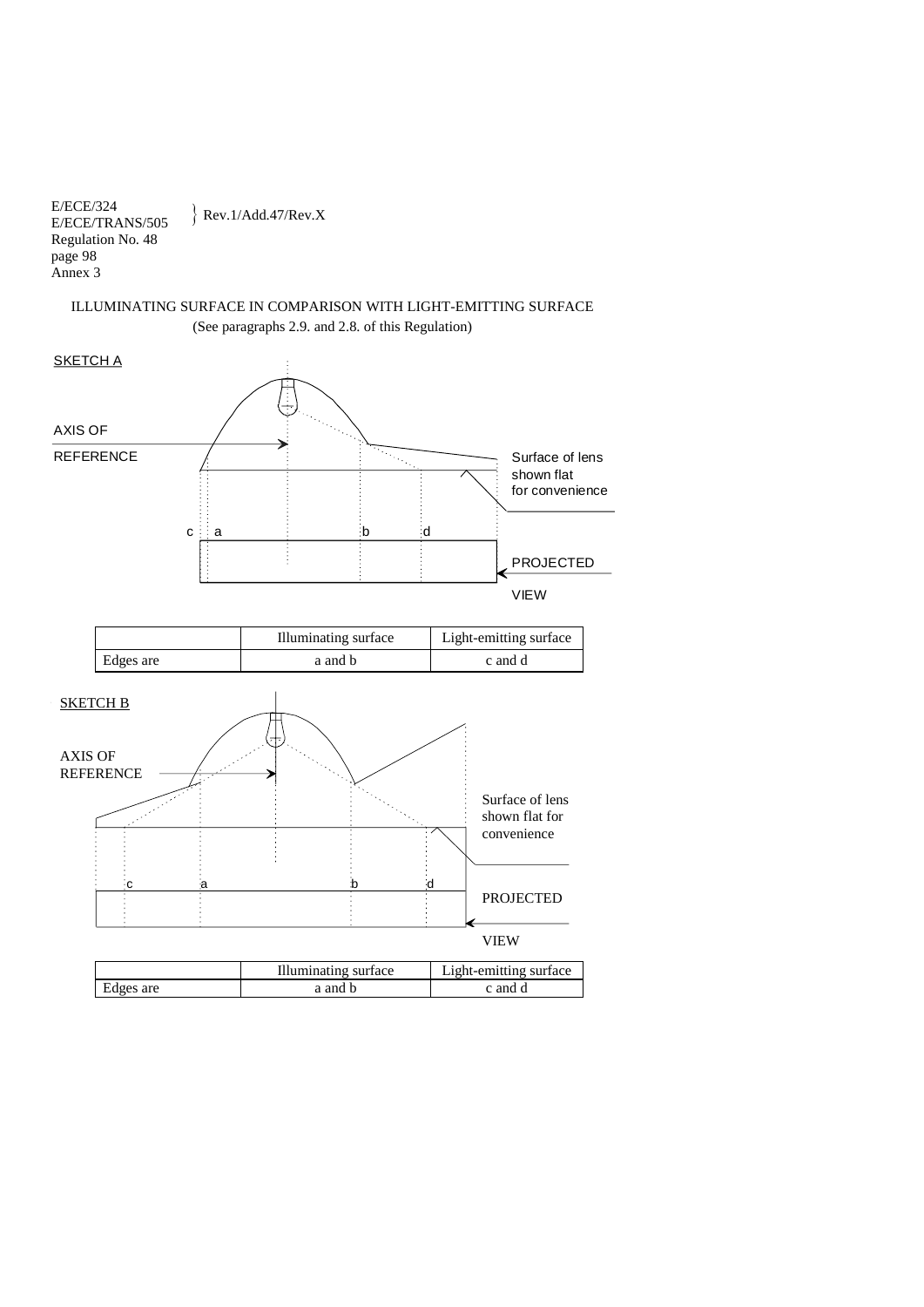# ILLUMINATING SURFACE IN COMPARISON WITH LIGHT-EMITTING SURFACE (See paragraphs 2.9. and 2.8. of this Regulation)

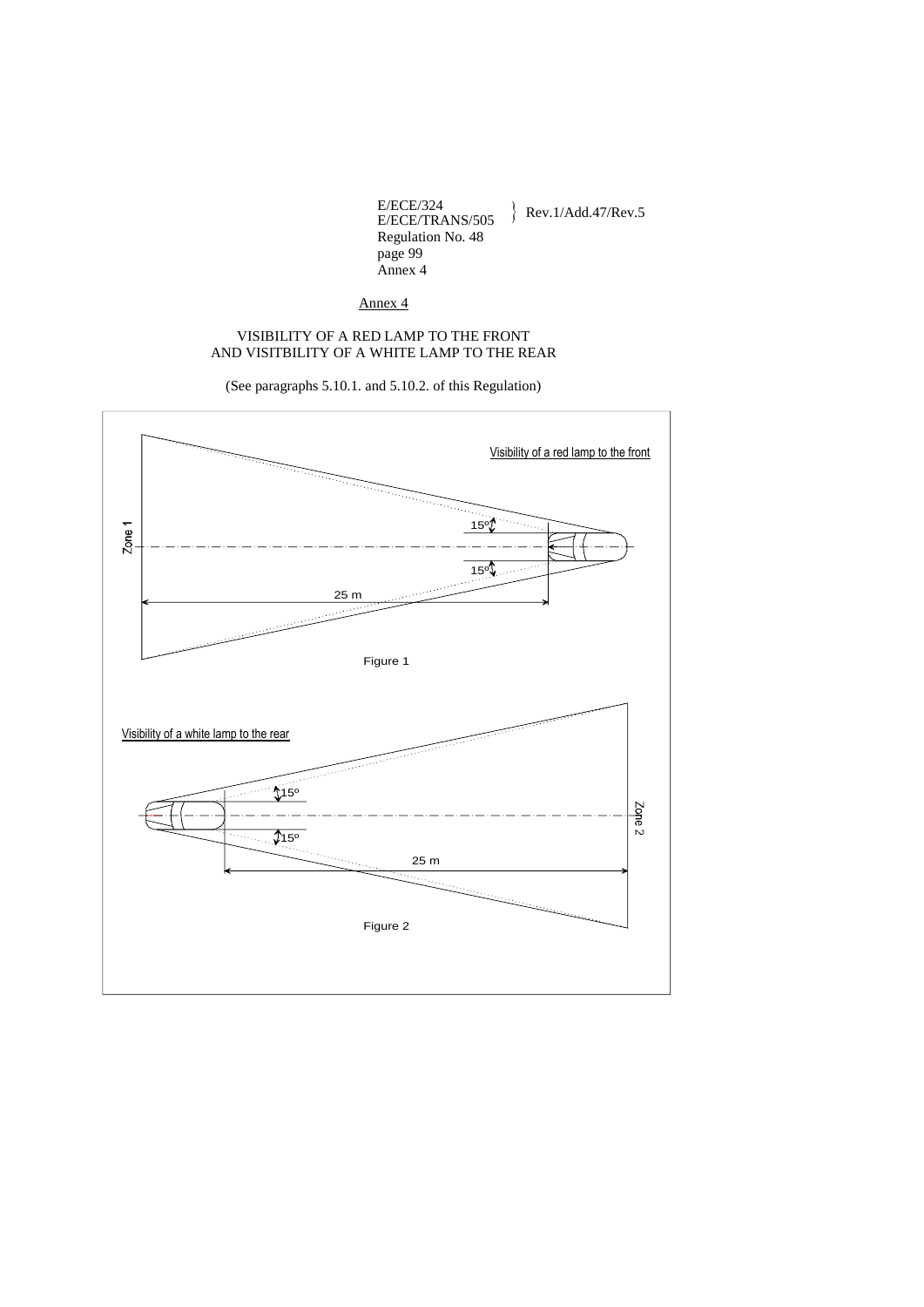# Annex 4

### VISIBILITY OF A RED LAMP TO THE FRONT AND VISITBILITY OF A WHITE LAMP TO THE REAR

(See paragraphs 5.10.1. and 5.10.2. of this Regulation)

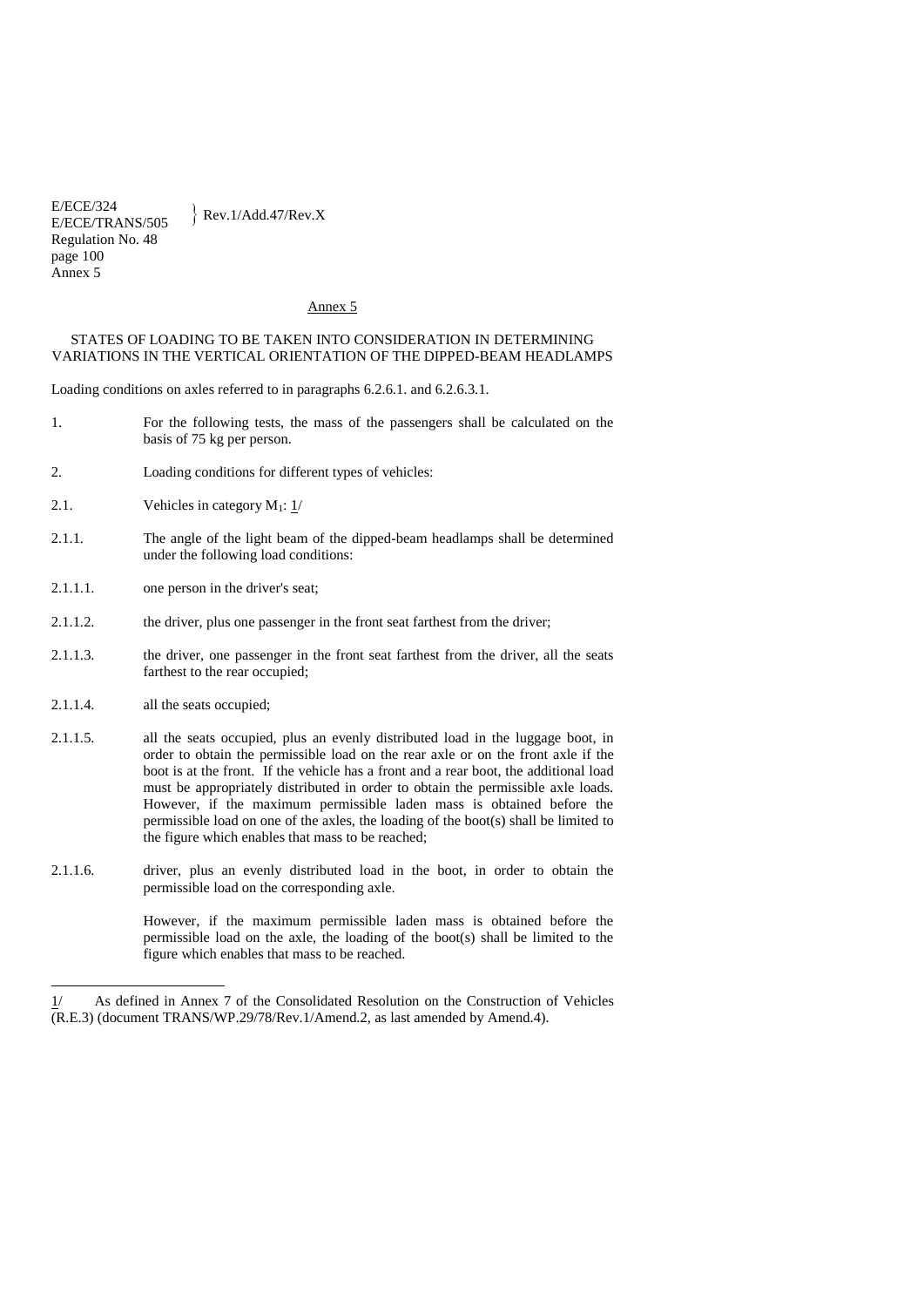### Annex 5

### STATES OF LOADING TO BE TAKEN INTO CONSIDERATION IN DETERMINING VARIATIONS IN THE VERTICAL ORIENTATION OF THE DIPPED-BEAM HEADLAMPS

Loading conditions on axles referred to in paragraphs 6.2.6.1. and 6.2.6.3.1.

- 1. For the following tests, the mass of the passengers shall be calculated on the basis of 75 kg per person.
- 2. Loading conditions for different types of vehicles:
- 2.1. Vehicles in category  $M_1$ : 1/
- 2.1.1. The angle of the light beam of the dipped-beam headlamps shall be determined under the following load conditions:
- 2.1.1.1. one person in the driver's seat;
- 2.1.1.2. the driver, plus one passenger in the front seat farthest from the driver;
- 2.1.1.3. the driver, one passenger in the front seat farthest from the driver, all the seats farthest to the rear occupied;
- 2.1.1.4. all the seats occupied;

-

- 2.1.1.5. all the seats occupied, plus an evenly distributed load in the luggage boot, in order to obtain the permissible load on the rear axle or on the front axle if the boot is at the front. If the vehicle has a front and a rear boot, the additional load must be appropriately distributed in order to obtain the permissible axle loads. However, if the maximum permissible laden mass is obtained before the permissible load on one of the axles, the loading of the boot(s) shall be limited to the figure which enables that mass to be reached;
- 2.1.1.6. driver, plus an evenly distributed load in the boot, in order to obtain the permissible load on the corresponding axle.

However, if the maximum permissible laden mass is obtained before the permissible load on the axle, the loading of the boot(s) shall be limited to the figure which enables that mass to be reached.

As defined in Annex 7 of the Consolidated Resolution on the Construction of Vehicles (R.E.3) (document TRANS/WP.29/78/Rev.1/Amend.2, as last amended by Amend.4).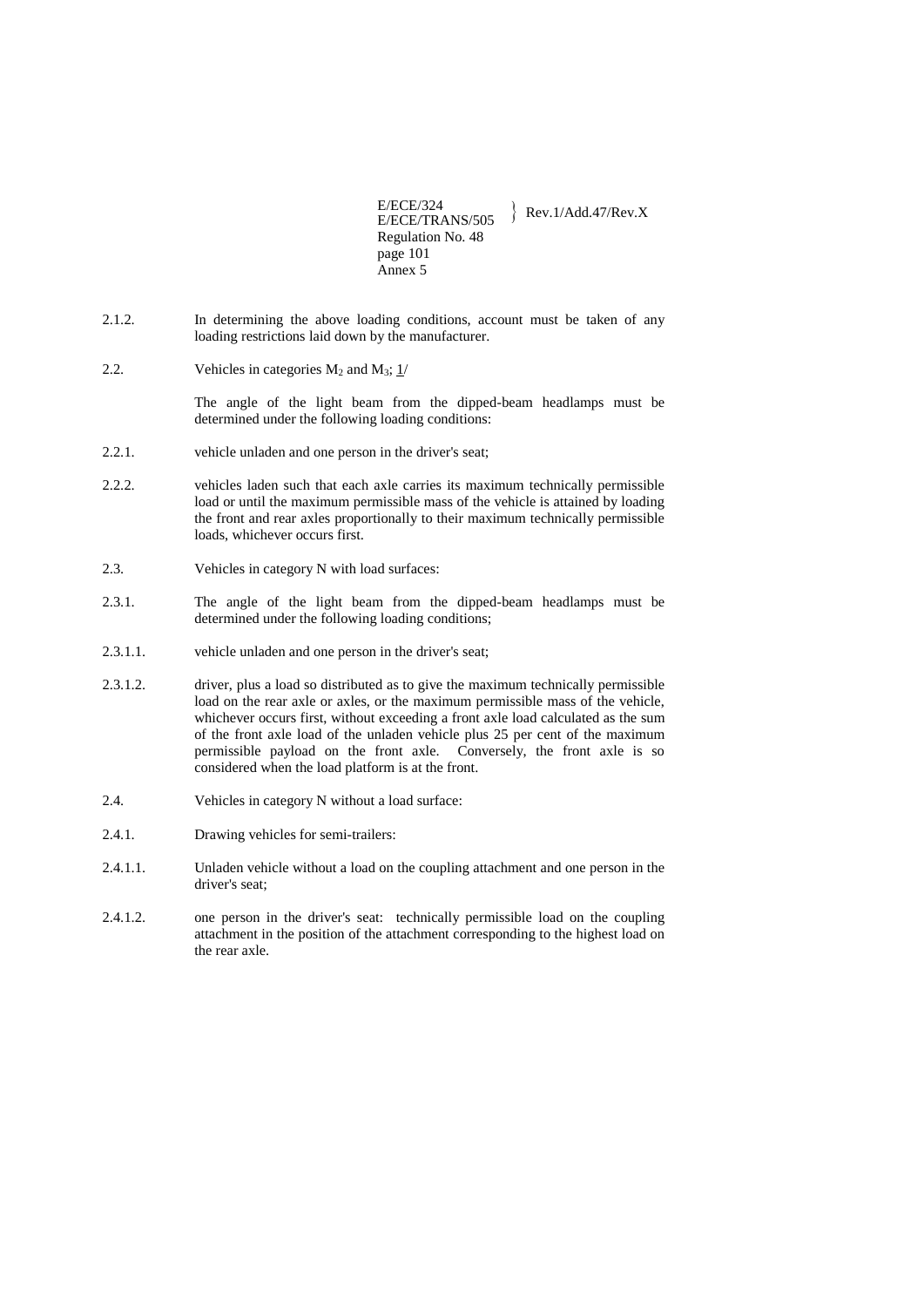- 2.1.2. In determining the above loading conditions, account must be taken of any loading restrictions laid down by the manufacturer.
- 2.2. Vehicles in categories  $M_2$  and  $M_3$ ; 1/

The angle of the light beam from the dipped-beam headlamps must be determined under the following loading conditions:

- 2.2.1. vehicle unladen and one person in the driver's seat;
- 2.2.2. vehicles laden such that each axle carries its maximum technically permissible load or until the maximum permissible mass of the vehicle is attained by loading the front and rear axles proportionally to their maximum technically permissible loads, whichever occurs first.
- 2.3. Vehicles in category N with load surfaces:
- 2.3.1. The angle of the light beam from the dipped-beam headlamps must be determined under the following loading conditions;
- 2.3.1.1. vehicle unladen and one person in the driver's seat;
- 2.3.1.2. driver, plus a load so distributed as to give the maximum technically permissible load on the rear axle or axles, or the maximum permissible mass of the vehicle, whichever occurs first, without exceeding a front axle load calculated as the sum of the front axle load of the unladen vehicle plus 25 per cent of the maximum permissible payload on the front axle. Conversely, the front axle is so considered when the load platform is at the front.
- 2.4. Vehicles in category N without a load surface:
- 2.4.1. Drawing vehicles for semi-trailers:
- 2.4.1.1. Unladen vehicle without a load on the coupling attachment and one person in the driver's seat;
- 2.4.1.2. one person in the driver's seat: technically permissible load on the coupling attachment in the position of the attachment corresponding to the highest load on the rear axle.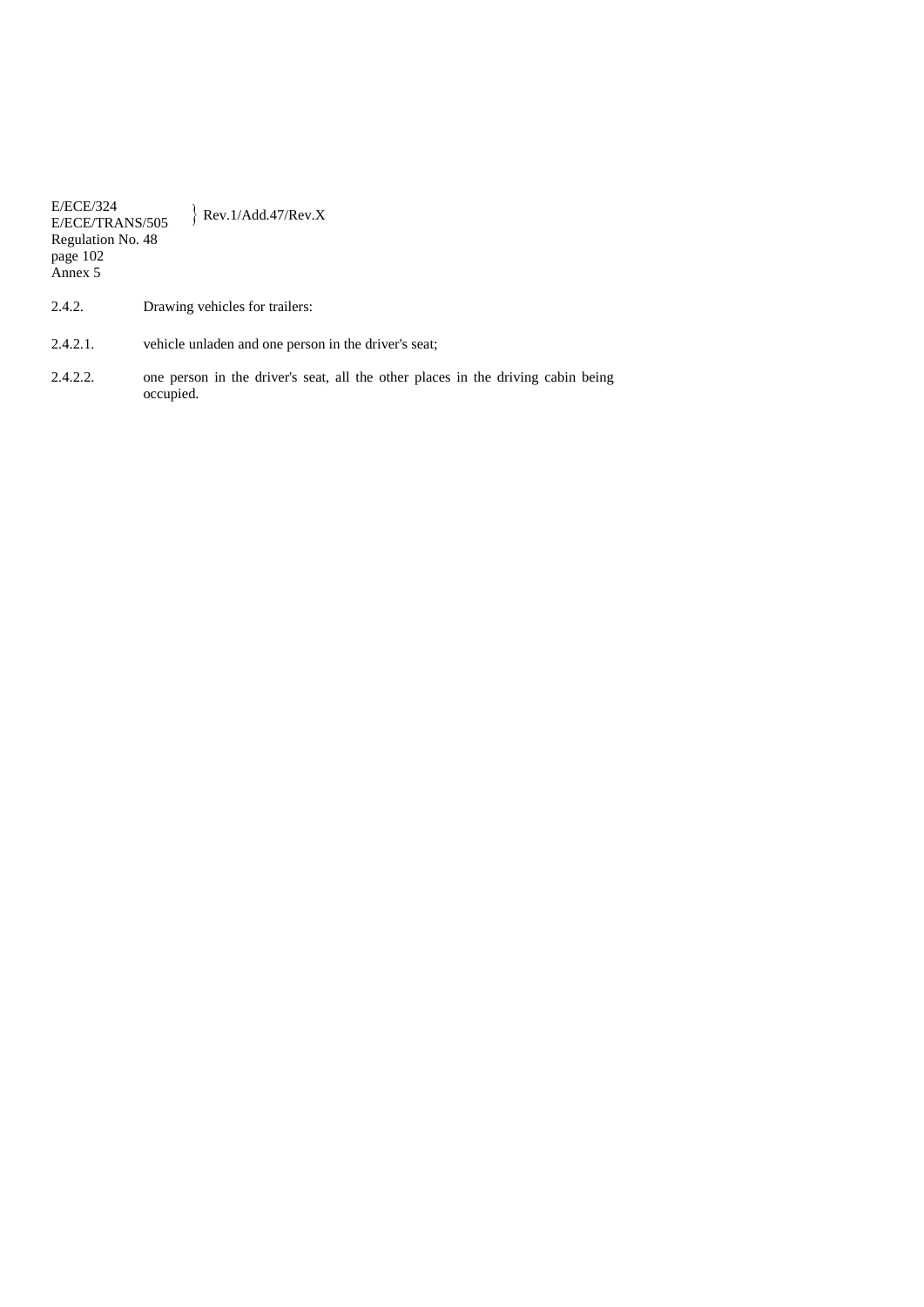- 2.4.2. Drawing vehicles for trailers:
- 2.4.2.1. vehicle unladen and one person in the driver's seat;
- 2.4.2.2. one person in the driver's seat, all the other places in the driving cabin being occupied.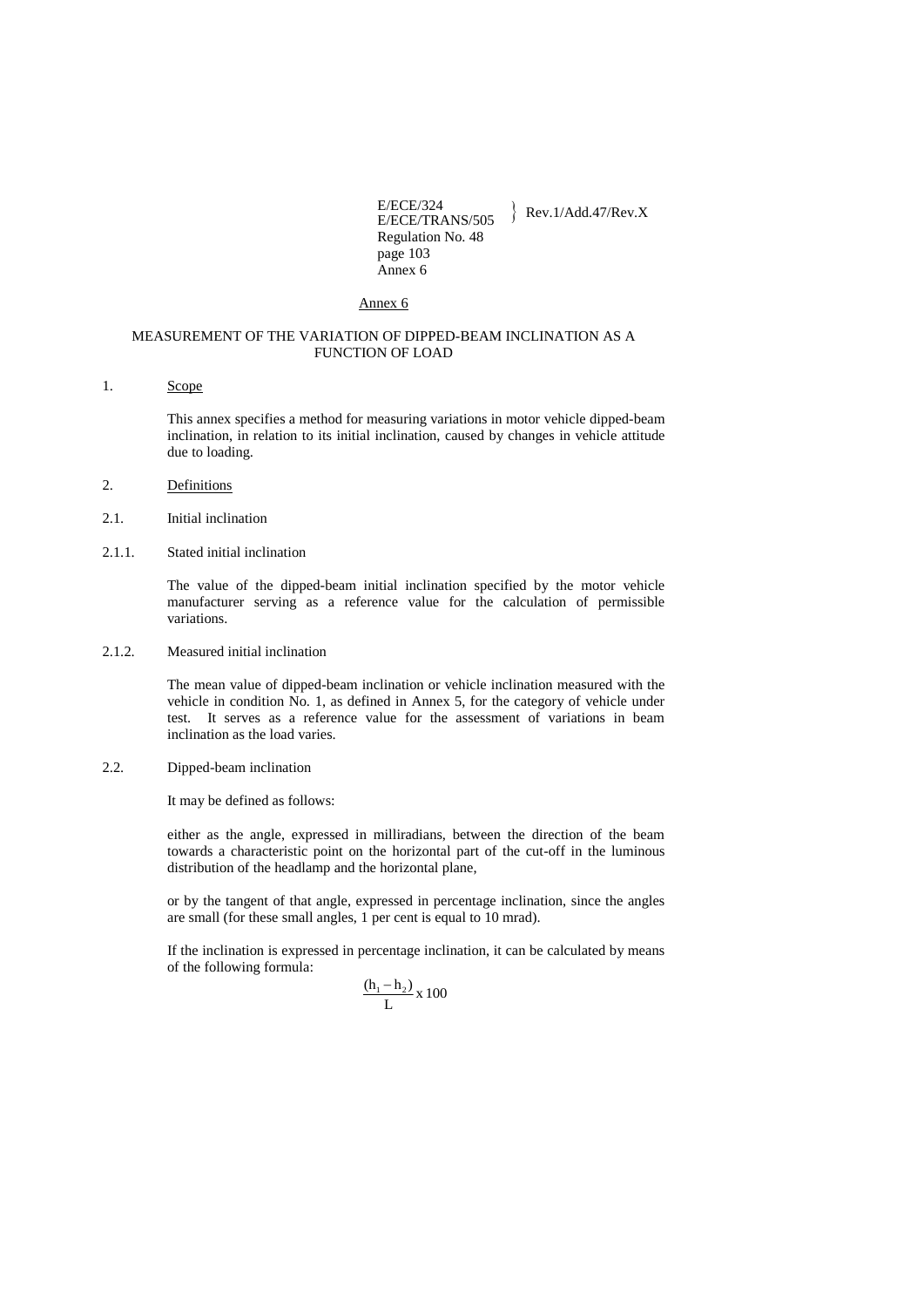### Annex 6

### MEASUREMENT OF THE VARIATION OF DIPPED-BEAM INCLINATION AS A FUNCTION OF LOAD

1. Scope

This annex specifies a method for measuring variations in motor vehicle dipped-beam inclination, in relation to its initial inclination, caused by changes in vehicle attitude due to loading.

- 2. Definitions
- 2.1. Initial inclination
- 2.1.1. Stated initial inclination

The value of the dipped-beam initial inclination specified by the motor vehicle manufacturer serving as a reference value for the calculation of permissible variations.

2.1.2. Measured initial inclination

The mean value of dipped-beam inclination or vehicle inclination measured with the vehicle in condition No. 1, as defined in Annex 5, for the category of vehicle under test. It serves as a reference value for the assessment of variations in beam inclination as the load varies.

2.2. Dipped-beam inclination

It may be defined as follows:

either as the angle, expressed in milliradians, between the direction of the beam towards a characteristic point on the horizontal part of the cut-off in the luminous distribution of the headlamp and the horizontal plane,

or by the tangent of that angle, expressed in percentage inclination, since the angles are small (for these small angles, 1 per cent is equal to 10 mrad).

If the inclination is expressed in percentage inclination, it can be calculated by means of the following formula:

$$
\frac{(h_1 - h_2)}{L} \times 100
$$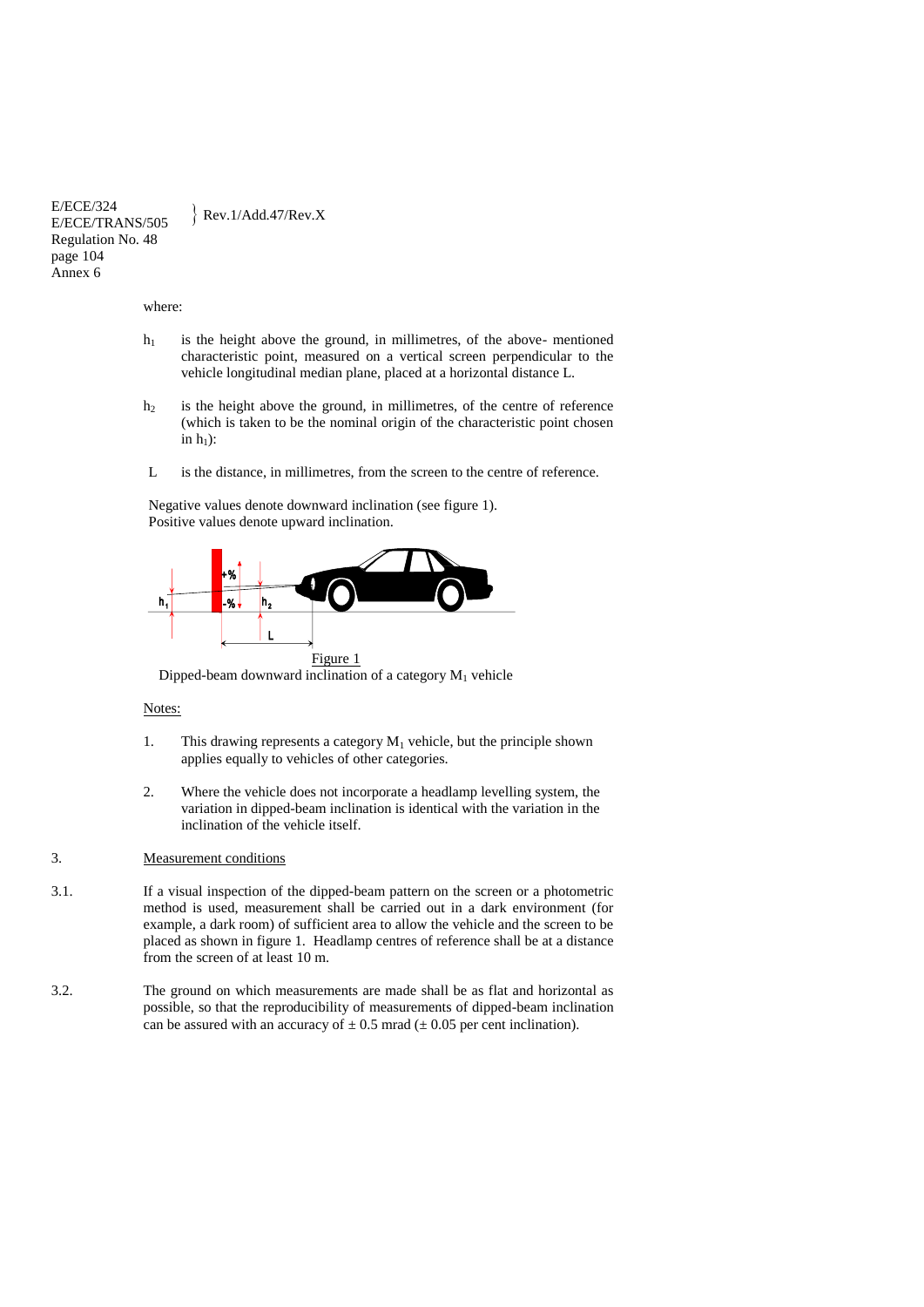### E/ECE/324 E/ECE/TRANS/505 Regulation No. 48 page 104 Annex 6

where:

 $\}$  Rev.1/Add.47/Rev.X

- $h<sub>1</sub>$  is the height above the ground, in millimetres, of the above- mentioned characteristic point, measured on a vertical screen perpendicular to the vehicle longitudinal median plane, placed at a horizontal distance L.
- $h_2$  is the height above the ground, in millimetres, of the centre of reference (which is taken to be the nominal origin of the characteristic point chosen in  $h_1$ ):
- L is the distance, in millimetres, from the screen to the centre of reference.

Negative values denote downward inclination (see figure 1). Positive values denote upward inclination.



Dipped-beam downward inclination of a category  $M_1$  vehicle

### Notes:

- 1. This drawing represents a category  $M_1$  vehicle, but the principle shown applies equally to vehicles of other categories.
- 2. Where the vehicle does not incorporate a headlamp levelling system, the variation in dipped-beam inclination is identical with the variation in the inclination of the vehicle itself.

### 3. Measurement conditions

- 3.1. If a visual inspection of the dipped-beam pattern on the screen or a photometric method is used, measurement shall be carried out in a dark environment (for example, a dark room) of sufficient area to allow the vehicle and the screen to be placed as shown in figure 1. Headlamp centres of reference shall be at a distance from the screen of at least 10 m.
- 3.2. The ground on which measurements are made shall be as flat and horizontal as possible, so that the reproducibility of measurements of dipped-beam inclination can be assured with an accuracy of  $\pm$  0.5 mrad ( $\pm$  0.05 per cent inclination).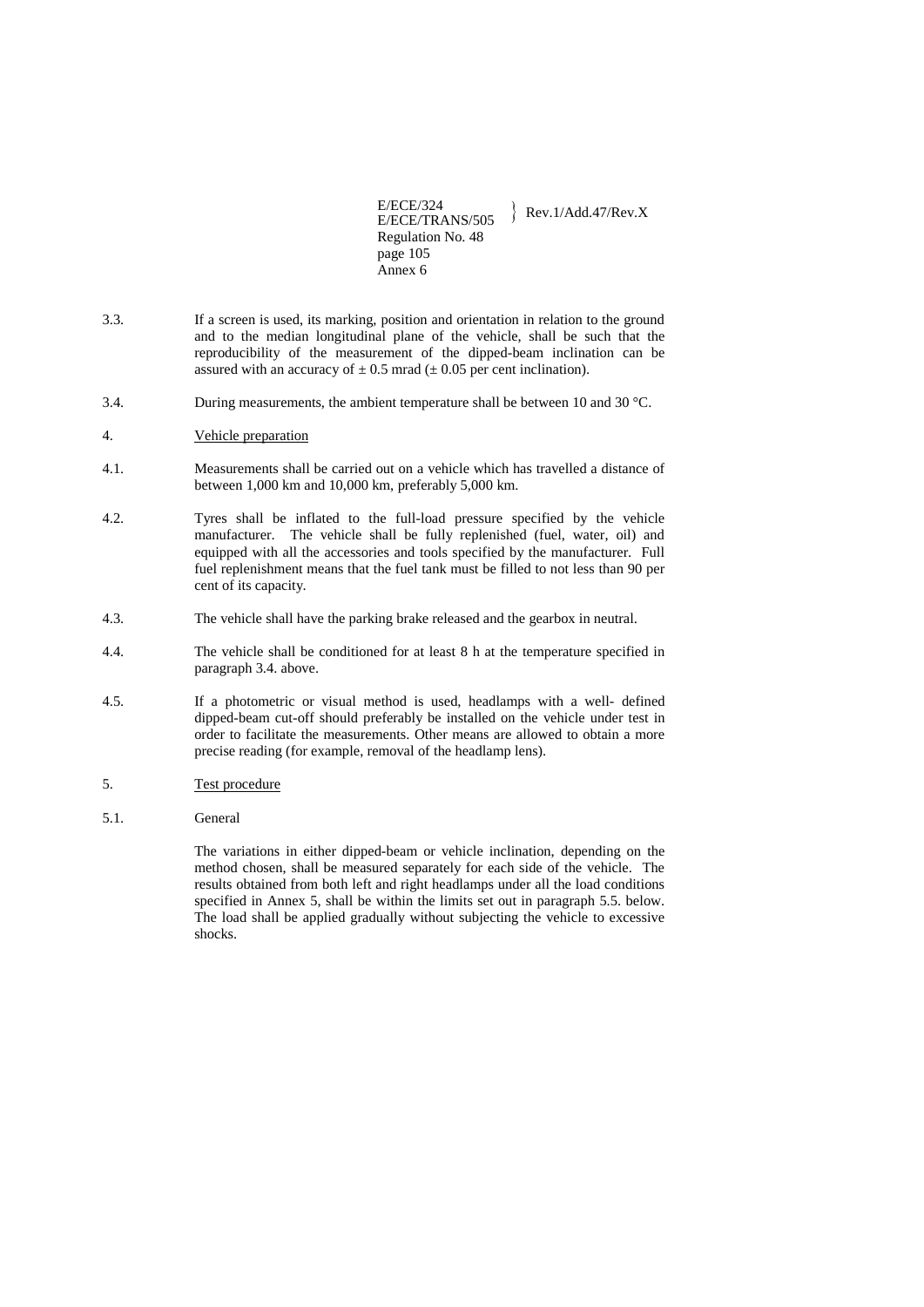- 3.3. If a screen is used, its marking, position and orientation in relation to the ground and to the median longitudinal plane of the vehicle, shall be such that the reproducibility of the measurement of the dipped-beam inclination can be assured with an accuracy of  $\pm$  0.5 mrad ( $\pm$  0.05 per cent inclination).
- 3.4. During measurements, the ambient temperature shall be between 10 and 30 °C.
- 4. Vehicle preparation
- 4.1. Measurements shall be carried out on a vehicle which has travelled a distance of between 1,000 km and 10,000 km, preferably 5,000 km.
- 4.2. Tyres shall be inflated to the full-load pressure specified by the vehicle manufacturer. The vehicle shall be fully replenished (fuel, water, oil) and equipped with all the accessories and tools specified by the manufacturer. Full fuel replenishment means that the fuel tank must be filled to not less than 90 per cent of its capacity.
- 4.3. The vehicle shall have the parking brake released and the gearbox in neutral.
- 4.4. The vehicle shall be conditioned for at least 8 h at the temperature specified in paragraph 3.4. above.
- 4.5. If a photometric or visual method is used, headlamps with a well- defined dipped-beam cut-off should preferably be installed on the vehicle under test in order to facilitate the measurements. Other means are allowed to obtain a more precise reading (for example, removal of the headlamp lens).
- 5. Test procedure
- 5.1. General

The variations in either dipped-beam or vehicle inclination, depending on the method chosen, shall be measured separately for each side of the vehicle. The results obtained from both left and right headlamps under all the load conditions specified in Annex 5, shall be within the limits set out in paragraph 5.5. below. The load shall be applied gradually without subjecting the vehicle to excessive shocks.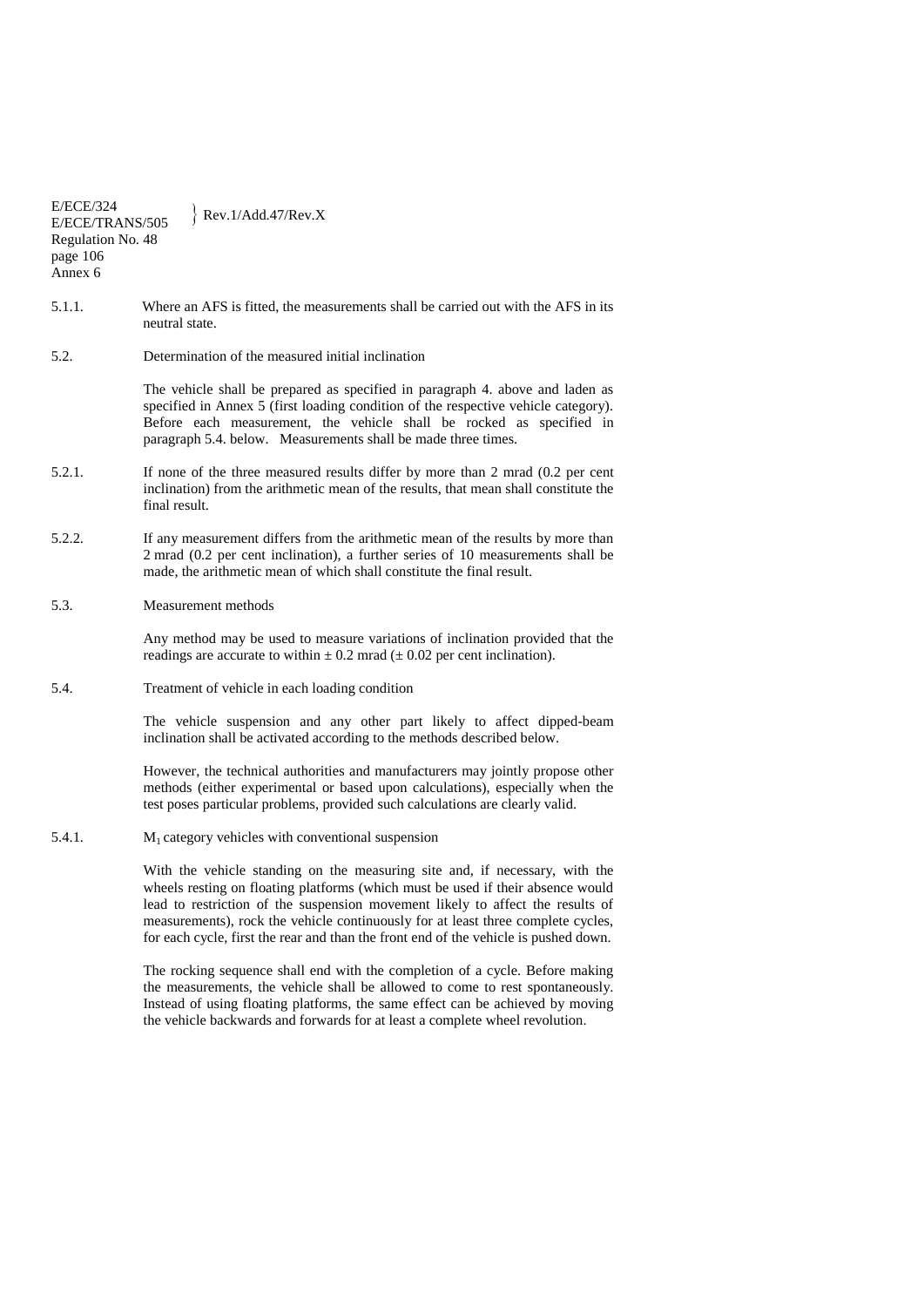- 5.1.1. Where an AFS is fitted, the measurements shall be carried out with the AFS in its neutral state.
- 5.2. Determination of the measured initial inclination

The vehicle shall be prepared as specified in paragraph 4. above and laden as specified in Annex 5 (first loading condition of the respective vehicle category). Before each measurement, the vehicle shall be rocked as specified in paragraph 5.4. below. Measurements shall be made three times.

- 5.2.1. If none of the three measured results differ by more than 2 mrad (0.2 per cent inclination) from the arithmetic mean of the results, that mean shall constitute the final result.
- 5.2.2. If any measurement differs from the arithmetic mean of the results by more than 2 mrad (0.2 per cent inclination), a further series of 10 measurements shall be made, the arithmetic mean of which shall constitute the final result.
- 5.3. Measurement methods

Any method may be used to measure variations of inclination provided that the readings are accurate to within  $\pm$  0.2 mrad ( $\pm$  0.02 per cent inclination).

5.4. Treatment of vehicle in each loading condition

The vehicle suspension and any other part likely to affect dipped-beam inclination shall be activated according to the methods described below.

However, the technical authorities and manufacturers may jointly propose other methods (either experimental or based upon calculations), especially when the test poses particular problems, provided such calculations are clearly valid.

5.4.1.  $M_1$  category vehicles with conventional suspension

With the vehicle standing on the measuring site and, if necessary, with the wheels resting on floating platforms (which must be used if their absence would lead to restriction of the suspension movement likely to affect the results of measurements), rock the vehicle continuously for at least three complete cycles, for each cycle, first the rear and than the front end of the vehicle is pushed down.

The rocking sequence shall end with the completion of a cycle. Before making the measurements, the vehicle shall be allowed to come to rest spontaneously. Instead of using floating platforms, the same effect can be achieved by moving the vehicle backwards and forwards for at least a complete wheel revolution.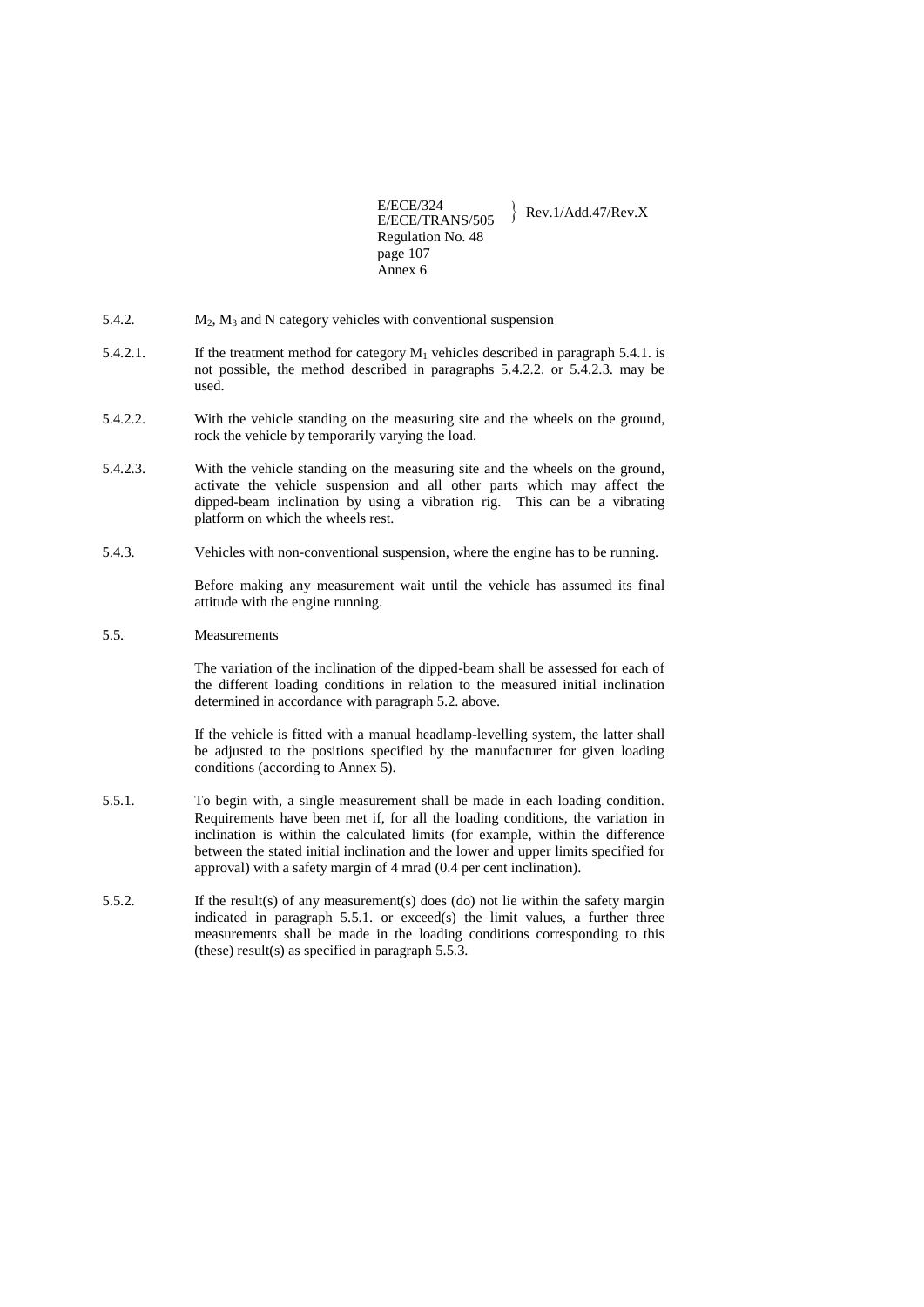- 5.4.2.  $M_2$ ,  $M_3$  and N category vehicles with conventional suspension
- 5.4.2.1. If the treatment method for category  $M_1$  vehicles described in paragraph 5.4.1. is not possible, the method described in paragraphs 5.4.2.2. or 5.4.2.3. may be used.
- 5.4.2.2. With the vehicle standing on the measuring site and the wheels on the ground, rock the vehicle by temporarily varying the load.
- 5.4.2.3. With the vehicle standing on the measuring site and the wheels on the ground, activate the vehicle suspension and all other parts which may affect the dipped-beam inclination by using a vibration rig. This can be a vibrating platform on which the wheels rest.
- 5.4.3. Vehicles with non-conventional suspension, where the engine has to be running.

Before making any measurement wait until the vehicle has assumed its final attitude with the engine running.

5.5. Measurements

The variation of the inclination of the dipped-beam shall be assessed for each of the different loading conditions in relation to the measured initial inclination determined in accordance with paragraph 5.2. above.

If the vehicle is fitted with a manual headlamp-levelling system, the latter shall be adjusted to the positions specified by the manufacturer for given loading conditions (according to Annex 5).

- 5.5.1. To begin with, a single measurement shall be made in each loading condition. Requirements have been met if, for all the loading conditions, the variation in inclination is within the calculated limits (for example, within the difference between the stated initial inclination and the lower and upper limits specified for approval) with a safety margin of 4 mrad (0.4 per cent inclination).
- 5.5.2. If the result(s) of any measurement(s) does (do) not lie within the safety margin indicated in paragraph 5.5.1. or exceed(s) the limit values, a further three measurements shall be made in the loading conditions corresponding to this (these) result(s) as specified in paragraph 5.5.3.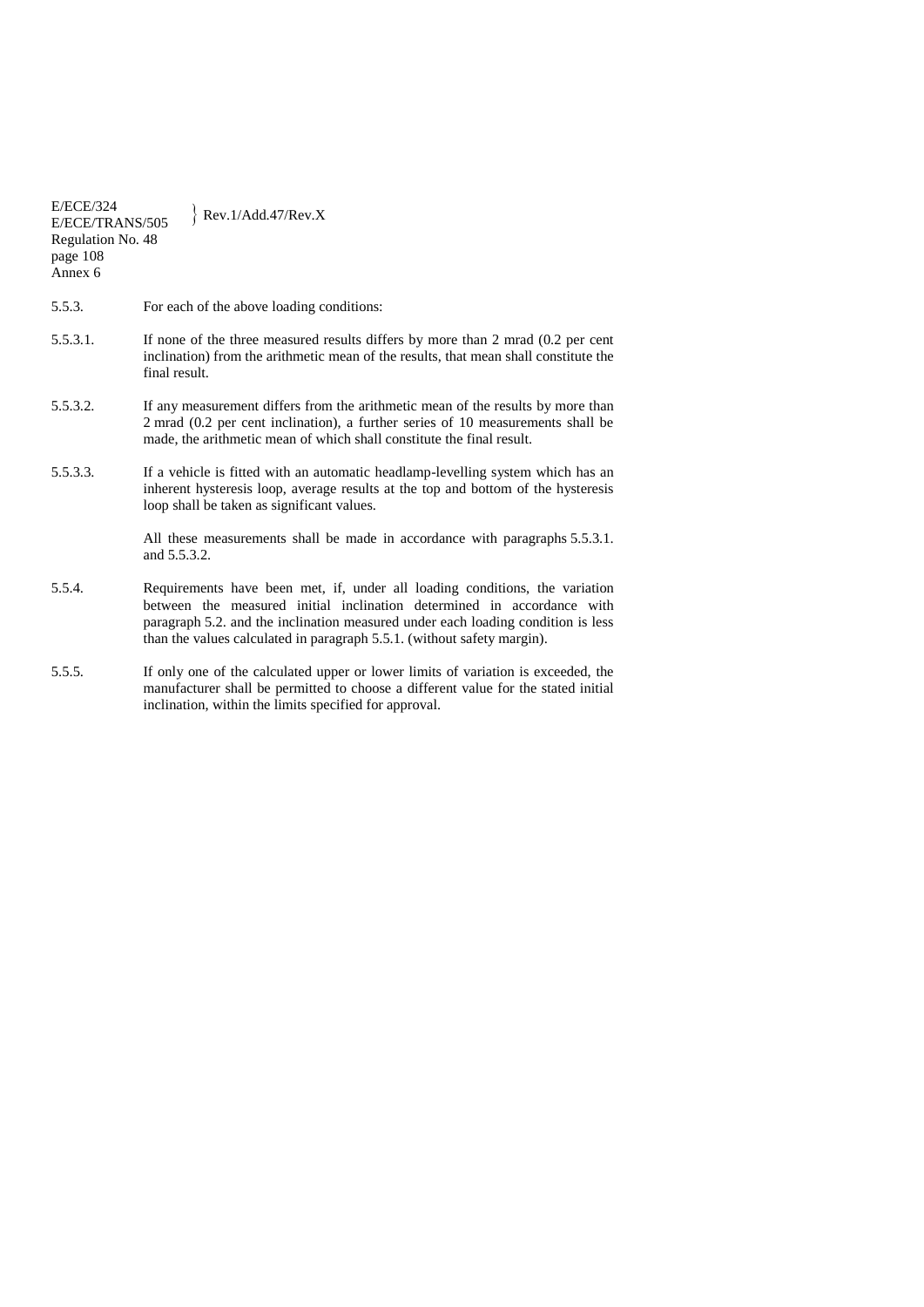- 5.5.3. For each of the above loading conditions:
- 5.5.3.1. If none of the three measured results differs by more than 2 mrad (0.2 per cent inclination) from the arithmetic mean of the results, that mean shall constitute the final result.
- 5.5.3.2. If any measurement differs from the arithmetic mean of the results by more than 2 mrad (0.2 per cent inclination), a further series of 10 measurements shall be made, the arithmetic mean of which shall constitute the final result.
- 5.5.3.3. If a vehicle is fitted with an automatic headlamp-levelling system which has an inherent hysteresis loop, average results at the top and bottom of the hysteresis loop shall be taken as significant values.

All these measurements shall be made in accordance with paragraphs 5.5.3.1. and 5.5.3.2.

- 5.5.4. Requirements have been met, if, under all loading conditions, the variation between the measured initial inclination determined in accordance with paragraph 5.2. and the inclination measured under each loading condition is less than the values calculated in paragraph 5.5.1. (without safety margin).
- 5.5.5. If only one of the calculated upper or lower limits of variation is exceeded, the manufacturer shall be permitted to choose a different value for the stated initial inclination, within the limits specified for approval.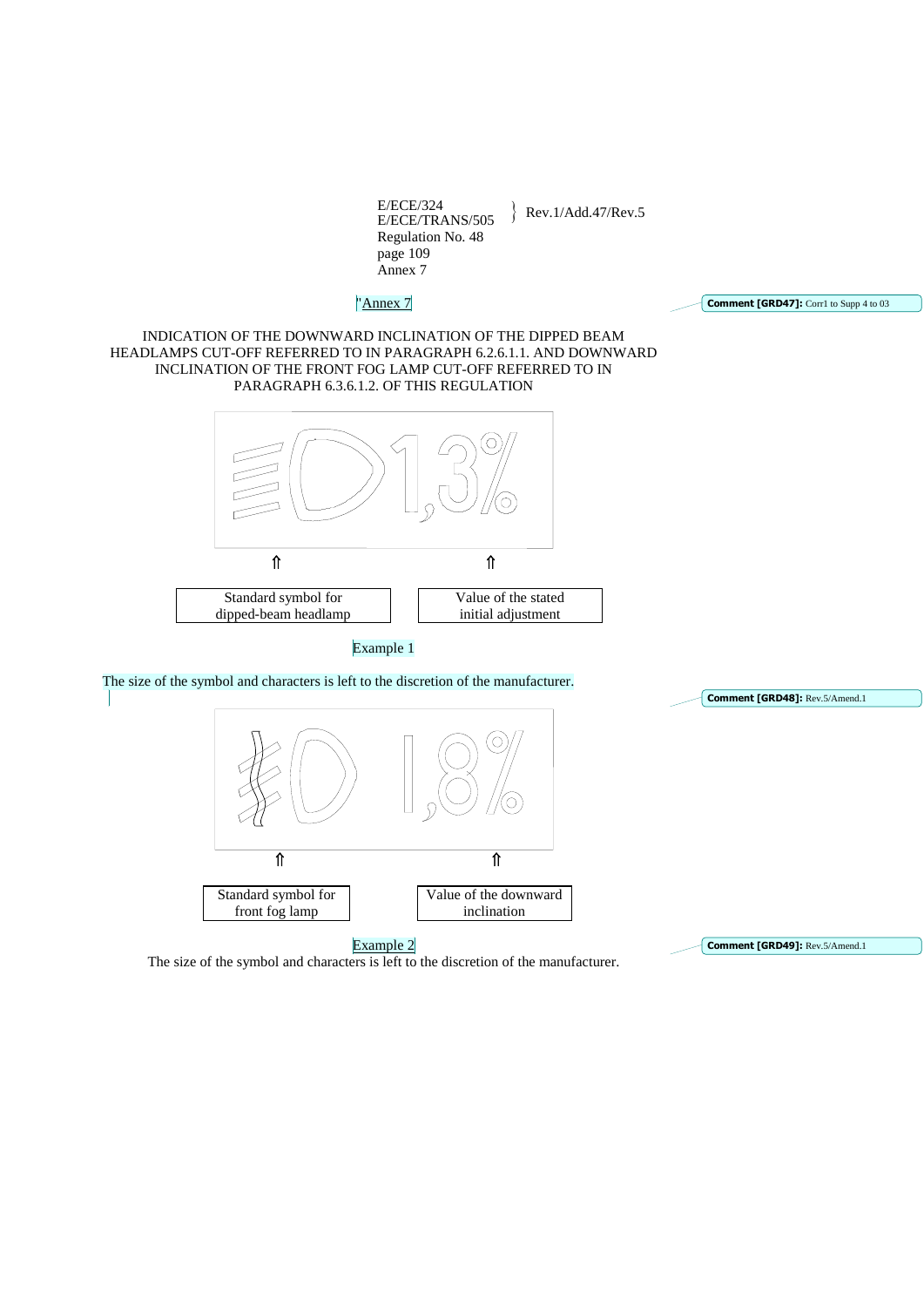E/ECE/324 E/ECE/TRANS/505  $\}$  Rev.1/Add.47/Rev.5 Regulation No. 48 page 109 Annex 7

**Comment [GRD47]:** Corr1 to Supp 4 to 03

# "Annex 7

#### INDICATION OF THE DOWNWARD INCLINATION OF THE DIPPED BEAM HEADLAMPS CUT-OFF REFERRED TO IN PARAGRAPH 6.2.6.1.1. AND DOWNWARD INCLINATION OF THE FRONT FOG LAMP CUT-OFF REFERRED TO IN PARAGRAPH 6.3.6.1.2. OF THIS REGULATION



#### Example 1

The size of the symbol and characters is left to the discretion of the manufacturer.





**Comment [GRD48]:** Rev.5/Amend.1

The size of the symbol and characters is left to the discretion of the manufacturer.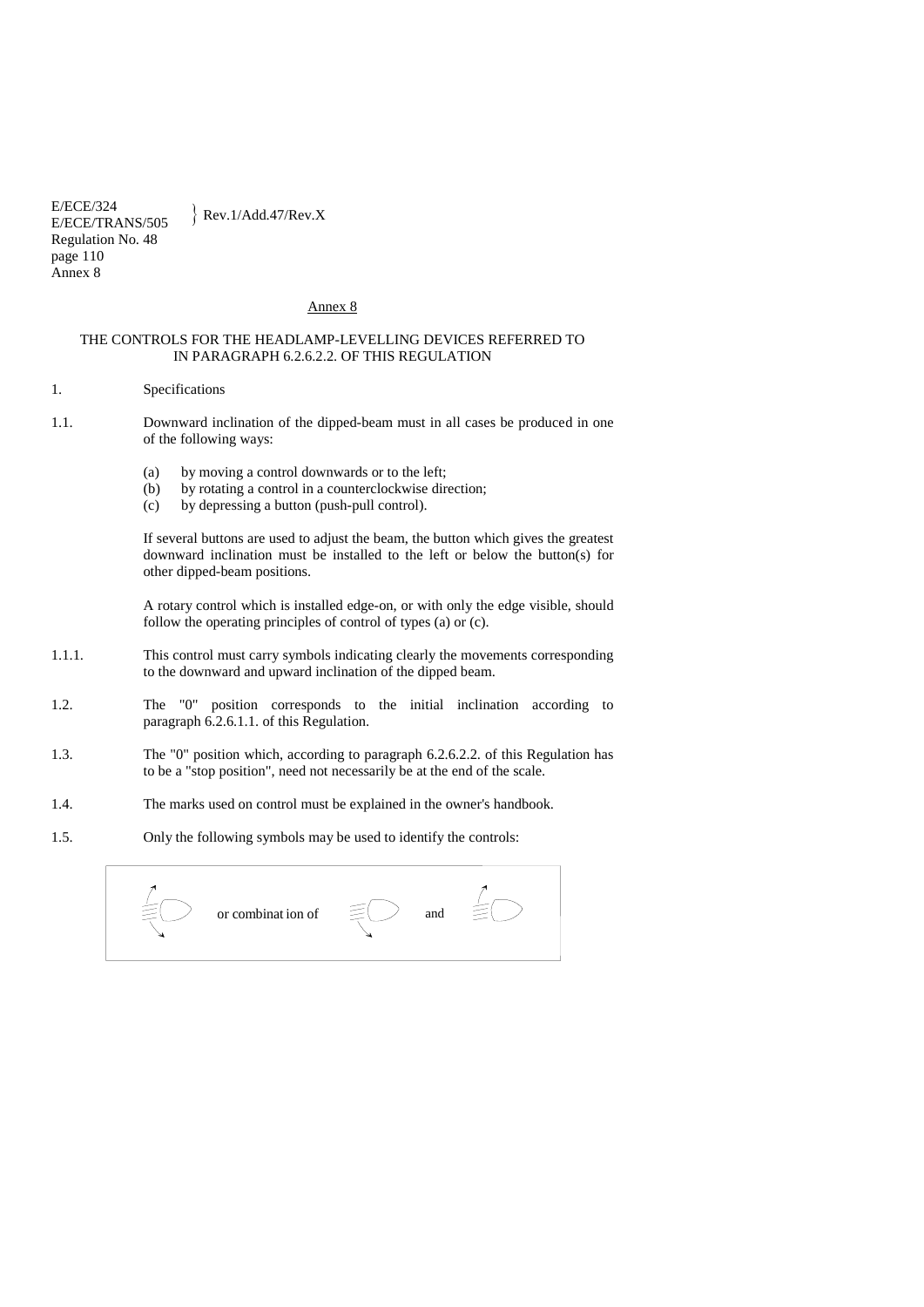E/ECE/324 E/ECE/TRANS/505  $\}$  Rev.1/Add.47/Rev.X Regulation No. 48 page 110 Annex 8

Annex 8

#### THE CONTROLS FOR THE HEADLAMP-LEVELLING DEVICES REFERRED TO IN PARAGRAPH 6.2.6.2.2. OF THIS REGULATION

1. Specifications

1.1. Downward inclination of the dipped-beam must in all cases be produced in one of the following ways:

- (a) by moving a control downwards or to the left;
- (b) by rotating a control in a counterclockwise direction;
- (c) by depressing a button (push-pull control).

If several buttons are used to adjust the beam, the button which gives the greatest downward inclination must be installed to the left or below the button(s) for other dipped-beam positions.

A rotary control which is installed edge-on, or with only the edge visible, should follow the operating principles of control of types (a) or (c).

- 1.1.1. This control must carry symbols indicating clearly the movements corresponding to the downward and upward inclination of the dipped beam.
- 1.2. The "0" position corresponds to the initial inclination according to paragraph 6.2.6.1.1. of this Regulation.
- 1.3. The "0" position which, according to paragraph 6.2.6.2.2. of this Regulation has to be a "stop position", need not necessarily be at the end of the scale.
- 1.4. The marks used on control must be explained in the owner's handbook.
- 1.5. Only the following symbols may be used to identify the controls:

| or combination of<br>~ | ≍ | and |  |  |
|------------------------|---|-----|--|--|
|------------------------|---|-----|--|--|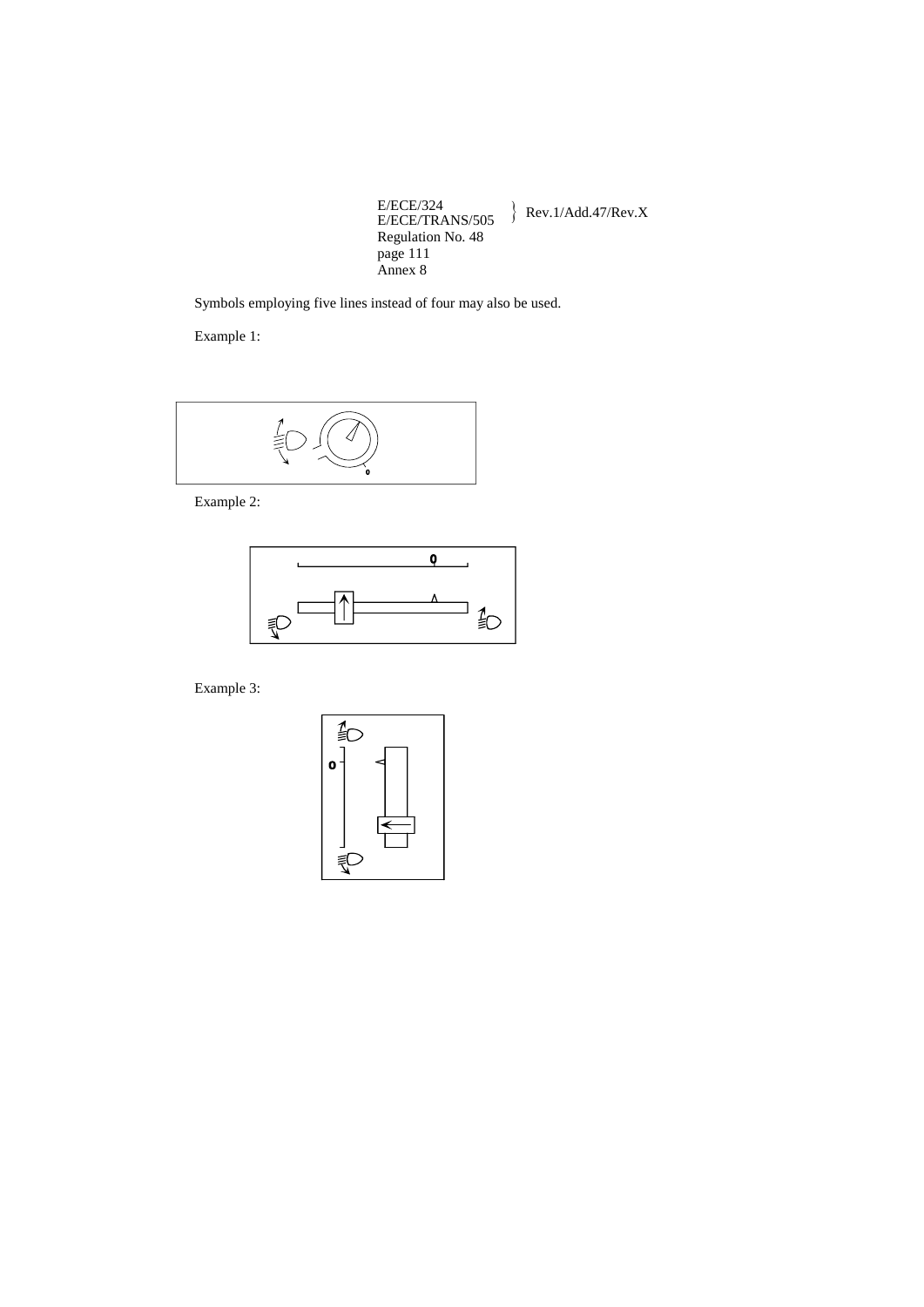```
E/ECE/324
E/ECE/TRANS/505
                     \} Rev.1/Add.47/Rev.X
Regulation No. 48
page 111
Annex 8
```
Symbols employing five lines instead of four may also be used.

Example 1:



Example 2:



Example 3:

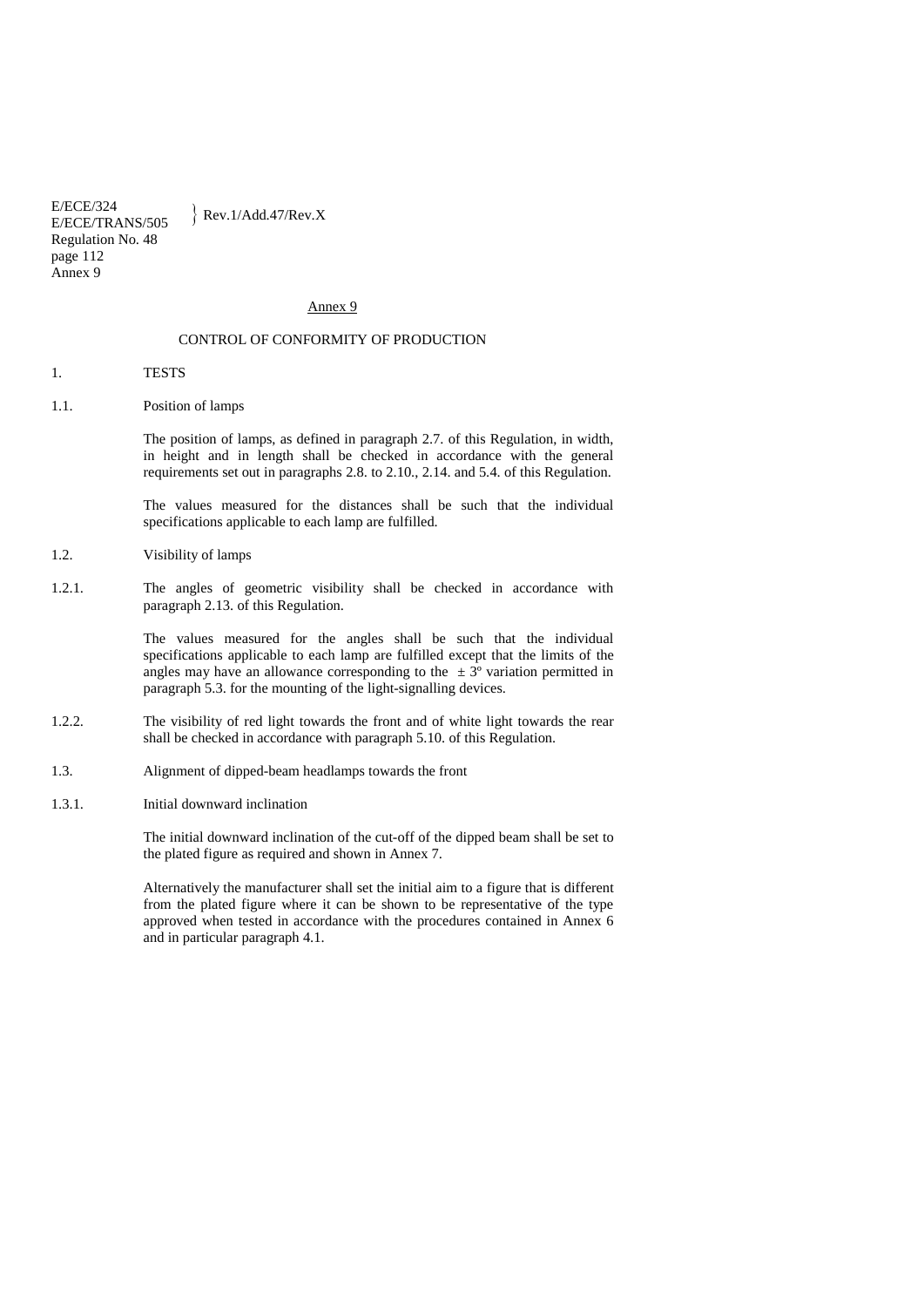E/ECE/324 E/ECE/TRANS/505  $\}$  Rev.1/Add.47/Rev.X Regulation No. 48 page 112 Annex 9

Annex 9

#### CONTROL OF CONFORMITY OF PRODUCTION

1. TESTS

1.1. Position of lamps

The position of lamps, as defined in paragraph 2.7. of this Regulation, in width, in height and in length shall be checked in accordance with the general requirements set out in paragraphs 2.8. to 2.10., 2.14. and 5.4. of this Regulation.

The values measured for the distances shall be such that the individual specifications applicable to each lamp are fulfilled.

- 1.2. Visibility of lamps
- 1.2.1. The angles of geometric visibility shall be checked in accordance with paragraph 2.13. of this Regulation.

The values measured for the angles shall be such that the individual specifications applicable to each lamp are fulfilled except that the limits of the angles may have an allowance corresponding to the  $\pm 3^{\circ}$  variation permitted in paragraph 5.3. for the mounting of the light-signalling devices.

- 1.2.2. The visibility of red light towards the front and of white light towards the rear shall be checked in accordance with paragraph 5.10. of this Regulation.
- 1.3. Alignment of dipped-beam headlamps towards the front
- 1.3.1. Initial downward inclination

The initial downward inclination of the cut-off of the dipped beam shall be set to the plated figure as required and shown in Annex 7.

Alternatively the manufacturer shall set the initial aim to a figure that is different from the plated figure where it can be shown to be representative of the type approved when tested in accordance with the procedures contained in Annex 6 and in particular paragraph 4.1.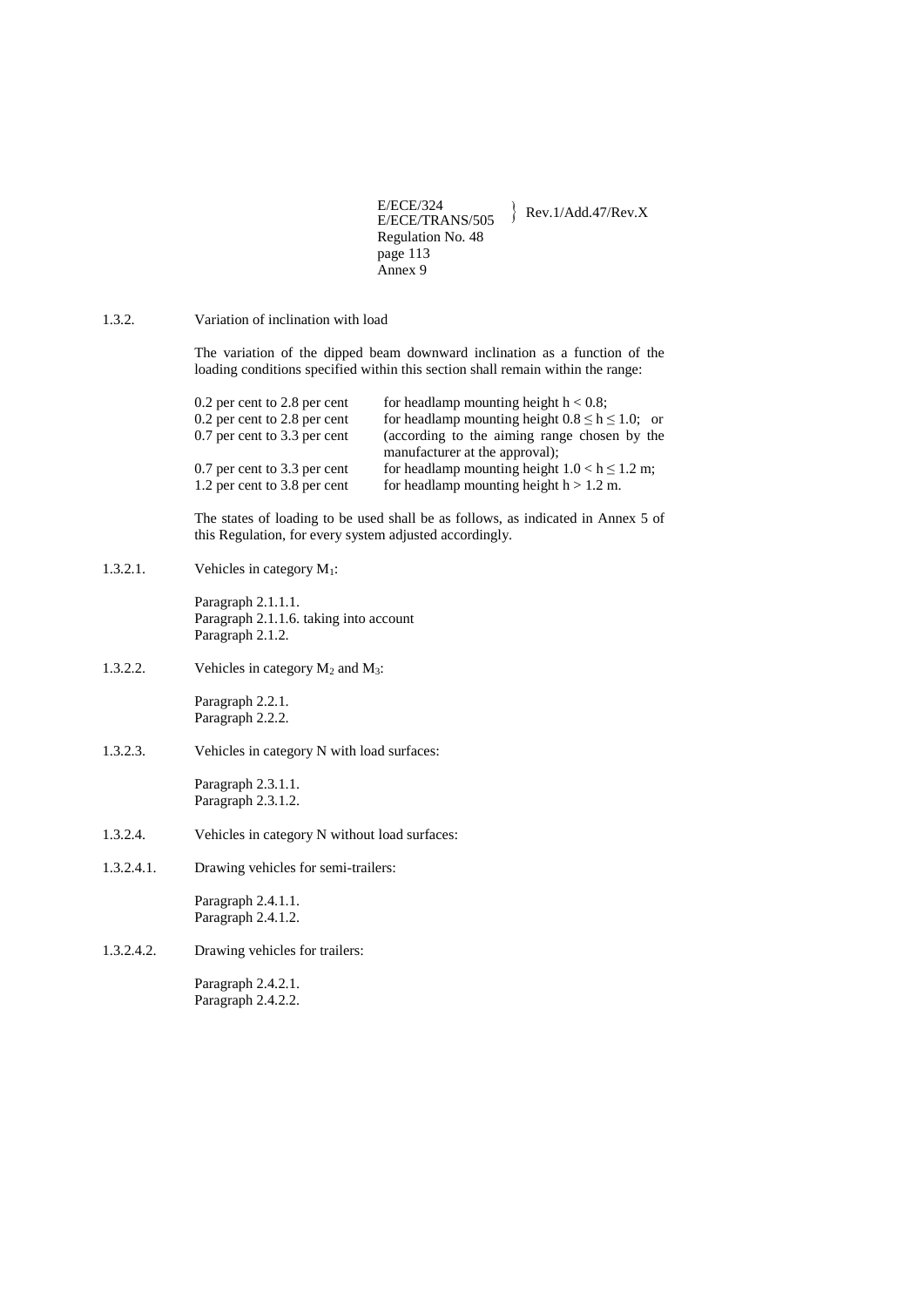```
E/ECE/324
E/ECE/TRANS/505
                    \} Rev.1/Add.47/Rev.X
Regulation No. 48
page 113
Annex 9
```
## 1.3.2. Variation of inclination with load

The variation of the dipped beam downward inclination as a function of the loading conditions specified within this section shall remain within the range:

| 0.2 per cent to 2.8 per cent | for headlamp mounting height $h < 0.8$ ;              |
|------------------------------|-------------------------------------------------------|
| 0.2 per cent to 2.8 per cent | for headlamp mounting height $0.8 \le h \le 1.0$ ; or |
| 0.7 per cent to 3.3 per cent | (according to the aiming range chosen by the          |
|                              | manufacturer at the approval);                        |
| 0.7 per cent to 3.3 per cent | for headlamp mounting height $1.0 < h \le 1.2$ m;     |
| 1.2 per cent to 3.8 per cent | for headlamp mounting height $h > 1.2$ m.             |

The states of loading to be used shall be as follows, as indicated in Annex 5 of this Regulation, for every system adjusted accordingly.

1.3.2.1. Vehicles in category  $M_1$ :

Paragraph 2.1.1.1. Paragraph 2.1.1.6. taking into account Paragraph 2.1.2.

1.3.2.2. Vehicles in category  $M_2$  and  $M_3$ :

Paragraph 2.2.1. Paragraph 2.2.2.

1.3.2.3. Vehicles in category N with load surfaces:

Paragraph 2.3.1.1. Paragraph 2.3.1.2.

- 1.3.2.4. Vehicles in category N without load surfaces:
- 1.3.2.4.1. Drawing vehicles for semi-trailers:

Paragraph 2.4.1.1. Paragraph 2.4.1.2.

1.3.2.4.2. Drawing vehicles for trailers:

Paragraph 2.4.2.1. Paragraph 2.4.2.2.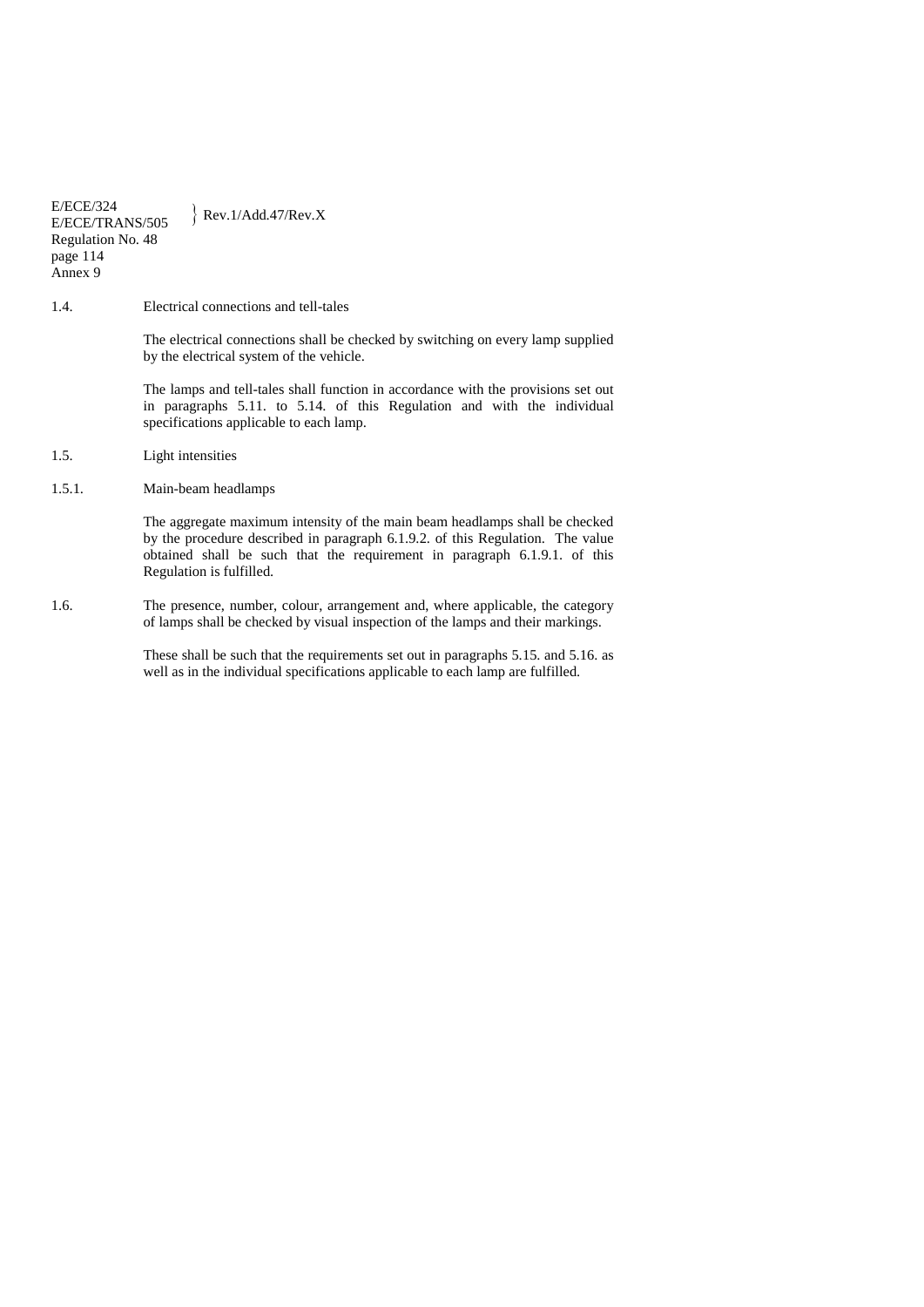E/ECE/324 E/ECE/TRANS/505  $\}$  Rev.1/Add.47/Rev.X Regulation No. 48 page 114 Annex 9

## 1.4. Electrical connections and tell-tales

The electrical connections shall be checked by switching on every lamp supplied by the electrical system of the vehicle.

The lamps and tell-tales shall function in accordance with the provisions set out in paragraphs 5.11. to 5.14. of this Regulation and with the individual specifications applicable to each lamp.

- 1.5. Light intensities
- 1.5.1. Main-beam headlamps

The aggregate maximum intensity of the main beam headlamps shall be checked by the procedure described in paragraph 6.1.9.2. of this Regulation. The value obtained shall be such that the requirement in paragraph 6.1.9.1. of this Regulation is fulfilled.

1.6. The presence, number, colour, arrangement and, where applicable, the category of lamps shall be checked by visual inspection of the lamps and their markings.

> These shall be such that the requirements set out in paragraphs 5.15. and 5.16. as well as in the individual specifications applicable to each lamp are fulfilled.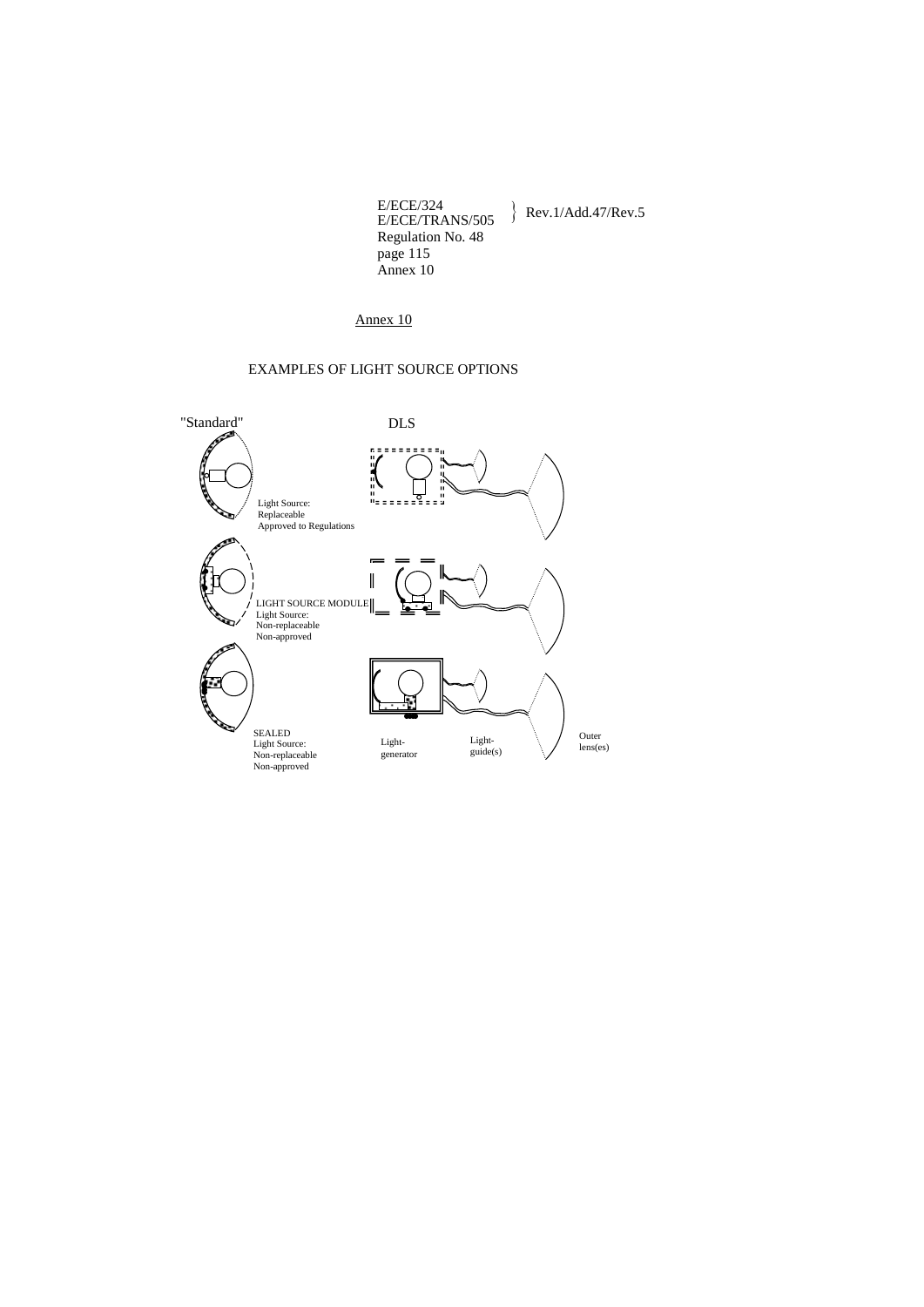E/ECE/324 E/ECE/TRANS/505  $\}$  Rev.1/Add.47/Rev.5 Regulation No. 48 page 115 Annex 10

# Annex 10

# EXAMPLES OF LIGHT SOURCE OPTIONS